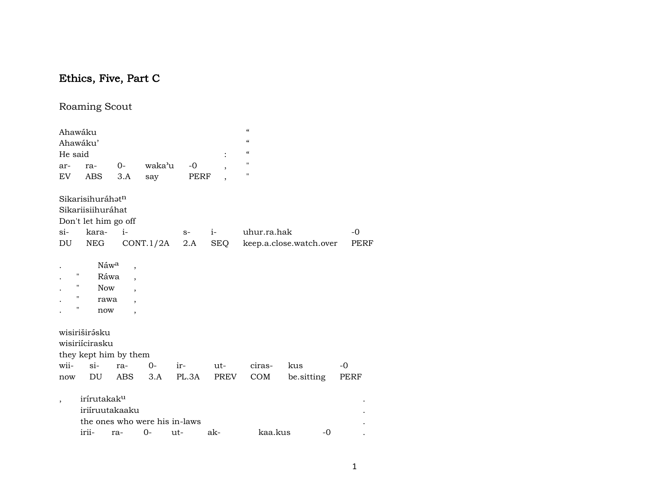# Ethics, Five, Part C

## Roaming Scout

| Ahawáku                  | Ahawáku'                     |                                                                                                                                |                               |       |                | $\epsilon\epsilon$<br>$\epsilon$ |                         |      |
|--------------------------|------------------------------|--------------------------------------------------------------------------------------------------------------------------------|-------------------------------|-------|----------------|----------------------------------|-------------------------|------|
| He said                  |                              |                                                                                                                                |                               |       |                | $\mathcal{C}\mathcal{C}$         |                         |      |
| ar-                      | ra-                          | 0-                                                                                                                             | waka'u                        | $-0$  | $\overline{ }$ | $\mathbf{H}$                     |                         |      |
| EV                       | <b>ABS</b>                   | 3.A                                                                                                                            | say                           | PERF  |                | 11                               |                         |      |
|                          | Sikarisihuráhat <sup>n</sup> |                                                                                                                                |                               |       |                |                                  |                         |      |
|                          | Sikariisiihuráhat            |                                                                                                                                |                               |       |                |                                  |                         |      |
|                          | Don't let him go off         |                                                                                                                                |                               |       |                |                                  |                         |      |
| $\sin$                   | kara-                        | $i-$                                                                                                                           |                               | $S-$  | $i-$           | uhur.ra.hak                      |                         | -0   |
| DU                       | NEG                          |                                                                                                                                | CONT.1/2A                     | 2.A   | SEQ            |                                  | keep.a.close.watch.over | PERF |
| н<br>н<br>н<br>н         | <b>Now</b><br>rawa<br>now    | Náw <sup>a</sup><br>$\overline{\phantom{a}}$<br>Ráwa<br>$\overline{\phantom{a}}$<br>$\overline{\phantom{a}}$<br>$\overline{ }$ |                               |       |                |                                  |                         |      |
|                          | wisiriširásku                |                                                                                                                                |                               |       |                |                                  |                         |      |
|                          | wisiriícirasku               |                                                                                                                                |                               |       |                |                                  |                         |      |
|                          |                              | they kept him by them                                                                                                          |                               |       |                |                                  |                         |      |
| wii-                     | $si-$                        | ra-                                                                                                                            | $0-$                          | ir-   | ut-            | ciras-                           | kus                     | $-0$ |
| now                      | DU                           | <b>ABS</b>                                                                                                                     | 3.A                           | PL.3A | PREV           | COM                              | be sitting              | PERF |
| $\overline{\phantom{a}}$ | irírutakak <sup>u</sup>      | iriíruutakaaku                                                                                                                 | the ones who were his in-laws |       |                |                                  |                         |      |
|                          | irii-                        | ra-                                                                                                                            | $0-$                          | ut-   | ak-            | kaa.kus                          | $-0$                    |      |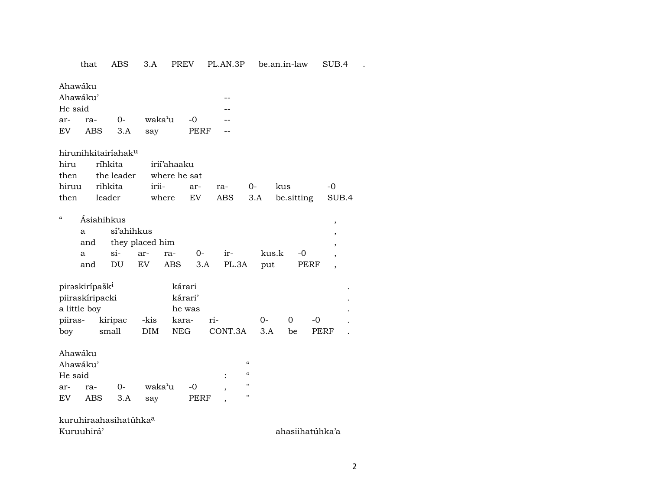that ABS 3.A PREV PL.AN.3P be.an.in-law SUB.4 .

Ahawáku

|         | Ahawáku'    |  |                           |      |             |  |  |  |  |
|---------|-------------|--|---------------------------|------|-------------|--|--|--|--|
| He said |             |  |                           |      |             |  |  |  |  |
| ar- ra- |             |  | 0- waka <sup>y</sup> u -0 |      |             |  |  |  |  |
| EV      | ABS 3.A say |  |                           | PERF | $\sim$ $ -$ |  |  |  |  |

hirunihkitairíahak<sup>u</sup>

| hiru ríhkita irií'ahaaku                      |  |  |  |
|-----------------------------------------------|--|--|--|
| then the leader where he sat                  |  |  |  |
| hiruu rihkita  irii-  ar- ra-  0-  kus    -0  |  |  |  |
| then leader where EV ABS 3.A be sitting SUB.4 |  |  |  |

| a   |  |            |            |                     |  |  |                         |                                              |  |  |
|-----|--|------------|------------|---------------------|--|--|-------------------------|----------------------------------------------|--|--|
|     |  |            |            |                     |  |  |                         |                                              |  |  |
| a   |  |            |            |                     |  |  |                         |                                              |  |  |
| and |  |            |            |                     |  |  | PERF                    |                                              |  |  |
|     |  | Ásiahihkus | sí'ahihkus | and they placed him |  |  | DU EV ABS 3.A PL.3A put | $si$ - $ar$ - $ra$ - $0$ - $ir$ - $kus.k$ -0 |  |  |

| pirəskiripašk <sup>ı</sup> |         |      | kárari     |         |     |    |       |           |
|----------------------------|---------|------|------------|---------|-----|----|-------|-----------|
| piiraskíripacki            |         |      | kárari'    |         |     |    |       | $\bullet$ |
| a little boy               |         |      | he was     |         |     |    |       |           |
| piiras-                    | kiripac | -kis | kara-      | $ri-$   | ()  |    | $-()$ |           |
| boy                        | small   | DIM. | <b>NEG</b> | CONT.3A | 3 A | be | PERF  |           |

Ahawáku

| Ahawáku'              |         |      |           |      |  |                   |  |  |  |  |
|-----------------------|---------|------|-----------|------|--|-------------------|--|--|--|--|
| $\epsilon$<br>He said |         |      |           |      |  |                   |  |  |  |  |
| ar-                   | ra-     | $O-$ | waka'u -0 |      |  | $^{\prime\prime}$ |  |  |  |  |
| EV                    | ABS 3.A |      | say       | PERF |  | "                 |  |  |  |  |

kuruhiraahasihatúhka° Kuruuhirá' ahasiihatúhka'a ahasiihatúhka'a ahasiihatúhka'a ahasiihatúhka'a ahasiihatúhka'a ahasiihatúhka'a ahasiihatúhka'a ahasiihatúhka'a ahasiihatúhka'a ahasiihatúhka'a ahasiihatúhka'a ahasiihatúhka'a ahasiihatúhka'a aha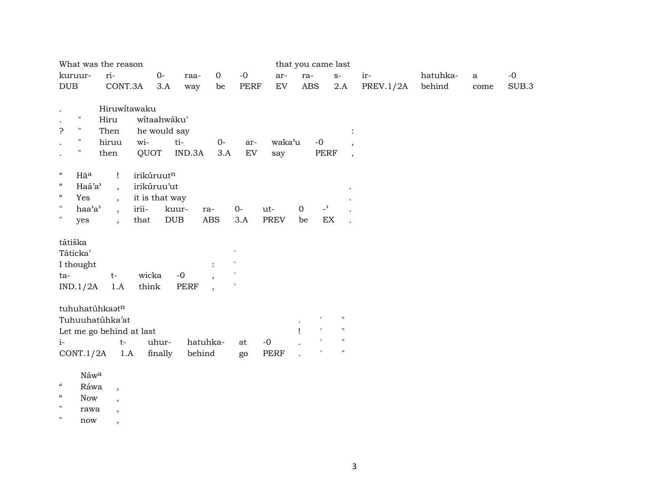| What was the reason                                                                                                         |                                                                                                                           |                                                              |               |                                                              |                   |                    |                    | that you came last                                     |                                            |           |          |          |       |
|-----------------------------------------------------------------------------------------------------------------------------|---------------------------------------------------------------------------------------------------------------------------|--------------------------------------------------------------|---------------|--------------------------------------------------------------|-------------------|--------------------|--------------------|--------------------------------------------------------|--------------------------------------------|-----------|----------|----------|-------|
| kuruur-                                                                                                                     | ri-                                                                                                                       | $0-$                                                         | raa-          | $\mathbf{0}$                                                 | $-0$              | ar-                | ra-                |                                                        | $S-$                                       | ir-       | hatuhka- | $\rm{a}$ | $-0$  |
| DUB                                                                                                                         | CONT.3A                                                                                                                   | 3.A                                                          | way           | be                                                           | <b>PERF</b>       | EV                 | <b>ABS</b>         |                                                        | 2.A                                        | PREV.1/2A | behind   | come     | SUB.3 |
| $\pmb{\mathsf{H}}$<br>5.<br>$\mathbf{H}$<br>$\pmb{\mathsf{H}}$<br>11                                                        | Hiruwitawaku<br>Hiru<br>Then<br>hiruu<br>then                                                                             | wítaahwáku'<br>he would say<br>wi-<br>QUOT                   | ti-<br>IND.3A | $0-$<br>3.A                                                  | ar-<br>${\rm EV}$ | waka'u<br>say      |                    | $-0$<br>PERF                                           | $\overline{ }$<br>$\overline{\phantom{a}}$ |           |          |          |       |
| $\epsilon\epsilon$<br>Hãa<br>$\boldsymbol{\mathcal{U}}$<br>Haá'a'<br>$\epsilon\epsilon$<br>Yes<br>Η.<br>haa'a'<br>Η.<br>yes | $\mathbf{I}$<br>$\overline{\phantom{a}}$<br>$\ddot{\phantom{a}}$<br>$\overline{\phantom{a}}$<br>$\overline{\phantom{a}}$  | irikúruutn<br>irikúruu'ut<br>it is that way<br>irii-<br>that | kuur-<br>DUB  | ra-<br><b>ABS</b>                                            | $0-$<br>3.A       | ut-<br><b>PREV</b> | $\mathbf{O}$<br>be | $\overline{\phantom{a}}$<br>$\mathop{\rm EX}\nolimits$ |                                            |           |          |          |       |
| tátiška<br>Táticka'<br>I thought<br>ta-<br>IND.1/2A                                                                         | $t-$<br>1.A                                                                                                               | wicka<br>think                                               | $-0$<br>PERF  | $\ddot{\cdot}$<br>$\overline{ }$<br>$\overline{\phantom{a}}$ |                   |                    |                    |                                                        |                                            |           |          |          |       |
|                                                                                                                             | tuhuhatúhkaatn<br>$\pmb{\mathsf{H}}$<br>Tuhuuhatúhka'at<br>$\pmb{\mathsf{H}}$<br>$\mathbf{L}$<br>Let me go behind at last |                                                              |               |                                                              |                   |                    |                    |                                                        |                                            |           |          |          |       |
| $i-$                                                                                                                        | $t-$                                                                                                                      | uhur-                                                        |               | hatuhka-                                                     | at                | $-0$               |                    |                                                        | $\mathbf H$                                |           |          |          |       |
| CONT.1/2A                                                                                                                   | 1.A                                                                                                                       | finally                                                      | behind        |                                                              | go                | <b>PERF</b>        |                    |                                                        | $\pmb{\mathsf{H}}$                         |           |          |          |       |
| Náwa                                                                                                                        |                                                                                                                           |                                                              |               |                                                              |                   |                    |                    |                                                        |                                            |           |          |          |       |

 $\,$   $\,$   $\,$  Ráwa $\,$  ,

 $\lq$  Now ,

" rawa ,

 $"$  now ,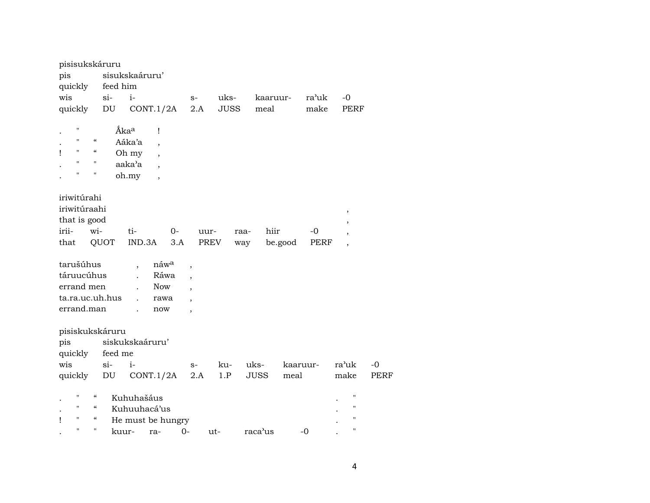| pisisukskáruru          |                          |          |                      |                          |       |                          |             |      |             |          |       |                          |                    |             |
|-------------------------|--------------------------|----------|----------------------|--------------------------|-------|--------------------------|-------------|------|-------------|----------|-------|--------------------------|--------------------|-------------|
| pis                     |                          |          | sisukskaáruru'       |                          |       |                          |             |      |             |          |       |                          |                    |             |
| quickly                 |                          | feed him |                      |                          |       |                          |             |      |             |          |       |                          |                    |             |
| wis                     |                          | $si-$    | $i-$                 |                          |       | $S-$                     | uks-        |      | kaaruur-    |          | ra'uk | $-0$                     |                    |             |
| quickly                 |                          | DU       |                      | CONT.1/2A                |       | 2.A                      | <b>JUSS</b> |      | meal        |          | make  |                          | PERF               |             |
| $\pmb{\mathsf{H}}$      |                          |          | Áka <sup>a</sup>     | $\mathbf{I}$             |       |                          |             |      |             |          |       |                          |                    |             |
| $\mathbf{H}$            | $\mathcal{C}\mathcal{C}$ |          | Aáka'a               | ,                        |       |                          |             |      |             |          |       |                          |                    |             |
| $\pmb{\mathsf{H}}$<br>ı | $\epsilon$               |          | Oh my                | $\overline{\phantom{a}}$ |       |                          |             |      |             |          |       |                          |                    |             |
| $\pmb{\mathsf{H}}$      | $\blacksquare$           |          | aaka'a               |                          |       |                          |             |      |             |          |       |                          |                    |             |
| $\pmb{\mathsf{H}}$      | $\pmb{\mathsf{H}}$       |          | oh.my                | $\overline{\phantom{a}}$ |       |                          |             |      |             |          |       |                          |                    |             |
| iriwitúrahi             |                          |          |                      |                          |       |                          |             |      |             |          |       |                          |                    |             |
| iriwitúraahi            |                          |          |                      |                          |       |                          |             |      |             |          |       |                          |                    |             |
| that is good            |                          |          |                      |                          |       |                          |             |      |             |          |       | $\, ,$                   |                    |             |
| irii-                   | wi-                      |          | ti-                  |                          | $0-$  |                          | uur-        | raa- | hiir        |          | -0    |                          |                    |             |
| that                    |                          | QUOT     |                      | IND.3A                   | 3.A   |                          | PREV        | way  |             | be.good  | PERF  | $\overline{\phantom{a}}$ |                    |             |
|                         |                          |          |                      |                          |       |                          |             |      |             |          |       |                          | $\overline{ }$     |             |
| tarušúhus               |                          |          | $\ddot{\phantom{0}}$ | náw <sup>a</sup>         |       | $\overline{\phantom{a}}$ |             |      |             |          |       |                          |                    |             |
| táruucúhus              |                          |          |                      | Ráwa                     |       | $\overline{\phantom{a}}$ |             |      |             |          |       |                          |                    |             |
| errand men              |                          |          |                      | Now                      |       |                          |             |      |             |          |       |                          |                    |             |
| ta.ra.uc.uh.hus         |                          |          |                      | rawa                     |       |                          |             |      |             |          |       |                          |                    |             |
| errand.man              |                          |          |                      | now                      |       | $\overline{\phantom{a}}$ |             |      |             |          |       |                          |                    |             |
|                         |                          |          |                      |                          |       |                          |             |      |             |          |       |                          |                    |             |
| pisiskukskáruru         |                          |          |                      |                          |       |                          |             |      |             |          |       |                          |                    |             |
| pis                     |                          |          | siskukskaáruru'      |                          |       |                          |             |      |             |          |       |                          |                    |             |
| quickly                 |                          | feed me  |                      |                          |       |                          |             |      |             |          |       |                          |                    |             |
| wis                     |                          | $si-$    | $i-$                 |                          |       | $S-$                     | ku-         |      | uks-        | kaaruur- |       | ra'uk                    |                    | $-0$        |
| quickly                 |                          | DU       |                      | CONT.1/2A                |       | 2.A                      | 1.P         |      | <b>JUSS</b> | meal     |       | make                     |                    | <b>PERF</b> |
|                         |                          |          |                      |                          |       |                          |             |      |             |          |       |                          |                    |             |
| $\mathbf{H}$            | $\mathcal{C}\mathcal{C}$ |          | Kuhuhašáus           |                          |       |                          |             |      |             |          |       |                          | $\pmb{\mathsf{H}}$ |             |
| $\pmb{\mathsf{H}}$      | $\mathcal{C}\mathcal{C}$ |          | Kuhuuhacá'us         |                          |       |                          |             |      |             |          |       |                          | $\pmb{\mathsf{H}}$ |             |
| $\pmb{\mathsf{H}}$<br>ı | $\mathcal{C}\mathcal{C}$ |          | He must be hungry    |                          |       |                          |             |      |             |          |       |                          | $\pmb{\mathsf{H}}$ |             |
| $\pmb{\mathsf{H}}$      | $\mathbf{H}$             |          | kuur-                | ra-                      | $O -$ |                          | $ut -$      |      | raca'us     |          | $-0$  |                          | $\pmb{\mathsf{H}}$ |             |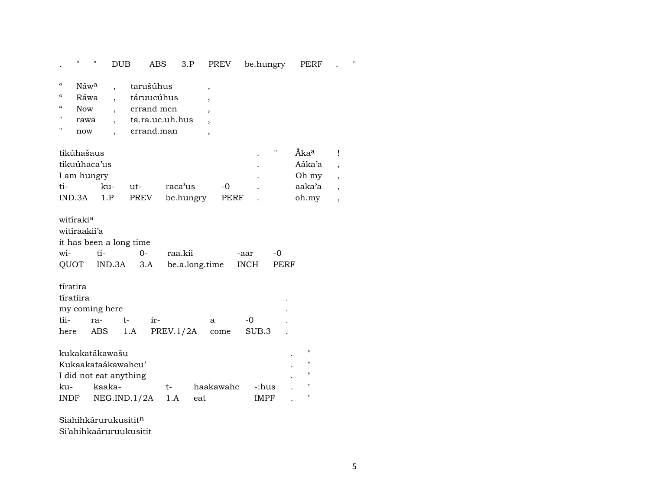. " " DUB ABS 3.P PREV be.hungry PERF . "

| $\alpha$          | Náw <sup>a</sup> | tarušúhus       |  |
|-------------------|------------------|-----------------|--|
| $\epsilon$        | Ráwa             | táruucúhus      |  |
| $\alpha$          |                  |                 |  |
|                   | Now              | errand men      |  |
| $^{\prime\prime}$ | rawa             | ta.ra.uc.uh.hus |  |
| $^{\prime\prime}$ | now              | errand.man      |  |

| tikúhašaus   |     |        |           |      | " | Ãka <sup>a</sup> |  |
|--------------|-----|--------|-----------|------|---|------------------|--|
| tikuúhaca'us |     |        |           |      |   | Aáka'a           |  |
| I am hungry  |     |        |           |      |   | Oh my            |  |
| ti-          | ku- | $11t-$ | raca'us   | $-0$ |   | aaka'a           |  |
| IND.3A       | 1.P | PREV   | be.hungry | PERF |   | oh.my            |  |

| witiraki <sup>a</sup> |                         |      |                                          |      |      |
|-----------------------|-------------------------|------|------------------------------------------|------|------|
| witíraakii'a          |                         |      |                                          |      |      |
|                       | it has been a long time |      |                                          |      |      |
| wi- ti-               |                         | $O-$ | raa.kii                                  | -aar | $-0$ |
|                       |                         |      | QUOT IND.3A 3.A be.a.long.time INCH PERF |      |      |
|                       |                         |      |                                          |      |      |
| tírətira              |                         |      |                                          |      |      |

| tíratiira |                |                                   |       |  |
|-----------|----------------|-----------------------------------|-------|--|
|           | my coming here |                                   |       |  |
|           | tii- ra- t-    |                                   | $-()$ |  |
|           |                | here ABS 1.A PREV.1/2A come SUB.3 |       |  |

|                        | kukakatákawašu          |       |                 |             | $\bullet$ |  |  |  |  |  |
|------------------------|-------------------------|-------|-----------------|-------------|-----------|--|--|--|--|--|
| Kukaakataákawahcu'     |                         |       |                 |             |           |  |  |  |  |  |
| I did not eat anything |                         |       |                 |             |           |  |  |  |  |  |
| ku-                    | kaaka-                  | $+ -$ | haakawahc -:hus |             |           |  |  |  |  |  |
|                        | INDF $NEG.IND.1/2A 1.A$ |       | eat             | <b>IMPF</b> |           |  |  |  |  |  |

Siahihkárurukusitit $<sup>n</sup>$ </sup> Si'ahihkaáruruukusitit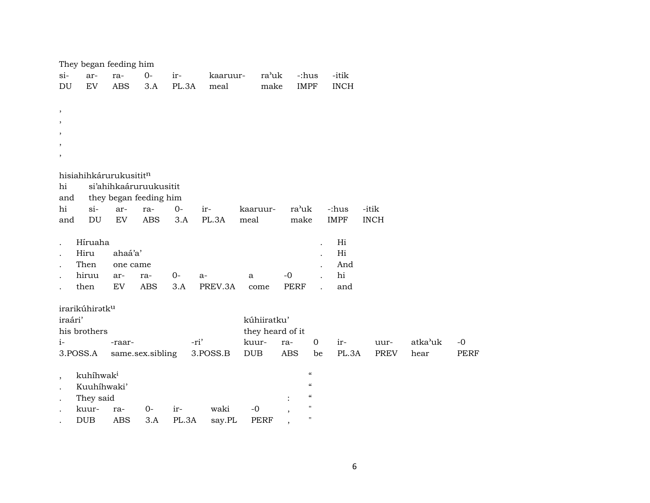|                          | They began feeding him     |            |                        |       |          |                  |                   |                            |              |             |         |                     |
|--------------------------|----------------------------|------------|------------------------|-------|----------|------------------|-------------------|----------------------------|--------------|-------------|---------|---------------------|
| $si-$                    | ar-                        | ra-        | $0-$                   | ir-   | kaaruur- | ra'uk            | -:hus             |                            | -itik        |             |         |                     |
| DU                       | ${\rm EV}$                 | <b>ABS</b> | 3.A                    | PL.3A | meal     | make             | <b>IMPF</b>       |                            | <b>INCH</b>  |             |         |                     |
|                          |                            |            |                        |       |          |                  |                   |                            |              |             |         |                     |
| $\, ,$                   |                            |            |                        |       |          |                  |                   |                            |              |             |         |                     |
| $\cdot$                  |                            |            |                        |       |          |                  |                   |                            |              |             |         |                     |
| $\cdot$                  |                            |            |                        |       |          |                  |                   |                            |              |             |         |                     |
| $\overline{\phantom{a}}$ |                            |            |                        |       |          |                  |                   |                            |              |             |         |                     |
| $\, ,$                   |                            |            |                        |       |          |                  |                   |                            |              |             |         |                     |
|                          | hisiahihkárurukusititn     |            |                        |       |          |                  |                   |                            |              |             |         |                     |
| hi                       |                            |            | si'ahihkaáruruukusitit |       |          |                  |                   |                            |              |             |         |                     |
| and                      |                            |            | they began feeding him |       |          |                  |                   |                            |              |             |         |                     |
| hi                       | $si-$                      | ar-        | ra-                    | $0-$  | ir-      | kaaruur-         | ra'uk             |                            | -:hus        | -itik       |         |                     |
| and                      | DU                         | EV         | <b>ABS</b>             | 3.A   | PL.3A    | meal             | make              |                            | <b>IMPF</b>  | <b>INCH</b> |         |                     |
|                          |                            |            |                        |       |          |                  |                   |                            |              |             |         |                     |
|                          | Híruaha                    |            |                        |       |          |                  |                   |                            | Hi           |             |         |                     |
|                          | Hiru                       | ahaá'a'    |                        |       |          |                  |                   |                            | Hi           |             |         |                     |
|                          | Then                       | one came   |                        |       |          |                  |                   | $\mathbf{r}$               | And          |             |         |                     |
|                          | hiruu                      | ar-        | ra-                    | $O -$ | a-       | a                | $-0$              |                            | hi           |             |         |                     |
|                          | then                       | EV         | <b>ABS</b>             | 3.A   | PREV.3A  | come             | PERF              |                            | and          |             |         |                     |
|                          |                            |            |                        |       |          |                  |                   |                            |              |             |         |                     |
|                          | irarikúhiratk <sup>u</sup> |            |                        |       |          |                  |                   |                            |              |             |         |                     |
| iraári'                  |                            |            |                        |       |          | kúhiiratku'      |                   |                            |              |             |         |                     |
|                          | his brothers               |            |                        |       |          | they heard of it |                   |                            |              |             |         |                     |
| $i-$                     |                            | -raar-     |                        |       | -ri'     | kuur-            | ra-<br><b>ABS</b> | $\mathbf 0$<br>be          | ir-<br>PL.3A | uur-        | atka'uk | $-0$<br><b>PERF</b> |
|                          | 3.POSS.A                   |            | same.sex.sibling       |       | 3.POSS.B | <b>DUB</b>       |                   |                            |              | PREV        | hear    |                     |
|                          | kuhíhwak <sup>i</sup>      |            |                        |       |          |                  |                   | $\epsilon\epsilon$         |              |             |         |                     |
| $\overline{\phantom{a}}$ | Kuuhíhwaki'                |            |                        |       |          |                  |                   | $\boldsymbol{\mathcal{C}}$ |              |             |         |                     |
|                          | They said                  |            |                        |       |          |                  |                   | $\zeta\zeta$               |              |             |         |                     |
|                          | kuur-                      | ra-        | 0-                     | ir-   | waki     | $-0$             |                   | $\pmb{\mathsf{H}}$         |              |             |         |                     |
|                          | <b>DUB</b>                 | <b>ABS</b> | 3.A                    | PL.3A | say.PL   | <b>PERF</b>      |                   | $\pmb{\mathsf{H}}$         |              |             |         |                     |
|                          |                            |            |                        |       |          |                  |                   |                            |              |             |         |                     |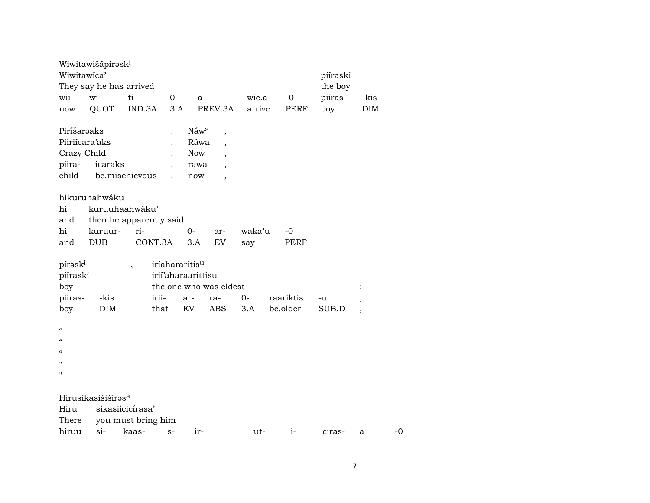|                                        | Wiwitawišápirəsk <sup>i</sup>  |                    |                    |                  |                          |        |           |      |          |                          |    |
|----------------------------------------|--------------------------------|--------------------|--------------------|------------------|--------------------------|--------|-----------|------|----------|--------------------------|----|
| Wiwitawica'                            |                                |                    |                    |                  |                          |        |           |      | piíraski |                          |    |
|                                        | They say he has arrived        |                    |                    |                  |                          |        |           |      | the boy  |                          |    |
| wii-                                   | wi-                            | ti-                | $0-$               | $a-$             |                          | wic.a  |           | $-0$ | piiras-  | -kis                     |    |
| $\operatorname{now}$                   | QUOT                           | IND.3A             | 3.A                |                  | PREV.3A                  | arrive |           | PERF | boy      | DIM                      |    |
| Piríšaraaks                            |                                |                    |                    | Náw <sup>a</sup> | $\overline{\phantom{a}}$ |        |           |      |          |                          |    |
| Piiriícara'aks                         |                                |                    |                    | Ráwa             | $\overline{\phantom{a}}$ |        |           |      |          |                          |    |
| Crazy Child                            |                                |                    |                    | <b>Now</b>       | $\overline{\phantom{a}}$ |        |           |      |          |                          |    |
| piira-                                 | icaraks                        |                    |                    | rawa             |                          |        |           |      |          |                          |    |
| child                                  |                                | be.mischievous     |                    | now              |                          |        |           |      |          |                          |    |
|                                        | hikuruhahwáku                  |                    |                    |                  |                          |        |           |      |          |                          |    |
| hi                                     | kuruuhaahwáku'                 |                    |                    |                  |                          |        |           |      |          |                          |    |
| and                                    | then he apparently said        |                    |                    |                  |                          |        |           |      |          |                          |    |
| hi                                     | kuruur-                        | ri-                |                    | $0-$             | ar-                      | waka'u | $-0$      |      |          |                          |    |
| and                                    | <b>DUB</b>                     | CONT.3A            |                    | 3.A              | <b>EV</b>                | say    |           | PERF |          |                          |    |
| pírask <sup>i</sup>                    |                                |                    | iríahararitisu     |                  |                          |        |           |      |          |                          |    |
| piíraski                               |                                |                    | irii'aharaarittisu |                  |                          |        |           |      |          |                          |    |
| boy                                    |                                |                    |                    |                  | the one who was eldest   |        |           |      |          | $\ddot{\cdot}$           |    |
| piiras-                                | -kis                           |                    | irii-              | ar-              | ra-                      | $0 -$  | raariktis |      | -u       | $\, ,$                   |    |
| boy                                    | <b>DIM</b>                     |                    | that               | EV               | <b>ABS</b>               | 3.A    | be.older  |      | SUB.D    | $\overline{\phantom{a}}$ |    |
| $\mathcal{C}\mathcal{C}$               |                                |                    |                    |                  |                          |        |           |      |          |                          |    |
| $\epsilon$                             |                                |                    |                    |                  |                          |        |           |      |          |                          |    |
| $\boldsymbol{\zeta}\boldsymbol{\zeta}$ |                                |                    |                    |                  |                          |        |           |      |          |                          |    |
| n                                      |                                |                    |                    |                  |                          |        |           |      |          |                          |    |
| П                                      |                                |                    |                    |                  |                          |        |           |      |          |                          |    |
|                                        |                                |                    |                    |                  |                          |        |           |      |          |                          |    |
|                                        | Hirusikasišišíras <sup>a</sup> |                    |                    |                  |                          |        |           |      |          |                          |    |
| Hiru                                   |                                | sikasiicicírasa'   |                    |                  |                          |        |           |      |          |                          |    |
| There                                  |                                | you must bring him |                    |                  |                          |        |           |      |          |                          |    |
| hiruu                                  | $si-$                          | kaas-              | $S-$               | ir-              |                          | ut-    |           | $i-$ | ciras-   | a                        | -0 |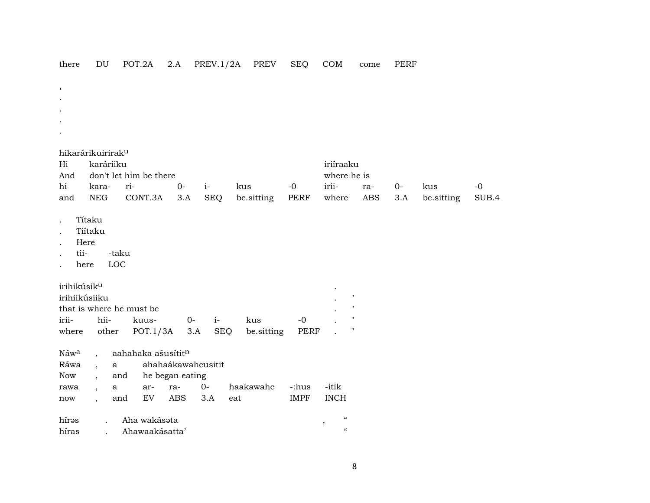| there                                            | DU                            | POT.2A                   | 2.A                | PREV.1/2A          | PREV              | <b>SEQ</b>   | COM                                                       | come                                     | <b>PERF</b> |            |       |
|--------------------------------------------------|-------------------------------|--------------------------|--------------------|--------------------|-------------------|--------------|-----------------------------------------------------------|------------------------------------------|-------------|------------|-------|
| $^\mathrm{^\mathrm{o}}$                          |                               |                          |                    |                    |                   |              |                                                           |                                          |             |            |       |
|                                                  |                               |                          |                    |                    |                   |              |                                                           |                                          |             |            |       |
|                                                  |                               |                          |                    |                    |                   |              |                                                           |                                          |             |            |       |
|                                                  |                               |                          |                    |                    |                   |              |                                                           |                                          |             |            |       |
|                                                  |                               |                          |                    |                    |                   |              |                                                           |                                          |             |            |       |
|                                                  | hikarárikuirirak <sup>u</sup> |                          |                    |                    |                   |              |                                                           |                                          |             |            |       |
| Hi                                               | karáriiku                     |                          |                    |                    |                   |              | iriíraaku                                                 |                                          |             |            |       |
| And                                              |                               | don't let him be there   |                    |                    |                   |              | where he is                                               |                                          |             |            |       |
| hi                                               | kara-                         | $ri-$                    | $0-$               | $i-$               | kus               | $-0$         | irii-                                                     | ra-                                      | $O -$       | kus        | $-0$  |
| and                                              | <b>NEG</b>                    | CONT.3A                  | 3.A                | <b>SEQ</b>         | be.sitting        | PERF         | $% \left\vert \mathcal{L}_{\mathcal{A}}\right\vert$ where | ABS                                      | 3.A         | be.sitting | SUB.4 |
| tii-<br>irihikúsik <sup>u</sup><br>irihiikúsiiku | Here<br>here                  | -taku<br>LOC             |                    |                    |                   |              |                                                           | $\pmb{\mathsf{H}}$<br>$\pmb{\mathsf{H}}$ |             |            |       |
|                                                  |                               | that is where he must be |                    |                    |                   |              |                                                           | $\pmb{\mathsf{H}}$                       |             |            |       |
| irii-<br>where                                   | hii-<br>other                 | kuus-<br>POT.1/3A        | $0-$<br>3.A        | $i-$<br><b>SEQ</b> | kus<br>be.sitting | $-0$<br>PERF |                                                           | 11                                       |             |            |       |
|                                                  |                               |                          |                    |                    |                   |              |                                                           |                                          |             |            |       |
| Náwa                                             |                               | aahahaka ašusítitn       |                    |                    |                   |              |                                                           |                                          |             |            |       |
| Ráwa                                             |                               | $\mathbf{a}$             | ahahaákawahcusitit |                    |                   |              |                                                           |                                          |             |            |       |
| Now                                              |                               | and                      | he began eating    |                    |                   |              |                                                           |                                          |             |            |       |
| rawa                                             |                               | ar-<br>$\mathbf{a}$      | ra-                | $0-$               | haakawahc         | -:hus        | -itik                                                     |                                          |             |            |       |
| now                                              | $\ddot{\phantom{a}}$          | ${\rm EV}$<br>and        | ABS                | 3.A                | eat               | <b>IMPF</b>  | <b>INCH</b>                                               |                                          |             |            |       |
| hírəs                                            | $\ddot{\phantom{a}}$          | Aha wakásata             |                    |                    |                   |              | $\zeta\zeta$                                              |                                          |             |            |       |
| híras                                            | $\sim$ $\sim$                 | Ahawaakásatta'           |                    |                    |                   |              | $\,$<br>$\pmb{\zeta}\pmb{\zeta}$                          |                                          |             |            |       |

 $\bf 8$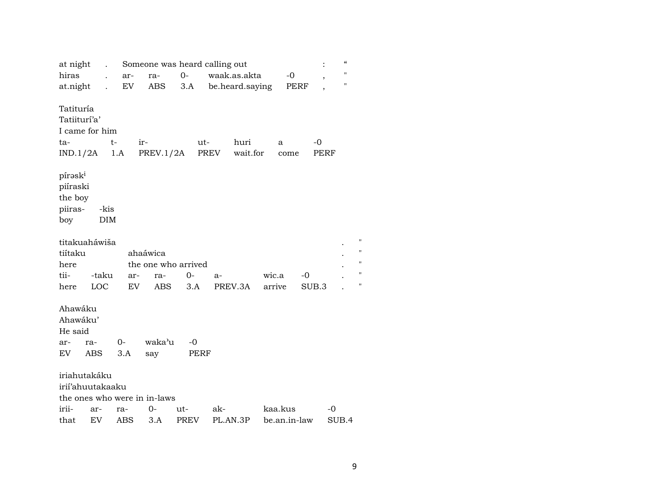| at night                                                       | $\ddot{\phantom{0}}$ |             | Someone was heard calling out |      |          |                  |              |            | $\pmb{\zeta}\pmb{\zeta}$ |                |
|----------------------------------------------------------------|----------------------|-------------|-------------------------------|------|----------|------------------|--------------|------------|--------------------------|----------------|
| hiras                                                          |                      | ar-         | ra-                           | $0-$ |          | waak.as.akta     | -0           |            | $\blacksquare$           |                |
| at.night                                                       |                      | EV          | ABS                           | 3.A  |          | be.heard.saying  | PERF         |            | $^{\prime\prime}$        |                |
| Tatituría<br>Tatiiturí'a'<br>I came for him<br>ta-<br>IND.1/2A |                      | $t-$<br>1.A | $ir-$<br>PREV.1/2A            | ut-  | PREV     | huri<br>wait.for | a<br>come    | -0<br>PERF |                          |                |
| pírask <sup>i</sup><br>piíraski<br>the boy<br>piiras-<br>boy   | -kis<br><b>DIM</b>   |             |                               |      |          |                  |              |            |                          |                |
| titakuaháwiša                                                  |                      |             |                               |      |          |                  |              |            |                          | "              |
| tiítaku                                                        |                      |             | ahaáwica                      |      |          |                  |              |            |                          | "              |
| here                                                           |                      |             | the one who arrived           |      |          |                  |              |            |                          | $\blacksquare$ |
| tii-                                                           | -taku                | ar-         | ra-                           | $0-$ | a-       |                  | wic.a        | -0         |                          | "              |
| here                                                           | LOC                  | EV          | ABS                           | 3.A  |          | PREV.3A          | arrive       | SUB.3      |                          | П              |
| Ahawáku<br>Ahawáku'<br>He said<br>ar-                          | ra-                  | $O -$       | waka'u                        | -0   |          |                  |              |            |                          |                |
| EV                                                             | <b>ABS</b>           | 3.A         | say                           | PERF |          |                  |              |            |                          |                |
| iriahutakáku<br>irii'ahuutakaaku                               |                      |             | the ones who were in in-laws  |      |          |                  |              |            |                          |                |
| irii-                                                          | ar-                  | ra-         | 0-                            | ut-  | ak-      |                  | kaa.kus      |            | -0                       |                |
| that                                                           | EV                   | ABS         | 3.A                           | PREV | PL.AN.3P |                  | be.an.in-law |            | SUB.4                    |                |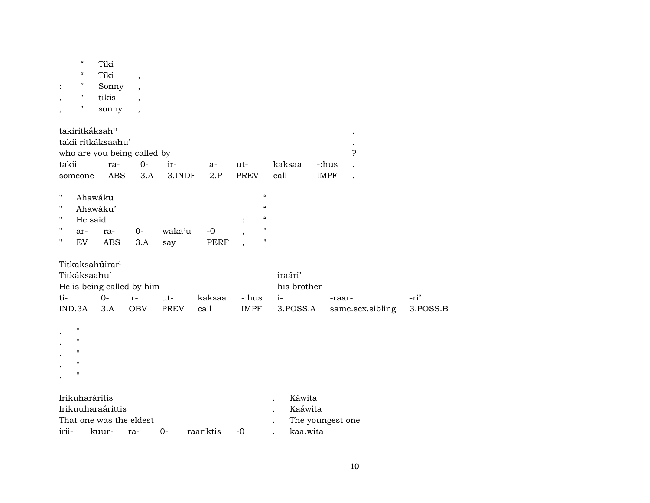|                          | $\pmb{\zeta}\pmb{\zeta}$               | Tiki                        |                             |        |             |                            |             |             |                      |          |
|--------------------------|----------------------------------------|-----------------------------|-----------------------------|--------|-------------|----------------------------|-------------|-------------|----------------------|----------|
|                          | $\boldsymbol{\zeta}\boldsymbol{\zeta}$ | Tíki                        | $\overline{\phantom{a}}$    |        |             |                            |             |             |                      |          |
|                          | $\epsilon\epsilon$                     | Sonny                       | $\overline{\phantom{a}}$    |        |             |                            |             |             |                      |          |
| $\overline{\phantom{a}}$ | 11                                     | tikis                       | $\overline{\phantom{a}}$    |        |             |                            |             |             |                      |          |
| $\overline{\phantom{a}}$ | 11                                     | sonny                       | $\overline{ }$              |        |             |                            |             |             |                      |          |
|                          |                                        |                             |                             |        |             |                            |             |             |                      |          |
|                          |                                        | takiritkáksah <sup>u</sup>  |                             |        |             |                            |             |             |                      |          |
|                          |                                        | takii ritkáksaahu'          |                             |        |             |                            |             |             |                      |          |
|                          |                                        |                             | who are you being called by |        |             |                            |             |             | ς                    |          |
| takii                    |                                        | ra-                         | $O -$                       | ir-    | $a-$        | ut-                        | kaksaa      | -:hus       |                      |          |
|                          | someone                                | ABS                         | 3.A                         | 3.INDF | 2.P         | PREV                       | call        | <b>IMPF</b> | $\ddot{\phantom{a}}$ |          |
|                          |                                        |                             |                             |        |             |                            |             |             |                      |          |
| Ħ                        |                                        | Ahawáku                     |                             |        |             | $\boldsymbol{\mathcal{C}}$ |             |             |                      |          |
| 11                       |                                        | Ahawáku'                    |                             |        |             | $\mathcal{C}$              |             |             |                      |          |
| 11                       | He said                                |                             |                             |        |             | $\boldsymbol{\mathcal{C}}$ |             |             |                      |          |
| 11                       | ar-                                    | ra-                         | $0-$                        | waka'u | $-0$        | $\mathbf{H}$               |             |             |                      |          |
| $\pmb{\mathsf{H}}$       | <b>EV</b>                              | <b>ABS</b>                  | 3.A                         | say    | <b>PERF</b> | $\pmb{\mathsf{H}}$         |             |             |                      |          |
|                          |                                        |                             |                             |        |             |                            |             |             |                      |          |
|                          |                                        | Titkaksahúirar <sup>i</sup> |                             |        |             |                            |             |             |                      |          |
|                          | Titkáksaahu'                           |                             |                             |        |             |                            | iraári'     |             |                      |          |
|                          |                                        |                             | He is being called by him   |        |             |                            | his brother |             |                      |          |
| ti-                      |                                        | $0-$                        | ir-                         | ut-    | kaksaa      | -:hus                      | $i-$        | -raar-      |                      | -ri'     |
|                          | IND.3A                                 | 3.A                         | <b>OBV</b>                  | PREV   | call        | IMPF                       | 3.POSS.A    |             | same.sex.sibling     | 3.POSS.B |
|                          | $\mathbf{H}$                           |                             |                             |        |             |                            |             |             |                      |          |
|                          | $\mathbf{H}$                           |                             |                             |        |             |                            |             |             |                      |          |
|                          | $\pmb{\mathsf{H}}$                     |                             |                             |        |             |                            |             |             |                      |          |
|                          | $\pmb{\mathsf{H}}$                     |                             |                             |        |             |                            |             |             |                      |          |
|                          | $\mathbf{H}$                           |                             |                             |        |             |                            |             |             |                      |          |
|                          |                                        |                             |                             |        |             |                            |             |             |                      |          |

|       | <b>Irikuharáritis</b>   |  |           |             | Káwita             |
|-------|-------------------------|--|-----------|-------------|--------------------|
|       | Irikuuharaárittis       |  |           |             | Kaáwita            |
|       | That one was the eldest |  |           |             | . The youngest one |
| irii- | kuur- ra- 0-            |  | raariktis | $\sim$ $-0$ | kaa.wita           |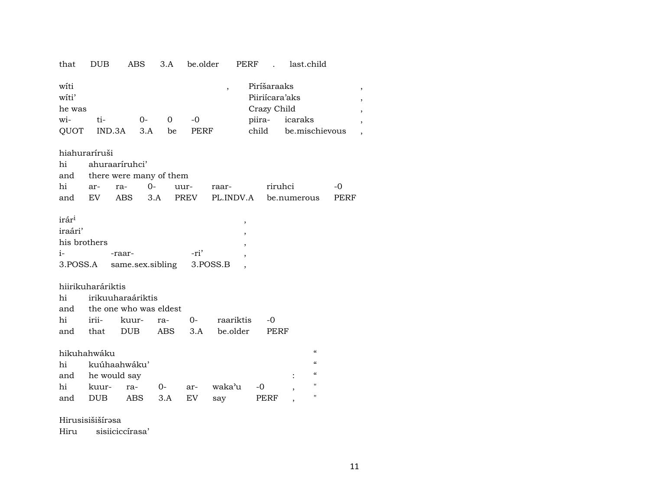| that                                         | <b>DUB</b>                                  | <b>ABS</b>                                  | 3.A                | be.older   |                | PERF                                                            | last.child                                                     |                               |
|----------------------------------------------|---------------------------------------------|---------------------------------------------|--------------------|------------|----------------|-----------------------------------------------------------------|----------------------------------------------------------------|-------------------------------|
| wíti<br>witi'<br>he was<br>wi-<br>QUOT       | ti-<br>IND.3A                               | $O -$                                       | $\Omega$<br>3.A be | -0<br>PERF | $\overline{ }$ | Piríšaraaks<br>Piiriícara'aks<br>Crazy Child<br>piira-<br>child | icaraks<br>be.mischievous                                      | $\overline{\phantom{a}}$<br>, |
|                                              | hiahuraríruši                               |                                             |                    |            |                |                                                                 |                                                                |                               |
| hi                                           | ahuraaríruhci'                              |                                             |                    |            |                |                                                                 |                                                                |                               |
| and                                          |                                             | there were many of them                     |                    |            |                |                                                                 |                                                                |                               |
| hi                                           | ar-                                         | $0 -$<br>ra-                                |                    | uur-       | raar-          |                                                                 | riruhci                                                        | $-0$                          |
| and                                          | EV                                          | <b>ABS</b>                                  | 3.A                | PREV       |                |                                                                 | PL.INDV.A be.numerous                                          | PERF                          |
| irár <sup>i</sup><br>iraári'<br>his brothers |                                             |                                             |                    |            | ,<br>,<br>,    |                                                                 |                                                                |                               |
| $i-$                                         |                                             | -raar-                                      |                    | -ri'       |                |                                                                 |                                                                |                               |
| 3.POSS.A                                     |                                             | same.sex.sibling                            |                    |            | 3.POSS.B       |                                                                 |                                                                |                               |
| hi<br>and                                    | hiirikuharáriktis                           | irikuuharaáriktis<br>the one who was eldest |                    |            |                |                                                                 |                                                                |                               |
| hi                                           | irii-                                       | kuur-                                       | ra-                | $O -$      | raariktis      | $-0$                                                            |                                                                |                               |
|                                              | and that                                    | <b>DUB</b>                                  | ABS                |            | 3.A be.older   | <b>PERF</b>                                                     |                                                                |                               |
| hi<br>and                                    | hikuhahwáku<br>kuúhaahwáku'<br>he would say |                                             |                    |            |                |                                                                 | $\boldsymbol{\mathcal{C}}$<br>$\epsilon\epsilon$<br>$\epsilon$ |                               |
| hi                                           | kuur-                                       | ra-                                         | $0-$               | ar-        | waka'u         | -0                                                              | $\pmb{\mathsf{H}}$                                             |                               |
| and                                          | <b>DUB</b>                                  | ABS                                         | 3.A                | EV         | say            | PERF                                                            | $\pmb{\mathsf{H}}$                                             |                               |

#### Hirusisišišírəsa

sisiiciccírasa' Hiru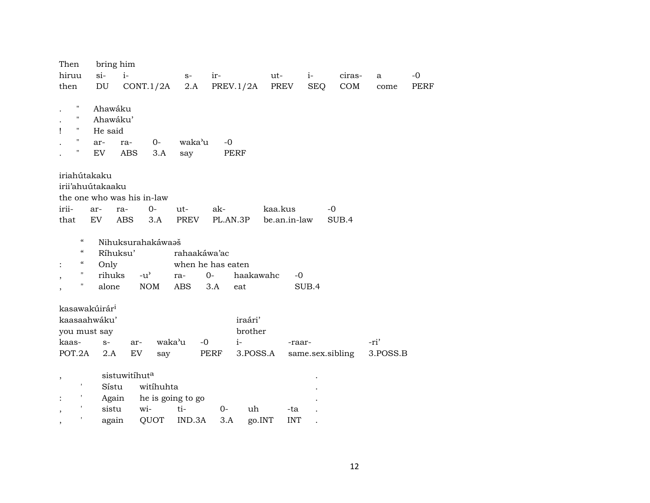| Then                          | bring him                 |                            |                   |              |                   |           |              |                  |          |      |
|-------------------------------|---------------------------|----------------------------|-------------------|--------------|-------------------|-----------|--------------|------------------|----------|------|
| hiruu                         | $si-$                     | $i-$                       |                   | $S-$         | ir-               | ut-       | $i-$         | ciras-           | a        | $-0$ |
| then                          | DU                        | CONT.1/2A                  |                   | 2.A          | PREV.1/2A         | PREV      | <b>SEQ</b>   | COM              | come     | PERF |
|                               |                           |                            |                   |              |                   |           |              |                  |          |      |
| $\pmb{\mathsf{H}}$            | Ahawáku                   |                            |                   |              |                   |           |              |                  |          |      |
| $\mathbf{H}$                  | Ahawáku'                  |                            |                   |              |                   |           |              |                  |          |      |
| $\pmb{\mathsf{H}}$            | He said                   |                            |                   |              |                   |           |              |                  |          |      |
| $\pmb{\mathsf{H}}$            | ar-                       | ra-                        | $0-$              | waka'u       | $-0$              |           |              |                  |          |      |
| н                             | EV                        | <b>ABS</b>                 | 3.A               | say          | PERF              |           |              |                  |          |      |
| iriahútakaku                  |                           |                            |                   |              |                   |           |              |                  |          |      |
|                               | irii'ahuútakaaku          |                            |                   |              |                   |           |              |                  |          |      |
|                               |                           | the one who was his in-law |                   |              |                   |           |              |                  |          |      |
| irii-                         | ar-                       | ra-                        | $0-$<br>$ut-$     |              | ak-               | kaa.kus   |              | $-0$             |          |      |
| that                          | EV                        | <b>ABS</b>                 | 3.A               | PREV         | PL.AN.3P          |           | be.an.in-law | SUB.4            |          |      |
|                               |                           |                            |                   |              |                   |           |              |                  |          |      |
| $\pmb{\zeta}\pmb{\zeta}$      |                           | Nihuksurahakáwaaš          |                   |              |                   |           |              |                  |          |      |
| $\epsilon\epsilon$            | Ríhuksu'                  |                            |                   | rahaakáwa'ac |                   |           |              |                  |          |      |
| $\epsilon\epsilon$            | Only                      |                            |                   |              | when he has eaten |           |              |                  |          |      |
| 11                            | rihuks                    | $-u^{\prime}$              | ra-               | $0-$         |                   | haakawahc | $-0$         |                  |          |      |
| Ħ                             | alone                     | <b>NOM</b>                 | <b>ABS</b>        | 3.A          | eat               |           | SUB.4        |                  |          |      |
|                               |                           |                            |                   |              |                   |           |              |                  |          |      |
|                               | kasawakúirár <sup>i</sup> |                            |                   |              |                   |           |              |                  |          |      |
|                               | kaasaahwáku'              |                            |                   |              | iraári'           |           |              |                  |          |      |
|                               | you must say              |                            |                   |              |                   | brother   |              |                  |          |      |
| kaas-                         | $S-$                      | ar-                        | waka'u            | $-0$         | $i-$              |           | -raar-       |                  | -ri'     |      |
| POT.2A                        | 2.A                       | EV                         | say               | PERF         |                   | 3.POSS.A  |              | same.sex.sibling | 3.POSS.B |      |
|                               |                           |                            |                   |              |                   |           |              |                  |          |      |
| ,                             |                           | sistuwitíhuta              |                   |              |                   |           |              |                  |          |      |
| $\pmb{\mathsf{r}}$            | Sístu                     |                            | witihuhta         |              |                   |           |              |                  |          |      |
| ł.                            | Again                     |                            | he is going to go |              |                   |           |              |                  |          |      |
| $\overline{\phantom{a}}$      | sistu                     | wi-                        | ti-               |              | 0-                | uh        | -ta          |                  |          |      |
| $\pmb{\mathsf{r}}$<br>$\cdot$ | again                     |                            | QUOT              | IND.3A       | 3.A               | go.INT    | <b>INT</b>   |                  |          |      |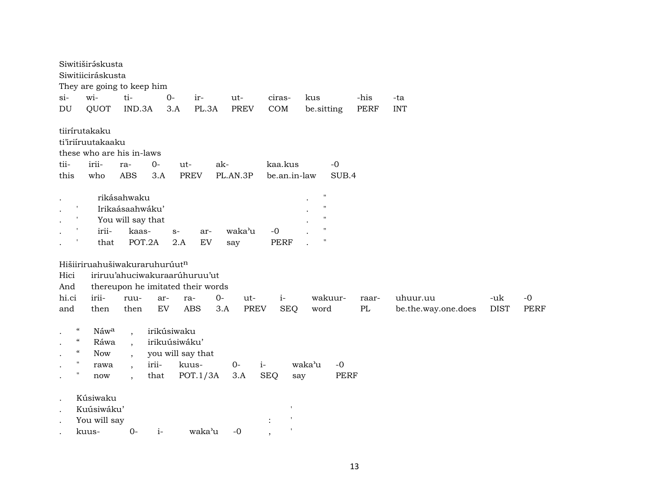| $si-$<br>DU          | Siwitiširáskusta<br>Siwitiiciráskusta<br>They are going to keep him<br>wi-<br>QUOT                                                                               | ti-<br>IND.3A                                                                                      | $O -$<br>3.A                                  | ir-<br>PL.3A                                                       | ut-<br><b>PREV</b> | ciras-<br>COM           | kus<br>be.sitting                                                                                         | -his<br><b>PERF</b> | -ta<br><b>INT</b>               |                    |              |
|----------------------|------------------------------------------------------------------------------------------------------------------------------------------------------------------|----------------------------------------------------------------------------------------------------|-----------------------------------------------|--------------------------------------------------------------------|--------------------|-------------------------|-----------------------------------------------------------------------------------------------------------|---------------------|---------------------------------|--------------------|--------------|
| tii-<br>this         | tiirírutakaku<br>ti'iriiruutakaaku<br>these who are his in-laws<br>irii-<br>who                                                                                  | ra-<br><b>ABS</b>                                                                                  | $O -$<br>3.A                                  | ut-<br>ak-<br><b>PREV</b>                                          | PL.AN.3P           | kaa.kus<br>be.an.in-law | $-0$<br>SUB.4                                                                                             |                     |                                 |                    |              |
|                      | $\mathbf{I}$<br>irii-<br>that                                                                                                                                    | rikásahwaku<br>Irikaásaahwáku'<br>You will say that<br>kaas-<br>POT.2A                             | $S-$                                          | ar-<br>2.A<br>EV                                                   | waka'u<br>say      | $-0$<br><b>PERF</b>     | $\pmb{\mathsf{H}}$<br>$\pmb{\mathsf{H}}$<br>$^{\prime\prime}$<br>$\pmb{\mathsf{H}}$<br>$\pmb{\mathsf{H}}$ |                     |                                 |                    |              |
| Hici<br>And          | Hišiiriruahušiwakuraruhurúutn                                                                                                                                    |                                                                                                    |                                               | iriruu'ahuciwakuraarúhuruu'ut<br>thereupon he imitated their words |                    |                         |                                                                                                           |                     |                                 |                    |              |
| hi.ci<br>and         | irii-<br>then                                                                                                                                                    | ruu-<br>then                                                                                       | ar-<br>${\rm EV}$                             | $0 -$<br>ra-<br><b>ABS</b><br>3.A                                  | ut-<br><b>PREV</b> | $i-$<br><b>SEQ</b>      | wakuur-<br>word                                                                                           | raar-<br>$\rm PL$   | uhuur.uu<br>be.the.way.one.does | -uk<br><b>DIST</b> | $-0$<br>PERF |
| $\bullet$<br>$\cdot$ | $\mathcal{C}\mathcal{C}$<br>Náwa<br>$\boldsymbol{\mathcal{C}}$<br>Ráwa<br>$\boldsymbol{\mathcal{C}}$<br><b>Now</b><br>$\mathbf{u}$<br>rawa<br>$\pmb{\Pi}$<br>now | $\overline{\phantom{a}}$<br>$\cdot$<br>$\overline{\phantom{a}}$<br>$\cdot$<br>$\ddot{\phantom{0}}$ | irikúsiwaku<br>irikuúsiwáku'<br>irii-<br>that | you will say that<br>kuus-<br>POT.1/3A                             | $O -$<br>3.A       | $i-$<br><b>SEQ</b>      | $-0$<br>waka'u<br><b>PERF</b><br>say                                                                      |                     |                                 |                    |              |
| $\bullet$            | Kúsiwaku<br>Kuúsiwáku'<br>You will say<br>kuus-                                                                                                                  | $0-$                                                                                               | $i-$                                          | waka'u                                                             | $-0$               | $\,$ $\,$<br>$\cdot$    |                                                                                                           |                     |                                 |                    |              |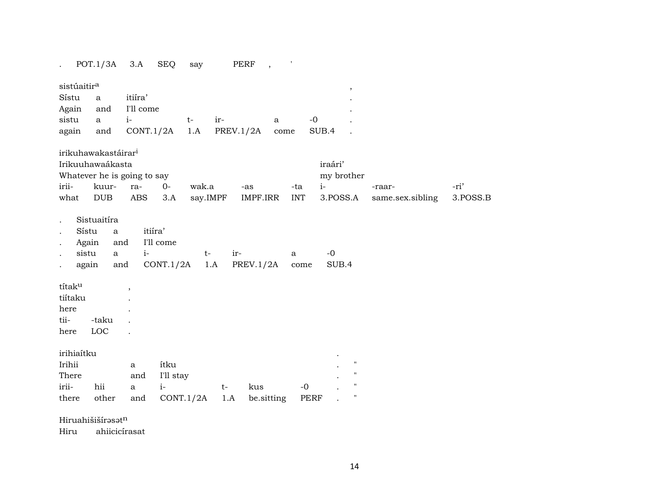|                                      | POT.1/3A                    | 3.A          | <b>SEQ</b> | say      | PERF      | $\,$         | $\mathbf{r}$ |                    |                  |            |
|--------------------------------------|-----------------------------|--------------|------------|----------|-----------|--------------|--------------|--------------------|------------------|------------|
| sistúaitir <sup>a</sup>              |                             |              |            |          |           |              |              | $^\mathrm{,}$      |                  |            |
| Sístu                                | $\mathbf{a}$                | itiíra'      |            |          |           |              |              |                    |                  |            |
| Again                                | and                         | I'll come    |            |          |           |              |              |                    |                  |            |
| sistu                                | $\mathbf{a}$                | $i-$         | $t-$       | ir-      |           | $\mathbf{a}$ | $-0$         |                    |                  |            |
| again                                | and                         | CONT.1/2A    |            | 1.A      | PREV.1/2A | come         |              | SUB.4              |                  |            |
|                                      |                             |              |            |          |           |              |              |                    |                  |            |
| irikuhawakastáirar <sup>i</sup>      |                             |              |            |          |           |              |              |                    |                  |            |
| Irikuuhawaákasta                     |                             |              |            |          |           |              |              | iraári'            |                  |            |
| Whatever he is going to say<br>irii- | kuur-                       | ra-          | $0-$       | wak.a    |           | -as          | -ta          | my brother<br>$i-$ | -raar-           | -ri'       |
| what                                 | <b>DUB</b>                  | ABS          | 3.A        | say.IMPF |           | IMPF.IRR     | <b>INT</b>   | 3.POSS.A           | same.sex.sibling | $3.POSS.B$ |
|                                      |                             |              |            |          |           |              |              |                    |                  |            |
| Sístu                                | Sistuaitíra<br>$\mathbf{a}$ |              | itiíra'    |          |           |              |              |                    |                  |            |
| Again<br>sistu                       | and<br>$\mathbf{a}$         | $i-$         | I'll come  | $t-$     | ir-       |              |              | $-0$               |                  |            |
| again                                | and                         |              | CONT.1/2A  | 1.A      |           | PREV.1/2A    | a<br>come    | SUB.4              |                  |            |
|                                      |                             |              |            |          |           |              |              |                    |                  |            |
| títaku                               |                             |              |            |          |           |              |              |                    |                  |            |
| tiítaku                              |                             |              |            |          |           |              |              |                    |                  |            |
| here                                 |                             |              |            |          |           |              |              |                    |                  |            |
| tii-                                 | -taku                       |              |            |          |           |              |              |                    |                  |            |
| here                                 | LOC                         |              |            |          |           |              |              |                    |                  |            |
|                                      |                             |              |            |          |           |              |              |                    |                  |            |
| irihiaítku                           |                             |              |            |          |           |              |              |                    |                  |            |
| Irihii                               |                             | a            | ítku       |          |           |              |              | $\pmb{\mathsf{H}}$ |                  |            |
| There                                |                             | and          | I'll stay  |          |           |              |              | $\pmb{\mathsf{H}}$ |                  |            |
| irii-                                | hii                         | $\mathbf{a}$ | $i-$       |          | $t-$      | kus          | $-0$         | $\pmb{\mathsf{H}}$ |                  |            |
| there                                | other                       | and          | CONT.1/2A  |          | 1.A       | be.sitting   | PERF         | $\pmb{\mathsf{H}}$ |                  |            |
| $T11$ , $T12222$                     |                             |              |            |          |           |              |              |                    |                  |            |

Hiruahišišírəsət<sup>n</sup>

Hiru ahiicicírasat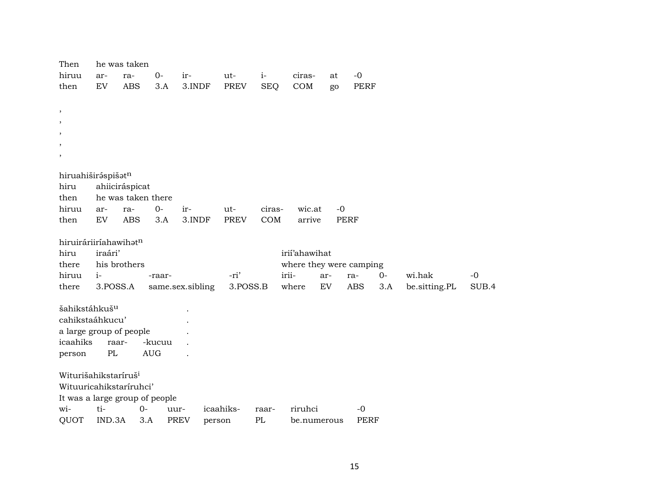| Then                             |          | he was taken       |            |                       |           |            |                         |      |             |      |               |       |
|----------------------------------|----------|--------------------|------------|-----------------------|-----------|------------|-------------------------|------|-------------|------|---------------|-------|
| hiruu                            | ar-      | ra-                | $0-$       | ir-                   | ut-       | $i-$       | ciras-                  | at   | $-0$        |      |               |       |
| then                             | EV       | <b>ABS</b>         | 3.A        | 3.INDF                | PREV      | <b>SEQ</b> | COM                     | go   | PERF        |      |               |       |
|                                  |          |                    |            |                       |           |            |                         |      |             |      |               |       |
| $^\mathrm{,}$                    |          |                    |            |                       |           |            |                         |      |             |      |               |       |
| $\overline{\phantom{a}}$         |          |                    |            |                       |           |            |                         |      |             |      |               |       |
| $\cdot$                          |          |                    |            |                       |           |            |                         |      |             |      |               |       |
| $\,$                             |          |                    |            |                       |           |            |                         |      |             |      |               |       |
| $^\mathrm{,}$                    |          |                    |            |                       |           |            |                         |      |             |      |               |       |
| hiruahiširáspišatn               |          |                    |            |                       |           |            |                         |      |             |      |               |       |
| hiru                             |          | ahiiciráspicat     |            |                       |           |            |                         |      |             |      |               |       |
| then                             |          | he was taken there |            |                       |           |            |                         |      |             |      |               |       |
| hiruu                            | ar-      | ra-                | $0-$       | ir-                   | ut-       | ciras-     | wic.at                  | $-0$ |             |      |               |       |
| then                             | EV       | <b>ABS</b>         | 3.A        | 3.INDF                | PREV      | COM        | arrive                  |      | <b>PERF</b> |      |               |       |
|                                  |          |                    |            |                       |           |            |                         |      |             |      |               |       |
| hiruiráriiríahawihatn            |          |                    |            |                       |           |            |                         |      |             |      |               |       |
| hiru                             | iraári'  |                    |            |                       |           |            | irií'ahawihat           |      |             |      |               |       |
| there                            |          | his brothers       |            |                       |           |            | where they were camping |      |             |      |               |       |
| hiruu                            | $i-$     |                    | -raar-     |                       | -ri'      |            | irii-                   | ar-  | ra-         | $0-$ | wi.hak        | $-0$  |
| there                            | 3.POSS.A |                    |            | same.sex.sibling      | 3.POSS.B  |            | where                   | EV   | <b>ABS</b>  | 3.A  | be.sitting.PL | SUB.4 |
| šahikstáhkuš <sup>u</sup>        |          |                    |            |                       |           |            |                         |      |             |      |               |       |
| cahikstaáhkucu'                  |          |                    |            |                       |           |            |                         |      |             |      |               |       |
| a large group of people          |          |                    |            |                       |           |            |                         |      |             |      |               |       |
| icaahiks                         |          | raar-              | -kucuu     |                       |           |            |                         |      |             |      |               |       |
| person                           | PL       |                    | <b>AUG</b> |                       |           |            |                         |      |             |      |               |       |
|                                  |          |                    |            |                       |           |            |                         |      |             |      |               |       |
| Witurišahikstaríruš <sup>i</sup> |          |                    |            |                       |           |            |                         |      |             |      |               |       |
| Wituuricahikstaríruhci'          |          |                    |            |                       |           |            |                         |      |             |      |               |       |
| It was a large group of people   |          |                    |            |                       |           |            |                         |      |             |      |               |       |
| wi-                              | ti-      | $0-$               |            | uur-                  | icaahiks- | raar-      | riruhci                 |      | $-0$        |      |               |       |
| QUOT                             | IND.3A   | 3.A                |            | <b>PREV</b><br>person |           | PL         | be.numerous             |      | <b>PERF</b> |      |               |       |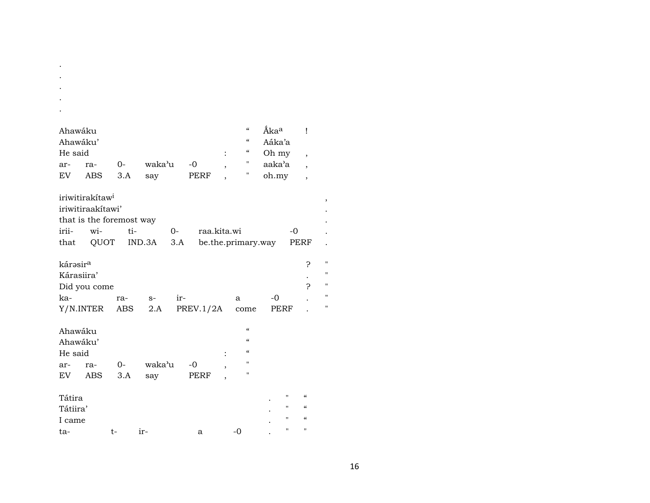| Ahawáku              |                             |      |        |      |                    |                          | $\pmb{\zeta}\pmb{\zeta}$               | Áka <sup>a</sup> |             | Ţ                        |
|----------------------|-----------------------------|------|--------|------|--------------------|--------------------------|----------------------------------------|------------------|-------------|--------------------------|
| Ahawáku'             |                             |      |        |      |                    |                          | $\boldsymbol{\zeta}\boldsymbol{\zeta}$ | Aáka'a           |             |                          |
| He said              |                             |      |        |      |                    |                          | $\boldsymbol{\zeta}\boldsymbol{\zeta}$ | Oh my            |             |                          |
| ar-                  | ra-                         | $0-$ | waka'u |      | $-0$               |                          | $\pmb{\mathsf{H}}$                     | aaka'a           |             | $\overline{\phantom{a}}$ |
| EV                   | <b>ABS</b>                  | 3.A  |        |      | PERF               | ,                        | Н                                      |                  |             | $\overline{\phantom{a}}$ |
|                      |                             |      | say    |      |                    |                          |                                        | oh.my            |             | $\overline{\phantom{a}}$ |
|                      |                             |      |        |      |                    |                          |                                        |                  |             |                          |
|                      | iriwitirakítaw <sup>i</sup> |      |        |      |                    |                          |                                        |                  |             |                          |
|                      | iriwitiraakitawi'           |      |        |      |                    |                          |                                        |                  |             |                          |
|                      | that is the foremost way    |      |        |      |                    |                          |                                        |                  |             |                          |
| irii-                | wi-                         | ti-  |        | $0-$ | raa.kita.wi        |                          |                                        |                  | $-0$        |                          |
| that                 | QUOT                        |      | IND.3A | 3.A  | be.the.primary.way |                          |                                        |                  | <b>PERF</b> |                          |
|                      |                             |      |        |      |                    |                          |                                        |                  |             |                          |
| kárəsir <sup>a</sup> |                             |      |        |      |                    |                          |                                        |                  |             | ?                        |
| Kárasiira'           |                             |      |        |      |                    |                          |                                        |                  |             |                          |
|                      | Did you come                |      |        |      |                    |                          |                                        |                  |             | 5                        |
| ka-                  |                             | ra-  | $S-$   | ir-  |                    |                          | a                                      | $-0$             |             |                          |
| Y/N.INTER            |                             | ABS  | 2.A    |      | PREV.1/2A          |                          | come                                   | PERF             |             |                          |
|                      |                             |      |        |      |                    |                          |                                        |                  |             |                          |
| Ahawáku              |                             |      |        |      |                    |                          | $\epsilon$                             |                  |             |                          |
| Ahawáku'             |                             |      |        |      |                    |                          | $\epsilon$                             |                  |             |                          |
|                      |                             |      |        |      |                    |                          | $\epsilon$                             |                  |             |                          |
| He said              |                             |      |        |      |                    |                          | п                                      |                  |             |                          |
| ar-                  | ra-                         | 0-   | waka'u |      | $-0$               | $\overline{\phantom{a}}$ |                                        |                  |             |                          |
| EV                   | ABS                         | 3.A  | say    |      | PERF               | $\overline{\phantom{a}}$ | $\mathbf{H}$                           |                  |             |                          |
|                      |                             |      |        |      |                    |                          |                                        |                  |             |                          |
| Tátira               |                             |      |        |      |                    |                          |                                        | П                |             | $\alpha$                 |
| Tátiira'             |                             |      |        |      |                    |                          |                                        | п                |             | $\mathcal{C}\mathcal{C}$ |
| I came               |                             |      |        |      |                    |                          |                                        | $\mathbf{H}$     |             | $\epsilon$               |
| ta-                  |                             | t-   | ir-    |      | a                  |                          | $-0$                                   | п                |             | $\mathbf{H}$             |

 $\bullet$  $\bullet$ 

 $\,$ 

 $\mathbf{u}$  $\mathbf{u}$  $\mathbf{u}$  $\mathbf{u}$  $\bar{n}$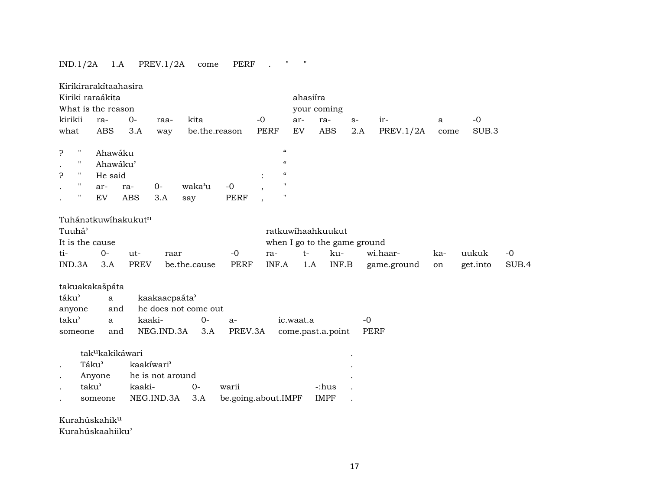### IND.1/2A 1.A PREV.1/2A come PERF . " "

|                    |                    | Kirikirarakítaahasira<br>Kiriki raraákita |                     |                  |                      |                     |                          |                    | ahasiíra  |                              |      |             |             |      |          |       |
|--------------------|--------------------|-------------------------------------------|---------------------|------------------|----------------------|---------------------|--------------------------|--------------------|-----------|------------------------------|------|-------------|-------------|------|----------|-------|
|                    |                    | What is the reason                        |                     |                  |                      |                     |                          |                    |           | your coming                  |      |             |             |      |          |       |
| kirikii            |                    | ra-                                       | $O -$               | raa-             | kita                 |                     | $-0$                     |                    | ar-       | ra-                          | $S-$ |             | ir-         | a    | $-0$     |       |
| what               |                    | <b>ABS</b>                                | 3.A                 | way              | be.the.reason        |                     | <b>PERF</b>              |                    | EV        | <b>ABS</b>                   | 2.A  |             | PREV.1/2A   | come | SUB.3    |       |
|                    |                    |                                           |                     |                  |                      |                     |                          |                    |           |                              |      |             |             |      |          |       |
| 5.                 | $\pmb{\mathsf{H}}$ | Ahawáku                                   |                     |                  |                      |                     |                          | $\mathcal{C}$      |           |                              |      |             |             |      |          |       |
|                    | $\pmb{\mathsf{H}}$ | Ahawáku'                                  |                     |                  |                      |                     |                          | $\epsilon$         |           |                              |      |             |             |      |          |       |
| ċ                  | $\pmb{\mathsf{H}}$ | He said                                   |                     |                  |                      |                     |                          | $\epsilon$         |           |                              |      |             |             |      |          |       |
|                    | $\pmb{\mathsf{H}}$ | ar-                                       | ra-                 | $O -$            | waka'u               | $-0$                | $\overline{\phantom{a}}$ | $\pmb{\mathsf{H}}$ |           |                              |      |             |             |      |          |       |
|                    | $\pmb{\mathsf{H}}$ | ${\rm EV}$                                | <b>ABS</b>          | 3.A              | say                  | <b>PERF</b>         |                          | $\mathbf H$        |           |                              |      |             |             |      |          |       |
|                    |                    |                                           |                     |                  |                      |                     |                          |                    |           |                              |      |             |             |      |          |       |
|                    |                    |                                           | Tuhánatkuwíhakukutn |                  |                      |                     |                          |                    |           |                              |      |             |             |      |          |       |
| Tuuhá <sup>3</sup> |                    |                                           |                     |                  |                      |                     |                          |                    |           | ratkuwihaahkuukut            |      |             |             |      |          |       |
|                    |                    | It is the cause                           |                     |                  |                      |                     |                          |                    |           | when I go to the game ground |      |             |             |      |          |       |
| ti-                |                    | $O -$                                     | ut-                 | raar             |                      | $-0$                | ra-                      |                    | $t-$      | ku-                          |      |             | wi.haar-    | ka-  | uukuk    | $-0$  |
| IND.3A             |                    | 3.A                                       | <b>PREV</b>         |                  | be.the.cause         | <b>PERF</b>         | INF.A                    |                    | 1.A       | INF.B                        |      |             | game.ground | on   | get.into | SUB.4 |
|                    |                    | takuakakašpáta                            |                     |                  |                      |                     |                          |                    |           |                              |      |             |             |      |          |       |
| táku'              |                    | $\mathbf{a}$                              |                     | kaakaacpaáta'    |                      |                     |                          |                    |           |                              |      |             |             |      |          |       |
| anyone             |                    | and                                       |                     |                  | he does not come out |                     |                          |                    |           |                              |      |             |             |      |          |       |
| taku'              |                    | $\mathbf{a}$                              | kaaki-              |                  | $0-$                 | $a-$                |                          |                    | ic.waat.a |                              |      | $-0$        |             |      |          |       |
| someone            |                    | and                                       |                     | NEG.IND.3A       | 3.A                  | PREV.3A             |                          |                    |           | come.past.a.point            |      | <b>PERF</b> |             |      |          |       |
|                    |                    |                                           |                     |                  |                      |                     |                          |                    |           |                              |      |             |             |      |          |       |
|                    |                    | tak <sup>u</sup> kakikáwari               |                     |                  |                      |                     |                          |                    |           |                              |      |             |             |      |          |       |
| $\bullet$          | Táku'              |                                           | kaakíwari'          |                  |                      |                     |                          |                    |           |                              |      |             |             |      |          |       |
| $\bullet$          |                    | Anyone                                    |                     | he is not around |                      |                     |                          |                    |           |                              |      |             |             |      |          |       |
|                    | taku'              |                                           | kaaki-              |                  | $0-$                 | warii               |                          |                    |           | -:hus                        |      |             |             |      |          |       |
|                    |                    | someone                                   |                     | NEG.IND.3A       | 3.A                  | be.going.about.IMPF |                          |                    |           | <b>IMPF</b>                  |      |             |             |      |          |       |
|                    |                    |                                           |                     |                  |                      |                     |                          |                    |           |                              |      |             |             |      |          |       |

Kurahúskahikµ

Kurahúskaahiiku'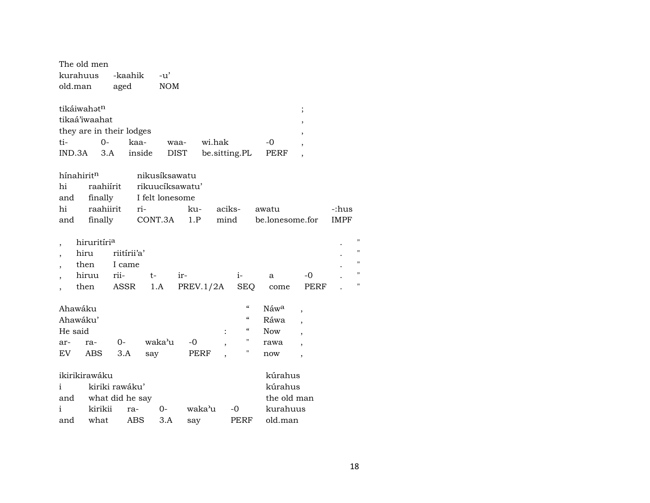|                          |         | The old men              |                 |                 |             |           |        |                          |            |                          |             |    |
|--------------------------|---------|--------------------------|-----------------|-----------------|-------------|-----------|--------|--------------------------|------------|--------------------------|-------------|----|
|                          |         | kurahuus                 | -kaahik         |                 | -u'         |           |        |                          |            |                          |             |    |
|                          | old.man |                          | aged            |                 | <b>NOM</b>  |           |        |                          |            |                          |             |    |
|                          |         |                          |                 |                 |             |           |        |                          |            |                          |             |    |
|                          |         | tikáiwahatn              |                 |                 |             |           |        |                          |            | $\vdots$                 |             |    |
|                          |         | tikaá'iwaahat            |                 |                 |             |           |        |                          |            |                          |             |    |
|                          |         | they are in their lodges |                 |                 |             |           |        |                          |            |                          |             |    |
|                          | ti-     | $0 -$                    |                 | kaa-            | waa-        |           | wi.hak |                          | -0         |                          |             |    |
|                          |         | IND.3A<br>3.A            |                 | inside          | <b>DIST</b> |           |        | be.sitting.PL            | PERF       |                          |             |    |
|                          |         |                          |                 |                 |             |           |        |                          |            |                          |             |    |
|                          |         | hínahiritn               |                 | nikusíksawatu   |             |           |        |                          |            |                          |             |    |
|                          | hi      |                          | raahiírit       | rikuucíksawatu' |             |           |        |                          |            |                          |             |    |
|                          | and     | finally                  |                 | I felt lonesome |             |           |        |                          |            |                          |             |    |
|                          | hi      | raahiirit                |                 | ri-             |             | ku-       | aciks- |                          | awatu      |                          | -:hus       |    |
|                          | and     | finally                  |                 | CONT.3A         |             | 1.P       | mind   |                          |            | be.lonesome.for          | <b>IMPF</b> |    |
|                          |         |                          |                 |                 |             |           |        |                          |            |                          |             |    |
| ,                        |         | hiruritíri <sup>a</sup>  |                 |                 |             |           |        |                          |            |                          |             | 11 |
| $\overline{\phantom{a}}$ |         | hiru                     | riitirii'a'     |                 |             |           |        |                          |            |                          |             | 11 |
| ,                        |         | then                     | I came          |                 |             |           |        |                          |            |                          |             | 11 |
| $\overline{ }$           |         | hiruu                    | rii-            | t-              |             | ir-       |        | $i-$                     | a          | -0                       |             | Ħ  |
|                          |         | then                     | ASSR            | 1.A             |             | PREV.1/2A |        | <b>SEQ</b>               | come       | PERF                     |             | Ħ  |
|                          |         |                          |                 |                 |             |           |        |                          |            |                          |             |    |
|                          |         | Ahawáku                  |                 |                 |             |           |        | $\epsilon\epsilon$       | Náwa       | ,                        |             |    |
|                          |         | Ahawáku'                 |                 |                 |             |           |        | $\epsilon\epsilon$       | Ráwa       |                          |             |    |
|                          | He said |                          |                 |                 |             |           |        | $\mathcal{C}\mathcal{C}$ | <b>Now</b> |                          |             |    |
|                          | ar-     | ra-                      | $0-$            |                 | waka'u      | $-0$      |        | н                        | rawa       |                          |             |    |
|                          | EV      | <b>ABS</b>               | 3.A             | say             |             | PERF      |        | $\pmb{\mathsf{H}}$       | now        | $\overline{\phantom{a}}$ |             |    |
|                          |         |                          |                 |                 |             |           |        |                          |            |                          |             |    |
|                          |         | ikirikirawáku            |                 |                 |             |           |        |                          | kúrahus    |                          |             |    |
| $\mathbf{i}$             |         |                          | kiriki rawáku'  |                 |             |           |        |                          | kúrahus    |                          |             |    |
|                          | and     |                          | what did he say |                 |             |           |        |                          |            | the old man              |             |    |
| i                        |         | kirikii                  | ra-             |                 | 0-          | waka'u    |        | $-0$                     |            | kurahuus                 |             |    |
|                          | and     | what                     |                 | ABS             | 3.A         | say       |        | PERF                     | old.man    |                          |             |    |
|                          |         |                          |                 |                 |             |           |        |                          |            |                          |             |    |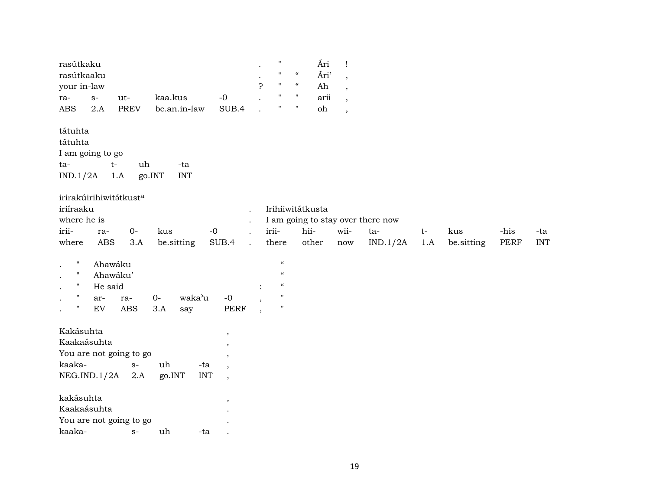| rasútkaku                                      |                      |                                        | $\pmb{\mathsf{H}}$                     | Ári                                | $\mathbf{I}$             |          |      |            |      |            |
|------------------------------------------------|----------------------|----------------------------------------|----------------------------------------|------------------------------------|--------------------------|----------|------|------------|------|------------|
| rasútkaaku                                     |                      |                                        | $\pmb{\mathsf{H}}$                     | $\boldsymbol{\mathcal{C}}$<br>Ári' | $\cdot$                  |          |      |            |      |            |
| your in-law                                    |                      |                                        | Ç<br>$\mathbf{H}$                      | $\mathcal{C}$<br>Ah                | $\cdot$                  |          |      |            |      |            |
| $S-$<br>ut-<br>ra-                             | kaa.kus              | $-0$                                   | $\mathbf H$                            | $\pmb{\mathsf{H}}$<br>arii         | $\cdot$                  |          |      |            |      |            |
| $\operatorname{ABS}$<br><b>PREV</b><br>2.A     | be.an.in-law         | SUB.4                                  | $\mathbf{H}$                           | Ħ<br>oh                            | $\overline{\phantom{a}}$ |          |      |            |      |            |
| tátuhta                                        |                      |                                        |                                        |                                    |                          |          |      |            |      |            |
| tátuhta                                        |                      |                                        |                                        |                                    |                          |          |      |            |      |            |
| I am going to go                               |                      |                                        |                                        |                                    |                          |          |      |            |      |            |
| $t-$<br>ta-                                    | uh<br>-ta            |                                        |                                        |                                    |                          |          |      |            |      |            |
| IND.1/2A<br>1.A                                | <b>INT</b><br>go.INT |                                        |                                        |                                    |                          |          |      |            |      |            |
| irirakúirihiwitátkust <sup>a</sup>             |                      |                                        |                                        |                                    |                          |          |      |            |      |            |
| iriíraaku                                      |                      |                                        |                                        | Irihiiwitátkusta                   |                          |          |      |            |      |            |
| where he is                                    |                      |                                        |                                        | I am going to stay over there now  |                          |          |      |            |      |            |
| irii-<br>ra-                                   | $0-$<br>kus          | $-0$                                   | irii-                                  | hii-                               | wii-                     | ta-      | $t-$ | kus        | -his | -ta        |
| $\operatorname{ABS}$<br>where                  | be.sitting<br>3.A    | SUB.4                                  | there<br>$\ddot{\phantom{a}}$          | other                              | now                      | IND.1/2A | 1.A  | be.sitting | PERF | <b>INT</b> |
| $\pmb{\mathsf{H}}$<br>Ahawáku                  |                      |                                        | $\boldsymbol{\zeta}\boldsymbol{\zeta}$ |                                    |                          |          |      |            |      |            |
| $\mathbf{H}$<br>Ahawáku'                       |                      |                                        | $\boldsymbol{\mathcal{C}}$             |                                    |                          |          |      |            |      |            |
| $\mathbf{H}$<br>He said                        |                      |                                        | $\boldsymbol{\zeta}\boldsymbol{\zeta}$ |                                    |                          |          |      |            |      |            |
| $\pmb{\mathsf{H}}$<br>ar-<br>ra-               | $O -$                | waka'u<br>$-0$                         | $^{\prime}$                            |                                    |                          |          |      |            |      |            |
| $\pmb{\mathsf{H}}$<br>${\rm EV}$<br><b>ABS</b> | 3.A<br>say           | <b>PERF</b>                            | $\pmb{\mathsf{H}}$<br>$\cdot$          |                                    |                          |          |      |            |      |            |
| Kakásuhta                                      |                      | $\,$                                   |                                        |                                    |                          |          |      |            |      |            |
| Kaakaásuhta                                    |                      | $\,$                                   |                                        |                                    |                          |          |      |            |      |            |
| You are not going to go                        |                      | $\overline{\phantom{a}}$               |                                        |                                    |                          |          |      |            |      |            |
| kaaka-                                         | uh<br>$S-$           | -ta<br>$\cdot$                         |                                        |                                    |                          |          |      |            |      |            |
| NEG.IND.1/2A                                   | 2.A<br>go.INT        | <b>INT</b><br>$\overline{\phantom{a}}$ |                                        |                                    |                          |          |      |            |      |            |
| kakásuhta                                      |                      | $\overline{\phantom{a}}$               |                                        |                                    |                          |          |      |            |      |            |
| Kaakaásuhta                                    |                      |                                        |                                        |                                    |                          |          |      |            |      |            |
| You are not going to go                        |                      |                                        |                                        |                                    |                          |          |      |            |      |            |
| kaaka-                                         | uh<br>$S-$           | -ta                                    |                                        |                                    |                          |          |      |            |      |            |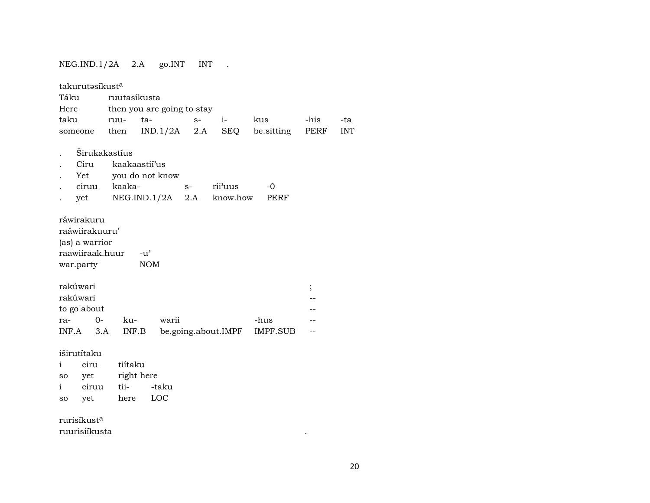### NEG.IND.1/2A 2.A go.INT INT .

| takurutasíkusta<br>Táku<br>Here<br>taku<br>someone                             | ruutasíkusta<br>ruu-<br>then             | then you are going to stay<br>ta-<br>$IND.1/2A$ 2.A | $S-$ | $i-$<br>SEQ         | kus<br>be sitting | -his<br>PERF | -ta<br><b>INT</b> |
|--------------------------------------------------------------------------------|------------------------------------------|-----------------------------------------------------|------|---------------------|-------------------|--------------|-------------------|
| Ciru<br>Yet<br>ciruu<br>yet                                                    | Širukakastíus<br>kaakaastii'us<br>kaaka- | you do not know<br>NEG.ID.1/2A 2.A                  | $S-$ | rii'uus<br>know.how | $-0$<br>PERF      |              |                   |
| ráwirakuru<br>raáwiirakuuru'<br>(as) a warrior<br>raawiiraak.huur<br>war.party |                                          | $-u^{\prime}$<br><b>NOM</b>                         |      |                     |                   |              |                   |
| rakúwari<br>rakúwari<br>to go about<br>$0 -$<br>ra-<br>INF.A<br>3.A            | ku-<br>INF.B                             | warii                                               |      | be.going.about.IMPF | -hus<br>IMPF.SUB  | $\vdots$     |                   |
| iširutítaku<br>ciru<br>i<br>yet<br>so<br>ciruu<br>i.<br>yet<br>so              | tiítaku<br>right here<br>tii-<br>here    | -taku<br>LOC                                        |      |                     |                   |              |                   |

rurisíkust<sup>a</sup> ruurisiíkusta

 $\mathcal{L}^{\text{max}}_{\text{max}}$  , where  $\mathcal{L}^{\text{max}}_{\text{max}}$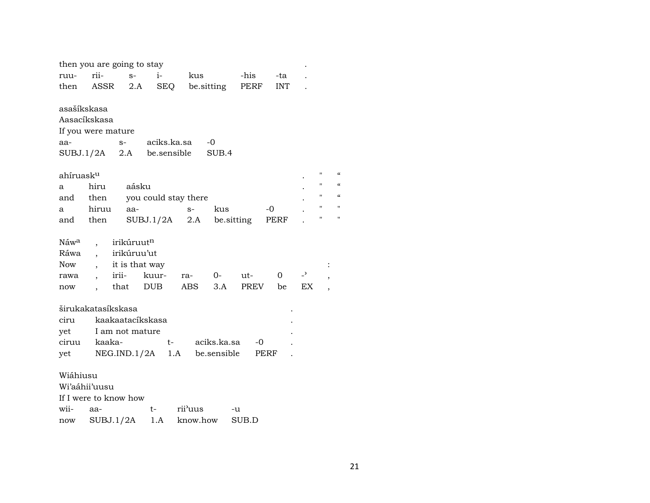|                       | then you are going to stay                                  |                |                            |                      |               |       |          |                |                    |            |
|-----------------------|-------------------------------------------------------------|----------------|----------------------------|----------------------|---------------|-------|----------|----------------|--------------------|------------|
| ruu-                  | rii-                                                        | $S-$           | $i-$                       | kus                  |               | -his  | -ta      |                |                    |            |
| then                  | ASSR                                                        | 2.A            | <b>SEQ</b>                 |                      | be.sitting    | PERF  | INT      |                |                    |            |
| asašíkskasa<br>aa-    | Aasacíkskasa<br>If you were mature<br>$S-$<br>SUBJ.1/2A 2.A |                | aciks.ka.sa<br>be.sensible |                      | $-0$<br>SUB.4 |       |          |                |                    |            |
| ahíruask <sup>u</sup> |                                                             |                |                            |                      |               |       |          |                | 11                 |            |
| a                     | hiru                                                        | aásku          |                            |                      |               |       |          |                | П                  |            |
| and                   | then                                                        |                |                            | you could stay there |               |       |          |                | $\pmb{\mathsf{H}}$ | $\epsilon$ |
| a                     | hiruu                                                       | aa-            |                            | $S-$                 | kus           |       | -0       |                | Ħ                  |            |
| and then              |                                                             |                | $SUBJ.1/2A$ 2.A            |                      | be sitting    |       | PERF     |                | 11                 | Ħ          |
|                       |                                                             |                |                            |                      |               |       |          |                |                    |            |
| Náw <sup>a</sup>      |                                                             | irikúruutn     |                            |                      |               |       |          |                |                    |            |
| Ráwa                  | $\overline{a}$                                              | irikúruu'ut    |                            |                      |               |       |          |                |                    |            |
| Now                   |                                                             | it is that way |                            |                      |               |       |          |                |                    |            |
| rawa                  | irii-                                                       |                | kuur-                      | ra-                  | $O-$          | ut-   | $\Omega$ | $\overline{z}$ | ,                  |            |
| now                   |                                                             | that           | DUB                        | ABS                  | 3.A           | PREV  | be       | EX.            |                    |            |
|                       | širukakatasíkskasa                                          |                |                            |                      |               |       |          |                |                    |            |
| ciru                  | kaakaatacíkskasa                                            |                |                            |                      |               |       |          |                |                    |            |
| yet                   | I am not mature                                             |                |                            |                      |               |       |          |                |                    |            |
| ciruu                 | kaaka-                                                      |                | t-                         |                      | aciks.ka.sa   | -0    |          |                |                    |            |
| yet                   | NEG.IND.1/2A                                                |                |                            | 1.A be.sensible      |               | PERF  |          |                |                    |            |
|                       |                                                             |                |                            |                      |               |       |          |                |                    |            |
| Wiáhiusu              |                                                             |                |                            |                      |               |       |          |                |                    |            |
|                       | Wi'aáhii'uusu                                               |                |                            |                      |               |       |          |                |                    |            |
|                       | If I were to know how                                       |                |                            |                      |               |       |          |                |                    |            |
| wii-                  | aa-                                                         |                | t-                         | rii'uus              | -u            |       |          |                |                    |            |
| now                   | SUBJ.1/2A                                                   |                | 1.A                        | know.how             |               | SUB.D |          |                |                    |            |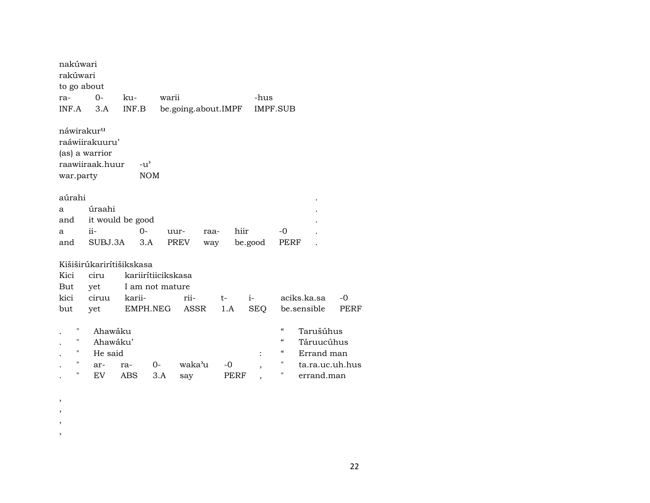| nakúwari               |                 |                          |       |                     |      |         |                          |                 |      |
|------------------------|-----------------|--------------------------|-------|---------------------|------|---------|--------------------------|-----------------|------|
| rakúwari               |                 |                          |       |                     |      |         |                          |                 |      |
| to go about            |                 |                          |       |                     |      |         |                          |                 |      |
| ra-                    | $0-$            | ku-                      | warii |                     |      | -hus    |                          |                 |      |
| INF.A                  | 3.A             | INF.B                    |       | be.going.about.IMPF |      |         | IMPF.SUB                 |                 |      |
|                        |                 |                          |       |                     |      |         |                          |                 |      |
| náwirakur <sup>u</sup> |                 |                          |       |                     |      |         |                          |                 |      |
|                        | raáwiirakuuru'  |                          |       |                     |      |         |                          |                 |      |
|                        | (as) a warrior  |                          |       |                     |      |         |                          |                 |      |
|                        | raawiiraak.huur | $-u^{\prime}$            |       |                     |      |         |                          |                 |      |
| war.party              |                 | <b>NOM</b>               |       |                     |      |         |                          |                 |      |
|                        |                 |                          |       |                     |      |         |                          |                 |      |
| aúrahi                 |                 |                          |       |                     |      |         |                          |                 |      |
| a                      | úraahi          |                          |       |                     |      |         |                          |                 |      |
| and                    |                 | it would be good         |       |                     |      |         |                          |                 |      |
| a                      | ii-             | $0-$                     | uur-  | raa-                | hiir |         | $-0$                     |                 |      |
| and                    | SUBJ.3A         | 3.A                      |       | PREV<br>way         |      | be.good | PERF                     |                 |      |
|                        |                 |                          |       |                     |      |         |                          |                 |      |
|                        |                 | Kišiširūkariritišikskasa |       |                     |      |         |                          |                 |      |
| Kici                   | ciru            | kariirítiicikskasa       |       |                     |      |         |                          |                 |      |
| But                    | yet             | I am not mature          |       |                     |      |         |                          |                 |      |
| kici                   | ciruu           | karii-                   |       | rii-                | $t-$ | $i-$    |                          | aciks.ka.sa     | $-0$ |
| but                    | yet             | EMPH.NEG                 |       | ASSR                | 1.A  | SEQ     |                          | be.sensible     | PERF |
|                        |                 |                          |       |                     |      |         |                          |                 |      |
| 11                     | Ahawáku         |                          |       |                     |      |         | $\epsilon$               | Tarušúhus       |      |
| н                      | Ahawáku'        |                          |       |                     |      |         | "                        | Táruucúhus      |      |
| 11                     | He said         |                          |       |                     |      |         | $\mathcal{C}\mathcal{C}$ | Errand man      |      |
| $\pmb{\mathsf{H}}$     | ar-             | ra-                      | $0-$  | waka'u              | -0   |         | Ħ                        | ta.ra.uc.uh.hus |      |
| П                      | <b>EV</b>       | ABS                      | 3.A   | say                 | PERF |         | н                        | errand.man      |      |
|                        |                 |                          |       |                     |      |         |                          |                 |      |

, , , ,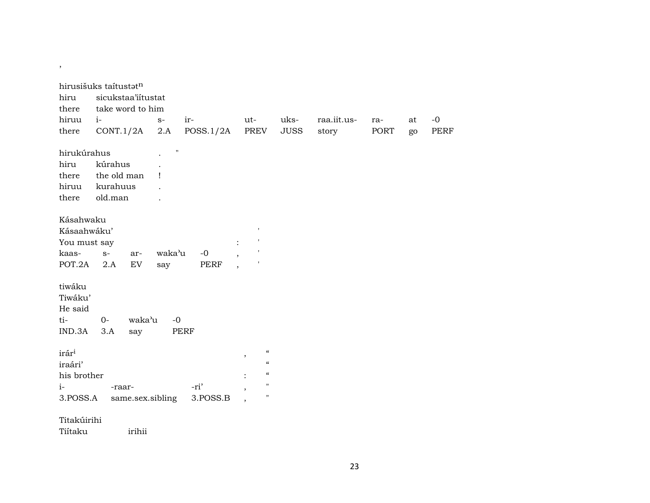| hirusišuks taitustatn<br>hiru<br>there |             | sicukstaa'iitustat<br>take word to him |                    |             |                                                  |             |             |      |    |             |
|----------------------------------------|-------------|----------------------------------------|--------------------|-------------|--------------------------------------------------|-------------|-------------|------|----|-------------|
| hiruu                                  | $i-$        |                                        | $S-$               | ir-         | ut-                                              | uks-        | raa.iit.us- | ra-  | at | $-0$        |
| there                                  |             | CONT.1/2A                              | 2.A                | POSS.1/2A   | PREV                                             | <b>JUSS</b> | story       | PORT | go | <b>PERF</b> |
| hirukúrahus                            |             |                                        | $\pmb{\mathsf{H}}$ |             |                                                  |             |             |      |    |             |
| hiru                                   | kúrahus     |                                        |                    |             |                                                  |             |             |      |    |             |
| there                                  | the old man |                                        | ı                  |             |                                                  |             |             |      |    |             |
| hiruu                                  | kurahuus    |                                        |                    |             |                                                  |             |             |      |    |             |
| there                                  | old.man     |                                        |                    |             |                                                  |             |             |      |    |             |
| Kásahwaku                              |             |                                        |                    |             |                                                  |             |             |      |    |             |
| Kásaahwáku'                            |             |                                        |                    |             | $\mathbf{r}$                                     |             |             |      |    |             |
| You must say                           |             |                                        |                    |             | $\,$ $\,$<br>$\ddot{\cdot}$                      |             |             |      |    |             |
| kaas-                                  | $S-$        | ar-                                    | waka'u             | $-0$        | $\pmb{\mathsf{I}}$                               |             |             |      |    |             |
| POT.2A 2.A                             |             | EV                                     | say                | PERF        | $\overline{\phantom{a}}$                         |             |             |      |    |             |
| tiwáku<br>Tiwáku'<br>He said           |             |                                        |                    |             |                                                  |             |             |      |    |             |
| ti-                                    | $0-$        | waka'u                                 | $-0$               |             |                                                  |             |             |      |    |             |
| IND.3A                                 | 3.A         | say                                    |                    | <b>PERF</b> |                                                  |             |             |      |    |             |
| irár <sup>i</sup>                      |             |                                        |                    |             | $\boldsymbol{\zeta}\boldsymbol{\zeta}$<br>$\, ,$ |             |             |      |    |             |
| iraári'                                |             |                                        |                    |             | $\epsilon\epsilon$                               |             |             |      |    |             |
| his brother                            |             |                                        |                    |             | $\epsilon$                                       |             |             |      |    |             |
| $i-$                                   | -raar-      |                                        |                    | -ri'        | $\pmb{\mathsf{H}}$                               |             |             |      |    |             |
| 3.POSS.A                               |             | same.sex.sibling                       |                    | 3.POSS.B    | $\pmb{\mathsf{H}}$                               |             |             |      |    |             |
|                                        |             |                                        |                    |             |                                                  |             |             |      |    |             |

#### Titakúirihi

,

Tiítaku irihii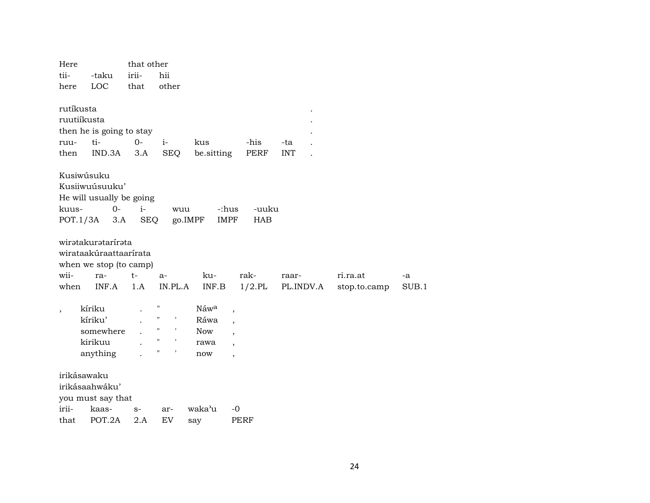| Here                                     |                                                                                        | that other         |                                                                                                                                   |                                           |                                                                      |                    |                          |             |
|------------------------------------------|----------------------------------------------------------------------------------------|--------------------|-----------------------------------------------------------------------------------------------------------------------------------|-------------------------------------------|----------------------------------------------------------------------|--------------------|--------------------------|-------------|
| tii-                                     | -taku                                                                                  | irii-              | hii                                                                                                                               |                                           |                                                                      |                    |                          |             |
| here                                     | LOC                                                                                    | that               | other                                                                                                                             |                                           |                                                                      |                    |                          |             |
| rutíkusta<br>ruutiíkusta<br>ruu-<br>then | then he is going to stay<br>ti-<br>IND.3A                                              | $0-$<br>3.A        | $i-$<br><b>SEQ</b>                                                                                                                | kus<br>be.sitting                         | -his<br>PERF                                                         | -ta<br><b>INT</b>  |                          |             |
| kuus-<br>POT.1/3A                        | Kusiwúsuku<br>Kusiiwuúsuuku'<br>He will usually be going<br>$0-$<br>3.A                | $i-$<br><b>SEQ</b> | wuu                                                                                                                               | go.IMPF                                   | -uuku<br>-:hus<br><b>IMPF</b><br><b>HAB</b>                          |                    |                          |             |
| wii-<br>when                             | wirətakurətarirəta<br>wirataakúraattaarírata<br>when we stop (to camp)<br>ra-<br>INF.A | t-<br>1.A          | $a-$<br>IN.PL.A                                                                                                                   | ku-<br>INF.B                              | rak-<br>$1/2$ .PL                                                    | raar-<br>PL.INDV.A | ri.ra.at<br>stop.to.camp | -a<br>SUB.1 |
|                                          | kíriku<br>kíriku'<br>somewhere<br>kirikuu<br>anything                                  |                    | $\pmb{\mathsf{H}}$<br>$\pmb{\mathsf{H}}$<br>$\pmb{\cdot}$<br>$\pmb{\mathsf{H}}$<br>$\pmb{\mathsf{H}}$<br>$\,$ $\,$<br>П<br>$\,$ I | Náwa<br>Ráwa<br><b>Now</b><br>rawa<br>now | $\overline{\phantom{a}}$<br>,<br>$\cdot$<br>$\overline{\phantom{a}}$ |                    |                          |             |
| irikásawaku                              | irikásaahwáku'<br>you must say that                                                    |                    |                                                                                                                                   |                                           |                                                                      |                    |                          |             |
| irii-                                    | kaas-                                                                                  | $S-$               | ar-                                                                                                                               | waka'u                                    | $-0$                                                                 |                    |                          |             |
| that                                     | POT.2A                                                                                 | 2.A                | EV                                                                                                                                | say                                       | <b>PERF</b>                                                          |                    |                          |             |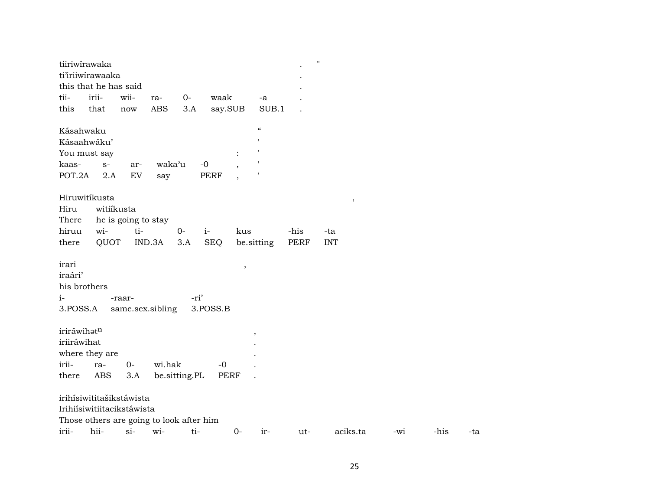|                                                      | tiiriwirawaka                            |                     |                  |               |            |                          |                            |      | $\pmb{\mathsf{H}}$ |     |      |     |
|------------------------------------------------------|------------------------------------------|---------------------|------------------|---------------|------------|--------------------------|----------------------------|------|--------------------|-----|------|-----|
|                                                      | ti'iriiwirawaaka                         |                     |                  |               |            |                          |                            |      |                    |     |      |     |
|                                                      | this that he has said                    |                     |                  |               |            |                          |                            |      |                    |     |      |     |
| tii-                                                 | irii-                                    | wii-                | ra-              | $O -$         | waak       |                          | -a                         |      |                    |     |      |     |
| this                                                 | that                                     | now                 | <b>ABS</b>       | 3.A           | say.SUB    |                          | SUB.1                      |      |                    |     |      |     |
| Kásahwaku                                            |                                          |                     |                  |               |            |                          | $\boldsymbol{\mathcal{C}}$ |      |                    |     |      |     |
|                                                      | Kásaahwáku'                              |                     |                  |               |            |                          |                            |      |                    |     |      |     |
|                                                      | You must say                             |                     |                  |               |            | $\ddot{\cdot}$           |                            |      |                    |     |      |     |
| kaas-                                                | $S-$                                     | ar-                 | waka'u           |               | $-0$       |                          |                            |      |                    |     |      |     |
| POT.2A                                               | 2.A                                      | EV                  | say              |               | PERF       | $\overline{\phantom{a}}$ |                            |      |                    |     |      |     |
|                                                      | Hiruwitíkusta                            |                     |                  |               |            |                          |                            |      | $\, ,$             |     |      |     |
| Hiru                                                 | witiíkusta                               |                     |                  |               |            |                          |                            |      |                    |     |      |     |
| There                                                |                                          | he is going to stay |                  |               |            |                          |                            |      |                    |     |      |     |
| hiruu                                                | wi-                                      | ti-                 |                  | $0-$          | $i-$       | kus                      |                            | -his | -ta                |     |      |     |
| there                                                | QUOT                                     |                     | IND.3A           | 3.A           | <b>SEQ</b> |                          | be sitting                 | PERF | <b>INT</b>         |     |      |     |
| irari<br>iraári'<br>his brothers<br>$i-$<br>3.POSS.A |                                          | -raar-              | same.sex.sibling | -ri'          | 3.POSS.B   | $\, ,$                   |                            |      |                    |     |      |     |
| iriráwihatn                                          |                                          |                     |                  |               |            |                          |                            |      |                    |     |      |     |
| iriiráwihat                                          |                                          |                     |                  |               |            |                          | $\overline{\phantom{a}}$   |      |                    |     |      |     |
|                                                      | where they are                           |                     |                  |               |            |                          |                            |      |                    |     |      |     |
| irii-                                                | ra-                                      | $0-$                | wi.hak           |               | $-0$       |                          |                            |      |                    |     |      |     |
| there                                                | ABS                                      | 3.A                 |                  | be.sitting.PL |            | PERF                     | $\ddot{\phantom{a}}$       |      |                    |     |      |     |
|                                                      | irihísiwititašikstáwista                 |                     |                  |               |            |                          |                            |      |                    |     |      |     |
|                                                      | Irihiísiwitiitacikstáwista               |                     |                  |               |            |                          |                            |      |                    |     |      |     |
|                                                      | Those others are going to look after him |                     |                  |               |            |                          |                            |      |                    |     |      |     |
| irii-                                                | hii-                                     | $si-$               | wi-              | ti-           |            | $0 -$                    | ir-                        | ut-  | aciks.ta           | -wi | -his | -ta |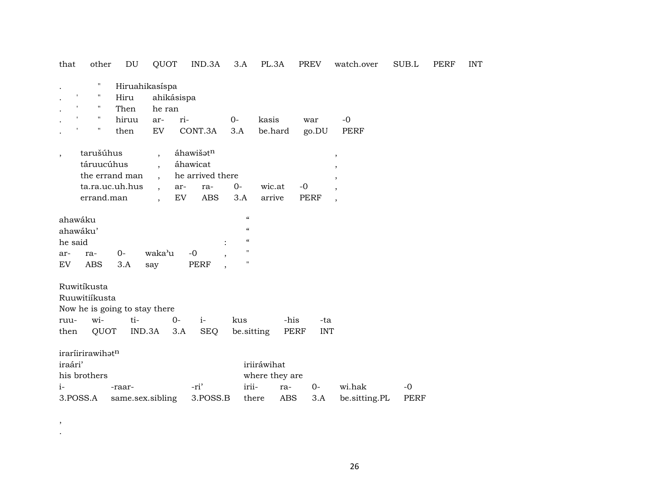| that                     | other                              | DU               | QUOT           |            | IND.3A           | 3.A                                    | PL.3A          |            | PREV       | watch.over               | SUB.L       | PERF | <b>INT</b> |
|--------------------------|------------------------------------|------------------|----------------|------------|------------------|----------------------------------------|----------------|------------|------------|--------------------------|-------------|------|------------|
| $\bullet$                | $^{\prime\prime}$                  |                  | Hiruahikasíspa |            |                  |                                        |                |            |            |                          |             |      |            |
|                          | $\pmb{\mathsf{I}}$<br>$\mathbf H$  | Hiru             |                | ahikásispa |                  |                                        |                |            |            |                          |             |      |            |
| $\cdot$                  | $\mathbf{r}$<br>п.                 | Then             | he ran         |            |                  |                                        |                |            |            |                          |             |      |            |
|                          | $\mathbf{I}$<br>$\pmb{\mathsf{H}}$ | hiruu            | ar-            | ri-        |                  | $0-$                                   | kasis          |            | war        | $-0$                     |             |      |            |
|                          | 11                                 | then             | EV             |            | CONT.3A          | 3.A                                    | be.hard        |            | go.DU      | PERF                     |             |      |            |
| $\overline{\phantom{a}}$ | tarušúhus                          |                  | $\cdot$        |            | áhawišatn        |                                        |                |            |            | $^\mathrm{,}$            |             |      |            |
|                          | táruucúhus                         |                  |                |            | áhawicat         |                                        |                |            |            |                          |             |      |            |
|                          |                                    | the errand man   | $\cdot$        |            | he arrived there |                                        |                |            |            | ,                        |             |      |            |
|                          |                                    | ta.ra.uc.uh.hus  |                | ar-        | ra-              | $0-$                                   | wic.at         | $-0$       |            | $\overline{\phantom{a}}$ |             |      |            |
|                          | errand.man                         |                  |                | <b>EV</b>  | ABS              | 3.A                                    | arrive         |            | PERF       | $\overline{\phantom{a}}$ |             |      |            |
|                          | ahawáku                            |                  |                |            |                  | $\pmb{\zeta}\pmb{\zeta}$               |                |            |            |                          |             |      |            |
|                          | ahawáku'                           |                  |                |            |                  | $\epsilon$                             |                |            |            |                          |             |      |            |
| he said                  |                                    |                  |                |            |                  | $\boldsymbol{\zeta}\boldsymbol{\zeta}$ |                |            |            |                          |             |      |            |
| ar-                      | ra-                                | $0-$             | waka'u         |            | $-0$             | 11                                     |                |            |            |                          |             |      |            |
| EV                       | <b>ABS</b>                         | 3.A              | say            |            | <b>PERF</b>      |                                        |                |            |            |                          |             |      |            |
|                          | Ruwitíkusta                        |                  |                |            |                  |                                        |                |            |            |                          |             |      |            |
|                          | Ruuwitiíkusta                      |                  |                |            |                  |                                        |                |            |            |                          |             |      |            |
|                          | Now he is going to stay there      |                  |                |            |                  |                                        |                |            |            |                          |             |      |            |
| ruu-                     | wi-                                | ti-              |                | $O -$      | $i-$             | kus                                    |                | -his       | -ta        |                          |             |      |            |
| then                     | QUOT                               |                  | IND.3A         | 3.A        | <b>SEQ</b>       |                                        | be.sitting     | PERF       | <b>INT</b> |                          |             |      |            |
|                          | iraríirirawihatn                   |                  |                |            |                  |                                        |                |            |            |                          |             |      |            |
| iraári'                  |                                    |                  |                |            |                  |                                        | iriiráwihat    |            |            |                          |             |      |            |
|                          | his brothers                       |                  |                |            |                  |                                        | where they are |            |            |                          |             |      |            |
| $i-$                     |                                    | -raar-           |                |            | -ri'             |                                        | irii-          | ra-        | $0-$       | wi.hak                   | $-0$        |      |            |
|                          | 3.POSS.A                           | same.sex.sibling |                |            | 3.POSS.B         |                                        | there          | <b>ABS</b> | 3.A        | be.sitting.PL            | <b>PERF</b> |      |            |

,

.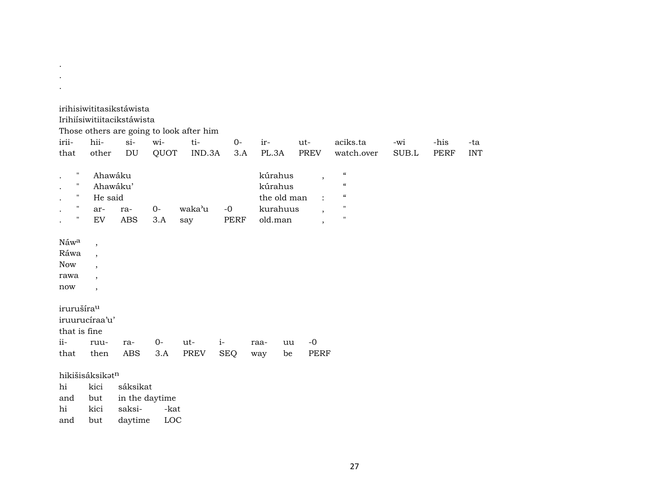|                        |                          |                            |                | Those others are going to look after him |            |         |             |                          |                                        |       |             |            |
|------------------------|--------------------------|----------------------------|----------------|------------------------------------------|------------|---------|-------------|--------------------------|----------------------------------------|-------|-------------|------------|
| irii-                  | hii-                     | $si-$                      | wi-            | ti-                                      | $0-$       | ir-     |             | $ut-$                    | aciks.ta                               | -wi   | -his        | -ta        |
| that                   | other                    | $\mathop{\rm DU}\nolimits$ | QUOT           | IND.3A                                   | 3.A        | PL.3A   |             | <b>PREV</b>              | watch.over                             | SUB.L | <b>PERF</b> | <b>INT</b> |
| н                      | Ahawáku                  |                            |                |                                          |            | kúrahus |             | $\cdot$                  | $\boldsymbol{\zeta}\boldsymbol{\zeta}$ |       |             |            |
| н                      | Ahawáku'                 |                            |                |                                          |            | kúrahus |             |                          | $\epsilon$                             |       |             |            |
| н                      | He said                  |                            |                |                                          |            |         | the old man |                          | $\pmb{\zeta}\pmb{\zeta}$               |       |             |            |
| $\pmb{\mathsf{H}}$     | ar-                      | ra-                        | 0-             | waka'u                                   | $-0$       |         | kurahuus    | $\cdot$                  | $\pmb{\mathsf{H}}$                     |       |             |            |
| н                      | EV                       | <b>ABS</b>                 | 3.A            | say                                      | PERF       | old.man |             | $\overline{\phantom{a}}$ | 11                                     |       |             |            |
| Náwa                   | $\,$                     |                            |                |                                          |            |         |             |                          |                                        |       |             |            |
| Ráwa                   | $\overline{\phantom{a}}$ |                            |                |                                          |            |         |             |                          |                                        |       |             |            |
| <b>Now</b>             | $\overline{ }$           |                            |                |                                          |            |         |             |                          |                                        |       |             |            |
| rawa                   | $\overline{\phantom{a}}$ |                            |                |                                          |            |         |             |                          |                                        |       |             |            |
| now                    | $\overline{\phantom{a}}$ |                            |                |                                          |            |         |             |                          |                                        |       |             |            |
| irurušíra <sup>u</sup> |                          |                            |                |                                          |            |         |             |                          |                                        |       |             |            |
|                        | iruurucíraa'u'           |                            |                |                                          |            |         |             |                          |                                        |       |             |            |
| that is fine           |                          |                            |                |                                          |            |         |             |                          |                                        |       |             |            |
| $ii-$                  | ruu-                     | ra-                        | $0-$           | ut-                                      | $i-$       | raa-    | uu          | $-0$                     |                                        |       |             |            |
| that                   | then                     | <b>ABS</b>                 | 3.A            | PREV                                     | <b>SEQ</b> | way     | be          | <b>PERF</b>              |                                        |       |             |            |
|                        | hikišisáksikatn          |                            |                |                                          |            |         |             |                          |                                        |       |             |            |
| hi                     | kici                     | sáksikat                   |                |                                          |            |         |             |                          |                                        |       |             |            |
| and                    | but                      |                            | in the daytime |                                          |            |         |             |                          |                                        |       |             |            |
| hi                     | kici                     | saksi-                     | -kat           |                                          |            |         |             |                          |                                        |       |             |            |

and but daytime LOC

. .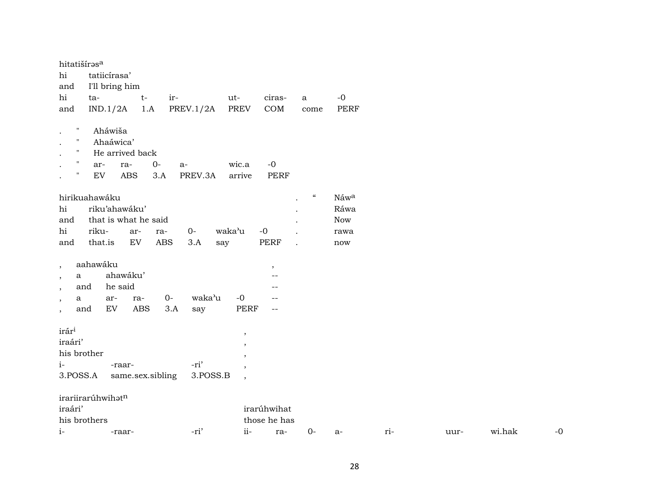| hitatišíras <sup>a</sup>                   |                   |                      |       |              |                          |                          |                            |             |     |      |        |
|--------------------------------------------|-------------------|----------------------|-------|--------------|--------------------------|--------------------------|----------------------------|-------------|-----|------|--------|
| hi                                         | tatiicírasa'      |                      |       |              |                          |                          |                            |             |     |      |        |
| and                                        | I'll bring him    |                      |       |              |                          |                          |                            |             |     |      |        |
| hi                                         | ta-               | $t-$                 | ir-   |              | ut-                      | ciras-                   | $\mathbf a$                | $-0$        |     |      |        |
| and                                        | IND.1/2A          | 1.A                  |       | PREV. $1/2A$ | <b>PREV</b>              | $\mathop{\mathrm{COM}}$  | come                       | <b>PERF</b> |     |      |        |
|                                            |                   |                      |       |              |                          |                          |                            |             |     |      |        |
| $\pmb{\mathsf{H}}$                         | Aháwiša           |                      |       |              |                          |                          |                            |             |     |      |        |
| $\pmb{\mathsf{H}}$                         | Ahaáwica'         |                      |       |              |                          |                          |                            |             |     |      |        |
| $\pmb{\mathsf{H}}$                         |                   | He arrived back      |       |              |                          |                          |                            |             |     |      |        |
| $\pmb{\mathsf{H}}$                         | ar-               | ra-                  | $0-$  | $a-$         | wic.a                    | $-0$                     |                            |             |     |      |        |
| $\mathbf{H}$                               | ${\rm EV}$        | <b>ABS</b>           | 3.A   | PREV.3A      | arrive                   | <b>PERF</b>              |                            |             |     |      |        |
|                                            |                   |                      |       |              |                          |                          |                            |             |     |      |        |
|                                            | hirikuahawáku     |                      |       |              |                          |                          | $\boldsymbol{\mathcal{C}}$ | Náwa        |     |      |        |
| hi                                         |                   | riku'ahawáku'        |       |              |                          |                          |                            | Ráwa        |     |      |        |
| and                                        |                   | that is what he said |       |              |                          |                          |                            | <b>Now</b>  |     |      |        |
| hi                                         | riku-             | ar-                  | ra-   | $0-$         | waka'u                   | $-0$                     |                            | rawa        |     |      |        |
| and                                        | that.is           | ${\rm EV}$           | ABS   | 3.A          | say                      | PERF                     | $\overline{a}$             | now         |     |      |        |
|                                            | aahawáku          |                      |       |              |                          |                          |                            |             |     |      |        |
| $\cdot$<br>$\mathbf{a}$                    |                   | ahawáku'             |       |              |                          | $\,$                     |                            |             |     |      |        |
| $\cdot$<br>and                             |                   | he said              |       |              |                          |                          |                            |             |     |      |        |
| $\cdot$<br>a                               | ar-               | ra-                  | $O -$ | waka'u       | $-0$                     | --                       |                            |             |     |      |        |
| $\overline{\phantom{a}}$<br>and<br>$\cdot$ | ${\rm EV}$        | <b>ABS</b>           | 3.A   | say          | PERF                     | $\overline{\phantom{m}}$ |                            |             |     |      |        |
|                                            |                   |                      |       |              |                          |                          |                            |             |     |      |        |
| irár <sup>i</sup>                          |                   |                      |       |              | $\, ,$                   |                          |                            |             |     |      |        |
| iraári'                                    |                   |                      |       |              | $\overline{\phantom{a}}$ |                          |                            |             |     |      |        |
| his brother                                |                   |                      |       |              | ,                        |                          |                            |             |     |      |        |
| $i-$                                       |                   | -raar-               |       | -ri'         | $\cdot$                  |                          |                            |             |     |      |        |
| 3.POSS.A                                   |                   | same.sex.sibling     |       | 3.POSS.B     | $\overline{\phantom{a}}$ |                          |                            |             |     |      |        |
|                                            |                   |                      |       |              |                          |                          |                            |             |     |      |        |
|                                            | irariirarúhwihatn |                      |       |              |                          |                          |                            |             |     |      |        |
| iraári'                                    |                   |                      |       |              |                          | irarúhwihat              |                            |             |     |      |        |
| his brothers                               |                   |                      |       |              |                          | those he has             |                            |             |     |      |        |
| $i-$                                       |                   | -raar-               |       | -ri'         | ii-                      | ra-                      | $0-$                       | $a-$        | ri- | uur- | wi.hak |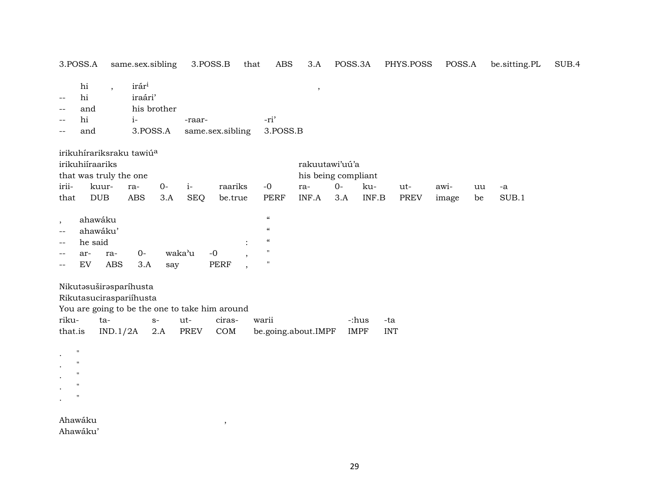|                                    | 3.POSS.A                                                            |                          | same.sex.sibling                                  |              |                    | 3.POSS.B                                                        | that | <b>ABS</b>                                                                                                                     | 3.A                                   | POSS.3A      |                                           | PHYS.POSS          | POSS.A        |          | be.sitting.PL | SUB.4 |
|------------------------------------|---------------------------------------------------------------------|--------------------------|---------------------------------------------------|--------------|--------------------|-----------------------------------------------------------------|------|--------------------------------------------------------------------------------------------------------------------------------|---------------------------------------|--------------|-------------------------------------------|--------------------|---------------|----------|---------------|-------|
| $-$<br>$-$<br>--<br>$-$            | $\hbox{hi}$<br>hi<br>and<br>hi<br>and                               | $\overline{\phantom{a}}$ | irár <sup>i</sup><br>iraári'<br>$i-$<br>3.POSS.A  | his brother  | -raar-             | same.sex.sibling                                                |      | -ri'<br>3.POSS.B                                                                                                               | $\, ,$                                |              |                                           |                    |               |          |               |       |
|                                    | irikuhiíraariks<br>that was truly the one                           |                          | irikuhírariksraku tawiú <sup>a</sup>              |              |                    |                                                                 |      |                                                                                                                                | rakuutawi'uú'a<br>his being compliant |              |                                           |                    |               |          |               |       |
| irii-<br>that                      |                                                                     | kuur-<br><b>DUB</b>      | ra-<br>ABS                                        | $O -$<br>3.A | $i-$<br><b>SEQ</b> | raariks<br>be.true                                              |      | $-0$<br>PERF                                                                                                                   | ra-<br>INF.A                          | $O -$<br>3.A | ku-<br>INF.B                              | ut-<br><b>PREV</b> | awi-<br>image | uu<br>be | $-a$<br>SUB.1 |       |
| $\cdot$<br>$-$<br>$-$<br>$-$<br>-- | ahawáku<br>ahawáku'<br>he said<br>ar-<br>EV                         | ra-<br><b>ABS</b>        | $0-$<br>3.A                                       | say          | waka'u             | $-0$<br><b>PERF</b>                                             |      | $\pmb{\zeta}\pmb{\zeta}$<br>$\boldsymbol{\zeta}$<br>$\boldsymbol{\zeta}\boldsymbol{\zeta}$<br>$\blacksquare$<br>$\blacksquare$ |                                       |              |                                           |                    |               |          |               |       |
| riku-<br>that.is                   |                                                                     | $ta-$<br>IND.1/2A        | Nikutasuširasparíhusta<br>Rikutasuciraspariíhusta | $S-$<br>2.A  | ut-<br><b>PREV</b> | You are going to be the one to take him around<br>ciras-<br>COM |      | warii<br>be.going.about.IMPF                                                                                                   |                                       |              | -:hus<br>-ta<br><b>IMPF</b><br><b>INT</b> |                    |               |          |               |       |
| $\bullet$<br>$\bullet$             | $\mathsf{H}$<br>$\mathbf{H}$<br>$\blacksquare$<br>$\mathbf{H}$<br>п |                          |                                                   |              |                    |                                                                 |      |                                                                                                                                |                                       |              |                                           |                    |               |          |               |       |

 $\overline{\phantom{a}}$ 

Ahawáku Ahawáku'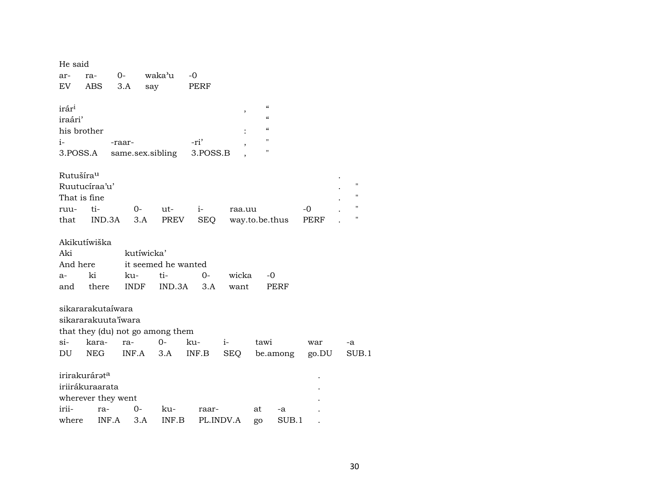| He said                                                                      |               |                     |            |            |                                                        |       |                    |  |
|------------------------------------------------------------------------------|---------------|---------------------|------------|------------|--------------------------------------------------------|-------|--------------------|--|
| ra-<br>ar-                                                                   | $0-$          | waka'u              | $-0$       |            |                                                        |       |                    |  |
| EV<br>ABS                                                                    | 3.A           | say                 | PERF       |            |                                                        |       |                    |  |
| irár <sup>i</sup><br>iraári'                                                 |               |                     |            | $\,$       | $\mathcal{C}\mathcal{C}$<br>$\boldsymbol{\mathcal{C}}$ |       |                    |  |
| his brother                                                                  |               |                     |            |            | $\mathcal{C}\mathcal{C}$                               |       |                    |  |
| $i-$                                                                         | -raar-        |                     | -ri'       |            | $\mathbf{H}$                                           |       |                    |  |
| 3.POSS.A                                                                     |               | same.sex.sibling    | 3.POSS.B   |            | $\pmb{\mathsf{H}}$                                     |       |                    |  |
|                                                                              |               |                     |            |            |                                                        |       |                    |  |
| Rutušíra <sup>u</sup><br>Ruutucíraa'u'                                       |               |                     |            |            |                                                        |       | $^{\prime}$<br>11  |  |
| That is fine                                                                 |               |                     |            |            |                                                        |       | $\pmb{\mathsf{H}}$ |  |
| ti-<br>ruu-                                                                  | $0-$          | ut-                 | $i-$       | raa.uu     |                                                        | $-0$  | П                  |  |
| that                                                                         | IND.3A<br>3.A | PREV                | <b>SEQ</b> |            | way.to.be.thus                                         | PERF  |                    |  |
| Akikutíwiška                                                                 |               |                     |            |            |                                                        |       |                    |  |
| Aki                                                                          |               | kutíwicka'          |            |            |                                                        |       |                    |  |
| And here                                                                     |               | it seemed he wanted |            |            |                                                        |       |                    |  |
| ki<br>$a-$                                                                   | ku-           | ti-                 | $O -$      | wicka      | $-0$                                                   |       |                    |  |
| there<br>and                                                                 | <b>INDF</b>   | IND.3A              | 3.A        | want       | <b>PERF</b>                                            |       |                    |  |
| sikararakutaíwara<br>sikararakuuta'iwara<br>that they (du) not go among them |               |                     |            |            |                                                        |       |                    |  |
| kara-<br>si-                                                                 | ra-           | $0-$                | ku-        | $i-$       | tawi                                                   | war   | -a                 |  |
| NEG<br>DU                                                                    | INF.A         | 3.A                 | INF.B      | <b>SEQ</b> | be.among                                               | go.DU | SUB.1              |  |
| irirakurárata<br>iriirákuraarata<br>wherever they went                       |               |                     |            |            |                                                        |       |                    |  |
| irii-                                                                        | $0-$<br>ra-   | ku-                 | raar-      |            | at<br>-a                                               |       |                    |  |
| where                                                                        | INF.A<br>3.A  | INF.B               | PL.INDV.A  |            | SUB.1<br>go                                            |       |                    |  |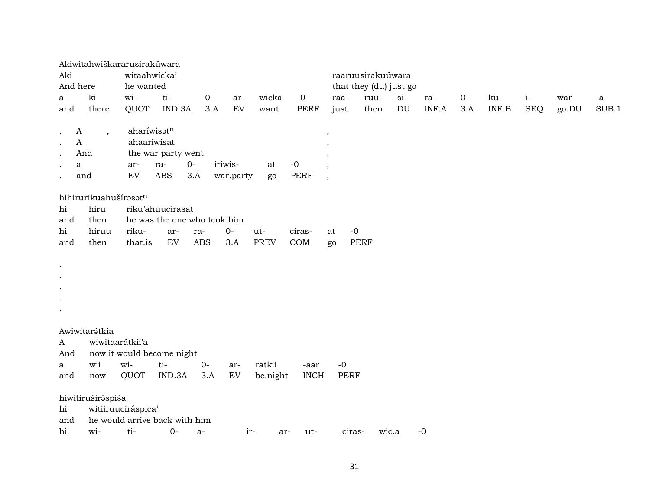|                |                          | Akiwitahwiškararusirakúwara   |                    |            |                             |             |             |               |                        |       |        |       |      |       |            |       |       |
|----------------|--------------------------|-------------------------------|--------------------|------------|-----------------------------|-------------|-------------|---------------|------------------------|-------|--------|-------|------|-------|------------|-------|-------|
| Aki            |                          | witaahwicka'                  |                    |            |                             |             |             |               | raaruusirakuúwara      |       |        |       |      |       |            |       |       |
| And here       |                          | he wanted                     |                    |            |                             |             |             |               | that they (du) just go |       |        |       |      |       |            |       |       |
| $a-$           | ki                       | wi-                           | ti-                | $O -$      | ar-                         | wicka       | $-0$        | raa-          |                        | ruu-  | $si$ - | ra-   | $0-$ | ku-   | $i-$       | war   | $-a$  |
| and            | there                    | QUOT                          | IND.3A             | 3.A        | EV                          | want        | <b>PERF</b> | just          |                        | then  | DU     | INF.A | 3.A  | INF.B | <b>SEQ</b> | go.DU | SUB.1 |
| A<br>$\cdot$   | $\overline{\phantom{a}}$ | aharíwisatn                   |                    |            |                             |             |             | $^\mathrm{,}$ |                        |       |        |       |      |       |            |       |       |
| A<br>$\bullet$ |                          | ahaaríwisat                   |                    |            |                             |             |             |               |                        |       |        |       |      |       |            |       |       |
| $\bullet$      | And                      |                               | the war party went |            |                             |             |             |               |                        |       |        |       |      |       |            |       |       |
| a<br>$\bullet$ |                          | ar-                           | ra-                | $0-$       | iriwis-                     | at          | $-0$        |               |                        |       |        |       |      |       |            |       |       |
|                | and                      | EV                            | <b>ABS</b>         | 3.A        | war.party                   | go          | PERF        | $\cdot$       |                        |       |        |       |      |       |            |       |       |
|                | hihirurikuahušírasatn    |                               |                    |            |                             |             |             |               |                        |       |        |       |      |       |            |       |       |
| hi             | hiru                     |                               | riku'ahuucírasat   |            |                             |             |             |               |                        |       |        |       |      |       |            |       |       |
| and            | then                     |                               |                    |            | he was the one who took him |             |             |               |                        |       |        |       |      |       |            |       |       |
| hi             | hiruu                    | riku-                         | ar-                | ra-        | $O -$                       | ut-         | ciras-      | at            | $-0$                   |       |        |       |      |       |            |       |       |
| and            | then                     | that.is                       | EV                 | <b>ABS</b> | 3.A                         | <b>PREV</b> | COM         | go            | <b>PERF</b>            |       |        |       |      |       |            |       |       |
|                |                          |                               |                    |            |                             |             |             |               |                        |       |        |       |      |       |            |       |       |
| $\bullet$      |                          |                               |                    |            |                             |             |             |               |                        |       |        |       |      |       |            |       |       |
| $\bullet$      |                          |                               |                    |            |                             |             |             |               |                        |       |        |       |      |       |            |       |       |
| $\bullet$      |                          |                               |                    |            |                             |             |             |               |                        |       |        |       |      |       |            |       |       |
| $\bullet$      |                          |                               |                    |            |                             |             |             |               |                        |       |        |       |      |       |            |       |       |
| $\bullet$      |                          |                               |                    |            |                             |             |             |               |                        |       |        |       |      |       |            |       |       |
|                | Awiwitarátkia            |                               |                    |            |                             |             |             |               |                        |       |        |       |      |       |            |       |       |
| A              |                          | wiwitaarátkii'a               |                    |            |                             |             |             |               |                        |       |        |       |      |       |            |       |       |
| And            |                          | now it would become night     |                    |            |                             |             |             |               |                        |       |        |       |      |       |            |       |       |
| a              | wii                      | wi-                           | ti-                | $0-$       | ar-                         | ratkii      | -aar        | $-0$          |                        |       |        |       |      |       |            |       |       |
| and            | now                      | QUOT                          | IND.3A             | 3.A        | EV                          | be.night    | <b>INCH</b> |               | <b>PERF</b>            |       |        |       |      |       |            |       |       |
|                | hiwitiruširáspiša        |                               |                    |            |                             |             |             |               |                        |       |        |       |      |       |            |       |       |
| hi             |                          | witiiruuciráspica'            |                    |            |                             |             |             |               |                        |       |        |       |      |       |            |       |       |
| and            |                          | he would arrive back with him |                    |            |                             |             |             |               |                        |       |        |       |      |       |            |       |       |
| hi             | wi-                      | ti-                           | $0-$               | a-         | ir-                         | ar-         | ut-         |               | ciras-                 | wic.a |        | $-0$  |      |       |            |       |       |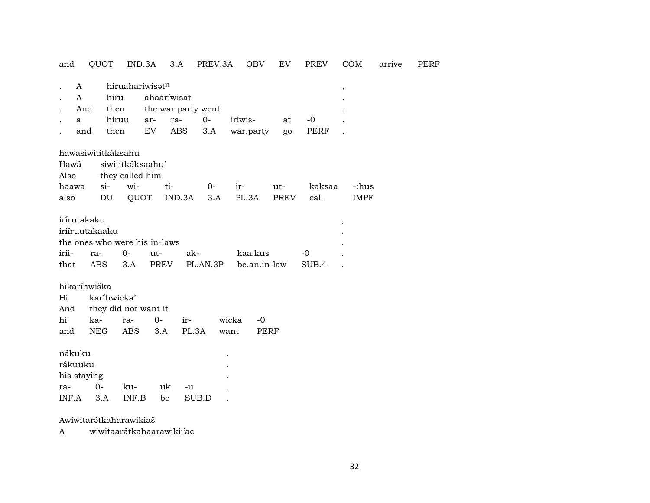| and                                              |              | QUOT                                                                 | IND.3A           |             | 3.A                | PREV.3A  |         | OBV                     | ${\rm EV}$  | <b>PREV</b>   | COM                      | arrive | <b>PERF</b> |
|--------------------------------------------------|--------------|----------------------------------------------------------------------|------------------|-------------|--------------------|----------|---------|-------------------------|-------------|---------------|--------------------------|--------|-------------|
|                                                  | A            |                                                                      | hiruahariwisatn  |             |                    |          |         |                         |             |               | $^\mathrm{^\mathrm{o}}$  |        |             |
|                                                  | $\mathsf{A}$ | hiru                                                                 |                  |             | ahaaríwisat        |          |         |                         |             |               |                          |        |             |
|                                                  | And          | then                                                                 |                  |             | the war party went |          |         |                         |             |               |                          |        |             |
|                                                  | a            | hiruu                                                                |                  | ar-         | ra-                | $0-$     | iriwis- |                         | at          | $-0$          |                          |        |             |
|                                                  | and          | then                                                                 |                  | EV          | <b>ABS</b>         | 3.A      |         | war.party               | go          | <b>PERF</b>   |                          |        |             |
|                                                  |              | hawasiwititkáksahu                                                   |                  |             |                    |          |         |                         |             |               |                          |        |             |
| Hawá                                             |              |                                                                      | siwititkáksaahu' |             |                    |          |         |                         |             |               |                          |        |             |
| Also                                             |              |                                                                      | they called him  |             |                    |          |         |                         |             |               |                          |        |             |
| haawa                                            |              | $si$ -                                                               | wi-              |             | ti-                | $0-$     | ir-     |                         | ut-         | kaksaa        | -:hus                    |        |             |
| also                                             |              | DU                                                                   | QUOT             |             | IND.3A             | 3.A      |         | PL.3A                   | <b>PREV</b> | call          | <b>IMPF</b>              |        |             |
| irírutakaku<br>irii-<br>that                     |              | iriíruutakaaku<br>the ones who were his in-laws<br>ra-<br><b>ABS</b> | $O -$<br>3.A     | ut-<br>PREV | ak-                | PL.AN.3P |         | kaa.kus<br>be.an.in-law |             | $-0$<br>SUB.4 | $\overline{\phantom{a}}$ |        |             |
|                                                  |              | hikaríhwiška                                                         |                  |             |                    |          |         |                         |             |               |                          |        |             |
| Hi                                               |              | karíhwicka'                                                          |                  |             |                    |          |         |                         |             |               |                          |        |             |
| And                                              |              | they did not want it                                                 |                  |             |                    |          |         |                         |             |               |                          |        |             |
| hi                                               |              | ka-                                                                  | ra-              | $0-$        | ir-                |          | wicka   | $-0$                    |             |               |                          |        |             |
| and                                              |              | <b>NEG</b>                                                           | <b>ABS</b>       | 3.A         |                    | PL.3A    | want    | <b>PERF</b>             |             |               |                          |        |             |
| nákuku<br>rákuuku<br>his staying<br>ra-<br>INF.A |              | $0-$<br>3.A                                                          | ku-<br>INF.B     | uk<br>be    | -u                 | SUB.D    |         |                         |             |               |                          |        |             |

Awiwitarátkaharawikiaš

wiwitaarátkahaarawikii'ac  $\mathbf{A}$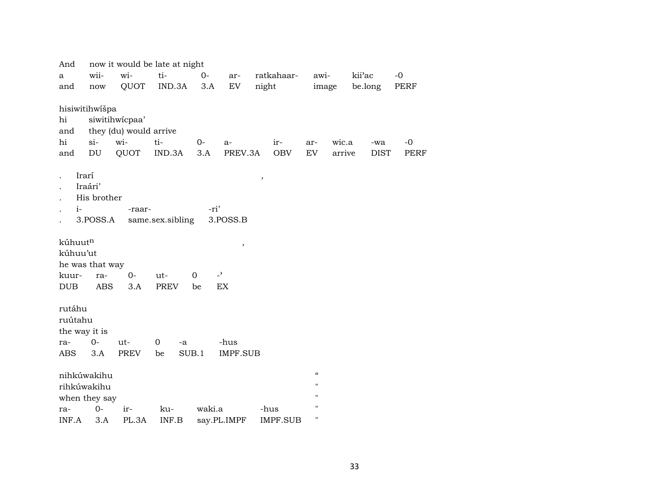| And                                                     |                                    |                        | now it would be late at night |              |                          |                 |                    |        |        |             |             |
|---------------------------------------------------------|------------------------------------|------------------------|-------------------------------|--------------|--------------------------|-----------------|--------------------|--------|--------|-------------|-------------|
| a                                                       | wii-                               | wi-                    | ti-                           | $0-$         | ar-                      | ratkahaar-      | awi-               |        | kii'ac |             | $-0$        |
| and                                                     | $\operatorname{now}$               | QUOT                   | IND.3A                        | 3.A          | EV                       | night           |                    | image  |        | be.long     | PERF        |
|                                                         |                                    |                        |                               |              |                          |                 |                    |        |        |             |             |
| hisiwitihwišpa                                          |                                    |                        |                               |              |                          |                 |                    |        |        |             |             |
| hi                                                      |                                    | siwitihwicpaa'         |                               |              |                          |                 |                    |        |        |             |             |
| and                                                     |                                    | they (du) would arrive |                               |              |                          |                 |                    |        |        |             |             |
| hi                                                      | $si$ -                             | wi-                    | ti-                           | $0-$         | a-                       | ir-             | ar-                | wic.a  |        | -wa         | $-0$        |
| and                                                     | DU                                 | QUOT                   | IND.3A                        | 3.A          | PREV.3A                  | <b>OBV</b>      | EV.                | arrive |        | <b>DIST</b> | <b>PERF</b> |
| Irarí<br>$i-$                                           | Iraári'<br>His brother<br>3.POSS.A | -raar-                 | same.sex.sibling              | -ri'         | 3.POSS.B                 | $\, ,$          |                    |        |        |             |             |
| kúhuut <sup>n</sup><br>kúhuu'ut<br>he was that way      |                                    |                        |                               |              | $\, ,$                   |                 |                    |        |        |             |             |
| kuur-                                                   | ra-                                | $0-$                   | $ut-$                         | $\mathbf{O}$ | $\overline{\phantom{0}}$ |                 |                    |        |        |             |             |
| <b>DUB</b>                                              | <b>ABS</b>                         | 3.A                    | <b>PREV</b>                   | be           | <b>EX</b>                |                 |                    |        |        |             |             |
| rutáhu<br>ruútahu<br>the way it is<br>ra-<br><b>ABS</b> | $0-$<br>3.A                        | ut-<br><b>PREV</b>     | $\overline{0}$<br>-a<br>be    | SUB.1        | -hus<br><b>IMPF.SUB</b>  |                 |                    |        |        |             |             |
| nihkúwakihu                                             |                                    |                        |                               |              |                          |                 | $\epsilon\epsilon$ |        |        |             |             |
| rihkúwakihu                                             |                                    |                        |                               |              |                          |                 | $\mathbf{H}$       |        |        |             |             |
| when they say                                           |                                    |                        |                               |              |                          |                 | $\mathbf{H}$       |        |        |             |             |
| ra-                                                     | $0-$                               | ir-                    | ku-                           | waki.a       |                          | -hus            | п                  |        |        |             |             |
| INF.A                                                   | 3.A                                | PL.3A                  | INF.B                         |              | say.PL.IMPF              | <b>IMPF.SUB</b> | н                  |        |        |             |             |
|                                                         |                                    |                        |                               |              |                          |                 |                    |        |        |             |             |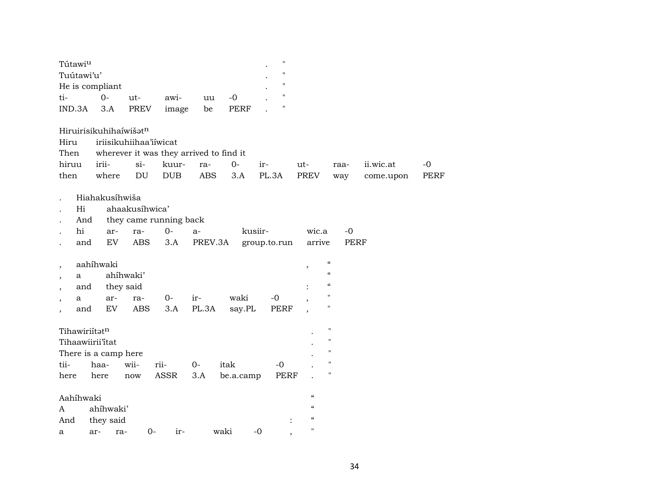| 11<br>Tuútawi'u'<br>н<br>He is compliant<br>н<br>$0-$<br>$-0$<br>ti-<br>ut-<br>awi-<br>uu<br>$\blacksquare$<br>PREV<br><b>PERF</b><br>IND.3A<br>3.A<br>be<br>image<br>Hiruirisikuhihaíwišatn<br>Hiru<br>iriisikuhiihaa'iiwicat<br>Then<br>wherever it was they arrived to find it |             |
|-----------------------------------------------------------------------------------------------------------------------------------------------------------------------------------------------------------------------------------------------------------------------------------|-------------|
|                                                                                                                                                                                                                                                                                   |             |
|                                                                                                                                                                                                                                                                                   |             |
|                                                                                                                                                                                                                                                                                   |             |
|                                                                                                                                                                                                                                                                                   |             |
|                                                                                                                                                                                                                                                                                   |             |
|                                                                                                                                                                                                                                                                                   |             |
|                                                                                                                                                                                                                                                                                   |             |
| hiruu<br>irii-<br>$si-$<br>$0-$<br>kuur-<br>ii.wic.at<br>ra-<br>ir-<br>ut-<br>raa-                                                                                                                                                                                                | $-0$        |
| where<br>$\mathop{\rm DU}\nolimits$<br>DUB<br><b>ABS</b><br>3.A<br>PL.3A<br>PREV<br>then<br>way<br>come.upon                                                                                                                                                                      | <b>PERF</b> |
| Hiahakusíhwiša                                                                                                                                                                                                                                                                    |             |
| ahaakusíhwica'<br>Hi                                                                                                                                                                                                                                                              |             |
| And<br>they came running back                                                                                                                                                                                                                                                     |             |
| hi<br>$O -$<br>kusiir-<br>wic.a<br>$-0$<br>ar-<br>ra-<br>$a-$                                                                                                                                                                                                                     |             |
| EV<br><b>ABS</b><br>and<br>3.A<br>PREV.3A<br>group.to.run<br>arrive<br><b>PERF</b>                                                                                                                                                                                                |             |
| $\mathcal{C}$<br>aahíhwaki<br>$\overline{\phantom{a}}$<br>$\, ,$                                                                                                                                                                                                                  |             |
| $\mathcal{C}$<br>ahíhwaki'<br>a                                                                                                                                                                                                                                                   |             |
| $\pmb{\zeta}\pmb{\zeta}$<br>they said<br>and                                                                                                                                                                                                                                      |             |
| $\pmb{\mathsf{H}}$<br>waki<br>0-<br>$-0$<br>ir-<br>ar-<br>ra-<br>a                                                                                                                                                                                                                |             |
| $\pmb{\mathsf{H}}$<br>EV<br><b>ABS</b><br>3.A<br>PL.3A<br><b>PERF</b><br>say.PL<br>and<br>$\overline{\phantom{a}}$                                                                                                                                                                |             |
| $\pmb{\mathsf{H}}$<br>Tihawiriítatn                                                                                                                                                                                                                                               |             |
| 11<br>Tihaawiirii'itat                                                                                                                                                                                                                                                            |             |
| "<br>There is a camp here                                                                                                                                                                                                                                                         |             |
| "<br>tii-<br>wii-<br>rii-<br>haa-<br>$0-$<br>itak<br>$-0$                                                                                                                                                                                                                         |             |
| 11<br>ASSR<br><b>PERF</b><br>3.A<br>here<br>here<br>be.a.camp<br>now                                                                                                                                                                                                              |             |
|                                                                                                                                                                                                                                                                                   |             |
| $\epsilon\epsilon$<br>Aahíhwaki                                                                                                                                                                                                                                                   |             |
| $\epsilon$<br>ahíhwaki'<br>A                                                                                                                                                                                                                                                      |             |
| $\boldsymbol{\zeta}\boldsymbol{\zeta}$<br>they said<br>And                                                                                                                                                                                                                        |             |
| $\blacksquare$<br>$-0$<br>$0-$<br>waki<br>ir-<br>ar-<br>ra-<br>a<br>$\cdot$                                                                                                                                                                                                       |             |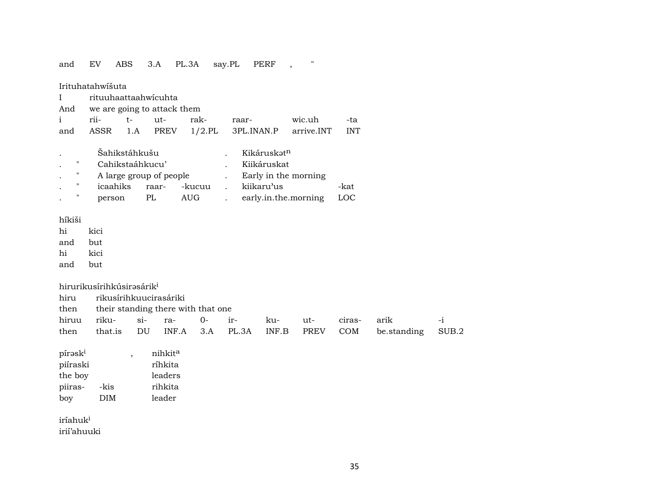#### 3.A PL.3A say.PL PERF,  $\mathcal{O}(\mathcal{O})$ and EV ABS

Irituhatahwišuta

| I rituuhaattaahwicuhta |                                 |                                                    |  |
|------------------------|---------------------------------|----------------------------------------------------|--|
|                        | And we are going to attack them |                                                    |  |
|                        |                                 | i rii- t- ut- rak- raar- wic.uh -ta                |  |
|                        |                                 | and ASSR 1.A PREV 1/2.PL 3PL.INAN.P arrive.INT INT |  |

|                   | Šahikstáhkušu           |       |        | Kikáruskət <sup>n</sup> |      |
|-------------------|-------------------------|-------|--------|-------------------------|------|
|                   | Cahikstaáhkucu'         |       |        | Kiikáruskat             |      |
| ,,                | A large group of people |       |        | Early in the morning    |      |
| $^{\prime\prime}$ | icaahiks                | raar- | -kucuu | kiikaru'us              | -kat |
| "                 | person                  | PL.   | AUG.   | early.in.the.morning    | LOC  |

híkiši

hi kici but and

hi kici

and but

hirurikusírihkúsirəsárik<sup>i</sup>

rikusírihkuucirasáriki hiru

| then their standing there with that one |  |  |  |  |  |                     |  |                                                                  |  |  |  |  |  |
|-----------------------------------------|--|--|--|--|--|---------------------|--|------------------------------------------------------------------|--|--|--|--|--|
| hiruu riku- si- ra- 0- ir-              |  |  |  |  |  | ku- ut- ciras- arik |  |                                                                  |  |  |  |  |  |
|                                         |  |  |  |  |  |                     |  | then that is DU INF.A 3.A PL.3A INF.B PREV COM be standing SUB.2 |  |  |  |  |  |

| pírask <sup>i</sup> |      | nihkit <sup>a</sup> |
|---------------------|------|---------------------|
| piíraski            |      | ríhkita             |
| the boy             |      | leaders             |
| piiras-             | -kis | rihkita             |
| boy                 | DIM  | leader              |

iríahuk<sup>i</sup> irií'ahuuki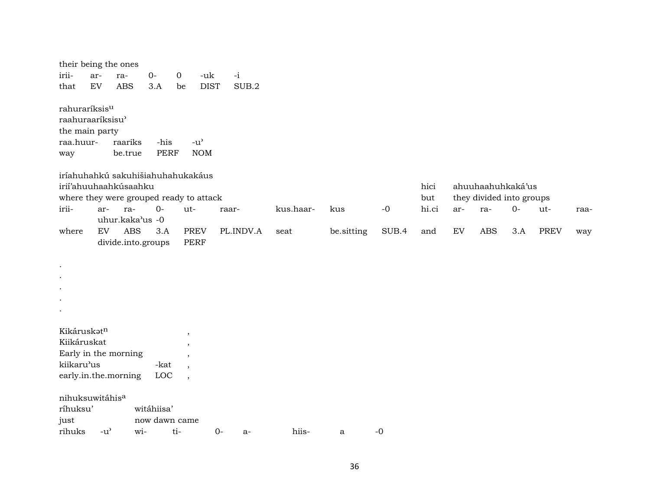|                                                                                     |                                     | their being the ones                           |                     |                          |                                                   |               |           |            |       |              |            |                                 |      |             |      |
|-------------------------------------------------------------------------------------|-------------------------------------|------------------------------------------------|---------------------|--------------------------|---------------------------------------------------|---------------|-----------|------------|-------|--------------|------------|---------------------------------|------|-------------|------|
| irii-<br>that                                                                       | ar-<br>${\rm EV}$                   | ra-<br><b>ABS</b>                              | $O -$<br>3.A        | $\overline{0}$<br>be     | -uk<br><b>DIST</b>                                | $-i$<br>SUB.2 |           |            |       |              |            |                                 |      |             |      |
| rahuraríksis <sup>u</sup><br>raahuraaríksisu'<br>the main party<br>raa.huur-<br>way |                                     | raariks<br>be.true                             | -his<br><b>PERF</b> |                          | $-u$ <sup><math>\prime</math></sup><br><b>NOM</b> |               |           |            |       |              |            |                                 |      |             |      |
|                                                                                     |                                     | iríahuhahkú sakuhišiahuhahukakáus              |                     |                          |                                                   |               |           |            |       |              |            |                                 |      |             |      |
|                                                                                     |                                     | irií'ahuuhaahkúsaahku                          |                     |                          |                                                   |               |           |            |       | hici         |            | ahuuhaahuhkaká'us               |      |             |      |
| irii-                                                                               | ar-                                 | where they were grouped ready to attack<br>ra- | $O -$               | ut-                      |                                                   | raar-         | kus.haar- | kus        | $-0$  | but<br>hi.ci | ar-        | they divided into groups<br>ra- | $0-$ | ut-         | raa- |
|                                                                                     |                                     | uhur.kaka'us -0                                |                     |                          |                                                   |               |           |            |       |              |            |                                 |      |             |      |
| where                                                                               | EV                                  | <b>ABS</b>                                     | 3.A                 |                          | <b>PREV</b>                                       | PL.INDV.A     | seat      | be.sitting | SUB.4 | and          | ${\rm EV}$ | ABS                             | 3.A  | <b>PREV</b> | way  |
|                                                                                     |                                     | divide.into.groups                             |                     |                          | <b>PERF</b>                                       |               |           |            |       |              |            |                                 |      |             |      |
|                                                                                     |                                     |                                                |                     |                          |                                                   |               |           |            |       |              |            |                                 |      |             |      |
|                                                                                     |                                     |                                                |                     |                          |                                                   |               |           |            |       |              |            |                                 |      |             |      |
|                                                                                     |                                     |                                                |                     |                          |                                                   |               |           |            |       |              |            |                                 |      |             |      |
|                                                                                     |                                     |                                                |                     |                          |                                                   |               |           |            |       |              |            |                                 |      |             |      |
|                                                                                     |                                     |                                                |                     |                          |                                                   |               |           |            |       |              |            |                                 |      |             |      |
|                                                                                     |                                     |                                                |                     |                          |                                                   |               |           |            |       |              |            |                                 |      |             |      |
| Kikáruskatn                                                                         |                                     |                                                |                     |                          |                                                   |               |           |            |       |              |            |                                 |      |             |      |
| Kiikáruskat                                                                         |                                     |                                                |                     | $\cdot$<br>$\cdot$       |                                                   |               |           |            |       |              |            |                                 |      |             |      |
|                                                                                     |                                     | Early in the morning                           |                     | $\cdot$                  |                                                   |               |           |            |       |              |            |                                 |      |             |      |
| kiikaru'us                                                                          |                                     |                                                | -kat                |                          |                                                   |               |           |            |       |              |            |                                 |      |             |      |
|                                                                                     |                                     | early.in.the.morning                           | LOC                 | $\overline{\phantom{a}}$ |                                                   |               |           |            |       |              |            |                                 |      |             |      |
| nihuksuwitáhis <sup>a</sup>                                                         |                                     |                                                |                     |                          |                                                   |               |           |            |       |              |            |                                 |      |             |      |
| ríhuksu'                                                                            |                                     |                                                | witáhiisa'          |                          |                                                   |               |           |            |       |              |            |                                 |      |             |      |
| just                                                                                |                                     |                                                | now dawn came       |                          |                                                   |               |           |            |       |              |            |                                 |      |             |      |
| rihuks                                                                              | $-u$ <sup><math>\prime</math></sup> | wi-                                            |                     | ti-                      | $0-$                                              | $a-$          | hiis-     | a          | $-0$  |              |            |                                 |      |             |      |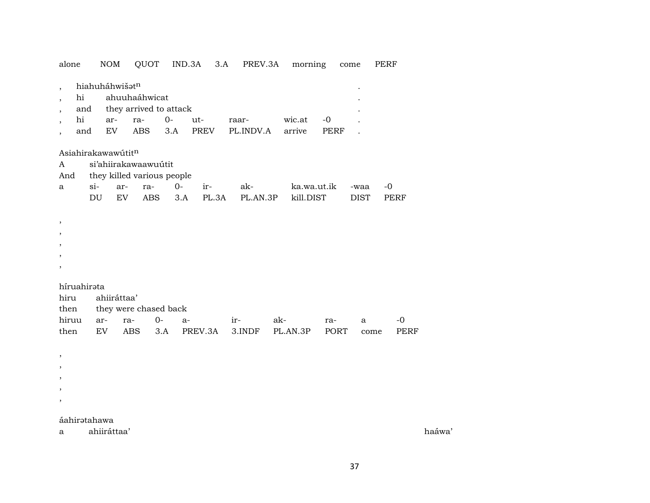| alone                                   |                        | <b>NOM</b> |                    | QUOT                                                  |             | IND.3A       | 3.A | PREV.3A            |     | morning                  |                     | come                | PERF |                     |
|-----------------------------------------|------------------------|------------|--------------------|-------------------------------------------------------|-------------|--------------|-----|--------------------|-----|--------------------------|---------------------|---------------------|------|---------------------|
| $\cdot$<br>$\overline{\phantom{a}}$     | hi<br>and<br>hi<br>and | ar-<br>EV  | hiahuháhwišatn     | ahuuhaáhwicat<br>they arrived to attack<br>ra-<br>ABS | $0-$<br>3.A | ut-<br>PREV  |     | raar-<br>PL.INDV.A |     | wic.at<br>arrive         | $-0$<br><b>PERF</b> |                     |      |                     |
| A<br>And                                |                        |            | Asiahirakawawútitn | si'ahiirakawaawuútit<br>they killed various people    |             |              |     |                    |     |                          |                     |                     |      |                     |
| a                                       | $si-$                  | DU         | ar-<br>EV          | ra-<br>ABS                                            | $0-$<br>3.A | ir-<br>PL.3A |     | ak-<br>PL.AN.3P    |     | ka.wa.ut.ik<br>kill.DIST |                     | -waa<br><b>DIST</b> | $-0$ | PERF                |
| $\, ,$<br>$\overline{\phantom{a}}$<br>, |                        |            |                    |                                                       |             |              |     |                    |     |                          |                     |                     |      |                     |
| hiru<br>then                            | híruahirata            |            | ahiiráttaa'        | they were chased back                                 |             |              |     |                    |     |                          |                     |                     |      |                     |
| hiruu<br>then                           |                        | ar-<br>EV  | ra-<br><b>ABS</b>  | $0-$                                                  | $a-$<br>3.A | PREV.3A      |     | ir-<br>3.INDF      | ak- | PL.AN.3P                 | ra-<br>PORT         | a                   | come | $-0$<br><b>PERF</b> |
| ,<br>,                                  |                        |            |                    |                                                       |             |              |     |                    |     |                          |                     |                     |      |                     |

## áahirətahawa

ahiiráttaa'  $\mathbf{a}$ 

haáwa'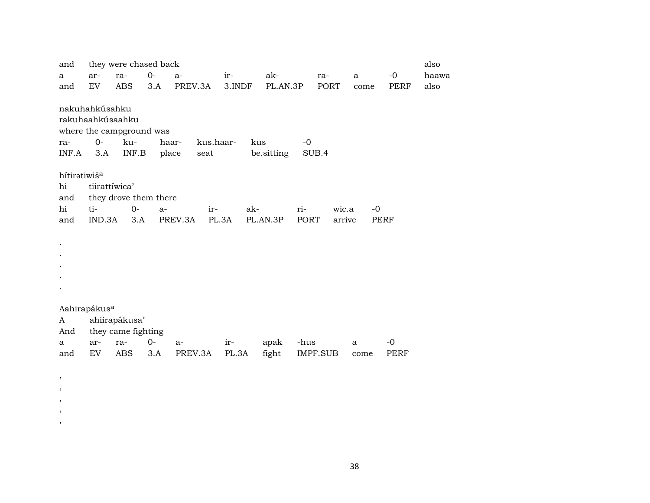| and                      |               | they were chased back    |       |                    |        |            |      |          |      |      | also  |
|--------------------------|---------------|--------------------------|-------|--------------------|--------|------------|------|----------|------|------|-------|
| a                        | ar-           | ra-                      | $0-$  | $a-$               | ir-    | ak-        |      | ra-      | a    | $-0$ | haawa |
| and                      | EV            | ABS                      | 3.A   | PREV.3A            | 3.INDF | PL.AN.3P   |      | PORT     | come | PERF | also  |
|                          |               |                          |       |                    |        |            |      |          |      |      |       |
| nakuhahkúsahku           |               |                          |       |                    |        |            |      |          |      |      |       |
|                          |               | rakuhaahkúsaahku         |       |                    |        |            |      |          |      |      |       |
|                          |               | where the campground was |       |                    |        |            |      |          |      |      |       |
| ra-                      | $0-$          | ku-                      |       | haar-<br>kus.haar- |        | kus        | $-0$ |          |      |      |       |
| INF.A                    | 3.A           | INF.B                    | place | seat               |        | be sitting |      | SUB.4    |      |      |       |
|                          |               |                          |       |                    |        |            |      |          |      |      |       |
| hítiratiwiš <sup>a</sup> |               |                          |       |                    |        |            |      |          |      |      |       |
| hi                       | tiirattíwica' |                          |       |                    |        |            |      |          |      |      |       |
| and                      |               | they drove them there    |       |                    |        |            |      |          |      |      |       |
| hi                       | ti-           | $0-$                     | $a-$  | ir-                |        | ak-        | ri-  | wic.a    | $-0$ |      |       |
| and                      | IND.3A        | 3.A                      |       | PREV.3A            | PL.3A  | PL.AN.3P   | PORT | arrive   |      | PERF |       |
|                          |               |                          |       |                    |        |            |      |          |      |      |       |
|                          |               |                          |       |                    |        |            |      |          |      |      |       |
|                          |               |                          |       |                    |        |            |      |          |      |      |       |
|                          |               |                          |       |                    |        |            |      |          |      |      |       |
|                          |               |                          |       |                    |        |            |      |          |      |      |       |
|                          |               |                          |       |                    |        |            |      |          |      |      |       |
|                          |               |                          |       |                    |        |            |      |          |      |      |       |
| Aahirapákus <sup>a</sup> |               |                          |       |                    |        |            |      |          |      |      |       |
| A                        |               | ahiirapákusa'            |       |                    |        |            |      |          |      |      |       |
| And                      |               | they came fighting       |       |                    |        |            |      |          |      |      |       |
| a                        | ar-           | ra-                      | $0-$  | a-                 | ir-    | apak       | -hus |          | a    | $-0$ |       |
| and                      | EV            | <b>ABS</b>               | 3.A   | PREV.3A            | PL.3A  | fight      |      | IMPF.SUB | come | PERF |       |
|                          |               |                          |       |                    |        |            |      |          |      |      |       |
| $\, ,$                   |               |                          |       |                    |        |            |      |          |      |      |       |
| ,                        |               |                          |       |                    |        |            |      |          |      |      |       |

, , ,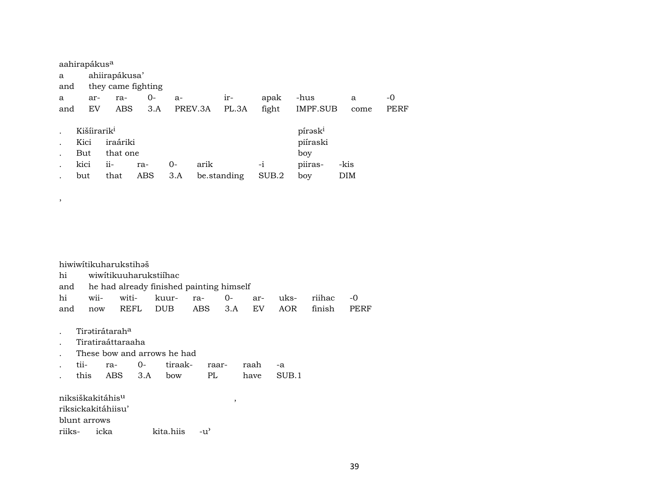|     | aahirapákus <sup>a</sup> |                                      |               |                    |      |      |       |          |                     |      |  |  |  |
|-----|--------------------------|--------------------------------------|---------------|--------------------|------|------|-------|----------|---------------------|------|--|--|--|
| a   |                          |                                      | ahiirapákusa' |                    |      |      |       |          |                     |      |  |  |  |
| and |                          |                                      |               | they came fighting |      |      |       |          |                     |      |  |  |  |
| a   |                          | ar-                                  | ra-           | 0-                 | $a-$ | apak | -hus  | a        | -0                  |      |  |  |  |
| and |                          | PREV.3A<br>ABS<br>3.A<br>PL.3A<br>EV |               |                    |      |      | fight | IMPF.SUB | come                | PERF |  |  |  |
|     |                          |                                      |               |                    |      |      |       |          |                     |      |  |  |  |
|     |                          | Kišíirarik <sup>i</sup>              |               |                    |      |      |       |          | pírask <sup>i</sup> |      |  |  |  |
|     | Kici                     |                                      | iraáriki      |                    |      |      |       |          | piíraski            |      |  |  |  |
|     | But                      |                                      | that one      |                    |      |      | boy   |          |                     |      |  |  |  |
|     | kici                     | ii-<br>arik<br>$0-$<br>ra-<br>$-1$   |               |                    |      |      |       |          | piiras-             | -kis |  |  |  |
|     | but                      | ABS<br>3.A<br>that<br>be standing    |               |                    |      |      |       | SUB.2    | boy                 | DIM  |  |  |  |
|     |                          |                                      |               |                    |      |      |       |          |                     |      |  |  |  |

|                                                       | hiwiwitikuharukstihəš             |              |                             |     |       |         |                                          |    |      |       |        |      |  |
|-------------------------------------------------------|-----------------------------------|--------------|-----------------------------|-----|-------|---------|------------------------------------------|----|------|-------|--------|------|--|
| hi                                                    |                                   |              | wiwitikuuharukstiihac       |     |       |         |                                          |    |      |       |        |      |  |
| and                                                   |                                   |              |                             |     |       |         | he had already finished painting himself |    |      |       |        |      |  |
| hi                                                    |                                   | wii-         | witi-                       |     | kuur- |         | ra-                                      | 0- | ar-  | uks-  | riihac | -0   |  |
| REFL<br><b>DUB</b><br>ABS<br>EV.<br>3.A<br>and<br>now |                                   |              |                             |     |       |         |                                          |    |      | AOR   | finish | PERF |  |
|                                                       |                                   |              |                             |     |       |         |                                          |    |      |       |        |      |  |
|                                                       | Tiratirátarah <sup>a</sup>        |              |                             |     |       |         |                                          |    |      |       |        |      |  |
| Tiratiraáttaraaha                                     |                                   |              |                             |     |       |         |                                          |    |      |       |        |      |  |
|                                                       |                                   |              | These bow and arrows he had |     |       |         |                                          |    |      |       |        |      |  |
|                                                       | tii-                              |              | ra-                         | 0-  |       | tiraak- | raar-                                    |    | raah | -a    |        |      |  |
|                                                       | this                              |              | ABS                         | 3.A | bow   |         | PL                                       |    | have | SUB.1 |        |      |  |
|                                                       |                                   |              |                             |     |       |         |                                          |    |      |       |        |      |  |
|                                                       | niksiškakitáhis <sup>u</sup><br>, |              |                             |     |       |         |                                          |    |      |       |        |      |  |
|                                                       | riksickakitáhiisu'                |              |                             |     |       |         |                                          |    |      |       |        |      |  |
|                                                       |                                   | blunt arrows |                             |     |       |         |                                          |    |      |       |        |      |  |
| icka<br>kita.hiis<br>riiks-<br>-u'                    |                                   |              |                             |     |       |         |                                          |    |      |       |        |      |  |

 $\overline{\phantom{a}}$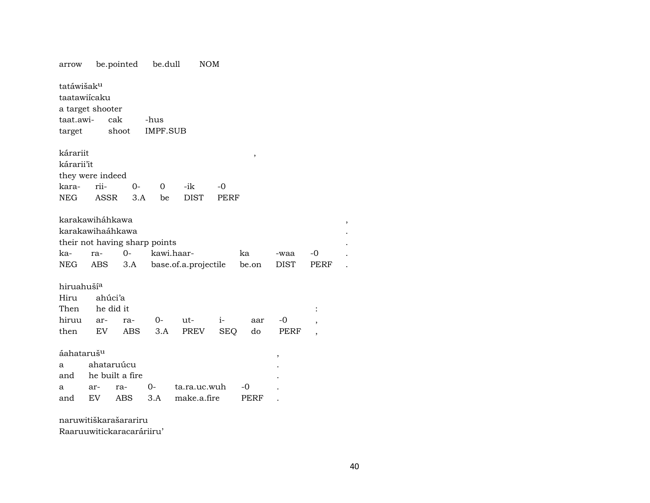arrow be.pointed be.dull NOM tatáwišakµ taatawiícaku a target shooter taat.awi- cak -hus target shoot IMPF.SUB kárariit , kárarii'it they were indeed kara- rii- 0- 0 -ik -0 NEG ASSR 3.A be DIST PERF karakawiháhkawa , karakawihaáhkawa . their not having sharp points . ka- ra- 0- kawi.haar- ka -waa -0 . NEG ABS 3.A base.of.a.projectile be.on DIST PERF . hiruahuší<sup>a</sup> Hiru ahúci'a Then he did it hiruu ar- ra- 0- ut- i- aar -0 , then EV ABS 3.A PREV SEQ do PERF , áahatarušµ , a ahataruúcu . and he built a fire a ar- ra- 0- ta.ra.uc.wuh -0 . and EV ABS 3.A make.a.fire PERF .

naruwitiškarašarariru

Raaruuwitickaracaráriiru'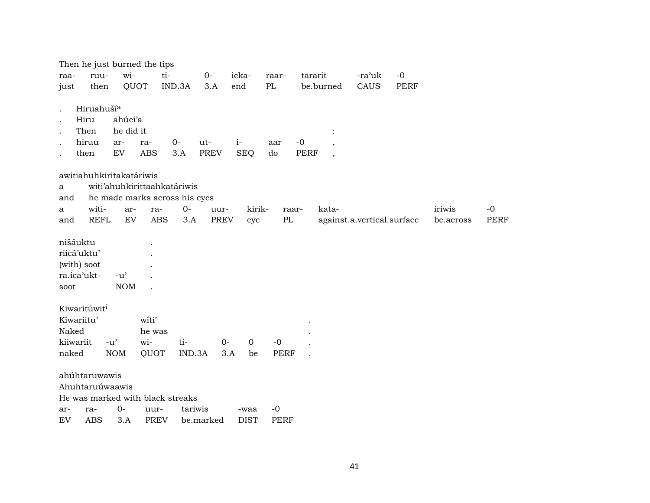|             |                          |                                     | Then he just burned the tips |                                  |             |             |             |                                         |                            |             |           |      |
|-------------|--------------------------|-------------------------------------|------------------------------|----------------------------------|-------------|-------------|-------------|-----------------------------------------|----------------------------|-------------|-----------|------|
| raa-        | ruu-                     | wi-                                 |                              | ti-                              | $O -$       | icka-       | raar-       | tararit                                 | -ra'uk                     | $-0$        |           |      |
| just        | then                     |                                     | QUOT                         | IND.3A                           | 3.A         | end         | PL          | be.burned                               | CAUS                       | <b>PERF</b> |           |      |
|             |                          |                                     |                              |                                  |             |             |             |                                         |                            |             |           |      |
|             | Hiruahuší <sup>a</sup>   |                                     |                              |                                  |             |             |             |                                         |                            |             |           |      |
|             | Hiru                     | ahúci'a                             |                              |                                  |             |             |             |                                         |                            |             |           |      |
|             | Then                     | he did it                           |                              |                                  |             |             |             | $\ddot{\cdot}$                          |                            |             |           |      |
|             | hiruu                    | ar-                                 | ra-                          | $0-$                             | ut-         | $i-$        | aar         | $-0$<br>$\overline{\phantom{a}}$        |                            |             |           |      |
|             | then                     | ${\rm EV}$                          | <b>ABS</b>                   | 3.A                              | <b>PREV</b> | <b>SEQ</b>  | do          | <b>PERF</b><br>$\overline{\phantom{a}}$ |                            |             |           |      |
|             | awitiahuhkiritakatáriwis |                                     |                              |                                  |             |             |             |                                         |                            |             |           |      |
| a           |                          |                                     |                              | witi'ahuhkirittaahkatáriwis      |             |             |             |                                         |                            |             |           |      |
| and         |                          |                                     |                              | he made marks across his eyes    |             |             |             |                                         |                            |             |           |      |
| a           | witi-                    | ar-                                 | ra-                          | $0-$                             | uur-        | kirik-      |             | kata-<br>raar-                          |                            |             | iriwis    | $-0$ |
| and         | <b>REFL</b>              | ${\rm EV}$                          | <b>ABS</b>                   | 3.A                              | PREV        | eye         | $\rm PL$    |                                         | against.a.vertical.surface |             | be.across | PERF |
|             |                          |                                     |                              |                                  |             |             |             |                                         |                            |             |           |      |
| nišáuktu    |                          |                                     |                              |                                  |             |             |             |                                         |                            |             |           |      |
| riicá'uktu' |                          |                                     |                              |                                  |             |             |             |                                         |                            |             |           |      |
| (with) soot |                          |                                     |                              |                                  |             |             |             |                                         |                            |             |           |      |
| ra.ica'ukt- |                          | $-u^{\prime}$                       |                              |                                  |             |             |             |                                         |                            |             |           |      |
| soot        |                          | <b>NOM</b>                          |                              |                                  |             |             |             |                                         |                            |             |           |      |
|             | Kiwaritúwit <sup>i</sup> |                                     |                              |                                  |             |             |             |                                         |                            |             |           |      |
| Kíwariitu'  |                          |                                     | witi'                        |                                  |             |             |             |                                         |                            |             |           |      |
| Naked       |                          |                                     | he was                       |                                  |             |             |             |                                         |                            |             |           |      |
| kiiwariit   |                          | $-u$ <sup><math>\prime</math></sup> | wi-                          | ti-                              | $0-$        | $\mathbf 0$ | $-0$        |                                         |                            |             |           |      |
| naked       |                          | <b>NOM</b>                          | QUOT                         | IND.3A                           |             | 3.A<br>be   | <b>PERF</b> |                                         |                            |             |           |      |
|             |                          |                                     |                              |                                  |             |             |             |                                         |                            |             |           |      |
|             | ahúhtaruwawis            |                                     |                              |                                  |             |             |             |                                         |                            |             |           |      |
|             | Ahuhtaruúwaawis          |                                     |                              |                                  |             |             |             |                                         |                            |             |           |      |
|             |                          |                                     |                              | He was marked with black streaks |             |             |             |                                         |                            |             |           |      |
| ar-         | ra-                      | $0-$                                | uur-                         |                                  | tariwis     | -waa        | $-0$        |                                         |                            |             |           |      |
| EV          | <b>ABS</b>               | 3.A                                 | <b>PREV</b>                  |                                  | be.marked   | <b>DIST</b> | <b>PERF</b> |                                         |                            |             |           |      |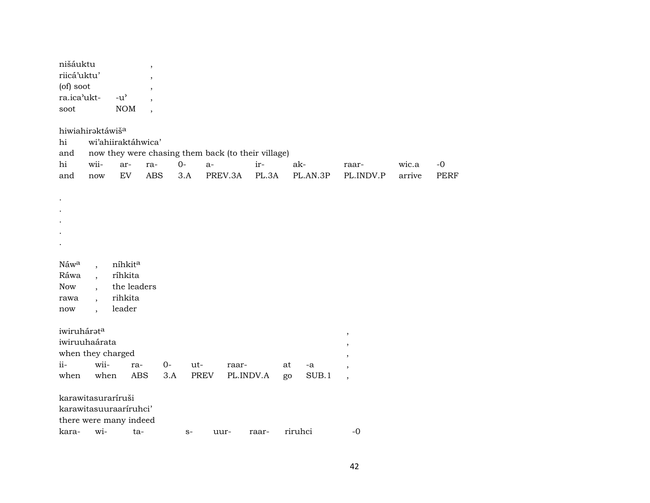| nišáuktu<br>riicá'uktu'<br>(of) soot<br>ra.ica'ukt-<br>soot<br>hiwiahiraktáwiš <sup>a</sup> |                                                  | $-u^{\prime}$<br><b>NOM</b>                            | $\overline{\phantom{a}}$<br>$\cdot$                                         |             |                  |           |              |               |                 |                                  |                 |                     |
|---------------------------------------------------------------------------------------------|--------------------------------------------------|--------------------------------------------------------|-----------------------------------------------------------------------------|-------------|------------------|-----------|--------------|---------------|-----------------|----------------------------------|-----------------|---------------------|
| hi<br>and<br>hi<br>and                                                                      | wii-<br>$\operatorname{now}$                     | wi'ahiiraktáhwica'<br>ar-<br>${\rm EV}$                | now they were chasing them back (to their village)<br>ra-<br>$\mathbf{ABS}$ | $0-$<br>3.A | $a-$             | PREV.3A   | ir-<br>PL.3A |               | ak-<br>PL.AN.3P | raar-<br>PL.INDV.P               | wic.a<br>arrive | $-0$<br><b>PERF</b> |
|                                                                                             |                                                  |                                                        |                                                                             |             |                  |           |              |               |                 |                                  |                 |                     |
| Náwa<br>Ráwa<br>Now<br>rawa<br>now                                                          | $\ddot{\phantom{0}}$<br>$\overline{\phantom{a}}$ | níhkita<br>ríhkita<br>the leaders<br>rihkita<br>leader |                                                                             |             |                  |           |              |               |                 |                                  |                 |                     |
| iwiruhárata<br>iwiruuhaárata<br>when they charged<br>ii-                                    | wii-                                             | ra-                                                    | $0-$                                                                        | ut-         |                  | raar-     |              | at            | -a              | $^\mathrm{,}$<br>$\cdot$         |                 |                     |
| when<br>karawitasuraríruši<br>karawitasuuraariruhci'                                        | when                                             | <b>ABS</b><br>there were many indeed<br>kara- wi- ta-  | 3.A                                                                         | $S-$        | PREV<br>$1111r-$ | PL.INDV.A | raar-        | go<br>riruhci | SUB.1           | $\overline{\phantom{a}}$<br>$-0$ |                 |                     |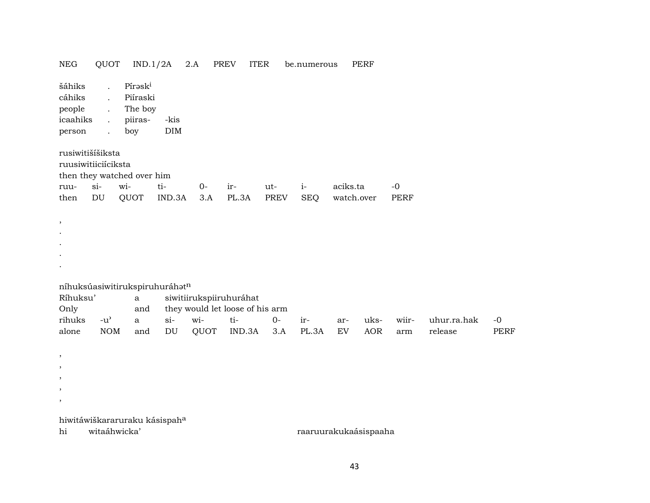| NEG                                                                   | QUOT                                                                                                                 | IND.1/2A                                         |                    | 2.A   | PREV<br>ITER                                               |             | be.numerous |            | PERF |             |             |             |
|-----------------------------------------------------------------------|----------------------------------------------------------------------------------------------------------------------|--------------------------------------------------|--------------------|-------|------------------------------------------------------------|-------------|-------------|------------|------|-------------|-------------|-------------|
| šáhiks<br>cáhiks<br>people<br>icaahiks<br>person                      | $\ddot{\phantom{a}}$<br>$\ddot{\phantom{0}}$<br>$\ddot{\phantom{0}}$<br>$\ddot{\phantom{a}}$<br>$\ddot{\phantom{a}}$ | Píraski<br>Piíraski<br>The boy<br>piiras-<br>boy | -kis<br><b>DIM</b> |       |                                                            |             |             |            |      |             |             |             |
| rusiwitišíšiksta<br>ruusiwitiiciíciksta<br>then they watched over him |                                                                                                                      |                                                  |                    |       |                                                            |             |             |            |      |             |             |             |
| ruu-                                                                  | $si-$                                                                                                                | wi-                                              | ti-                | $O -$ | ir-                                                        | ut-         | $i-$        | aciks.ta   |      | $-0$        |             |             |
| then                                                                  | $\mathop{\rm DU}\nolimits$                                                                                           | QUOT                                             | IND.3A             | 3.A   | PL.3A                                                      | <b>PREV</b> | <b>SEQ</b>  | watch.over |      | <b>PERF</b> |             |             |
|                                                                       |                                                                                                                      |                                                  |                    |       |                                                            |             |             |            |      |             |             |             |
| ,                                                                     |                                                                                                                      |                                                  |                    |       |                                                            |             |             |            |      |             |             |             |
|                                                                       |                                                                                                                      |                                                  |                    |       |                                                            |             |             |            |      |             |             |             |
|                                                                       |                                                                                                                      |                                                  |                    |       |                                                            |             |             |            |      |             |             |             |
|                                                                       |                                                                                                                      |                                                  |                    |       |                                                            |             |             |            |      |             |             |             |
| níhuksúasiwitirukspiruhuráhatn                                        |                                                                                                                      |                                                  |                    |       |                                                            |             |             |            |      |             |             |             |
| Ríhuksu'<br>Only                                                      |                                                                                                                      | $\mathbf{a}$<br>and                              |                    |       | siwitiirukspiiruhuráhat<br>they would let loose of his arm |             |             |            |      |             |             |             |
| rihuks                                                                | $-u^{\prime}$                                                                                                        | $\mathbf{a}$                                     | $si-$              | wi-   | ti-                                                        | $0-$        | ir-         | ar-        | uks- | wiir-       | uhur.ra.hak | $-0$        |
| alone                                                                 | $\rm{NOM}$                                                                                                           | and                                              | DU                 | QUOT  | IND.3A                                                     | 3.A         | PL.3A       | EV         | AOR  | arm         | release     | <b>PERF</b> |
|                                                                       |                                                                                                                      |                                                  |                    |       |                                                            |             |             |            |      |             |             |             |
| $\, \,$                                                               |                                                                                                                      |                                                  |                    |       |                                                            |             |             |            |      |             |             |             |
| $\cdot$                                                               |                                                                                                                      |                                                  |                    |       |                                                            |             |             |            |      |             |             |             |
| ,                                                                     |                                                                                                                      |                                                  |                    |       |                                                            |             |             |            |      |             |             |             |
| ,                                                                     |                                                                                                                      |                                                  |                    |       |                                                            |             |             |            |      |             |             |             |
| $\, \,$                                                               |                                                                                                                      |                                                  |                    |       |                                                            |             |             |            |      |             |             |             |

hiwitáwiškararuraku kásispah<sup>a</sup><br>hi witaáhwicka'

hi witaáhwicka' raaruurakukaásispaaha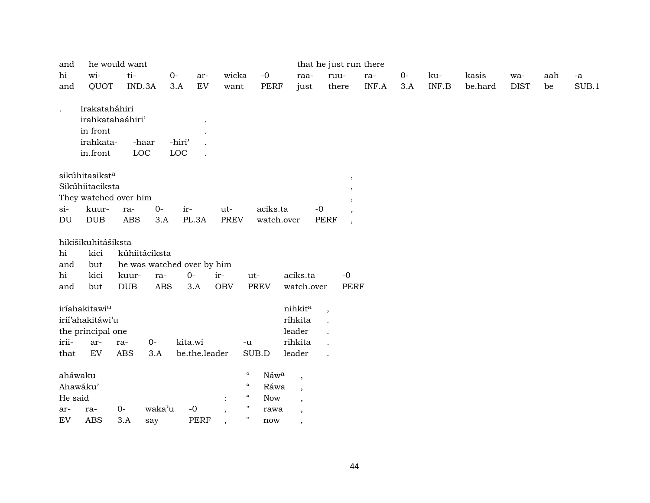| and                            |                                                                        | he would want |                            |                                         |                |                                                                                      |                            |                                                | that he just run there                  |       |       |       |         |             |     |             |
|--------------------------------|------------------------------------------------------------------------|---------------|----------------------------|-----------------------------------------|----------------|--------------------------------------------------------------------------------------|----------------------------|------------------------------------------------|-----------------------------------------|-------|-------|-------|---------|-------------|-----|-------------|
| hi                             | wi-                                                                    | ti-           | $O -$                      |                                         | ar-            | wicka                                                                                | $-{\bf 0}$                 | raa-                                           | ruu-                                    | ra-   | $O -$ | ku-   | kasis   | wa-         | aah | $\mbox{-a}$ |
| and                            | QUOT                                                                   | IND.3A        |                            | 3.A                                     | EV             | want                                                                                 | PERF                       | just                                           | there                                   | INF.A | 3.A   | INF.B | be.hard | <b>DIST</b> | be  | SUB.1       |
| $\ddot{\phantom{a}}$           | Irakataháhiri<br>irahkatahaáhiri'<br>in front<br>irahkata-<br>in.front | LOC           | -haar                      | -hiri <sup>3</sup><br>$_{\mathrm{LOC}}$ |                |                                                                                      |                            |                                                |                                         |       |       |       |         |             |     |             |
|                                | sikúhitasikst <sup>a</sup>                                             |               |                            |                                         |                |                                                                                      |                            |                                                | $\,$                                    |       |       |       |         |             |     |             |
|                                | Sikúhiitaciksta                                                        |               |                            |                                         |                |                                                                                      |                            |                                                | $\cdot$                                 |       |       |       |         |             |     |             |
|                                | They watched over him                                                  |               |                            |                                         |                |                                                                                      |                            |                                                | ,                                       |       |       |       |         |             |     |             |
| $si$ -                         | kuur-                                                                  | ra-           | $O -$                      | ir-                                     | ut-            |                                                                                      | aciks.ta                   | $-{\bf 0}$                                     |                                         |       |       |       |         |             |     |             |
| DU                             | <b>DUB</b>                                                             | <b>ABS</b>    | 3.A                        | PL.3A                                   |                | <b>PREV</b>                                                                          | watch.over                 |                                                | <b>PERF</b><br>$\overline{\phantom{a}}$ |       |       |       |         |             |     |             |
|                                | hikišikuhitášiksta                                                     |               |                            |                                         |                |                                                                                      |                            |                                                |                                         |       |       |       |         |             |     |             |
| hi                             | kici                                                                   |               | kúhiitáciksta              |                                         |                |                                                                                      |                            |                                                |                                         |       |       |       |         |             |     |             |
| and                            | but                                                                    |               | he was watched over by him |                                         |                |                                                                                      |                            |                                                |                                         |       |       |       |         |             |     |             |
| hi                             | kici                                                                   | kuur-         | ra-                        | $0-$                                    | ir-            | ut-                                                                                  |                            | aciks.ta                                       | $-0$                                    |       |       |       |         |             |     |             |
| and                            | but                                                                    | <b>DUB</b>    | <b>ABS</b>                 | 3.A                                     | <b>OBV</b>     | <b>PREV</b>                                                                          |                            | watch.over                                     | <b>PERF</b>                             |       |       |       |         |             |     |             |
|                                |                                                                        |               |                            |                                         |                |                                                                                      |                            |                                                |                                         |       |       |       |         |             |     |             |
|                                | iríahakitawi <sup>u</sup>                                              |               |                            |                                         |                |                                                                                      |                            | nihkita                                        | $\overline{\phantom{a}}$                |       |       |       |         |             |     |             |
|                                | irií'ahakitáwi'u                                                       |               |                            |                                         |                |                                                                                      |                            | ríhkita                                        |                                         |       |       |       |         |             |     |             |
|                                | the principal one                                                      |               |                            |                                         |                |                                                                                      |                            | leader                                         |                                         |       |       |       |         |             |     |             |
| irii-                          | ar-                                                                    | ra-           | 0-                         | kita.wi                                 |                | $-u$                                                                                 |                            | rihkita                                        |                                         |       |       |       |         |             |     |             |
| that                           | ${\rm EV}$                                                             | <b>ABS</b>    | 3.A                        |                                         | be.the.leader  | SUB.D                                                                                |                            | leader                                         |                                         |       |       |       |         |             |     |             |
| aháwaku<br>Ahawáku'<br>He said |                                                                        |               |                            |                                         |                | $\boldsymbol{\mathcal{U}}$<br>$\mathcal{C}\mathcal{C}$<br>$\boldsymbol{\mathcal{U}}$ | Náwa<br>Ráwa<br><b>Now</b> | $\cdot$<br>$\overline{\phantom{a}}$<br>$\cdot$ |                                         |       |       |       |         |             |     |             |
| ar-                            | ra-                                                                    | $O -$         | waka'u                     | $\mbox{-}0$                             | $\overline{ }$ | $\blacksquare$                                                                       | rawa                       | $\cdot$                                        |                                         |       |       |       |         |             |     |             |
| EV                             | <b>ABS</b>                                                             | 3.A           | say                        |                                         | <b>PERF</b>    | $\pmb{\mathsf{H}}$                                                                   | now                        | ,                                              |                                         |       |       |       |         |             |     |             |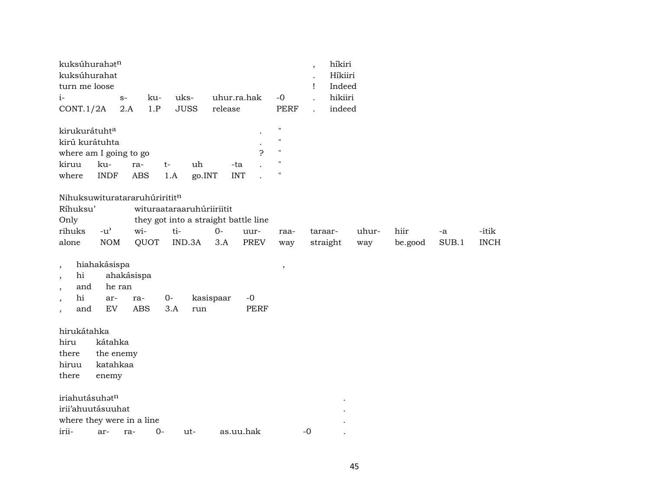| kuksúhurahatn<br>kuksúhurahat<br>turn me loose                                          | híkiri<br>$\cdot$<br>Híkiiri<br>Indeed<br>Ţ                     |
|-----------------------------------------------------------------------------------------|-----------------------------------------------------------------|
| uks-<br>uhur.ra.hak<br>$-0$<br>$i-$<br>ku-<br>$S-$                                      | hikiiri                                                         |
| 1.P<br><b>JUSS</b><br>CONT.1/2A<br>2.A<br>release                                       | <b>PERF</b><br>indeed                                           |
| $\pmb{\mathsf{H}}$<br>kirukurátuhta                                                     |                                                                 |
| kirú kurátuhta<br>$\pmb{\mathsf{H}}$                                                    |                                                                 |
| Ç<br>$\pmb{\mathsf{H}}$<br>where am I going to go                                       |                                                                 |
| п<br>kiruu<br>ku-<br>uh<br>$t-$<br>-ta<br>ra-                                           |                                                                 |
| $\pmb{\mathsf{H}}$<br><b>INDF</b><br><b>ABS</b><br>1.A<br>go.INT<br><b>INT</b><br>where |                                                                 |
| Nihuksuwituratararuhúrirititn                                                           |                                                                 |
| Ríhuksu'<br>wituraataraaruhúriiriitit                                                   |                                                                 |
| Only<br>they got into a straight battle line                                            |                                                                 |
| rihuks<br>$-u$ <sup><math>\prime</math></sup><br>wi-<br>ti-<br>$O -$<br>uur-            | hiir<br>-itik<br>uhur-<br>taraar-<br>raa-<br>-a                 |
| <b>NOM</b><br>QUOT<br>IND.3A<br>3.A<br><b>PREV</b><br>alone                             | $\rm SUB.1$<br><b>INCH</b><br>straight<br>be.good<br>way<br>way |
| hiahakásispa<br>$\overline{\phantom{a}}$<br>$\, ,$                                      |                                                                 |
| hi<br>ahakásispa<br>$\overline{\phantom{a}}$                                            |                                                                 |
| and<br>he ran                                                                           |                                                                 |
| hi<br>$0-$<br>kasispaar<br>$-0$<br>ar-<br>ra-                                           |                                                                 |
| EV<br><b>ABS</b><br><b>PERF</b><br>and<br>3.A<br>run<br>$\overline{\phantom{a}}$        |                                                                 |
| hirukátahka                                                                             |                                                                 |
| hiru<br>kátahka                                                                         |                                                                 |
| there<br>the enemy                                                                      |                                                                 |
| katahkaa<br>hiruu                                                                       |                                                                 |
| there<br>enemy                                                                          |                                                                 |
| iriahutásuhatn                                                                          |                                                                 |
| irii'ahuutásuuhat                                                                       |                                                                 |
| where they were in a line                                                               |                                                                 |
| irii-<br>$0 -$<br>as.uu.hak<br>ut-<br>ar-<br>ra-                                        | $-0$                                                            |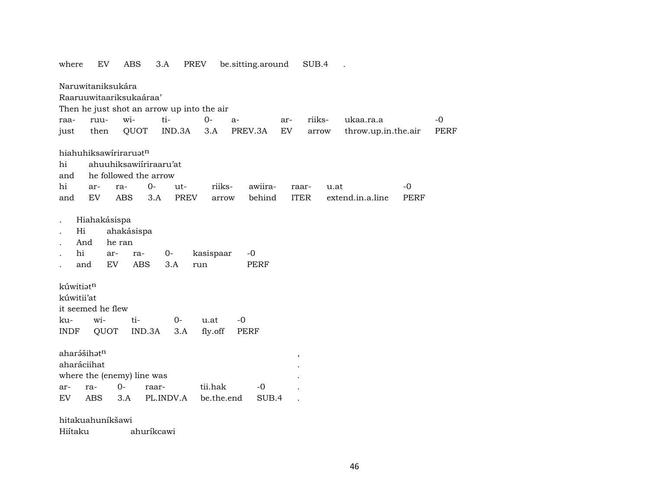| where                                   | EV                                           | <b>ABS</b>                                 | 3.A                                        | PREV        |                       | be.sitting.around   |        | SUB.4       |                     |             |             |
|-----------------------------------------|----------------------------------------------|--------------------------------------------|--------------------------------------------|-------------|-----------------------|---------------------|--------|-------------|---------------------|-------------|-------------|
|                                         | Naruwitaniksukára                            |                                            |                                            |             |                       |                     |        |             |                     |             |             |
|                                         |                                              | Raaruuwitaariksukaáraa'                    |                                            |             |                       |                     |        |             |                     |             |             |
|                                         |                                              |                                            | Then he just shot an arrow up into the air |             |                       |                     |        |             |                     |             |             |
| raa-                                    | ruu-                                         | wi-                                        | ti-                                        | $0 -$       |                       | $a-$                | ar-    | riiks-      | ukaa.ra.a           |             | $-0$        |
| just                                    | then                                         | QUOT                                       | IND.3A                                     |             | 3.A                   | PREV.3A             | EV     | arrow       | throw.up.in.the.air |             | <b>PERF</b> |
|                                         |                                              | hiahuhiksawiriraruatn                      |                                            |             |                       |                     |        |             |                     |             |             |
| hi                                      |                                              |                                            | ahuuhiksawiiriraaru'at                     |             |                       |                     |        |             |                     |             |             |
| and                                     |                                              | he followed the arrow                      |                                            |             |                       |                     |        |             |                     |             |             |
| hi                                      | ar-                                          | ra-                                        | $O -$                                      | ut-         | riiks-                | awiira-             |        | raar-       | u.at                | $-0$        |             |
| and                                     | EV                                           | <b>ABS</b>                                 | 3.A                                        | <b>PREV</b> | arrow                 | behind              |        | <b>ITER</b> | extend.in.a.line    | <b>PERF</b> |             |
| hi<br>kúwitiatn<br>kúwitii'at           | And<br>ar-<br>EV<br>and<br>it seemed he flew | he ran<br>ra-<br><b>ABS</b>                | 0-<br>3.A                                  | run         | kasispaar             | $-0$<br><b>PERF</b> |        |             |                     |             |             |
| ku-                                     | wi-                                          | ti-                                        | $0-$                                       |             | u.at                  | $-0$                |        |             |                     |             |             |
| <b>INDF</b>                             | QUOT                                         |                                            | IND.3A                                     | 3.A         | fly.off               | PERF                |        |             |                     |             |             |
| aharášihatn<br>aharáciihat<br>ar-<br>EV | ra-<br><b>ABS</b>                            | where the (enemy) line was<br>$O -$<br>3.A | raar-<br>PL.INDV.A                         |             | tii.hak<br>be.the.end | $-0$<br>SUB.4       | $\, ,$ |             |                     |             |             |
|                                         | hitakuahuníkšawi                             |                                            |                                            |             |                       |                     |        |             |                     |             |             |

Hiítaku ahuríkcawi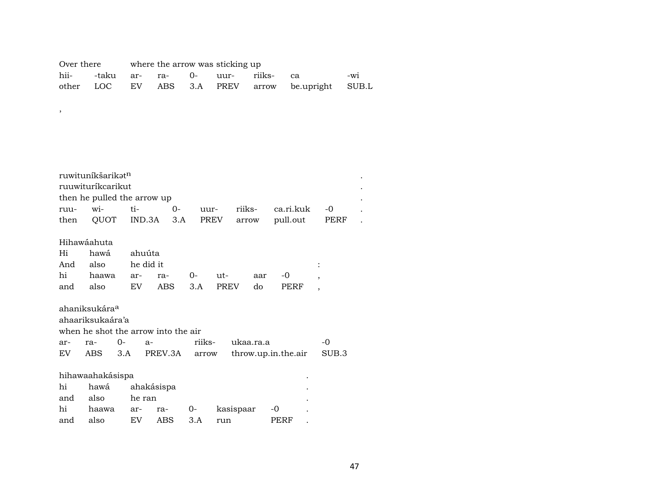| Over there |  |  | where the arrow was sticking up |                                      |                                                  |     |
|------------|--|--|---------------------------------|--------------------------------------|--------------------------------------------------|-----|
|            |  |  |                                 | hii- -taku ar- ra- 0- uur- riiks- ca |                                                  | -wi |
|            |  |  |                                 |                                      | other LOC EV ABS 3.A PREV arrow be.upright SUB.L |     |

,  $\overline{\phantom{a}}$ 

|      | ruwitunikšarikət <sup>n</sup>       |             |            |       |        |      |           |     |                     |                          |       |  |
|------|-------------------------------------|-------------|------------|-------|--------|------|-----------|-----|---------------------|--------------------------|-------|--|
|      | ruuwituríkcarikut                   |             |            |       |        |      |           |     |                     |                          |       |  |
|      | then he pulled the arrow up         |             |            |       |        |      |           |     |                     |                          |       |  |
| ruu- | wi-                                 | ti-         |            | $0 -$ | uur-   |      | riiks-    |     | ca.ri.kuk           |                          | -0    |  |
| then | QUOT IND.3A                         |             |            | 3.A   |        | PREV | arrow     |     | pull.out            |                          | PERF  |  |
|      | Hihawáahuta                         |             |            |       |        |      |           |     |                     |                          |       |  |
| Hi   | hawá                                | ahuúta      |            |       |        |      |           |     |                     |                          |       |  |
| And  | also                                |             | he did it  |       |        |      |           |     |                     |                          |       |  |
| hi   | haawa                               | ar-         | ra-        |       | $O-$   | ut-  |           | aar | -0                  | $\overline{\phantom{a}}$ |       |  |
| and  | also                                | EV          |            | ABS   | 3.A    | PREV |           | do  | PERF                | $\overline{\phantom{a}}$ |       |  |
|      | ahaniksukára <sup>a</sup>           |             |            |       |        |      |           |     |                     |                          |       |  |
|      | ahaariksukaára'a                    |             |            |       |        |      |           |     |                     |                          |       |  |
|      | when he shot the arrow into the air |             |            |       |        |      |           |     |                     |                          |       |  |
| ar-  | ra-                                 | $0-$        | $a-$       |       | riiks- |      | ukaa.ra.a |     |                     |                          | -0    |  |
|      | EV ABS                              | 3.A PREV.3A |            |       | arrow  |      |           |     | throw.up.in.the.air |                          | SUB.3 |  |
|      | hihawaahakásispa                    |             |            |       |        |      |           |     |                     |                          |       |  |
| hi   | hawá                                |             | ahakásispa |       |        |      |           |     |                     |                          |       |  |
| and  | also                                | he ran      |            |       |        |      |           |     |                     |                          |       |  |
| hi   | haawa                               | ar-         | ra-        |       | $0 -$  |      | kasispaar |     | -0                  |                          |       |  |

and also EV ABS 3.A run PERF .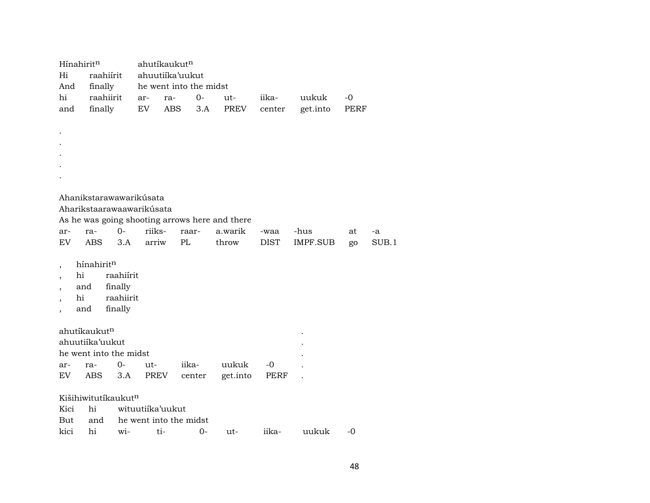|                          | Hínahirit <sup>n</sup>   |                           |        | ahutíkaukut <sup>n</sup> |        |                                                |             |          |      |       |
|--------------------------|--------------------------|---------------------------|--------|--------------------------|--------|------------------------------------------------|-------------|----------|------|-------|
| Hi                       |                          | raahiírit                 |        | ahuutiika'uukut          |        |                                                |             |          |      |       |
| And                      | finally                  |                           |        | he went into the midst   |        |                                                |             |          |      |       |
| hi                       |                          | raahiirit                 | ar-    | ra-                      | $0-$   | $ut-$                                          | iika-       | uukuk    | -0   |       |
| and                      | finally                  |                           | EV     | ABS                      | 3.A    | PREV                                           | center      | get.into | PERF |       |
|                          |                          |                           |        |                          |        |                                                |             |          |      |       |
|                          |                          |                           |        |                          |        |                                                |             |          |      |       |
|                          |                          |                           |        |                          |        |                                                |             |          |      |       |
|                          |                          |                           |        |                          |        |                                                |             |          |      |       |
|                          |                          |                           |        |                          |        |                                                |             |          |      |       |
|                          |                          |                           |        |                          |        |                                                |             |          |      |       |
|                          |                          |                           |        |                          |        |                                                |             |          |      |       |
|                          |                          | Ahanikstarawawarikúsata   |        |                          |        |                                                |             |          |      |       |
|                          |                          | Aharikstaarawaawarikúsata |        |                          |        |                                                |             |          |      |       |
|                          |                          |                           |        |                          |        | As he was going shooting arrows here and there |             |          |      |       |
| ar-                      | ra-                      | $0-$                      | riiks- |                          | raar-  | a.warik                                        | -waa        | -hus     | at   | -a    |
| EV                       | <b>ABS</b>               | 3.A                       | arriw  | PL                       |        | throw                                          | <b>DIST</b> | IMPF.SUB | go   | SUB.1 |
|                          |                          |                           |        |                          |        |                                                |             |          |      |       |
| $\cdot$                  | hínahiritn               |                           |        |                          |        |                                                |             |          |      |       |
|                          | hi                       | raahiírit                 |        |                          |        |                                                |             |          |      |       |
|                          | and                      | finally                   |        |                          |        |                                                |             |          |      |       |
|                          | hi                       | raahiirit                 |        |                          |        |                                                |             |          |      |       |
| $\overline{\phantom{a}}$ | and                      | finally                   |        |                          |        |                                                |             |          |      |       |
|                          |                          |                           |        |                          |        |                                                |             |          |      |       |
|                          | ahutíkaukut <sup>n</sup> |                           |        |                          |        |                                                |             |          |      |       |
|                          | ahuutiika'uukut          |                           |        |                          |        |                                                |             |          |      |       |
|                          |                          | he went into the midst    |        |                          |        |                                                |             |          |      |       |
| ar-                      | ra-                      | $0-$                      | ut-    |                          | iika-  | uukuk                                          | $-0$        |          |      |       |
| EV                       | ABS                      | 3.A                       | PREV   |                          | center | get.into                                       | PERF        |          |      |       |
|                          |                          |                           |        |                          |        |                                                |             |          |      |       |
|                          |                          | Kišihiwitutíkaukutn       |        |                          |        |                                                |             |          |      |       |
| Kici                     | hi                       |                           |        | wituutiika'uukut         |        |                                                |             |          |      |       |
| But                      | and                      |                           |        | he went into the midst   |        |                                                |             |          |      |       |
| kici                     | hi                       | wi-                       |        | ti-                      | $0 -$  | ut-                                            | iika-       | uukuk    | -0   |       |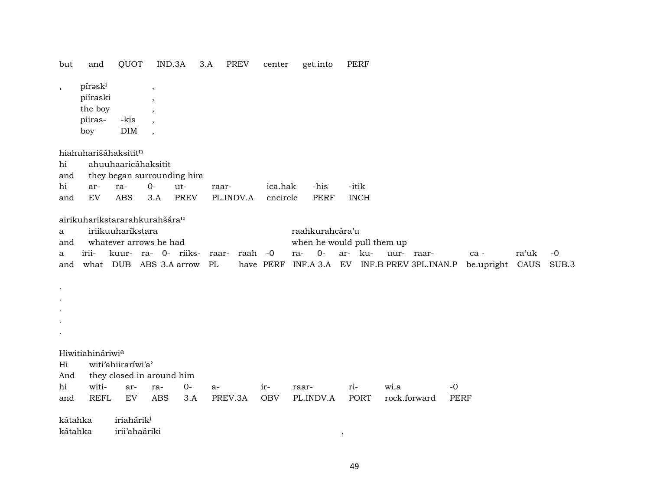| but                   | and                                              | QUOT                   |                                                   | IND.3A      | 3.A     | PREV      | center     | get.into                   | PERF        |                                    |             |                 |       |       |
|-----------------------|--------------------------------------------------|------------------------|---------------------------------------------------|-------------|---------|-----------|------------|----------------------------|-------------|------------------------------------|-------------|-----------------|-------|-------|
| $^\mathrm{^{^\circ}}$ | píraski<br>piíraski<br>the boy<br>piiras-<br>boy | -kis<br><b>DIM</b>     | $\cdot$<br>$\cdot$<br>$\cdot$<br>$\cdot$          |             |         |           |            |                            |             |                                    |             |                 |       |       |
|                       | hiahuharišáhaksititn                             |                        |                                                   |             |         |           |            |                            |             |                                    |             |                 |       |       |
| hi<br>and             |                                                  |                        | ahuuhaaricáhaksitit<br>they began surrounding him |             |         |           |            |                            |             |                                    |             |                 |       |       |
| hi                    | ar-                                              | ra-                    | $0-$                                              | ut-         | raar-   |           | ica.hak    | -his                       | -itik       |                                    |             |                 |       |       |
| and                   | EV                                               | <b>ABS</b>             | 3.A                                               | <b>PREV</b> |         | PL.INDV.A | encircle   | <b>PERF</b>                | <b>INCH</b> |                                    |             |                 |       |       |
|                       | airikuharikstararahkurahšára <sup>u</sup>        |                        |                                                   |             |         |           |            |                            |             |                                    |             |                 |       |       |
| a                     |                                                  | iriikuuharíkstara      |                                                   |             |         |           |            | raahkurahcára'u            |             |                                    |             |                 |       |       |
| and                   |                                                  |                        | whatever arrows he had                            |             |         |           |            | when he would pull them up |             |                                    |             |                 |       |       |
| а                     | irii-                                            |                        | kuur- ra- 0- riiks-                               |             | raar-   | raah -0   |            | $0-$<br>ra-                | ar- ku-     | uur- raar-                         |             | ca -            | ra'uk | $-0$  |
| and                   |                                                  |                        | what DUB ABS 3.A arrow                            |             | PL      |           | have PERF  |                            |             | INF.A 3.A EV INF.B PREV 3PL.INAN.P |             | be.upright CAUS |       | SUB.3 |
|                       |                                                  |                        |                                                   |             |         |           |            |                            |             |                                    |             |                 |       |       |
| $\bullet$             |                                                  |                        |                                                   |             |         |           |            |                            |             |                                    |             |                 |       |       |
| $\bullet$             |                                                  |                        |                                                   |             |         |           |            |                            |             |                                    |             |                 |       |       |
|                       |                                                  |                        |                                                   |             |         |           |            |                            |             |                                    |             |                 |       |       |
|                       |                                                  |                        |                                                   |             |         |           |            |                            |             |                                    |             |                 |       |       |
|                       |                                                  |                        |                                                   |             |         |           |            |                            |             |                                    |             |                 |       |       |
|                       | Hiwitiahináriwia                                 |                        |                                                   |             |         |           |            |                            |             |                                    |             |                 |       |       |
| Hi                    |                                                  | witi'ahiiraríwi'a'     |                                                   |             |         |           |            |                            |             |                                    |             |                 |       |       |
| And                   |                                                  |                        | they closed in around him                         |             |         |           |            |                            |             |                                    |             |                 |       |       |
| hi                    | witi-                                            | ar-                    | ra-                                               | $0-$        | a-      |           | ir-        | raar-                      | ri-         | wi.a                               | $-0$        |                 |       |       |
| and                   | <b>REFL</b>                                      | ${\rm EV}$             | <b>ABS</b>                                        | 3.A         | PREV.3A |           | <b>OBV</b> | PL.INDV.A                  | PORT        | rock.forward                       | <b>PERF</b> |                 |       |       |
| kátahka               |                                                  | iriahárik <sup>i</sup> |                                                   |             |         |           |            |                            |             |                                    |             |                 |       |       |
| kátahka               |                                                  | irii'ahaáriki          |                                                   |             |         |           |            |                            |             |                                    |             |                 |       |       |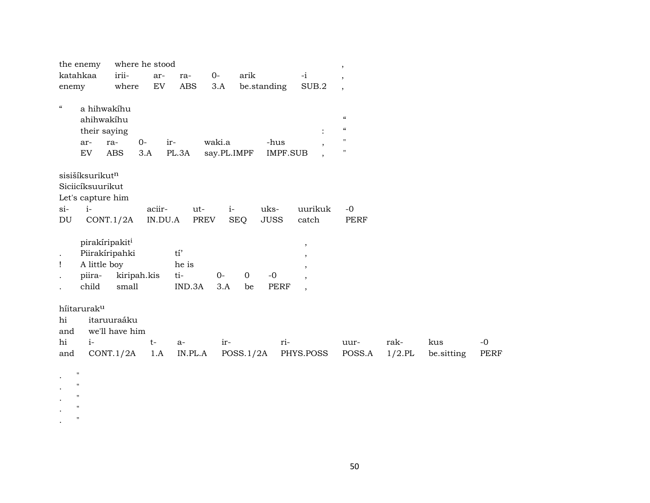| the enemy                               | where he stood       |                          |                             |                                         | $\, ,$                   |           |            |      |
|-----------------------------------------|----------------------|--------------------------|-----------------------------|-----------------------------------------|--------------------------|-----------|------------|------|
| katahkaa                                | irii-<br>ar-         | $O-$<br>ra-              | arik                        | $-i$                                    | $\overline{ }$           |           |            |      |
| enemy                                   | where<br>${\rm EV}$  | <b>ABS</b>               | 3.A<br>be.standing          | SUB.2                                   | $\overline{\phantom{a}}$ |           |            |      |
|                                         |                      |                          |                             |                                         |                          |           |            |      |
| $\mathcal{C}\mathcal{C}$<br>a hihwakíhu |                      |                          |                             |                                         |                          |           |            |      |
| ahihwakihu                              |                      |                          |                             |                                         | $\pmb{\zeta}\pmb{\zeta}$ |           |            |      |
| their saying                            |                      |                          |                             | $\ddot{\cdot}$                          | $\mathcal{C}\mathcal{C}$ |           |            |      |
| ar-                                     | $0-$<br>ra-          | ir-                      | waki.a                      | -hus<br>$\cdot$                         | $\pmb{\mathsf{H}}$       |           |            |      |
| EV                                      | ABS<br>3.A           | PL.3A                    | say.PL.IMPF                 | IMPF.SUB                                | $\pmb{\mathsf{H}}$       |           |            |      |
|                                         |                      |                          |                             |                                         |                          |           |            |      |
| sisišíksurikutn                         |                      |                          |                             |                                         |                          |           |            |      |
| Siciicíksuurikut                        |                      |                          |                             |                                         |                          |           |            |      |
| Let's capture him                       |                      |                          |                             |                                         |                          |           |            |      |
| $i-$<br>$si-$                           | aciir-               |                          | uks-                        | uurikuk                                 | $-0$                     |           |            |      |
|                                         |                      | ut-                      | $i-$                        |                                         |                          |           |            |      |
| DU                                      | IN.DU.A<br>CONT.1/2A | PREV                     | <b>SEQ</b><br><b>JUSS</b>   | catch                                   | <b>PERF</b>              |           |            |      |
|                                         |                      |                          |                             |                                         |                          |           |            |      |
| pirakíripakit <sup>i</sup>              |                      |                          |                             | $\overline{\phantom{a}}$                |                          |           |            |      |
|                                         | Piirakíripahki       | $\mathrm{t} \mathrm{i}'$ |                             |                                         |                          |           |            |      |
| A little boy<br>Ţ                       |                      | he is                    |                             |                                         |                          |           |            |      |
| piira-                                  | kiripah.kis          | ti-                      | $0-$<br>$\mathbf 0$<br>$-0$ |                                         |                          |           |            |      |
| child                                   | small                | IND.3A                   | 3.A<br>be                   | <b>PERF</b><br>$\overline{\phantom{a}}$ |                          |           |            |      |
|                                         |                      |                          |                             |                                         |                          |           |            |      |
| híitaruraku                             |                      |                          |                             |                                         |                          |           |            |      |
| hi                                      | itaruuraáku          |                          |                             |                                         |                          |           |            |      |
| and                                     | we'll have him       |                          |                             |                                         |                          |           |            |      |
| hi<br>$i-$                              | $t-$                 | a-                       | ir-                         | ri-                                     | uur-                     | rak-      | kus        | $-0$ |
| and                                     | CONT.1/2A<br>1.A     | IN.PL.A                  | POSS.1/2A                   | PHYS.POSS                               | POSS.A                   | $1/2$ .PL | be.sitting | PERF |
|                                         |                      |                          |                             |                                         |                          |           |            |      |
| $\mathbf{H}$                            |                      |                          |                             |                                         |                          |           |            |      |
| н                                       |                      |                          |                             |                                         |                          |           |            |      |
| $\pmb{\mathsf{H}}$                      |                      |                          |                             |                                         |                          |           |            |      |
| $\mathbf{H}$                            |                      |                          |                             |                                         |                          |           |            |      |
| $\pmb{\mathsf{H}}$                      |                      |                          |                             |                                         |                          |           |            |      |
|                                         |                      |                          |                             |                                         |                          |           |            |      |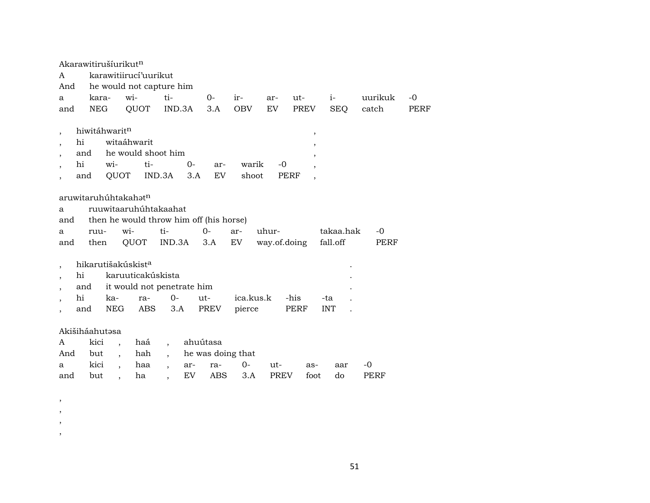|                                                                                               | Akarawitirušíurikut <sup>n</sup>                                  |                                          |                                           |             |                     |              |                                                                                                     |                   |         |             |
|-----------------------------------------------------------------------------------------------|-------------------------------------------------------------------|------------------------------------------|-------------------------------------------|-------------|---------------------|--------------|-----------------------------------------------------------------------------------------------------|-------------------|---------|-------------|
| A                                                                                             |                                                                   | karawitiirucí'uurikut                    |                                           |             |                     |              |                                                                                                     |                   |         |             |
| And                                                                                           |                                                                   |                                          | he would not capture him                  |             |                     |              |                                                                                                     |                   |         |             |
| a                                                                                             | kara-                                                             | wi-                                      | ti-                                       | 0-          | ir-                 | ar-          | ut-                                                                                                 | $i-$              | uurikuk | $-0$        |
| and                                                                                           | <b>NEG</b>                                                        | QUOT                                     | IND.3A                                    | 3.A         | <b>OBV</b>          | EV           | PREV                                                                                                | <b>SEQ</b>        | catch   | <b>PERF</b> |
| $\overline{ }$<br>hi<br>hi<br>$\cdot$                                                         | hiwitáhwaritn<br>and<br>wi-<br>QUOT<br>and                        | witaáhwarit<br>he would shoot him<br>ti- | $0 -$<br>IND.3A<br>3.A                    | ar-<br>EV   | warik<br>shoot      | -0           | $\overline{\phantom{a}}$<br>$\overline{\phantom{a}}$<br>$\overline{\phantom{a}}$<br>$\cdot$<br>PERF |                   |         |             |
| a<br>and                                                                                      | aruwitaruhúhtakahət <sup>n</sup>                                  | ruuwitaaruhuhtakaahat                    | then he would throw him off (his horse)   |             |                     |              |                                                                                                     |                   |         |             |
| a                                                                                             | ruu-                                                              | wi-                                      | ti-                                       | $O -$       | ar-                 | uhur-        |                                                                                                     | takaa.hak         | -0      |             |
| and                                                                                           | then                                                              | QUOT                                     | IND.3A                                    | 3.A         | EV                  | way.of.doing |                                                                                                     | fall.off          | PERF    |             |
| $\overline{\phantom{a}}$<br>hi<br>$\overline{ }$<br>$\cdot$<br>hi<br>$\overline{\phantom{a}}$ | hikarutišakúskist <sup>a</sup><br>and<br>ka-<br><b>NEG</b><br>and | karuuticakúskista<br>ra-<br>ABS          | it would not penetrate him<br>$0-$<br>3.A | ut-<br>PREV | ica.kus.k<br>pierce |              | -his<br>PERF                                                                                        | -ta<br><b>INT</b> |         |             |
|                                                                                               | Akišiháahutasa                                                    |                                          |                                           |             |                     |              |                                                                                                     |                   |         |             |
| A                                                                                             | kici                                                              | haá<br>$\overline{\phantom{a}}$          | $\cdot$                                   | ahuútasa    |                     |              |                                                                                                     |                   |         |             |
| And                                                                                           | but                                                               | hah<br>$\overline{\phantom{a}}$          | $\cdot$                                   |             | he was doing that   |              |                                                                                                     |                   |         |             |
| a                                                                                             | kici                                                              | haa<br>$\ddot{\phantom{0}}$              | ar-<br>$\cdot$                            | ra-         | $0-$                | ut-          | as-                                                                                                 | aar               | -0      |             |
| and                                                                                           | but                                                               | ha<br>$\overline{\phantom{a}}$           | EV<br>$\overline{\phantom{a}}$            | ABS         | 3.A                 | <b>PREV</b>  | foot                                                                                                | do                | PERF    |             |
|                                                                                               |                                                                   |                                          |                                           |             |                     |              |                                                                                                     |                   |         |             |

- , ,
- 
- ,
- ,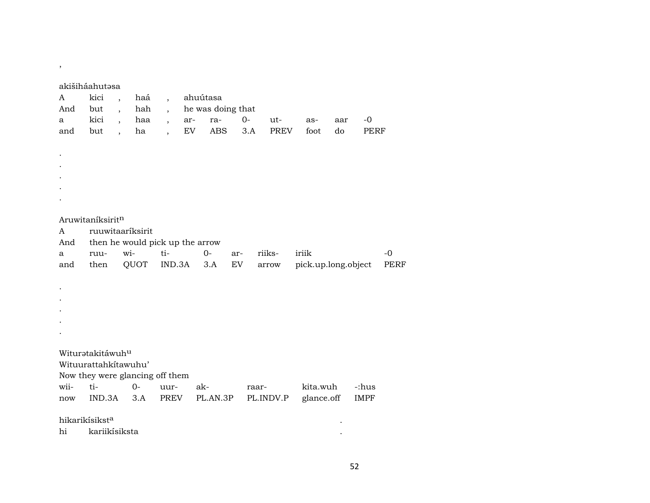| ۰.<br>۰. |  |
|----------|--|

## akišiháahutəsa

| A    | kici                       | haá<br>$\overline{\phantom{a}}$ | $\overline{\phantom{a}}$        | ahuútasa          |       |             |                     |     |       |
|------|----------------------------|---------------------------------|---------------------------------|-------------------|-------|-------------|---------------------|-----|-------|
| And  | but                        | hah<br>$\overline{\phantom{a}}$ | $\overline{\phantom{a}}$        | he was doing that |       |             |                     |     |       |
| a    | kici                       | haa<br>$\overline{\phantom{a}}$ | $\overline{\phantom{a}}$        | ra-<br>ar-        | $0-$  | ut-         | as-                 | aar | $-0$  |
| and  | but                        | ha<br>$\overline{\phantom{a}}$  | $\overline{\phantom{a}}$        | EV<br>ABS         | 3.A   | <b>PREV</b> | foot                | do  | PERF  |
|      |                            |                                 |                                 |                   |       |             |                     |     |       |
|      |                            |                                 |                                 |                   |       |             |                     |     |       |
|      |                            |                                 |                                 |                   |       |             |                     |     |       |
|      |                            |                                 |                                 |                   |       |             |                     |     |       |
|      |                            |                                 |                                 |                   |       |             |                     |     |       |
|      |                            |                                 |                                 |                   |       |             |                     |     |       |
|      |                            |                                 |                                 |                   |       |             |                     |     |       |
|      | Aruwitaníksiritn           |                                 |                                 |                   |       |             |                     |     |       |
| A    |                            | ruuwitaariksirit                |                                 |                   |       |             |                     |     |       |
| And  |                            |                                 | then he would pick up the arrow |                   |       |             |                     |     |       |
| a    | ruu-                       | wi-                             | ti-                             | $O -$             | ar-   | riiks-      | iriik               |     | $-0$  |
| and  | then                       | QUOT                            | IND.3A                          | 3.A               | EV    | $\arrow$    | pick.up.long.object |     | PERF  |
|      |                            |                                 |                                 |                   |       |             |                     |     |       |
|      |                            |                                 |                                 |                   |       |             |                     |     |       |
|      |                            |                                 |                                 |                   |       |             |                     |     |       |
|      |                            |                                 |                                 |                   |       |             |                     |     |       |
|      |                            |                                 |                                 |                   |       |             |                     |     |       |
|      |                            |                                 |                                 |                   |       |             |                     |     |       |
|      |                            |                                 |                                 |                   |       |             |                     |     |       |
|      | Wituratakitáwuhu           |                                 |                                 |                   |       |             |                     |     |       |
|      | Wituurattahkitawuhu'       |                                 |                                 |                   |       |             |                     |     |       |
|      |                            |                                 | Now they were glancing off them |                   |       |             |                     |     |       |
| wii- | ti-                        | $O -$                           | uur-                            | ak-               | raar- |             | kita.wuh            |     | -:hus |
| now  | IND.3A                     | 3.A                             | PREV                            | PL.AN.3P          |       | PL.INDV.P   | glance.off          |     | IMPF  |
|      |                            |                                 |                                 |                   |       |             |                     |     |       |
|      | hikarikísikst <sup>a</sup> |                                 |                                 |                   |       |             |                     |     |       |
| hi   | kariikísiksta              |                                 |                                 |                   |       |             |                     |     |       |
|      |                            |                                 |                                 |                   |       |             |                     |     |       |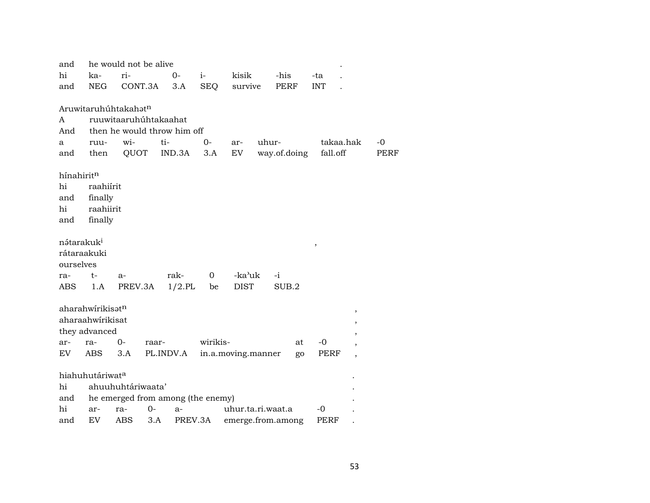| and                    |                              | he would not be alive             |           |           |             |                    |       |                   |               |                          |      |
|------------------------|------------------------------|-----------------------------------|-----------|-----------|-------------|--------------------|-------|-------------------|---------------|--------------------------|------|
| hi                     | ka-                          | ri-                               |           | 0-        | $i-$        | kisik              |       | -his              | -ta           |                          |      |
| and                    | NEG                          | CONT.3A                           |           | 3.A       | <b>SEQ</b>  | survive            |       | PERF              | <b>INT</b>    |                          |      |
|                        |                              |                                   |           |           |             |                    |       |                   |               |                          |      |
|                        |                              | Aruwitaruhúhtakahatn              |           |           |             |                    |       |                   |               |                          |      |
| A                      |                              | ruuwitaaruhúhtakaahat             |           |           |             |                    |       |                   |               |                          |      |
| And                    |                              | then he would throw him off       |           |           |             |                    |       |                   |               |                          |      |
| a                      | ruu-                         | wi-                               | ti-       |           | $0-$        | ar-                | uhur- |                   |               | takaa.hak                | $-0$ |
| and                    | then                         | QUOT                              |           | IND.3A    | 3.A         | EV                 |       | way.of.doing      | fall.off      |                          | PERF |
| hínahiritn             |                              |                                   |           |           |             |                    |       |                   |               |                          |      |
| hi                     | raahiírit                    |                                   |           |           |             |                    |       |                   |               |                          |      |
| and                    | finally                      |                                   |           |           |             |                    |       |                   |               |                          |      |
| hi                     | raahiirit                    |                                   |           |           |             |                    |       |                   |               |                          |      |
| and                    | finally                      |                                   |           |           |             |                    |       |                   |               |                          |      |
|                        |                              |                                   |           |           |             |                    |       |                   |               |                          |      |
| nətarakuk <sup>i</sup> |                              |                                   |           |           |             |                    |       |                   | $^\mathrm{,}$ |                          |      |
| rátaraakuki            |                              |                                   |           |           |             |                    |       |                   |               |                          |      |
| ourselves              |                              |                                   |           |           |             |                    |       |                   |               |                          |      |
| ra-                    | $t-$                         | $a-$                              |           | rak-      | $\mathbf 0$ | -ka'uk             |       | $-i$              |               |                          |      |
| ABS                    | 1.A                          | PREV.3A                           |           | $1/2$ .PL | be          | <b>DIST</b>        |       | SUB.2             |               |                          |      |
|                        |                              |                                   |           |           |             |                    |       |                   |               |                          |      |
|                        | aharahwírikisət <sup>n</sup> |                                   |           |           |             |                    |       |                   |               | $\, ,$                   |      |
|                        | aharaahwirikisat             |                                   |           |           |             |                    |       |                   |               | $\, ,$                   |      |
|                        | they advanced                |                                   |           |           |             |                    |       |                   |               | $\, ,$                   |      |
| ar-                    | ra-                          | $0-$                              | raar-     |           | wirikis-    |                    |       | at                | $-0$          | ,                        |      |
| EV.                    | ABS                          | 3.A                               | PL.INDV.A |           |             | in.a.moving.manner |       | go                | PERF          | $\overline{\phantom{a}}$ |      |
|                        | hiahuhutáriwata              |                                   |           |           |             |                    |       |                   |               |                          |      |
| hi                     |                              | ahuuhuhtáriwaata'                 |           |           |             |                    |       |                   |               |                          |      |
|                        |                              |                                   |           |           |             |                    |       |                   |               |                          |      |
| and<br>hi              |                              | he emerged from among (the enemy) | $0-$      |           |             |                    |       |                   | -0            |                          |      |
|                        | ar-                          | ra-                               |           | a-        |             | uhur.ta.ri.waat.a  |       |                   |               |                          |      |
| and                    | EV                           | ABS                               | 3.A       | PREV.3A   |             |                    |       | emerge.from.among | PERF          |                          |      |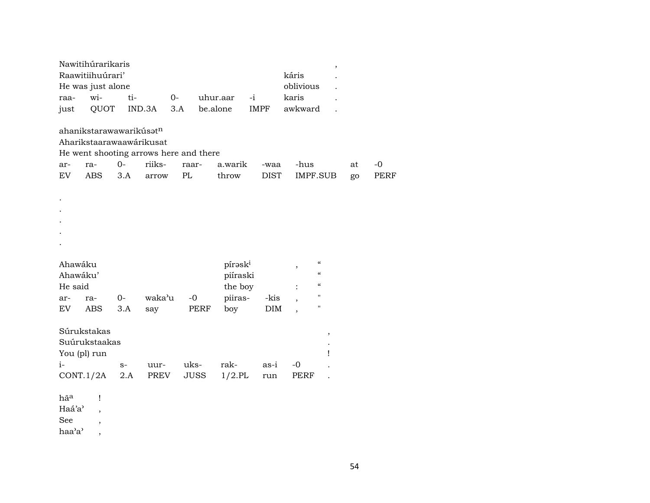|                                | Nawitihúrarikaris<br>Raawitiihuúrari'<br>He was just alone                     |             |              |                                        |                     |             | káris<br>oblivious                     |    |             |
|--------------------------------|--------------------------------------------------------------------------------|-------------|--------------|----------------------------------------|---------------------|-------------|----------------------------------------|----|-------------|
| raa-                           | wi-                                                                            | ti-         | $O -$        |                                        | uhur.aar            | $-i$        | karis                                  |    |             |
| just                           | QUOT                                                                           |             | IND.3A       | 3.A                                    | be.alone            | <b>IMPF</b> | awkward                                |    |             |
|                                | ahanikstarawawarikúsatn<br>Aharikstaarawaawárikusat                            |             |              | He went shooting arrows here and there |                     |             |                                        |    |             |
| ar-                            | ra-                                                                            | $0-$        | riiks-       | raar-                                  | a.warik             | -waa        | -hus                                   | at | $-0$        |
| <b>EV</b>                      | <b>ABS</b>                                                                     | 3.A         | arrow        | PL                                     | throw               | <b>DIST</b> | <b>IMPF.SUB</b>                        | go | <b>PERF</b> |
|                                |                                                                                |             |              |                                        |                     |             |                                        |    |             |
| Ahawáku                        |                                                                                |             |              |                                        | pírask <sup>i</sup> |             | $\boldsymbol{\mathcal{C}}$             |    |             |
| Ahawáku'                       |                                                                                |             |              |                                        | piíraski            |             | ,<br>$\boldsymbol{\mathcal{C}}$        |    |             |
| He said                        |                                                                                |             |              |                                        | the boy             |             | $\boldsymbol{\zeta}\boldsymbol{\zeta}$ |    |             |
| ar-                            | ra-                                                                            | $0-$        | waka'u       | $-0$                                   | piiras-             | -kis        | $\mathbf{H}$                           |    |             |
| <b>EV</b>                      | <b>ABS</b>                                                                     | 3.A         | say          | PERF                                   | boy                 | $\rm{DIM}$  | $\mathbf{H}$                           |    |             |
| $i-$                           | Súrukstakas<br>Suúrukstaakas<br>You (pl) run<br>CONT.1/2A                      | $S-$<br>2.A | uur-<br>PREV | uks-<br><b>JUSS</b>                    | rak-<br>$1/2$ .PL   | as-i<br>run | $\, ,$<br>Ţ<br>$-0$<br>PERF            |    |             |
| hãa<br>Haá'a'<br>See<br>haa'a' | $\mathbf{I}$<br>$\overline{\phantom{a}}$<br>$\, ,$<br>$\overline{\phantom{a}}$ |             |              |                                        |                     |             |                                        |    |             |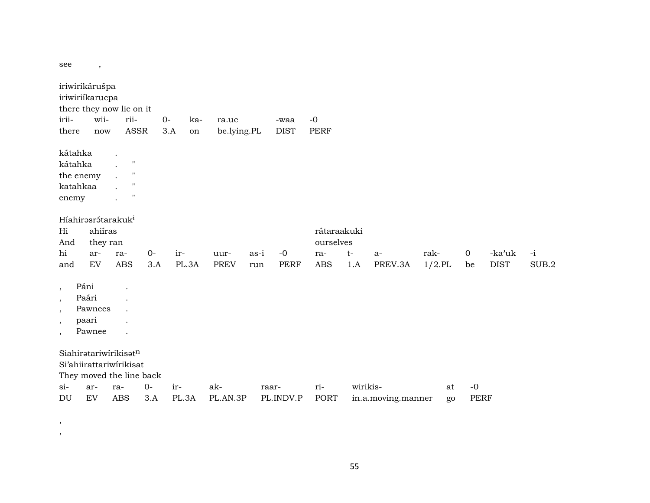see,

| iriwirikárušpa<br>iriwiriíkarucpa<br>irii-<br>there   | wii-<br>now                         | there they now lie on it<br>rii-<br>ASSR                                                                                                                                                                     | $0-$        | ka-<br>3.A<br>on | ra.uc<br>be.lying.PL |             | -waa<br><b>DIST</b> | $-0$<br><b>PERF</b>      |             |                    |                   |                     |                       |               |
|-------------------------------------------------------|-------------------------------------|--------------------------------------------------------------------------------------------------------------------------------------------------------------------------------------------------------------|-------------|------------------|----------------------|-------------|---------------------|--------------------------|-------------|--------------------|-------------------|---------------------|-----------------------|---------------|
| kátahka<br>kátahka<br>the enemy<br>katahkaa<br>enemy  |                                     | $\ddot{\phantom{a}}$<br>$\pmb{\mathsf{H}}$<br>$\ddot{\phantom{a}}$<br>$\pmb{\mathsf{H}}$<br>$\ddot{\phantom{0}}$<br>$\pmb{\mathsf{H}}$<br>$\ddot{\phantom{a}}$<br>$\pmb{\mathsf{H}}$<br>$\ddot{\phantom{a}}$ |             |                  |                      |             |                     |                          |             |                    |                   |                     |                       |               |
| Híahirasrátarakuk <sup>i</sup><br>Hi<br>And           | ahiíras<br>they ran                 |                                                                                                                                                                                                              |             |                  |                      |             |                     | rátaraakuki<br>ourselves |             |                    |                   |                     |                       |               |
| hi<br>and                                             | ar-<br>EV                           | ra-<br><b>ABS</b>                                                                                                                                                                                            | $0-$<br>3.A | ir-<br>PL.3A     | uur-<br><b>PREV</b>  | as-i<br>run | $-0$<br><b>PERF</b> | ra-<br><b>ABS</b>        | $t-$<br>1.A | $a-$<br>PREV.3A    | rak-<br>$1/2$ .PL | $\mathbf 0$<br>be   | -ka'uk<br><b>DIST</b> | $-i$<br>SUB.2 |
| Páni<br>$\,$<br>$\cdot$<br>$\cdot$<br>$\cdot$<br>$\,$ | Paári<br>Pawnees<br>paari<br>Pawnee | $\ddot{\phantom{a}}$<br>$\ddot{\phantom{0}}$<br>$\ddot{\phantom{0}}$                                                                                                                                         |             |                  |                      |             |                     |                          |             |                    |                   |                     |                       |               |
|                                                       |                                     | Siahiratariwirikisatn<br>Si'ahiirattariwirikisat<br>They moved the line back                                                                                                                                 |             |                  |                      |             |                     |                          |             |                    |                   |                     |                       |               |
| $\sin$<br>DU                                          | ar-<br>EV                           | ra-<br><b>ABS</b>                                                                                                                                                                                            | $0-$<br>3.A | ir-<br>PL.3A     | ak-<br>PL.AN.3P      | raar-       | PL.INDV.P           | ri-<br><b>PORT</b>       | wirikis-    | in.a.moving.manner | at<br>go          | $-0$<br><b>PERF</b> |                       |               |

 $\begin{array}{c} \bullet \\ \bullet \\ \bullet \end{array}$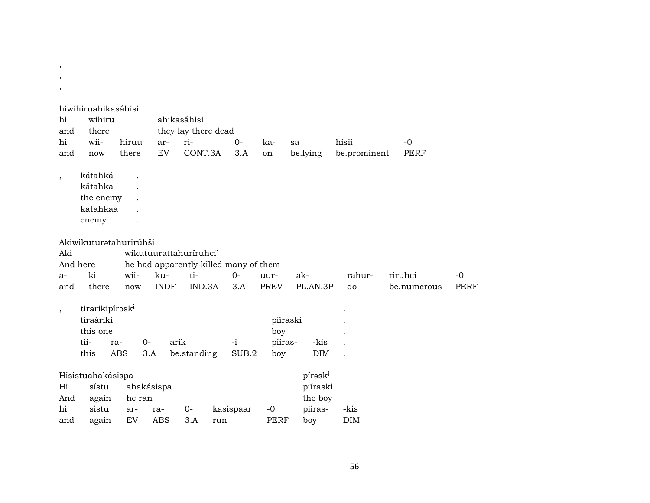| $\,$<br>,                |                                                                      |                           |                                       |                                    |     |               |                                   |    |                     |                       |                     |             |
|--------------------------|----------------------------------------------------------------------|---------------------------|---------------------------------------|------------------------------------|-----|---------------|-----------------------------------|----|---------------------|-----------------------|---------------------|-------------|
| $\cdot$                  |                                                                      |                           |                                       |                                    |     |               |                                   |    |                     |                       |                     |             |
| hi<br>and                | hiwihiruahikasáhisi<br>wihiru<br>there<br>wii-                       |                           |                                       | ahikasáhisi<br>they lay there dead |     |               |                                   |    |                     |                       |                     |             |
| hi<br>and                | now                                                                  | hiruu<br>there            | ar-<br>EV                             | ri-<br>CONT.3A                     |     | $0-$<br>3.A   | ka-<br>on                         | sa | be.lying            | hisii<br>be.prominent | $-0$<br><b>PERF</b> |             |
| $\overline{\phantom{a}}$ | kátahká<br>kátahka<br>the enemy<br>katahkaa<br>enemy                 |                           |                                       |                                    |     |               |                                   |    |                     |                       |                     |             |
|                          | Akiwikuturatahurirúhši                                               |                           |                                       |                                    |     |               |                                   |    |                     |                       |                     |             |
| Aki                      |                                                                      |                           | wikutuurattahuriruhci'                |                                    |     |               |                                   |    |                     |                       |                     |             |
| And here                 |                                                                      |                           | he had apparently killed many of them |                                    |     |               |                                   |    |                     |                       |                     |             |
| $a-$                     | ki                                                                   | wii-                      | ku-                                   | ti-                                |     | $O -$         | uur-                              |    | ak-                 | rahur-                | riruhci             | $-0$        |
| and                      | there                                                                | now                       | <b>INDF</b>                           | IND.3A                             |     | 3.A           | <b>PREV</b>                       |    | PL.AN.3P            | do                    | be.numerous         | <b>PERF</b> |
| $\overline{\phantom{a}}$ | tirarikipírask <sup>i</sup><br>tiraáriki<br>this one<br>tii-<br>this | $0-$<br>ra-<br><b>ABS</b> | arik<br>3.A                           | be.standing                        |     | $-i$<br>SUB.2 | piíraski<br>boy<br>piiras-<br>boy |    | -kis<br>DIM         |                       |                     |             |
|                          | Hisistuahakásispa                                                    |                           |                                       |                                    |     |               |                                   |    | pírask <sup>i</sup> |                       |                     |             |
| Hi                       | sístu                                                                |                           | ahakásispa                            |                                    |     |               |                                   |    | piíraski            |                       |                     |             |
| And                      | again                                                                | he ran                    |                                       |                                    |     |               |                                   |    | the boy             |                       |                     |             |
| hi                       | sistu                                                                | ar-                       | ra-                                   | $0-$                               |     | kasispaar     | $-0$                              |    | piiras-             | -kis                  |                     |             |
| and                      | again                                                                | EV                        | <b>ABS</b>                            | 3.A                                | run |               | <b>PERF</b>                       |    | boy                 | <b>DIM</b>            |                     |             |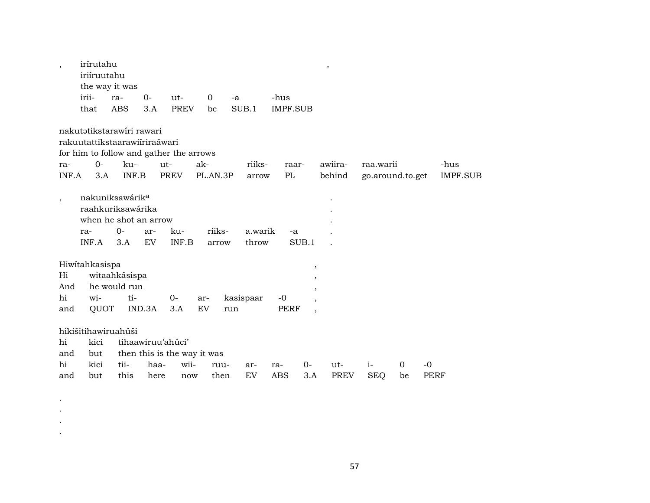|                | irírutahu<br>iriíruutahu                |                     |                   |             |                             |                  |                                   | $\, ,$                                     |                    |                                        |                 |
|----------------|-----------------------------------------|---------------------|-------------------|-------------|-----------------------------|------------------|-----------------------------------|--------------------------------------------|--------------------|----------------------------------------|-----------------|
|                | the way it was                          |                     |                   |             |                             |                  |                                   |                                            |                    |                                        |                 |
|                | irii-                                   | ra-                 | $O -$             | ut-         | $\overline{0}$              | $-a$             | -hus                              |                                            |                    |                                        |                 |
|                | that                                    | <b>ABS</b>          | 3.A               | <b>PREV</b> | be                          | SUB.1            | <b>IMPF.SUB</b>                   |                                            |                    |                                        |                 |
|                | nakutətikstarawiri rawari               |                     |                   |             |                             |                  |                                   |                                            |                    |                                        |                 |
|                | rakuutattikstaarawiiriraáwari           |                     |                   |             |                             |                  |                                   |                                            |                    |                                        |                 |
|                | for him to follow and gather the arrows |                     |                   |             |                             |                  |                                   |                                            |                    |                                        |                 |
| ra-            | $0 -$                                   | ku-                 | ut-               |             | ak-                         | riiks-           | raar-                             | awiira-                                    | raa.warii          |                                        | -hus            |
| INF.A          | 3.A                                     | INF.B               |                   | PREV        | PL.AN.3P                    | arrow            | PL                                | behind                                     |                    | go.around.to.get                       | <b>IMPF.SUB</b> |
|                | nakuniksawárik <sup>a</sup>             |                     |                   |             |                             |                  |                                   |                                            |                    |                                        |                 |
| $\overline{ }$ | raahkuriksawárika                       |                     |                   |             |                             |                  |                                   |                                            |                    |                                        |                 |
|                | when he shot an arrow                   |                     |                   |             |                             |                  |                                   |                                            |                    |                                        |                 |
|                | ra-                                     | $0-$                | ar-               | ku-         | riiks-                      | a.warik          | -a                                |                                            |                    |                                        |                 |
|                | INF.A                                   | 3.A                 | <b>EV</b>         | INF.B       | arrow                       | throw            | SUB.1                             |                                            |                    |                                        |                 |
|                | Hiwitahkasispa                          |                     |                   |             |                             |                  |                                   |                                            |                    |                                        |                 |
|                |                                         |                     |                   |             |                             |                  |                                   |                                            |                    |                                        |                 |
|                |                                         |                     |                   |             |                             |                  |                                   | $\, ,$                                     |                    |                                        |                 |
| Hi             |                                         | witaahkásispa       |                   |             |                             |                  |                                   | $^\mathrm{^\mathrm{o}}$                    |                    |                                        |                 |
| And<br>hi      | wi-                                     | he would run<br>ti- |                   | 0-          | ar-                         |                  | -0                                | $\overline{\phantom{a}}$                   |                    |                                        |                 |
| and            | QUOT                                    |                     | IND.3A            | 3.A         | EV                          | kasispaar<br>run | <b>PERF</b>                       | $\overline{ }$<br>$\overline{\phantom{a}}$ |                    |                                        |                 |
|                |                                         |                     |                   |             |                             |                  |                                   |                                            |                    |                                        |                 |
|                | hikišitihawiruahúši                     |                     |                   |             |                             |                  |                                   |                                            |                    |                                        |                 |
| hi             | kici                                    |                     | tihaawiruu'ahúci' |             |                             |                  |                                   |                                            |                    |                                        |                 |
| and            | but                                     |                     |                   |             | then this is the way it was |                  |                                   |                                            |                    |                                        |                 |
| hi<br>and      | kici<br>but                             | tii-<br>this        | haa-<br>here      | wii-<br>now | ruu-<br>then                | ar-<br>EV        | $O -$<br>ra-<br><b>ABS</b><br>3.A | ut-<br><b>PREV</b>                         | $i-$<br><b>SEQ</b> | $\mathbf 0$<br>-0<br><b>PERF</b><br>be |                 |

. . . .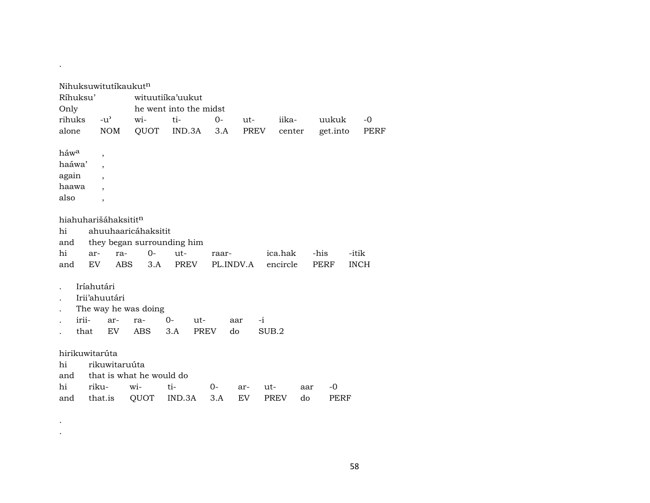|                |            | Nihuksuwitutíkaukut <sup>n</sup> |                          |                            |                   |       |          |        |          |             |
|----------------|------------|----------------------------------|--------------------------|----------------------------|-------------------|-------|----------|--------|----------|-------------|
| Ríhuksu'       |            |                                  |                          | wituutiika'uukut           |                   |       |          |        |          |             |
| Only           |            |                                  |                          | he went into the midst     |                   |       |          |        |          |             |
| rihuks         |            | $-u^{\prime}$                    | wi-                      | ti-                        | $0-$              | $ut-$ | iika-    |        | uukuk    | $-0$        |
| alone          |            | <b>NOM</b>                       | QUOT                     | IND.3A                     | 3.A               |       | PREV     | center | get.into | PERF        |
|                |            |                                  |                          |                            |                   |       |          |        |          |             |
| háwa           |            | $\overline{\phantom{a}}$         |                          |                            |                   |       |          |        |          |             |
| haáwa'         |            |                                  |                          |                            |                   |       |          |        |          |             |
| again          |            |                                  |                          |                            |                   |       |          |        |          |             |
| haawa          |            |                                  |                          |                            |                   |       |          |        |          |             |
| also           |            | $\overline{\phantom{a}}$         |                          |                            |                   |       |          |        |          |             |
|                |            |                                  |                          |                            |                   |       |          |        |          |             |
|                |            | hiahuharišáhaksitit <sup>n</sup> |                          |                            |                   |       |          |        |          |             |
| hi             |            |                                  | ahuuhaaricáhaksitit      |                            |                   |       |          |        |          |             |
| and            |            |                                  |                          | they began surrounding him |                   |       |          |        |          |             |
| hi             | ar-        | ra-                              | $0-$                     | ut-                        | raar-             |       | ica.hak  | -his   |          | -itik       |
| and            | EV         | <b>ABS</b>                       | 3.A                      | PREV                       | PL.INDV.A         |       | encircle |        | PERF     | <b>INCH</b> |
|                |            |                                  |                          |                            |                   |       |          |        |          |             |
|                | Iríahutári |                                  |                          |                            |                   |       |          |        |          |             |
|                |            | Irii'ahuutári                    |                          |                            |                   |       |          |        |          |             |
|                |            |                                  | The way he was doing     |                            |                   |       |          |        |          |             |
|                | irii-      | ar-                              | ra-                      | 0-<br>$ut-$                |                   | aar   | $-i$     |        |          |             |
|                | that       | EV.                              | <b>ABS</b>               | 3.A                        | <b>PREV</b><br>do |       | SUB.2    |        |          |             |
|                |            |                                  |                          |                            |                   |       |          |        |          |             |
| hirikuwitarúta |            |                                  |                          |                            |                   |       |          |        |          |             |
| hi             |            | rikuwitaruúta                    |                          |                            |                   |       |          |        |          |             |
| and            |            |                                  | that is what he would do |                            |                   |       |          |        |          |             |
| hi             | riku-      |                                  | wi-                      | ti-                        | 0-                | ar-   | ut-      | aar    | -0       |             |
| and            |            | that.is                          | QUOT                     | IND.3A                     | 3.A               | EV    | PREV     | do     | PERF     |             |

 $\mathcal{F}_{\text{max}}$  . .

.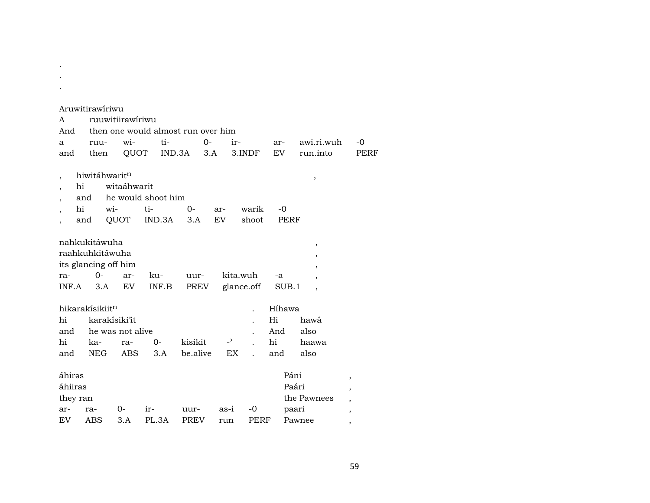## Aruwitirawíriwu

. . .

| A                             |                        | ruuwitiirawíriwu                                                         |             |             |                                     |                                    |      |                |                        |        |               |                                         |                                                              |      |
|-------------------------------|------------------------|--------------------------------------------------------------------------|-------------|-------------|-------------------------------------|------------------------------------|------|----------------|------------------------|--------|---------------|-----------------------------------------|--------------------------------------------------------------|------|
| And                           |                        |                                                                          |             |             |                                     | then one would almost run over him |      |                |                        |        |               |                                         |                                                              |      |
| a                             |                        | ruu-                                                                     |             | wi-         | ti-                                 |                                    | $0-$ | ir-            |                        | ar-    |               | awi.ri.wuh                              |                                                              | $-0$ |
| and                           |                        | then                                                                     |             | QUOT        |                                     | IND.3A                             | 3.A  |                | 3.INDF                 | EV     |               | run.into                                |                                                              | PERF |
|                               | hi<br>and<br>hi<br>and | hiwitáhwaritn                                                            | wi-<br>QUOT | witaáhwarit | he would shoot him<br>ti-<br>IND.3A | $0 -$<br>3.A                       |      | ar-<br>EV      | warik<br>shoot         | $-0$   | PERF          | ,                                       |                                                              |      |
| ra-<br>INF.A                  |                        | nahkukitáwuha<br>raahkuhkitáwuha<br>its glancing off him<br>$O -$<br>3.A |             | ar-<br>EV   | ku-<br>INF.B                        | uur-<br>PREV                       |      |                | kita.wuh<br>glance.off | -a     | SUB.1         | $\, ,$<br>,<br>$\overline{\phantom{a}}$ |                                                              |      |
|                               |                        | hikarakisikiit <sup>n</sup>                                              |             |             |                                     |                                    |      |                |                        | Híhawa |               |                                         |                                                              |      |
| hi                            |                        | karakísiki'it                                                            |             |             |                                     |                                    |      |                |                        | Hi     |               | hawá                                    |                                                              |      |
| and                           |                        | he was not alive                                                         |             |             |                                     |                                    |      |                |                        | And    |               | also                                    |                                                              |      |
| hi                            |                        | ka-                                                                      |             | ra-         | $0-$                                | kisikit                            |      | $\overline{a}$ |                        | hi     |               | haawa                                   |                                                              |      |
| and                           |                        | NEG                                                                      |             | <b>ABS</b>  |                                     | 3.A be.alive                       |      | EX.            |                        | and    |               | also                                    |                                                              |      |
| áhirəs<br>áhiiras<br>they ran |                        |                                                                          |             |             |                                     |                                    |      |                |                        |        | Páni<br>Paári | the Pawnees                             | $\overline{\phantom{a}}$<br>$\,$<br>$\overline{\phantom{a}}$ |      |
| ar-                           |                        | ra-                                                                      | 0-          |             | ir-                                 | uur-                               |      | as-i           | -0                     |        | paari         |                                         | $\overline{\phantom{a}}$                                     |      |
| EV.                           |                        | ABS                                                                      |             | 3.A         | PL.3A                               | PREV                               |      | run            | PERF                   |        |               | Pawnee                                  | ,                                                            |      |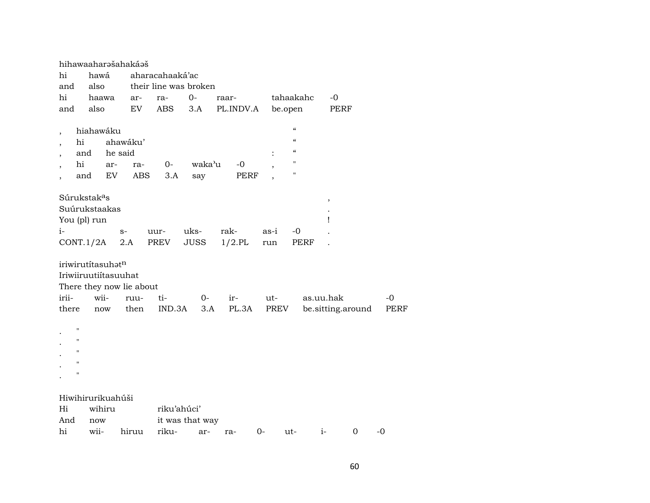| hi<br>and                                 | hihawaaharəšahakáəš<br>hawá<br>also                   |          |                          | aharacahaaká'ac<br>their line was broken |        |           |      |                          |           |                   |             |      |
|-------------------------------------------|-------------------------------------------------------|----------|--------------------------|------------------------------------------|--------|-----------|------|--------------------------|-----------|-------------------|-------------|------|
| hi                                        | haawa                                                 |          | ar-                      | ra-                                      | $O -$  | raar-     |      | tahaakahc                |           | -0                |             |      |
| and                                       | also                                                  |          | EV.                      | ABS                                      | 3.A    | PL.INDV.A |      | be.open                  |           | PERF              |             |      |
| $\overline{\phantom{a}}$                  | hiahawáku                                             |          |                          |                                          |        |           |      | $\mathcal{C}$            |           |                   |             |      |
| $\overline{\phantom{a}}$                  | hi                                                    | ahawáku' |                          |                                          |        |           |      | $\mathcal{C}$            |           |                   |             |      |
| $\overline{\phantom{a}}$                  | and                                                   | he said  |                          |                                          |        |           |      | $\mathcal{C}\mathcal{C}$ |           |                   |             |      |
| $\overline{\phantom{a}}$                  | hi                                                    | ar-      | ra-                      | $0-$                                     | waka'u | $-0$      |      | $\pmb{\mathsf{H}}$       |           |                   |             |      |
| $\overline{\phantom{a}}$                  | and                                                   | EV       | ABS                      | 3.A                                      | say    | PERF      |      | $\pmb{\mathsf{H}}$       |           |                   |             |      |
|                                           | Súrukstak <sup>a</sup> s                              |          |                          |                                          |        |           |      |                          |           | ,                 |             |      |
|                                           | Suúrukstaakas                                         |          |                          |                                          |        |           |      |                          |           |                   |             |      |
|                                           | You (pl) run                                          |          |                          |                                          |        |           |      |                          |           | Ţ                 |             |      |
| i-                                        |                                                       | $S-$     |                          | uur-                                     | uks-   | rak-      | as-i | -0                       |           |                   |             |      |
|                                           | $CONT.1/2A$ 2.A                                       |          |                          | PREV                                     | JUSS   | $1/2$ .PL |      | run                      | PERF      |                   |             |      |
|                                           | iriwirutítasuhət <sup>n</sup><br>Iriwiiruutiítasuuhat |          | There they now lie about |                                          |        |           |      |                          |           |                   |             |      |
| irii-                                     | wii-                                                  |          | ruu-                     | ti-                                      | $0-$   | ir-       |      | ut-                      | as.uu.hak |                   |             | $-0$ |
| there                                     | now                                                   |          | then                     | IND.3A                                   | 3.A    | PL.3A     |      | PREV                     |           | be.sitting.around |             | PERF |
| п<br>$\ddot{\phantom{0}}$<br>$\mathbf{H}$ |                                                       |          |                          |                                          |        |           |      |                          |           |                   |             |      |
| $\pmb{\mathsf{H}}$                        |                                                       |          |                          |                                          |        |           |      |                          |           |                   |             |      |
| п                                         |                                                       |          |                          |                                          |        |           |      |                          |           |                   |             |      |
| $\blacksquare$                            |                                                       |          |                          |                                          |        |           |      |                          |           |                   |             |      |
|                                           | Hiwihirurikuahúši                                     |          |                          |                                          |        |           |      |                          |           |                   |             |      |
| Hi                                        | wihiru                                                |          |                          | riku'ahúci'                              |        |           |      |                          |           |                   |             |      |
| And                                       | now                                                   |          |                          | it was that way                          |        |           |      |                          |           |                   |             |      |
| hi                                        | wii-                                                  |          | hiruu                    | riku-                                    | ar-    | ra-       | $0-$ | ut-                      | $i-$      |                   | $\mathbf 0$ | $-0$ |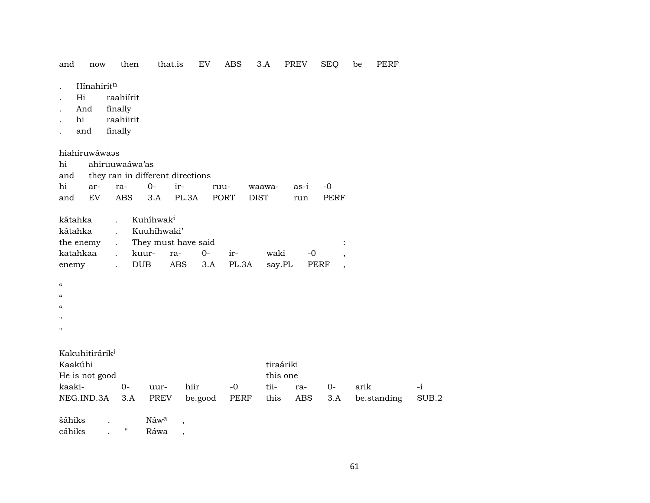and now then that.is EV ABS 3.A PREV SEQ be PERF

- . Hínahirit<sup>n</sup>
- . Hi raahiírit
- . And finally
- . hi raahiirit
- . and finally

hiahiruwáwaəs

|  | hi ahiruuwaáwa'as |                                      |                                         |  |
|--|-------------------|--------------------------------------|-----------------------------------------|--|
|  |                   | and they ran in different directions |                                         |  |
|  |                   |                                      | hi ar- ra- 0- ir- ruu- waawa- as-i -0   |  |
|  |                   |                                      | and EV ABS 3.A PL.3A PORT DIST run PERF |  |

| kátahka . Kuhíhwak <sup>i</sup>  |  |  |      |      |                |
|----------------------------------|--|--|------|------|----------------|
| kátahka . Kuuhíhwaki'            |  |  |      |      |                |
| the enemy . They must have said  |  |  |      |      | $\ddot{\cdot}$ |
| katahkaa . kuur- ra- 0- ir-      |  |  | waki | $-0$ |                |
| enemy . DUB ABS 3.A PL.3A say.PL |  |  |      | PERF |                |

| $\epsilon\epsilon$         |      |      |      |      |           |     |    |      |      |
|----------------------------|------|------|------|------|-----------|-----|----|------|------|
| $\pmb{\zeta}\pmb{\zeta}$   |      |      |      |      |           |     |    |      |      |
| $\boldsymbol{\mathcal{U}}$ |      |      |      |      |           |     |    |      |      |
| $^{\prime}$                |      |      |      |      |           |     |    |      |      |
| $\boldsymbol{\mathsf{H}}$  |      |      |      |      |           |     |    |      |      |
|                            |      |      |      |      |           |     |    |      |      |
| Kakuhitirárik <sup>i</sup> |      |      |      |      |           |     |    |      |      |
| Kaakúhi                    |      |      |      |      | tiraáriki |     |    |      |      |
| He is not good             |      |      |      |      | this one  |     |    |      |      |
| kaaki-                     | $O-$ | uur- | hiir | $-0$ | tii-      | ra- | 0- | arik | $-1$ |

NEG.IND.3A 3.A PREV be.good PERF this ABS 3.A be.standing SUB.2

šáhiks . Náw<sup>a</sup> ,

cáhiks . " Ráwa ,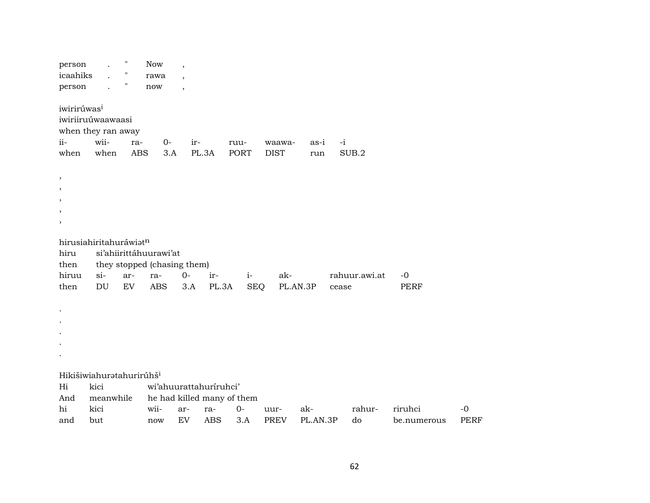| person<br>icaahiks<br>person<br>iwirirúwas <sup>i</sup> | iwiriiruúwaawaasi<br>when they ran away | Ħ<br>11    | <b>Now</b><br>rawa<br>now   | $\overline{\phantom{a}}$<br>$\overline{\phantom{a}}$<br>$\overline{\phantom{a}}$ |                            |             |             |          |               |             |             |
|---------------------------------------------------------|-----------------------------------------|------------|-----------------------------|----------------------------------------------------------------------------------|----------------------------|-------------|-------------|----------|---------------|-------------|-------------|
| ii-                                                     | wii-                                    | ra-        | $O -$                       | ir-                                                                              |                            | ruu-        | waawa-      | as-i     | $-i$          |             |             |
| when                                                    | when                                    | <b>ABS</b> | 3.A                         |                                                                                  | PL.3A                      | <b>PORT</b> | <b>DIST</b> | run      | SUB.2         |             |             |
| $\,$<br>,<br>$\,$                                       |                                         |            |                             |                                                                                  |                            |             |             |          |               |             |             |
|                                                         | hirusiahiritahuráwiatn                  |            |                             |                                                                                  |                            |             |             |          |               |             |             |
| hiru                                                    |                                         |            | si'ahiirittáhuurawi'at      |                                                                                  |                            |             |             |          |               |             |             |
| then                                                    |                                         |            | they stopped (chasing them) |                                                                                  |                            |             |             |          |               |             |             |
| hiruu                                                   | $si$ -                                  | ar-        | ra-                         | $0-$                                                                             | ir-                        | $i-$        | ak-         |          | rahuur.awi.at | $-0$        |             |
| then                                                    | DU                                      | EV         | <b>ABS</b>                  | 3.A                                                                              | PL.3A                      | <b>SEQ</b>  | PL.AN.3P    |          | cease         | <b>PERF</b> |             |
|                                                         |                                         |            |                             |                                                                                  |                            |             |             |          |               |             |             |
|                                                         | Hikišiwiahuratahurirúhš <sup>i</sup>    |            |                             |                                                                                  |                            |             |             |          |               |             |             |
| Hi                                                      | kici                                    |            |                             |                                                                                  | wi'ahuurattahuriruhci'     |             |             |          |               |             |             |
| And                                                     | meanwhile                               |            |                             |                                                                                  | he had killed many of them |             |             |          |               |             |             |
| hi                                                      | kici                                    |            | wii-                        | ar-                                                                              | ra-                        | $0-$        | uur-        | ak-      | rahur-        | riruhci     | $-0$        |
| and                                                     | but                                     |            | now                         | <b>EV</b>                                                                        | <b>ABS</b>                 | 3.A         | <b>PREV</b> | PL.AN.3P | do            | be.numerous | <b>PERF</b> |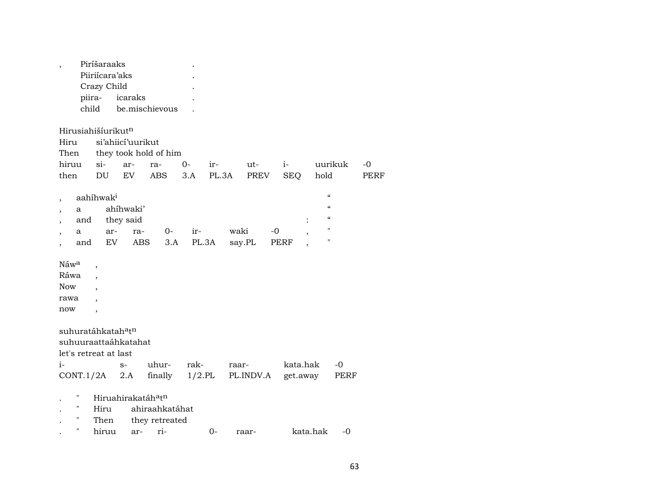| Piiriícara'aks<br>Crazy Child<br>piira-<br>icaraks<br>child<br>be.mischievous<br>Hirusiahišíurikut <sup>n</sup><br>si'ahiicí'uurikut<br>Hiru<br>they took hold of him<br>Then<br>hiruu<br>si<br>ar-<br>$O -$<br>$i-$<br>uurikuk<br>ra-<br>ir-<br>ut-<br>EV<br>PL.3A<br><b>SEQ</b><br>then<br>DU<br><b>ABS</b><br>3.A<br>PREV<br>hold<br>$\epsilon$<br>aahíhwak <sup>i</sup><br>$\overline{\phantom{a}}$<br>$\alpha$<br>ahíhwaki'<br>a<br>$\overline{\phantom{a}}$<br>$\boldsymbol{\mathcal{C}}$<br>they said<br>and<br>$\pmb{\mathsf{H}}$<br>waki<br>$0-$<br>ir-<br>-0<br>ar-<br>ra-<br>a<br>$\pmb{\mathsf{H}}$<br>EV<br>PL.3A<br>ABS<br>3.A<br>say.PL<br>PERF<br>and<br>Náw <sup>a</sup><br>$\overline{ }$<br>Ráwa<br><b>Now</b><br>rawa<br>now<br>$\overline{\phantom{a}}$<br>suhuratáhkatah <sup>a</sup> t <sup>n</sup><br>suhuuraattaáhkatahat<br>let's retreat at last<br>$i-$<br>uhur-<br>rak-<br>kata.hak<br>$-0$<br>$S-$<br>raar-<br>2.A finally<br>$1/2$ .PL<br>CONT.1/2A<br>PL.INDV.A<br>get.away<br>PERF<br>11<br>Hiruahirakatáh <sup>a</sup> t <sup>n</sup><br>11<br>ahiraahkatáhat<br>Hiru | $\overline{\phantom{a}}$ | Piríšaraaks |  |  |  |  |                     |
|---------------------------------------------------------------------------------------------------------------------------------------------------------------------------------------------------------------------------------------------------------------------------------------------------------------------------------------------------------------------------------------------------------------------------------------------------------------------------------------------------------------------------------------------------------------------------------------------------------------------------------------------------------------------------------------------------------------------------------------------------------------------------------------------------------------------------------------------------------------------------------------------------------------------------------------------------------------------------------------------------------------------------------------------------------------------------------------------------------|--------------------------|-------------|--|--|--|--|---------------------|
|                                                                                                                                                                                                                                                                                                                                                                                                                                                                                                                                                                                                                                                                                                                                                                                                                                                                                                                                                                                                                                                                                                         |                          |             |  |  |  |  |                     |
|                                                                                                                                                                                                                                                                                                                                                                                                                                                                                                                                                                                                                                                                                                                                                                                                                                                                                                                                                                                                                                                                                                         |                          |             |  |  |  |  |                     |
|                                                                                                                                                                                                                                                                                                                                                                                                                                                                                                                                                                                                                                                                                                                                                                                                                                                                                                                                                                                                                                                                                                         |                          |             |  |  |  |  |                     |
|                                                                                                                                                                                                                                                                                                                                                                                                                                                                                                                                                                                                                                                                                                                                                                                                                                                                                                                                                                                                                                                                                                         |                          |             |  |  |  |  |                     |
|                                                                                                                                                                                                                                                                                                                                                                                                                                                                                                                                                                                                                                                                                                                                                                                                                                                                                                                                                                                                                                                                                                         |                          |             |  |  |  |  | $-0$<br><b>PERF</b> |
|                                                                                                                                                                                                                                                                                                                                                                                                                                                                                                                                                                                                                                                                                                                                                                                                                                                                                                                                                                                                                                                                                                         |                          |             |  |  |  |  |                     |
|                                                                                                                                                                                                                                                                                                                                                                                                                                                                                                                                                                                                                                                                                                                                                                                                                                                                                                                                                                                                                                                                                                         |                          |             |  |  |  |  |                     |
|                                                                                                                                                                                                                                                                                                                                                                                                                                                                                                                                                                                                                                                                                                                                                                                                                                                                                                                                                                                                                                                                                                         |                          |             |  |  |  |  |                     |
| 11<br>Then<br>they retreated<br>$\pmb{\mathsf{H}}$<br>kata.hak<br>hiruu<br>ri-<br>$0-$<br>$-0$<br>ar-<br>raar-                                                                                                                                                                                                                                                                                                                                                                                                                                                                                                                                                                                                                                                                                                                                                                                                                                                                                                                                                                                          |                          |             |  |  |  |  |                     |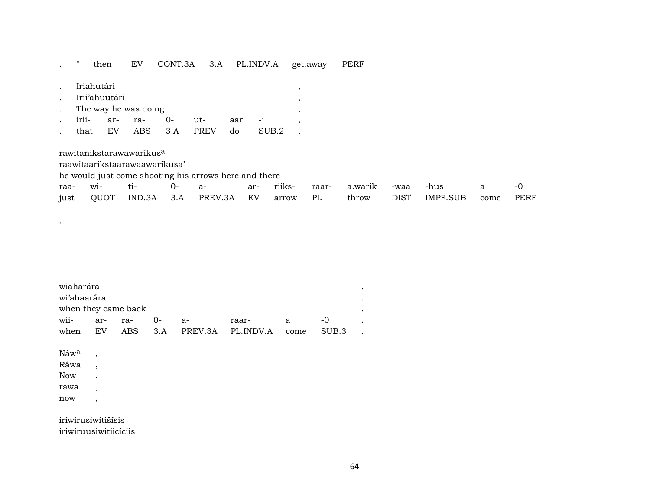## . " then EV CONT.3A 3.A PL.INDV.A get.away PERF

| Iriahutári |               |                      |         |      |     |       |  |
|------------|---------------|----------------------|---------|------|-----|-------|--|
|            | Irii'ahuutári |                      |         |      |     |       |  |
|            |               | The way he was doing |         |      |     |       |  |
| irii-      | ar- ra-       |                      | $()$ -  | ut-  | aar |       |  |
| that       | EV            |                      | ABS 3.A | PREV | do  | SUB.2 |  |

rawitanikstarawawaríkus<sup>a</sup>

raawitaarikstaarawaawaríkusa'

he would just come shooting his arrows here and there

|  |  |  |  |  | just QUOT IND.3A 3.A PREV.3A EV arrow PL throw DIST IMPF.SUB come PERF |  |
|--|--|--|--|--|------------------------------------------------------------------------|--|

| wiaharára           |         |    |       |                                |   |       |  |
|---------------------|---------|----|-------|--------------------------------|---|-------|--|
| wi'ahaarára         |         |    |       |                                |   |       |  |
| when they came back |         |    |       |                                |   |       |  |
| wii-                | ar- ra- | () | $A -$ | raar-                          | a |       |  |
| when                | EV.     |    |       | ABS 3.A PREV.3A PL.INDV.A come |   | SUB.3 |  |

Náw<sup>a</sup>, Ráwa , Now , rawa , now ,

,

iriwirusiwitišísis iriwiruusiwitiicíciis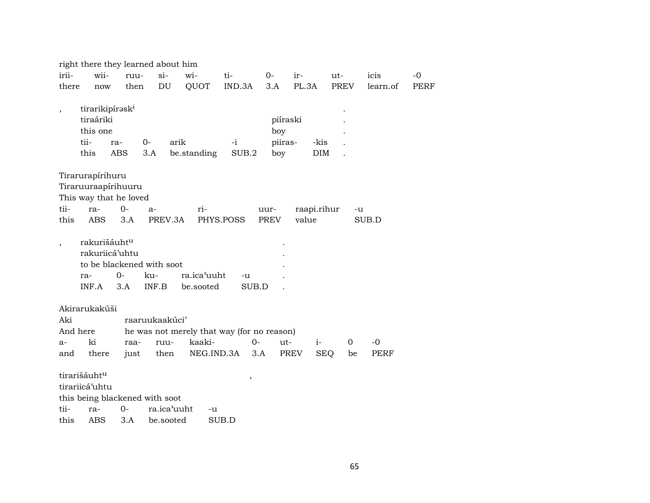|                          |                                                                      |             | right there they learned about him                         |                                            |             |                       |             |                  |             |             |
|--------------------------|----------------------------------------------------------------------|-------------|------------------------------------------------------------|--------------------------------------------|-------------|-----------------------|-------------|------------------|-------------|-------------|
| irii-                    | wii-                                                                 | ruu-        | $\sin$                                                     | wi-                                        | ti-         | 0-                    | ir-         | ut-              | icis        | $-0$        |
| there                    | now                                                                  | then        | DU                                                         | QUOT                                       | IND.3A      | 3.A                   | PL.3A       | PREV             | learn.of    | <b>PERF</b> |
| $\overline{\phantom{a}}$ | tirarikipírask <sup>i</sup><br>tiraáriki<br>this one<br>tii-<br>this | ra-<br>ABS  | $0-$<br>3.A                                                | arik<br>be.standing                        | -i<br>SUB.2 | boy<br>piiras-<br>boy | piíraski    | -kis<br>DIM      |             |             |
|                          | Tirarurapírihuru                                                     |             |                                                            |                                            |             |                       |             |                  |             |             |
|                          | Tiraruuraapírihuuru                                                  |             |                                                            |                                            |             |                       |             |                  |             |             |
|                          | This way that he loved                                               |             |                                                            |                                            |             |                       |             |                  |             |             |
| tii-                     | ra-                                                                  | $0 -$       | $a-$                                                       | ri-                                        |             | uur-                  | raapi.rihur |                  | -u          |             |
| this                     | <b>ABS</b>                                                           | 3.A         | PREV.3A                                                    |                                            | PHYS.POSS   | <b>PREV</b>           | value       |                  | SUB.D       |             |
| $\overline{\phantom{a}}$ | rakurišáuht <sup>u</sup><br>rakuriicá'uhtu<br>ra-<br>INF.A           | $0-$<br>3.A | to be blackened with soot<br>ku-<br>INF.B                  | ra.ica'uuht<br>be.sooted                   | -u<br>SUB.D |                       |             |                  |             |             |
|                          | Akirarukakúši                                                        |             |                                                            |                                            |             |                       |             |                  |             |             |
| Aki                      |                                                                      |             | raaruukaakúci'                                             |                                            |             |                       |             |                  |             |             |
| And here                 |                                                                      |             |                                                            | he was not merely that way (for no reason) |             |                       |             |                  |             |             |
| $a-$                     | ki                                                                   | raa-        | ruu-                                                       | kaaki-                                     |             | $0-$<br>ut-           | $i-$        | $\Omega$         | -0          |             |
| and                      | there                                                                | just        | then                                                       | NEG.IND.3A                                 |             | 3.A                   | <b>PREV</b> | <b>SEQ</b><br>be | <b>PERF</b> |             |
| tii-<br>this             | tirarišáuht <sup>u</sup><br>tirariicá'uhtu<br>ra-<br><b>ABS</b>      | $0-$<br>3.A | this being blackened with soot<br>ra.ica'uuht<br>be.sooted | -u                                         | ,<br>SUB.D  |                       |             |                  |             |             |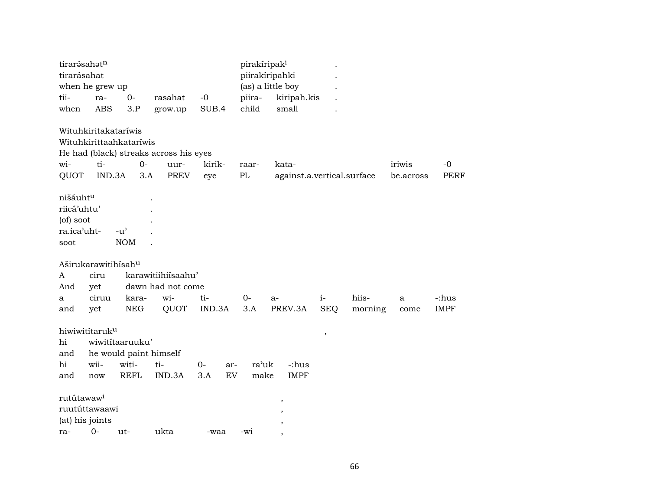| tirarásahatn<br>tirarásahat | when he grew up      |                         |                                        |             | pirakíripak <sup>i</sup> | piirakíripahki<br>(as) a little boy |               |         |           |             |
|-----------------------------|----------------------|-------------------------|----------------------------------------|-------------|--------------------------|-------------------------------------|---------------|---------|-----------|-------------|
| tii-                        | ra-                  | $0-$                    | rasahat                                | $-0$        | piira-                   | kiripah.kis                         |               |         |           |             |
| when                        | <b>ABS</b>           | 3.P                     | grow.up                                | SUB.4       | child                    | small                               |               |         |           |             |
|                             | Wituhkiritakataríwis |                         |                                        |             |                          |                                     |               |         |           |             |
|                             |                      | Wituhkirittaahkataríwis |                                        |             |                          |                                     |               |         |           |             |
|                             |                      |                         | He had (black) streaks across his eyes |             |                          |                                     |               |         |           |             |
| wi-                         | ti-                  | $0-$                    | uur-                                   | kirik-      | raar-                    | kata-                               |               |         | iriwis    | $-0$        |
| QUOT                        | IND.3A               |                         | <b>PREV</b><br>3.A                     | eye         | PL                       | against.a.vertical.surface          |               |         | be.across | <b>PERF</b> |
| nišáuhtu<br>riicá'uhtu'     |                      |                         |                                        |             |                          |                                     |               |         |           |             |
| (of) soot                   |                      |                         |                                        |             |                          |                                     |               |         |           |             |
| ra.ica'uht-                 |                      | $-u^{\prime}$           |                                        |             |                          |                                     |               |         |           |             |
| soot                        |                      | <b>NOM</b>              |                                        |             |                          |                                     |               |         |           |             |
|                             | Aširukarawitihísahu  |                         |                                        |             |                          |                                     |               |         |           |             |
| A                           | ciru                 |                         | karawitiihiísaahu'                     |             |                          |                                     |               |         |           |             |
| And                         | yet                  |                         | dawn had not come                      |             |                          |                                     |               |         |           |             |
| a                           | ciruu                | kara-                   | wi-                                    | ti-         | $0-$                     | $a-$                                | $i-$          | hiis-   | a         | -:hus       |
| and                         | yet                  | <b>NEG</b>              | QUOT                                   | IND.3A      | 3.A                      | PREV.3A                             | <b>SEQ</b>    | morning | come      | <b>IMPF</b> |
|                             | hiwiwititaruku       |                         |                                        |             |                          |                                     | $^\mathrm{,}$ |         |           |             |
| hi                          |                      | wiwititaaruuku'         |                                        |             |                          |                                     |               |         |           |             |
| and                         |                      |                         | he would paint himself                 |             |                          |                                     |               |         |           |             |
| hi                          | wii-                 | witi-                   | ti-                                    | $0-$<br>ar- | ra'uk                    | -:hus                               |               |         |           |             |
| and                         | now                  | <b>REFL</b>             | IND.3A                                 | EV<br>3.A   | make                     | <b>IMPF</b>                         |               |         |           |             |
| rutútawaw <sup>i</sup>      |                      |                         |                                        |             |                          | ,                                   |               |         |           |             |
|                             | ruutúttawaawi        |                         |                                        |             |                          | $\overline{\phantom{a}}$            |               |         |           |             |
|                             | (at) his joints      |                         |                                        |             |                          | $\overline{\phantom{a}}$            |               |         |           |             |
| ra-                         | $0-$                 | ut-                     | ukta                                   | -waa        | $-wi$                    |                                     |               |         |           |             |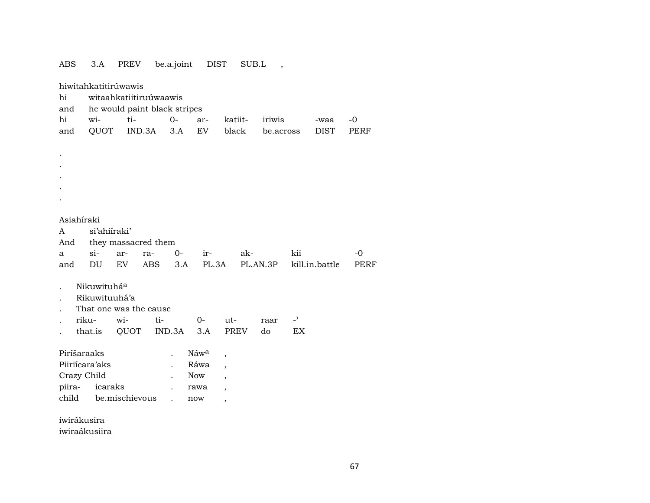| <b>ABS</b>  | 3.A                                            | PREV                   | be.a.joint |      | <b>DIST</b> | SUB.L                    | $\overline{\phantom{a}}$ |                |                |      |  |  |
|-------------|------------------------------------------------|------------------------|------------|------|-------------|--------------------------|--------------------------|----------------|----------------|------|--|--|
| hi          | hiwitahkatitirúwawis<br>witaahkatiitiruúwaawis |                        |            |      |             |                          |                          |                |                |      |  |  |
| and         | he would paint black stripes                   |                        |            |      |             |                          |                          |                |                |      |  |  |
| hi          | wi-                                            | ti-                    |            | $0-$ | ar-         | katiit-                  | iriwis                   |                | -waa           | -0   |  |  |
| and         | QUOT                                           |                        | IND.3A     | 3.A  | EV          | black                    | be.across                |                | <b>DIST</b>    | PERF |  |  |
|             |                                                |                        |            |      |             |                          |                          |                |                |      |  |  |
|             |                                                |                        |            |      |             |                          |                          |                |                |      |  |  |
|             |                                                |                        |            |      |             |                          |                          |                |                |      |  |  |
|             |                                                |                        |            |      |             |                          |                          |                |                |      |  |  |
|             |                                                |                        |            |      |             |                          |                          |                |                |      |  |  |
|             |                                                |                        |            |      |             |                          |                          |                |                |      |  |  |
|             |                                                |                        |            |      |             |                          |                          |                |                |      |  |  |
| Asiahíraki  |                                                |                        |            |      |             |                          |                          |                |                |      |  |  |
| A           | si'ahiiraki'                                   |                        |            |      |             |                          |                          |                |                |      |  |  |
| And         |                                                | they massacred them    |            |      |             |                          |                          |                |                |      |  |  |
| a           | $si-$                                          | ar-                    | ra-        | $0-$ | ir-         | ak-                      |                          | kii            |                | $-0$ |  |  |
| and         | DU                                             | EV                     | <b>ABS</b> | 3.A  | PL.3A       |                          | PL.AN.3P                 |                | kill.in.battle | PERF |  |  |
|             |                                                |                        |            |      |             |                          |                          |                |                |      |  |  |
|             | Nikuwituháa                                    |                        |            |      |             |                          |                          |                |                |      |  |  |
|             | Rikuwituuhá'a                                  |                        |            |      |             |                          |                          |                |                |      |  |  |
|             |                                                | That one was the cause |            |      |             |                          |                          |                |                |      |  |  |
|             | riku-                                          | wi-                    | ti-        |      | $0-$        | ut-                      | raar                     | $\overline{a}$ |                |      |  |  |
|             | that.is                                        | QUOT                   | IND.3A     |      | 3.A         | PREV                     | do                       | EX             |                |      |  |  |
|             |                                                |                        |            |      |             |                          |                          |                |                |      |  |  |
| Piríšaraaks |                                                |                        |            |      | Náwa        | ,                        |                          |                |                |      |  |  |
|             | Piiriícara'aks                                 |                        |            |      | Ráwa        | $\overline{\phantom{a}}$ |                          |                |                |      |  |  |
| Crazy Child |                                                |                        |            |      | Now         | $\overline{\phantom{a}}$ |                          |                |                |      |  |  |
| piira-      | icaraks                                        |                        |            |      | rawa        | $\overline{\phantom{a}}$ |                          |                |                |      |  |  |
|             |                                                | child be.mischievous   |            |      | now         | ,                        |                          |                |                |      |  |  |
|             |                                                |                        |            |      |             |                          |                          |                |                |      |  |  |
|             | iwirákusira                                    |                        |            |      |             |                          |                          |                |                |      |  |  |

iwiraákusiira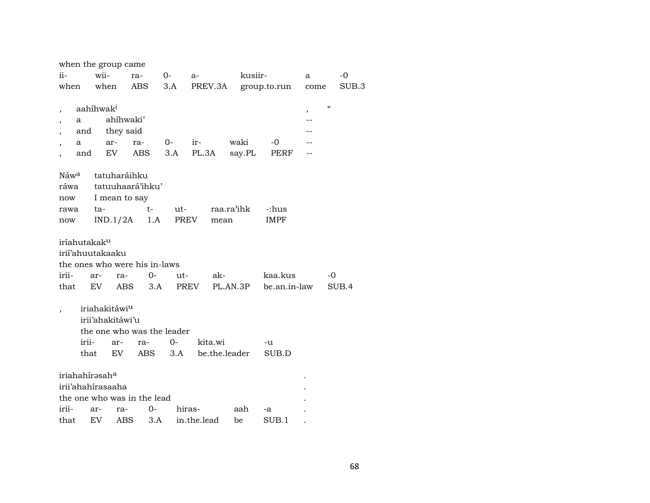|                               |                          | when the group came       |                               |       |               |            |                      |      |                    |
|-------------------------------|--------------------------|---------------------------|-------------------------------|-------|---------------|------------|----------------------|------|--------------------|
| ii-                           | wii-                     |                           | ra-                           | $O-$  | $a-$          | kusiir-    |                      | a    | $-0$               |
| when                          | when                     |                           | ABS                           | 3.A   |               |            | PREV.3A group.to.run | come | SUB.3              |
|                               |                          |                           |                               |       |               |            |                      |      |                    |
| ,                             | aahíhwak <sup>i</sup>    |                           |                               |       |               |            |                      | $\,$ | $\epsilon\epsilon$ |
| a<br>$\overline{\phantom{a}}$ |                          | ahíhwaki'                 |                               |       |               |            |                      | $-$  |                    |
| $\overline{\phantom{a}}$      | and                      | they said                 |                               |       |               |            |                      |      |                    |
| a                             |                          | ar-                       | ra-                           | $0-$  | ir-           | waki       | -0                   |      |                    |
|                               | and                      | EV.                       | ABS                           | 3.A   | PL.3A         | say.PL     | PERF                 |      |                    |
| Náw <sup>a</sup>              |                          | tatuharáihku              |                               |       |               |            |                      |      |                    |
| ráwa                          |                          |                           | tatuuhaará'ihku'              |       |               |            |                      |      |                    |
| now                           |                          | I mean to say             |                               |       |               |            |                      |      |                    |
| rawa                          | ta-                      |                           | t-                            | ut-   |               | raa.ra'ihk | -:hus                |      |                    |
| now                           |                          |                           | $IND.1/2A$ 1.A PREV           |       | mean          |            | <b>IMPF</b>          |      |                    |
|                               |                          |                           |                               |       |               |            |                      |      |                    |
|                               | iríahutakak <sup>u</sup> |                           |                               |       |               |            |                      |      |                    |
|                               | irii'ahuutakaaku         |                           |                               |       |               |            |                      |      |                    |
|                               |                          |                           | the ones who were his in-laws |       |               |            |                      |      |                    |
| irii-                         | ar-                      | ra-                       | 0-                            | $ut-$ | ak-           |            | kaa.kus              |      | -0                 |
| that                          | EV                       | ABS                       | 3.A                           |       | PREV          | PL.AN.3P   | be.an.in-law         |      | SUB.4              |
|                               |                          |                           |                               |       |               |            |                      |      |                    |
|                               |                          | iriahakitáwi <sup>u</sup> |                               |       |               |            |                      |      |                    |
|                               |                          | irii'ahakitáwi'u          |                               |       |               |            |                      |      |                    |
|                               |                          |                           | the one who was the leader    |       |               |            |                      |      |                    |
|                               | irii-                    | ar-                       | ra-                           | 0-    | kita.wi       |            | -u                   |      |                    |
|                               | that                     | EV                        | ABS                           | 3.A   | be.the.leader |            | SUB.D                |      |                    |
|                               |                          |                           |                               |       |               |            |                      |      |                    |
|                               | iriahahírasaha           |                           |                               |       |               |            |                      |      |                    |
|                               | irii'ahahirasaaha        |                           |                               |       |               |            |                      |      |                    |
|                               |                          |                           | the one who was in the lead   |       |               |            |                      |      |                    |
| irii-                         | ar-                      | ra-                       | $0 -$                         |       | hiras-        | aah        | -a                   |      |                    |
| that                          | EV                       | ABS                       | 3.A                           |       | in.the.lead   | be         | SUB.1                |      |                    |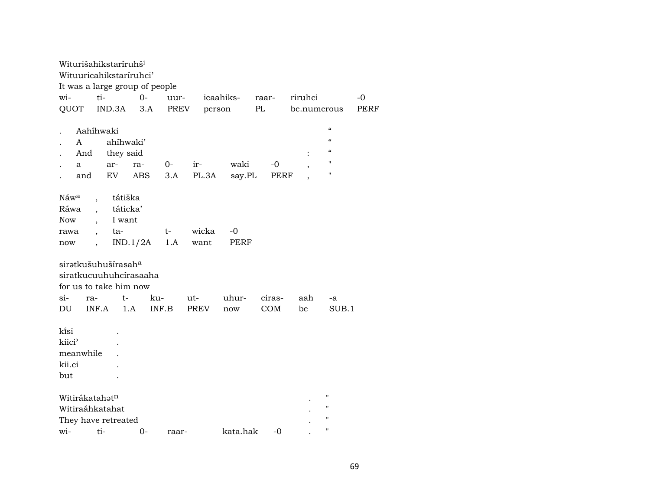| Witurišahikstaríruhš <sup>i</sup><br>Wituuricahikstaríruhci'<br>It was a large group of people |                                                                                                                          |                                      |            |             |               |                |            |         |                                                                                                                                                |      |
|------------------------------------------------------------------------------------------------|--------------------------------------------------------------------------------------------------------------------------|--------------------------------------|------------|-------------|---------------|----------------|------------|---------|------------------------------------------------------------------------------------------------------------------------------------------------|------|
| wi-                                                                                            | ti-                                                                                                                      |                                      | $0-$       | uur-        |               | icaahiks-      | raar-      | riruhci |                                                                                                                                                | -0   |
| QUOT                                                                                           |                                                                                                                          | IND.3A                               | 3.A        | PREV        |               | person         | PL         |         | be.numerous                                                                                                                                    | PERF |
| $\mathsf{A}$<br>a                                                                              | Aahíhwaki<br>And<br>and                                                                                                  | ahíhwaki'<br>they said<br>ar-<br>EV  | ra-<br>ABS | $0-$<br>3.A | ir-<br>PL.3A  | waki<br>say.PL | -0<br>PERF | $\, ,$  | $\boldsymbol{\mathcal{C}}$<br>$\boldsymbol{\mathcal{C}}$<br>$\boldsymbol{\zeta}\boldsymbol{\zeta}$<br>$\pmb{\mathsf{H}}$<br>$\pmb{\mathsf{H}}$ |      |
| Náw <sup>a</sup><br>Ráwa<br><b>Now</b><br>rawa<br>now                                          | $\overline{ }$ ,<br>$\ddot{\phantom{0}}$<br>$\ddot{\phantom{0}}$<br>$\overline{\phantom{a}}$<br>$\overline{\phantom{a}}$ | tátiška<br>táticka'<br>I want<br>ta- | IND.1/2A   | t-<br>1.A   | wicka<br>want | $-0$<br>PERF   |            |         |                                                                                                                                                |      |
| sirətkušuhušírasah <sup>a</sup><br>siratkucuuhuhcírasaaha<br>for us to take him now            |                                                                                                                          |                                      |            |             |               |                |            |         |                                                                                                                                                |      |
| $\sin$                                                                                         | ra-                                                                                                                      | $t-$                                 |            | ku-         | $ut-$         | uhur-          | ciras-     | aah     | $-a$                                                                                                                                           |      |
| DU                                                                                             | INF.A                                                                                                                    |                                      | 1.A        | INF.B       | PREV          | now            | COM        | be      | SUB.1                                                                                                                                          |      |
| ki̇̃si<br>kiici <sup></sup><br>meanwhile<br>kii.ci<br>but                                      |                                                                                                                          |                                      |            |             |               |                |            |         |                                                                                                                                                |      |
| Witirákatahatn                                                                                 |                                                                                                                          |                                      |            |             |               |                |            |         | $^{\prime\prime}$                                                                                                                              |      |
| Witiraáhkatahat                                                                                |                                                                                                                          |                                      |            |             |               |                |            |         | $\pmb{\mathsf{H}}$                                                                                                                             |      |
| They have retreated                                                                            |                                                                                                                          |                                      |            |             |               |                |            |         | $^{\prime\prime}$                                                                                                                              |      |
| wi-                                                                                            | ti-                                                                                                                      |                                      | $O -$      | raar-       |               | kata.hak       | -0         |         | $\pmb{\mathsf{H}}$                                                                                                                             |      |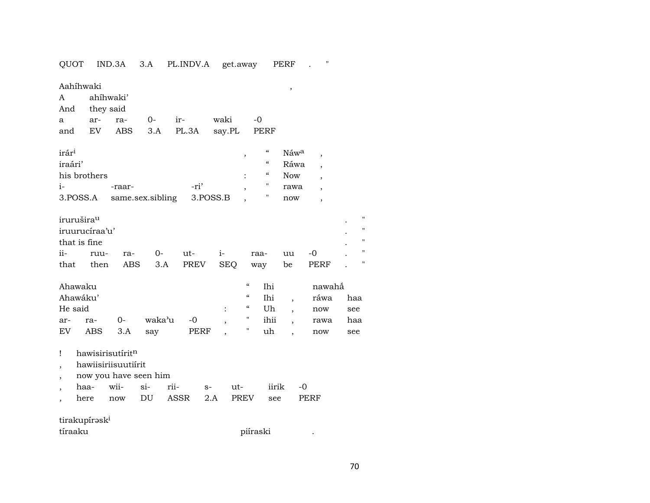| QUOT                     |           |                           | IND.3A              | 3.A                   | PL.INDV.A   |          |                    | get.away                 |                            | PERF                     | $\pmb{\mathsf{H}}$       |                                                      |
|--------------------------|-----------|---------------------------|---------------------|-----------------------|-------------|----------|--------------------|--------------------------|----------------------------|--------------------------|--------------------------|------------------------------------------------------|
| A<br>And                 | Aahíhwaki | ahíhwaki'<br>they said    |                     |                       |             |          |                    |                          |                            | ,                        |                          |                                                      |
| a                        |           | ar-                       | ra-                 | $O-$                  | ir-         |          | waki               |                          | -0                         |                          |                          |                                                      |
| and                      |           | EV                        | ABS                 | 3.A                   | PL.3A       |          | say.PL             |                          | PERF                       |                          |                          |                                                      |
| irár <sup>i</sup>        |           |                           |                     |                       |             |          |                    | ,                        | $\boldsymbol{\mathcal{C}}$ | Náwa                     | $\overline{\phantom{a}}$ |                                                      |
| iraári'                  |           |                           |                     |                       |             |          |                    |                          | $\mathcal{C}\mathcal{C}$   | Ráwa                     | $\overline{\phantom{a}}$ |                                                      |
|                          |           | his brothers              |                     |                       |             |          |                    |                          | $\mathcal{C}\mathcal{C}$   | Now                      | $\overline{\phantom{a}}$ |                                                      |
| $i-$                     |           |                           | -raar-              |                       |             | -ri'     |                    |                          | $\pmb{\pi}$                | rawa                     | $\overline{\phantom{a}}$ |                                                      |
|                          | 3.POSS.A  |                           |                     | same.sex.sibling      |             | 3.POSS.B |                    |                          | н.                         | now                      | $\overline{\phantom{a}}$ |                                                      |
| irurušira <sup>u</sup>   |           | iruurucíraa'u'            |                     |                       |             |          |                    |                          |                            |                          |                          | $\pmb{\mathsf{H}}$<br>$\mathbf{H}$<br>$\blacksquare$ |
|                          |           | that is fine              |                     |                       |             |          |                    |                          |                            |                          |                          | П                                                    |
| ii-<br>that              |           | ruu-<br>then              | ra-<br><b>ABS</b>   | 0-<br>3.A             | ut-         | PREV     | $i-$<br><b>SEQ</b> |                          | raa-                       | uu<br>be                 | $-0$<br>PERF             | Ħ                                                    |
|                          |           |                           |                     |                       |             |          |                    |                          | way                        |                          |                          |                                                      |
|                          | Ahawaku   |                           |                     |                       |             |          |                    | $\mathcal{C}\mathcal{C}$ | Ihi                        |                          | nawahå                   |                                                      |
|                          | Ahawáku'  |                           |                     |                       |             |          |                    | $\mathcal{C}\mathcal{C}$ | Ihi                        | $\overline{\phantom{a}}$ | ráwa                     | haa                                                  |
|                          | He said   |                           |                     |                       |             |          |                    | $\mathcal{C}\mathcal{C}$ | Uh                         | $\overline{\phantom{a}}$ | now                      | see                                                  |
| ar-                      |           | ra-                       | $0-$                | waka'u                |             | $-0$     |                    | н                        | ihii                       | $\overline{\phantom{a}}$ | rawa                     | haa                                                  |
| EV                       |           | ABS                       | 3.A                 | say                   |             | PERF     |                    | п                        | uh                         |                          | now                      | see                                                  |
| Ţ                        |           |                           | hawisirisutíritn    |                       |             |          |                    |                          |                            |                          |                          |                                                      |
| $\overline{\phantom{a}}$ |           |                           | hawiisiriisuutiírit |                       |             |          |                    |                          |                            |                          |                          |                                                      |
| $\overline{\phantom{a}}$ |           |                           |                     | now you have seen him |             |          |                    |                          |                            |                          |                          |                                                      |
|                          | haa-      |                           | wii-                | $si-$                 | rii-        | $S-$     |                    | ut-                      | iirik                      |                          | $-0$                     |                                                      |
|                          | here      |                           | now                 | DU                    | <b>ASSR</b> | 2.A      |                    | <b>PREV</b>              | see                        |                          | PERF                     |                                                      |
|                          |           | tirakupírəsk <sup>i</sup> |                     |                       |             |          |                    |                          |                            |                          |                          |                                                      |
| tíraaku                  |           |                           |                     |                       |             |          |                    |                          |                            |                          |                          |                                                      |

70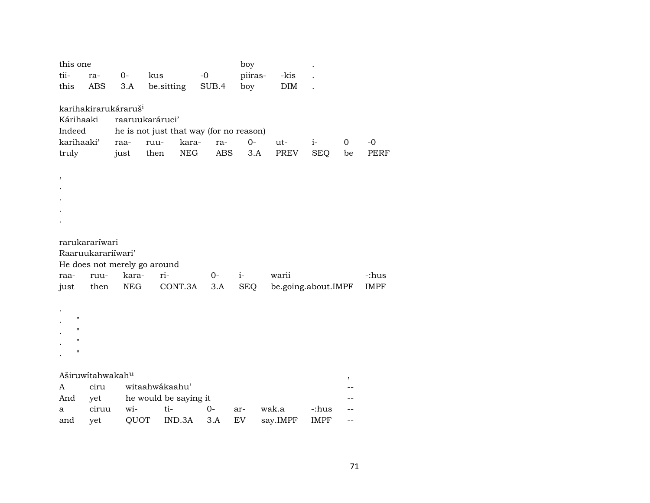| this one                         |                                                                         |       |                              |            |            | boy        |                     |             |                |             |  |  |
|----------------------------------|-------------------------------------------------------------------------|-------|------------------------------|------------|------------|------------|---------------------|-------------|----------------|-------------|--|--|
| tii-                             | ra-                                                                     | $0-$  | kus                          | $-0$       |            | piiras-    | -kis                |             |                |             |  |  |
| this                             | ABS                                                                     | 3.A   | be.sitting                   | SUB.4      |            | boy        | <b>DIM</b>          |             |                |             |  |  |
|                                  |                                                                         |       |                              |            |            |            |                     |             |                |             |  |  |
| karihakirarukáraruš <sup>i</sup> |                                                                         |       |                              |            |            |            |                     |             |                |             |  |  |
|                                  | Kárihaaki<br>raaruukaráruci'<br>he is not just that way (for no reason) |       |                              |            |            |            |                     |             |                |             |  |  |
| Indeed                           |                                                                         |       |                              |            |            |            |                     |             |                |             |  |  |
| karihaaki <sup>3</sup>           |                                                                         | raa-  | ruu-                         | kara-      | ra-        | $0-$       | ut-                 | $i-$        | $\overline{0}$ | $-0$        |  |  |
| truly                            |                                                                         | just  | then                         | <b>NEG</b> | <b>ABS</b> | 3.A        | PREV                | <b>SEQ</b>  | be             | <b>PERF</b> |  |  |
|                                  |                                                                         |       |                              |            |            |            |                     |             |                |             |  |  |
| $\, ,$                           |                                                                         |       |                              |            |            |            |                     |             |                |             |  |  |
|                                  |                                                                         |       |                              |            |            |            |                     |             |                |             |  |  |
|                                  |                                                                         |       |                              |            |            |            |                     |             |                |             |  |  |
|                                  |                                                                         |       |                              |            |            |            |                     |             |                |             |  |  |
|                                  |                                                                         |       |                              |            |            |            |                     |             |                |             |  |  |
| rarukararíwari                   |                                                                         |       |                              |            |            |            |                     |             |                |             |  |  |
| Raaruukarariíwari'               |                                                                         |       |                              |            |            |            |                     |             |                |             |  |  |
|                                  |                                                                         |       | He does not merely go around |            |            |            |                     |             |                |             |  |  |
| raa-                             | ruu-                                                                    | kara- | ri-                          |            | $0-$       | $i-$       | warii               |             |                | -:hus       |  |  |
| just                             | then                                                                    | NEG   | CONT.3A                      |            | 3.A        | <b>SEQ</b> | be.going.about.IMPF |             |                | <b>IMPF</b> |  |  |
|                                  |                                                                         |       |                              |            |            |            |                     |             |                |             |  |  |
|                                  |                                                                         |       |                              |            |            |            |                     |             |                |             |  |  |
| п                                |                                                                         |       |                              |            |            |            |                     |             |                |             |  |  |
| н                                |                                                                         |       |                              |            |            |            |                     |             |                |             |  |  |
| $\pmb{\mathsf{H}}$               |                                                                         |       |                              |            |            |            |                     |             |                |             |  |  |
| П                                |                                                                         |       |                              |            |            |            |                     |             |                |             |  |  |
|                                  |                                                                         |       |                              |            |            |            |                     |             |                |             |  |  |
| Aširuwítahwakahu                 |                                                                         |       |                              |            |            |            |                     |             |                |             |  |  |
| A                                | ciru                                                                    |       | witaahwákaahu'               |            |            |            |                     |             |                |             |  |  |
| And                              | yet                                                                     |       | he would be saying it        |            |            |            |                     |             |                |             |  |  |
| a                                | ciruu                                                                   | wi-   | ti-                          | $0-$       |            | ar-        | wak.a               | -:hus       |                |             |  |  |
| and                              | yet                                                                     | QUOT  | IND.3A                       |            | 3.A        | EV         | say.IMPF            | <b>IMPF</b> | --             |             |  |  |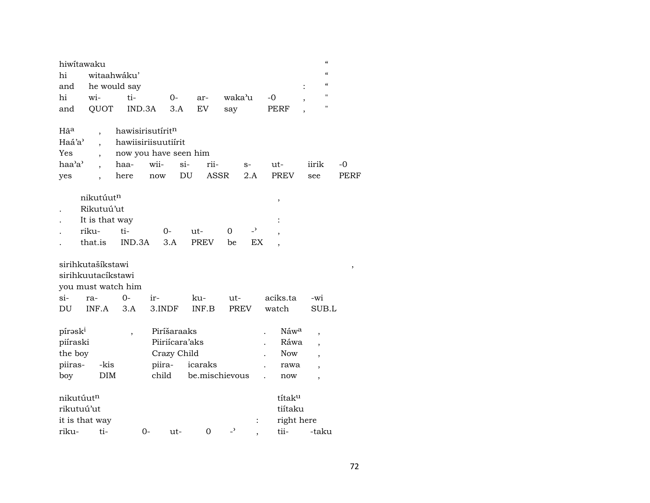| hiwitawaku         |                          |                              |        |                |                |                          |                          |                  | $\epsilon$<br>$\alpha$           |      |
|--------------------|--------------------------|------------------------------|--------|----------------|----------------|--------------------------|--------------------------|------------------|----------------------------------|------|
| hi                 | witaahwáku'              |                              |        |                |                |                          |                          |                  | $\epsilon$                       |      |
| and                |                          | he would say                 |        |                |                |                          |                          |                  | $\ddot{\cdot}$<br>$\blacksquare$ |      |
| hi                 | wi-                      | ti-                          |        | $0-$           | ar-            | waka'u                   |                          | -0               |                                  |      |
| and                | QUOT                     | IND.3A                       |        | 3.A            | EV             | say                      |                          | PERF             | 11                               |      |
| Hã <sup>a</sup>    | $\overline{\phantom{a}}$ | hawisirisutirit <sup>n</sup> |        |                |                |                          |                          |                  |                                  |      |
| Haá'a'             | $\ddot{\phantom{0}}$     | hawiisiriisuutiirit          |        |                |                |                          |                          |                  |                                  |      |
| Yes                |                          | now you have seen him        |        |                |                |                          |                          |                  |                                  |      |
| haa'a'             |                          | haa-                         | wii-   | $si-$          | rii-           |                          | $S-$                     | ut-              | iirik                            | -0   |
| yes                |                          | here                         | now    | DU             | ASSR           |                          | 2.A                      | <b>PREV</b>      | see                              | PERF |
|                    | nikutúutn                |                              |        |                |                |                          |                          | ,                |                                  |      |
|                    | Rikutuú'ut               |                              |        |                |                |                          |                          |                  |                                  |      |
|                    | It is that way           |                              |        |                |                |                          |                          |                  |                                  |      |
|                    | riku-                    | ti-                          | 0-     |                | ut-            | 0                        | $\overline{\phantom{a}}$ | ,                |                                  |      |
|                    | that.is                  | IND.3A                       | 3.A    |                | <b>PREV</b>    | be                       | EX                       |                  |                                  |      |
| sirihkutašíkstawi  |                          |                              |        |                |                |                          |                          |                  |                                  | ,    |
| sirihkuutacíkstawi |                          |                              |        |                |                |                          |                          |                  |                                  |      |
|                    |                          | you must watch him           |        |                |                |                          |                          |                  |                                  |      |
| si-                | ra-                      | 0-                           | ir-    |                | ku-            | ut-                      |                          | aciks.ta         | -wi                              |      |
| DU                 | INF.A                    | 3.A                          | 3.INDF |                | INF.B          |                          | <b>PREV</b>              | watch            | SUB.L                            |      |
| píraski            |                          | $\overline{\phantom{a}}$     |        | Piríšaraaks    |                |                          |                          | Náw <sup>a</sup> | ,                                |      |
| piíraski           |                          |                              |        | Piiriícara'aks |                |                          |                          | Ráwa             |                                  |      |
| the boy            |                          |                              |        | Crazy Child    |                |                          |                          | Now              | $\overline{\phantom{a}}$         |      |
| piiras-            | -kis                     |                              | piira- |                | icaraks        |                          |                          | rawa             |                                  |      |
| boy                | <b>DIM</b>               |                              | child  |                | be.mischievous |                          |                          | now              | ,                                |      |
| nikutúutn          |                          |                              |        |                |                |                          |                          | títaku           |                                  |      |
| rikutuú'ut         |                          |                              |        |                |                |                          |                          | tiítaku          |                                  |      |
| it is that way     |                          |                              |        |                |                |                          | $\ddot{\cdot}$           | right here       |                                  |      |
| riku-              | ti-                      |                              | 0-     | ut-            | $\Omega$       | $\overline{\phantom{0}}$ |                          | tii-             | -taku                            |      |
|                    |                          |                              |        |                |                |                          |                          |                  |                                  |      |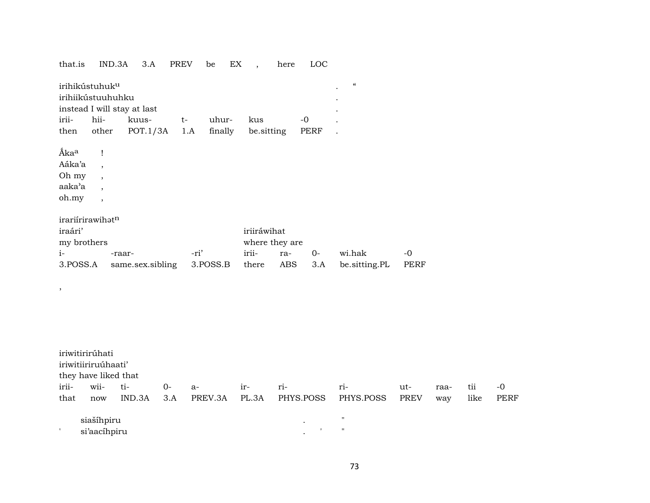| that.is                                                          | IND.3A                                                                                           | 3.A                                              | PREV        | be               | EX<br>$\overline{\phantom{a}}$ | here                         | LOC            |                                        |                     |      |      |             |
|------------------------------------------------------------------|--------------------------------------------------------------------------------------------------|--------------------------------------------------|-------------|------------------|--------------------------------|------------------------------|----------------|----------------------------------------|---------------------|------|------|-------------|
| irihikústuhuk <sup>u</sup><br>irihiikústuuhuhku<br>irii-<br>then | hii-<br>other                                                                                    | instead I will stay at last<br>kuus-<br>POT.1/3A | $t-$<br>1.A | uhur-<br>finally | kus<br>be.sitting              |                              | $-0$<br>PERF   | $\boldsymbol{\zeta}\boldsymbol{\zeta}$ |                     |      |      |             |
| Ákaa<br>Aáka'a<br>Oh my<br>aaka'a<br>oh.my                       | Ţ<br>$\overline{\phantom{a}}$<br>$\overline{\phantom{a}}$<br>$\cdot$<br>$\overline{\phantom{a}}$ |                                                  |             |                  |                                |                              |                |                                        |                     |      |      |             |
| irariírirawihatn<br>iraári'<br>my brothers<br>$i-$<br>3.POSS.A   |                                                                                                  | -raar-<br>same.sex.sibling                       |             | -ri'<br>3.POSS.B | iriiráwihat<br>irii-<br>there  | where they are<br>ra-<br>ABS | $O -$<br>3.A   | wi.hak<br>be.sitting.PL                | $-o$<br><b>PERF</b> |      |      |             |
| $\, ,$                                                           |                                                                                                  |                                                  |             |                  |                                |                              |                |                                        |                     |      |      |             |
| iriwitirirúhati<br>iriwitiiriruúhaati'<br>they have liked that   |                                                                                                  |                                                  |             |                  |                                |                              |                |                                        |                     |      |      |             |
| irii-                                                            | wii-                                                                                             | ti-                                              | $0-$        | a-               | ir-                            | ri-                          |                | ri-                                    | ut-                 | raa- | tii  | $-0$        |
| that                                                             | now                                                                                              | IND.3A                                           | 3.A         | PREV.3A          | PL.3A                          |                              | PHYS.POSS      | PHYS.POSS                              | <b>PREV</b>         | way  | like | <b>PERF</b> |
|                                                                  | siašíhpiru                                                                                       |                                                  |             |                  |                                |                              |                | $\pmb{\mathsf{H}}$                     |                     |      |      |             |
|                                                                  | si'aacihpiru                                                                                     |                                                  |             |                  |                                |                              | $\blacksquare$ | $\pmb{\mathsf{H}}$                     |                     |      |      |             |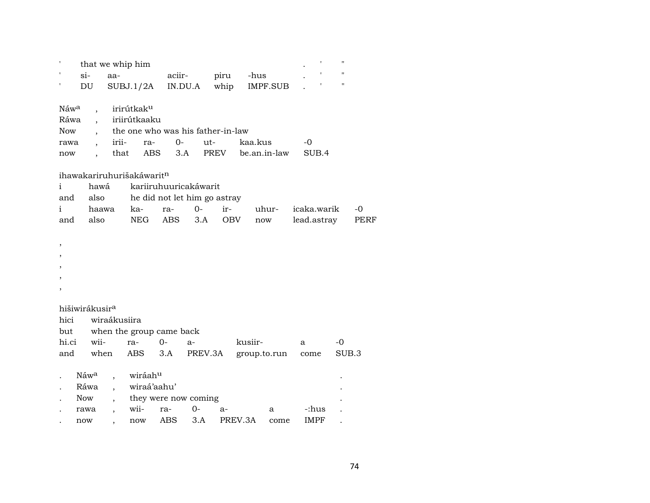|                                                |                                                |                                            | that we whip him                                                                     |            |                                                               |         |                      |                | $\blacksquare$     |             |
|------------------------------------------------|------------------------------------------------|--------------------------------------------|--------------------------------------------------------------------------------------|------------|---------------------------------------------------------------|---------|----------------------|----------------|--------------------|-------------|
|                                                | $\sin$                                         | aa-                                        |                                                                                      | aciir-     |                                                               | piru    | -hus                 |                | $\pmb{\mathsf{H}}$ |             |
| ,                                              | DU                                             |                                            | SUBJ.1/2A                                                                            | IN.DU.A    |                                                               | whip    | IMPF.SUB             |                | $\pmb{\mathsf{H}}$ |             |
| Náw <sup>a</sup><br>Ráwa<br><b>Now</b><br>rawa |                                                | irii-                                      | irirútkak <sup>u</sup><br>, iriirútkaaku<br>the one who was his father-in-law<br>ra- | $0-$       | $ut-$                                                         |         | kaa.kus              | -0             |                    |             |
| now                                            | $\overline{\phantom{a}}$                       | that                                       | ABS                                                                                  | 3.A        |                                                               | PREV    | be.an.in-law         | SUB.4          |                    |             |
| i<br>and<br>i                                  | hawá<br>also<br>haawa                          |                                            | ihawakariruhurišakáwarit <sup>n</sup><br>ka-                                         | ra-        | kariiruhuuricakáwarit<br>he did not let him go astray<br>$0-$ | ir-     | uhur-                | icaka.warik    |                    | $-0$        |
| and                                            | also                                           |                                            | NEG                                                                                  | <b>ABS</b> | 3.A                                                           | OBV     | $\operatorname{now}$ | lead.astray    |                    | <b>PERF</b> |
| $\, ,$<br>,                                    |                                                |                                            |                                                                                      |            |                                                               |         |                      |                |                    |             |
|                                                | hišiwirákusir <sup>a</sup>                     |                                            |                                                                                      |            |                                                               |         |                      |                |                    |             |
| hici                                           |                                                | wiraákusiira                               |                                                                                      |            |                                                               |         |                      |                |                    |             |
| but                                            |                                                |                                            | when the group came back                                                             |            |                                                               |         |                      |                |                    |             |
| hi.ci                                          | wii-                                           |                                            | ra-                                                                                  | $0 -$      | $a-$                                                          |         | kusiir-              | a              | $-0$               |             |
| and                                            | when                                           |                                            | <b>ABS</b>                                                                           | 3.A        | PREV.3A                                                       |         | group.to.run         | $_{\rm{come}}$ | SUB.3              |             |
|                                                | Náw <sup>a</sup><br>Ráwa<br><b>Now</b><br>rawa | $\overline{a}$<br>$\overline{\phantom{a}}$ | wiráah <sup>u</sup><br>wiraá'aahu'<br>they were now coming<br>wii-                   | ra-        | $0-$                                                          | $a-$    | a                    | -:hus          |                    |             |
|                                                | now                                            | $\overline{\phantom{a}}$                   | now                                                                                  | ABS        | 3.A                                                           | PREV.3A | come                 | <b>IMPF</b>    |                    |             |
|                                                |                                                |                                            |                                                                                      |            |                                                               |         |                      |                |                    |             |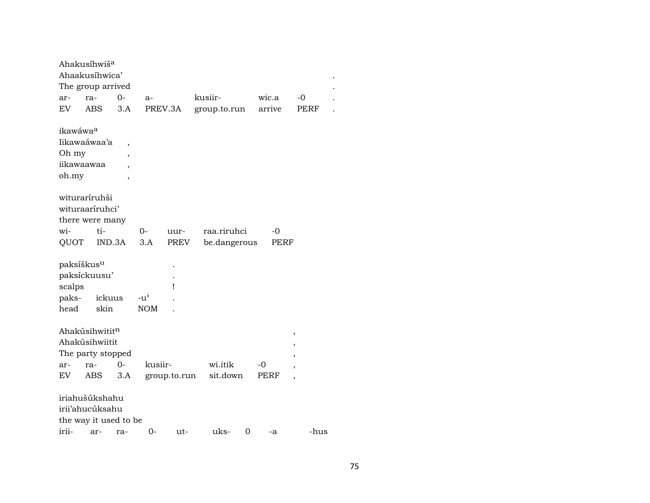| Ahakusíhwiš <sup>a</sup> |     |        |                          |               |              |              |   |        |                          |      |
|--------------------------|-----|--------|--------------------------|---------------|--------------|--------------|---|--------|--------------------------|------|
| Ahaakusíhwica'           |     |        |                          |               |              |              |   |        |                          |      |
| The group arrived        |     |        |                          |               |              |              |   |        |                          |      |
| ar-                      | ra- |        | $O -$                    | $a-$          |              | kusiir-      |   | wic.a  | $-0$                     |      |
| EV.                      | ABS |        | 3.A                      |               | PREV.3A      | group.to.run |   | arrive | PERF                     |      |
| ikawáwaa                 |     |        |                          |               |              |              |   |        |                          |      |
| Iikawaáwaa'a             |     |        | ,                        |               |              |              |   |        |                          |      |
| Oh my                    |     |        | $\overline{\phantom{a}}$ |               |              |              |   |        |                          |      |
| iikawaawaa               |     |        | $\overline{ }$           |               |              |              |   |        |                          |      |
| oh.my                    |     |        | $\overline{\phantom{a}}$ |               |              |              |   |        |                          |      |
| wituraríruhši            |     |        |                          |               |              |              |   |        |                          |      |
| wituraariruhci'          |     |        |                          |               |              |              |   |        |                          |      |
| there were many          |     |        |                          |               |              |              |   |        |                          |      |
| wi-                      |     | ti-    |                          | 0-            | uur-         | raa.riruhci  |   | $-0$   |                          |      |
| QUOT                     |     | IND.3A |                          | 3.A           | PREV         | be.dangerous |   | PERF   |                          |      |
|                          |     |        |                          |               |              |              |   |        |                          |      |
| paksíškus <sup>u</sup>   |     |        |                          |               |              |              |   |        |                          |      |
| paksíckuusu'             |     |        |                          |               |              |              |   |        |                          |      |
| scalps                   |     |        |                          |               | Ţ            |              |   |        |                          |      |
| paks-                    |     | ickuus |                          | $-u^{\prime}$ |              |              |   |        |                          |      |
| head                     |     | skin   |                          | <b>NOM</b>    |              |              |   |        |                          |      |
|                          |     |        |                          |               |              |              |   |        |                          |      |
| Ahakúsihwititn           |     |        |                          |               |              |              |   |        | ,                        |      |
| Ahakúsihwiitit           |     |        |                          |               |              |              |   |        | $\overline{ }$           |      |
| The party stopped        |     |        |                          |               |              |              |   |        | ,                        |      |
| ar-                      | ra- |        | $0 -$                    | kusiir-       |              | wi.itik      |   | -0     | $\overline{ }$           |      |
| EV                       | ABS |        | 3.A                      |               | group.to.run | sit.down     |   | PERF   | $\overline{\phantom{a}}$ |      |
|                          |     |        |                          |               |              |              |   |        |                          |      |
| iriahušúkshahu           |     |        |                          |               |              |              |   |        |                          |      |
| irii'ahucúksahu          |     |        |                          |               |              |              |   |        |                          |      |
| the way it used to be    |     |        |                          |               |              |              |   |        |                          |      |
| irii-                    |     | ar-    | ra-                      | 0-            | ut-          | uks-         | 0 | -a     |                          | -hus |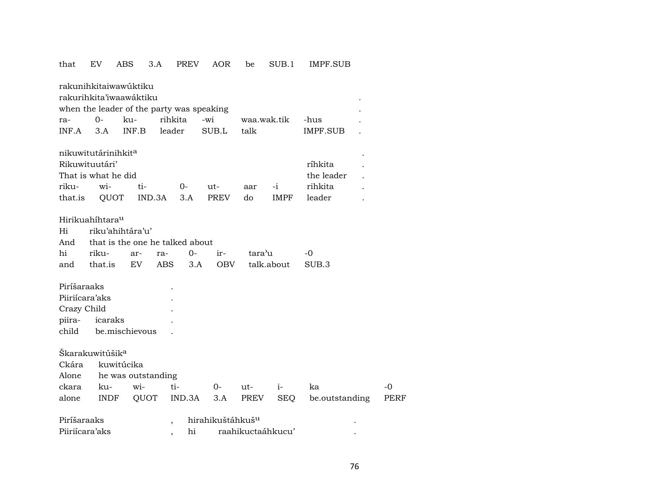| that        | EV                                        | ABS                             | 3.A        | <b>PREV</b> | AOR                          | be          | SUB.1       | IMPF.SUB        |             |
|-------------|-------------------------------------------|---------------------------------|------------|-------------|------------------------------|-------------|-------------|-----------------|-------------|
|             | rakunihkitaiwawúktiku                     |                                 |            |             |                              |             |             |                 |             |
|             | rakurihkita'iwaawáktiku                   |                                 |            |             |                              |             |             |                 |             |
|             | when the leader of the party was speaking |                                 |            |             |                              |             |             |                 |             |
| ra-         | 0-                                        | ku-                             | rihkita    |             | -wi                          | waa.wak.tik |             | -hus            |             |
| INF.A       | 3.A                                       | INF.B                           | leader     |             | SUB.L                        | talk        |             | <b>IMPF.SUB</b> |             |
|             | nikuwitutárinihkit <sup>a</sup>           |                                 |            |             |                              |             |             |                 |             |
|             | Rikuwituutári'                            |                                 |            |             |                              |             |             | ríhkita         |             |
|             | That is what he did                       |                                 |            |             |                              |             |             | the leader      |             |
| riku-       | wi-                                       | ti-                             |            | 0-          | ut-                          | aar         | $-i$        | rihkita         |             |
| that.is     | QUOT                                      |                                 | IND.3A     | 3.A         | PREV                         | do          | <b>IMPF</b> | leader          |             |
|             |                                           |                                 |            |             |                              |             |             |                 |             |
|             | Hirikuahíhtara <sup>u</sup>               |                                 |            |             |                              |             |             |                 |             |
| Hi          |                                           | riku'ahihtára'u'                |            |             |                              |             |             |                 |             |
| And         |                                           | that is the one he talked about |            |             |                              |             |             |                 |             |
| hi          | riku-                                     | ar-                             | ra-        | $O -$       | ir-                          | tara'u      |             | -0              |             |
| and         | that.is                                   | EV                              | <b>ABS</b> | 3.A         | <b>OBV</b>                   |             | talk.about  | SUB.3           |             |
| Piríšaraaks |                                           |                                 |            |             |                              |             |             |                 |             |
|             | Piiriícara'aks                            |                                 |            |             |                              |             |             |                 |             |
| Crazy Child |                                           |                                 |            |             |                              |             |             |                 |             |
| piira-      | icaraks                                   |                                 |            |             |                              |             |             |                 |             |
| child       |                                           | be.mischievous                  |            |             |                              |             |             |                 |             |
|             |                                           |                                 |            |             |                              |             |             |                 |             |
|             | Škarakuwitúšik <sup>a</sup>               |                                 |            |             |                              |             |             |                 |             |
| Ckára       |                                           | kuwitúcika                      |            |             |                              |             |             |                 |             |
| Alone       |                                           | he was outstanding              |            |             |                              |             |             |                 |             |
| ckara       | ku-                                       | wi-                             |            | ti-         | 0-                           | ut-         | $i-$        | ka              | $-0$        |
| alone       | <b>INDF</b>                               | QUOT                            |            | IND.3A      | 3.A                          | PREV        | <b>SEQ</b>  | be.outstanding  | <b>PERF</b> |
|             |                                           |                                 |            |             |                              |             |             |                 |             |
| Piríšaraaks |                                           |                                 |            |             | hirahikuštáhkuš <sup>u</sup> |             |             |                 |             |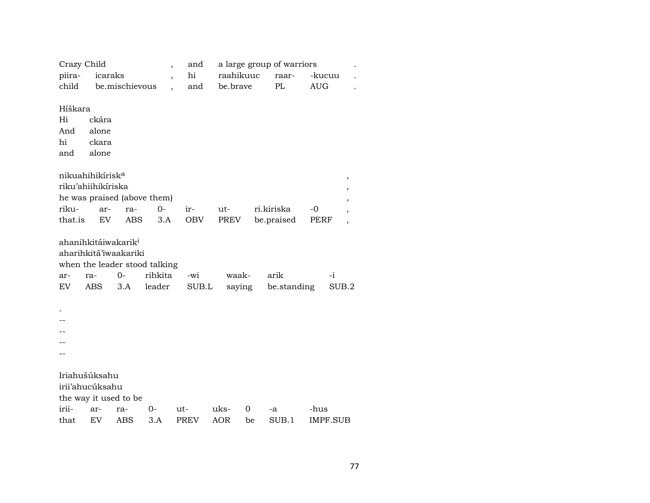| Crazy Child |                                 |                             | $\overline{\phantom{a}}$      | and         |            |    | a large group of warriors |            |                          |
|-------------|---------------------------------|-----------------------------|-------------------------------|-------------|------------|----|---------------------------|------------|--------------------------|
| piira-      | icaraks                         |                             | $\overline{\phantom{a}}$      | hi          | raahikuuc  |    | raar-                     | -kucuu     |                          |
| child       |                                 | be.mischievous              |                               | and         | be.brave   |    | PL                        | <b>AUG</b> |                          |
|             |                                 |                             |                               |             |            |    |                           |            |                          |
| Híškara     |                                 |                             |                               |             |            |    |                           |            |                          |
| Hi          | ckára                           |                             |                               |             |            |    |                           |            |                          |
| And         | alone                           |                             |                               |             |            |    |                           |            |                          |
| hi          | ckara                           |                             |                               |             |            |    |                           |            |                          |
| and         | alone                           |                             |                               |             |            |    |                           |            |                          |
|             |                                 |                             |                               |             |            |    |                           |            |                          |
|             | nikuahihikírisk <sup>a</sup>    |                             |                               |             |            |    |                           |            | $\, ,$                   |
|             | riku'ahiihikíriska              |                             |                               |             |            |    |                           |            | ,                        |
|             |                                 | he was praised (above them) |                               |             |            |    |                           |            | $\overline{\phantom{a}}$ |
| riku-       | ar-                             | ra-                         | $0 -$                         | ir-         | ut-        |    | ri.kiriska                | -0         | $\overline{\phantom{a}}$ |
| that.is     | EV                              | ABS                         | 3.A                           | <b>OBV</b>  | PREV       |    | be.praised                | PERF       | $\overline{\phantom{a}}$ |
|             | ahanihkitáiwakarik <sup>i</sup> |                             |                               |             |            |    |                           |            |                          |
|             |                                 | aharihkitá'iwaakariki       |                               |             |            |    |                           |            |                          |
|             |                                 |                             | when the leader stood talking |             |            |    |                           |            |                          |
| ar-         | ra-                             | 0-                          | rihkita                       | -wi         | waak-      |    | arik                      | $-i$       |                          |
| EV          | <b>ABS</b>                      | 3.A                         | leader                        | SUB.L       | saying     |    | be.standing               |            | SUB.2                    |
|             |                                 |                             |                               |             |            |    |                           |            |                          |
|             |                                 |                             |                               |             |            |    |                           |            |                          |
|             |                                 |                             |                               |             |            |    |                           |            |                          |
|             |                                 |                             |                               |             |            |    |                           |            |                          |
|             |                                 |                             |                               |             |            |    |                           |            |                          |
|             |                                 |                             |                               |             |            |    |                           |            |                          |
|             |                                 |                             |                               |             |            |    |                           |            |                          |
|             | Iriahušúksahu                   |                             |                               |             |            |    |                           |            |                          |
|             | irii'ahucúksahu                 |                             |                               |             |            |    |                           |            |                          |
|             | the way it used to be           |                             |                               |             |            |    |                           |            |                          |
| irii-       | ar-                             | ra-                         | 0-                            | ut-         | uks-       | 0  | -a                        | -hus       |                          |
| that        | EV                              | ABS                         | 3.A                           | <b>PREV</b> | <b>AOR</b> | be | SUB.1                     | IMPF.SUB   |                          |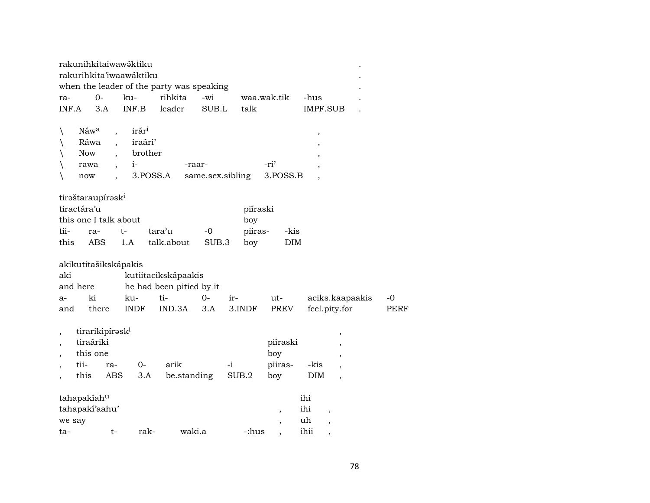| rakunihkitaiwawáktiku                     |                          |                     |                          |          |                          |                          |                          |             |
|-------------------------------------------|--------------------------|---------------------|--------------------------|----------|--------------------------|--------------------------|--------------------------|-------------|
| rakurihkita'iwaawáktiku                   |                          |                     |                          |          |                          |                          |                          |             |
| when the leader of the party was speaking |                          |                     |                          |          |                          |                          |                          |             |
| $0-$<br>ra-                               | ku-                      | rihkita             | -wi                      |          | waa.wak.tik              | -hus                     |                          |             |
| INF.A<br>3.A                              | INF.B                    | leader              | SUB.L                    | talk     |                          | <b>IMPF.SUB</b>          |                          |             |
|                                           |                          |                     |                          |          |                          |                          |                          |             |
| Náwa<br>$\backslash$                      | $\overline{\phantom{a}}$ | irár <sup>i</sup>   |                          |          |                          | $\, ,$                   |                          |             |
| Ráwa<br>$\backslash$                      |                          | iraári'             |                          |          |                          | $\overline{\phantom{a}}$ |                          |             |
| Now                                       |                          | brother             |                          |          |                          |                          |                          |             |
| rawa                                      | $i-$                     |                     | -raar-                   |          | -ri'                     |                          |                          |             |
| now                                       |                          | 3.POSS.A            | same.sex.sibling         |          | 3.POSS.B                 |                          |                          |             |
|                                           |                          |                     |                          |          |                          |                          |                          |             |
| tirəštaraupírəski<br>tiractára'u          |                          |                     |                          | piíraski |                          |                          |                          |             |
| this one I talk about                     |                          |                     |                          |          |                          |                          |                          |             |
|                                           | $t-$                     | tara'u              | $-0$                     | boy      |                          |                          |                          |             |
| tii-<br>ra-                               |                          |                     |                          | piiras-  | -kis                     |                          |                          |             |
| ABS<br>this                               | 1.A                      | talk.about          | SUB.3                    | boy      | DIM                      |                          |                          |             |
| akikutitašikskápakis                      |                          |                     |                          |          |                          |                          |                          |             |
| aki                                       |                          | kutiitacikskápaakis |                          |          |                          |                          |                          |             |
| and here                                  |                          |                     | he had been pitied by it |          |                          |                          |                          |             |
| ki<br>a-                                  | ku-                      | ti-                 | $0-$                     | ir-      | ut-                      |                          | aciks.kaapaakis          | $-0$        |
| there<br>and                              | <b>INDF</b>              | IND.3A              | 3.A                      | 3.INDF   | PREV                     | feel.pity.for            |                          | <b>PERF</b> |
|                                           |                          |                     |                          |          |                          |                          |                          |             |
| tirarikipírask <sup>i</sup><br>$\, ,$     |                          |                     |                          |          |                          |                          | ,                        |             |
| tiraáriki<br>$\overline{\phantom{a}}$     |                          |                     |                          |          | piíraski                 |                          |                          |             |
| this one<br>$\overline{\phantom{a}}$      |                          |                     |                          |          | boy                      |                          |                          |             |
| tii-                                      | ra-                      | arik<br>0-          |                          | -i       | piiras-                  | -kis                     | ,                        |             |
| $\overline{\phantom{a}}$<br>this          | ABS                      | 3.A                 | be.standing              | SUB.2    | boy                      | <b>DIM</b>               | $\overline{ }$           |             |
| $\overline{\phantom{a}}$                  |                          |                     |                          |          |                          |                          | $\overline{\phantom{a}}$ |             |
| tahapakiahu                               |                          |                     |                          |          |                          | ihi                      |                          |             |
| tahapakí'aahu'                            |                          |                     |                          |          | $\, ,$                   | ihi                      |                          |             |
| we say                                    |                          |                     |                          |          | $\overline{\phantom{a}}$ | uh                       |                          |             |
|                                           |                          |                     |                          |          |                          |                          |                          |             |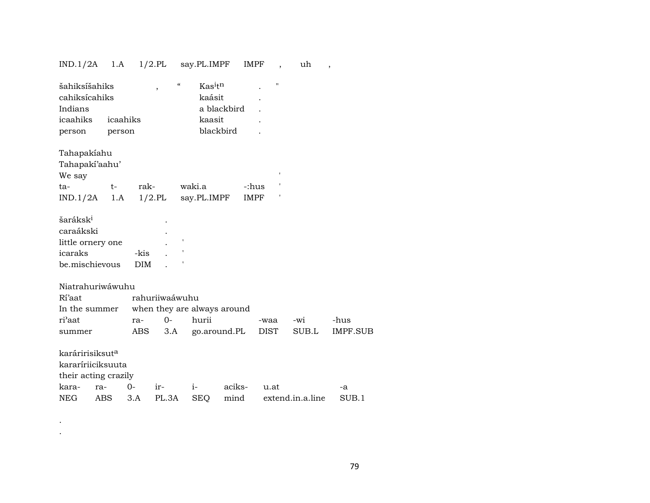## IND.1/2A 1.A 1/2.PL say.PL.IMPF IMPF , uh ,

| šahiksíšahiks<br>cahiksícahiks<br>Indians | $\overline{ }$ | $\boldsymbol{\mathcal{C}}$ | Kasitn<br>kaásit<br>a blackbird |        | $\pmb{\mathsf{H}}$ |                  |                 |
|-------------------------------------------|----------------|----------------------------|---------------------------------|--------|--------------------|------------------|-----------------|
| icaahiks                                  | icaahiks       |                            | kaasit                          |        |                    |                  |                 |
| person                                    | person         |                            | blackbird                       |        |                    |                  |                 |
| Tahapakiahu                               |                |                            |                                 |        |                    |                  |                 |
| Tahapaki'aahu'<br>We say                  |                |                            |                                 |        | ł.                 |                  |                 |
|                                           | rak-           |                            | waki.a                          | -:hus  |                    |                  |                 |
| $t-$<br>ta-                               |                |                            |                                 |        |                    |                  |                 |
| $IND.1/2A$ 1.A                            | $1/2$ .PL      |                            | say.PL.IMPF                     | IMPF   |                    |                  |                 |
| šaráksk <sup>i</sup>                      |                |                            |                                 |        |                    |                  |                 |
| caraákski                                 |                |                            |                                 |        |                    |                  |                 |
| little ornery one                         |                | $\pmb{\mathsf{I}}$         |                                 |        |                    |                  |                 |
| icaraks                                   | -kis           |                            |                                 |        |                    |                  |                 |
| be.mischievous                            | <b>DIM</b>     |                            |                                 |        |                    |                  |                 |
|                                           |                |                            |                                 |        |                    |                  |                 |
| Niatrahuriwáwuhu                          |                |                            |                                 |        |                    |                  |                 |
| Rí'aat                                    | rahuriiwaáwuhu |                            |                                 |        |                    |                  |                 |
| In the summer                             |                |                            | when they are always around     |        |                    |                  |                 |
| ri'aat                                    | ra-            | $O -$                      | hurii                           |        | -waa               | -wi              | -hus            |
| summer                                    | ABS            | 3.A                        | go.around.PL                    |        | DIST               | SUB.L            | <b>IMPF.SUB</b> |
|                                           |                |                            |                                 |        |                    |                  |                 |
| karáririsiksut <sup>a</sup>               |                |                            |                                 |        |                    |                  |                 |
| kararíriiciksuuta                         |                |                            |                                 |        |                    |                  |                 |
| their acting crazily                      |                |                            |                                 |        |                    |                  |                 |
| kara-<br>ra-                              | $0 -$<br>ir-   |                            | $i-$                            | aciks- | u.at               |                  | -a              |
| ABS<br><b>NEG</b>                         | 3.A            | PL.3A                      | <b>SEQ</b>                      | mind   |                    | extend.in.a.line | SUB.1           |

.

.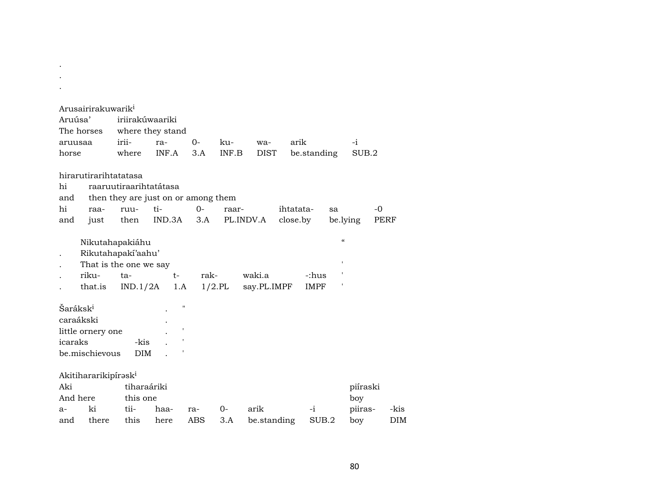|                      | Arusairirakuwarik <sup>i</sup>   |             |                                     |       |           |             |             |             |                            |          |            |  |
|----------------------|----------------------------------|-------------|-------------------------------------|-------|-----------|-------------|-------------|-------------|----------------------------|----------|------------|--|
| Aruúsa'              |                                  |             | iriirakúwaariki                     |       |           |             |             |             |                            |          |            |  |
|                      | The horses                       |             | where they stand                    |       |           |             |             |             |                            |          |            |  |
| aruusaa              |                                  | irii-       | ra-                                 | $0 -$ | ku-       | wa-         | arik        |             |                            | $-i$     |            |  |
| horse                |                                  | where       | INF.A                               | 3.A   | INF.B     | <b>DIST</b> |             | be.standing |                            | SUB.2    |            |  |
|                      |                                  |             |                                     |       |           |             |             |             |                            |          |            |  |
|                      | hirarutirarihtatatasa            |             |                                     |       |           |             |             |             |                            |          |            |  |
| hi                   |                                  |             | raaruutiraarihtatátasa              |       |           |             |             |             |                            |          |            |  |
| and                  |                                  |             | then they are just on or among them |       |           |             |             |             |                            |          |            |  |
| hi                   | raa-                             | ruu-        | $ti-$                               | $0 -$ | raar-     |             | ihtatata-   |             | sa                         |          | -0         |  |
| and                  | just                             | then        | IND.3A                              | 3.A   |           | PL.INDV.A   | close.by    |             |                            | be.lying | PERF       |  |
|                      | Nikutahapakiáhu                  |             |                                     |       |           |             |             |             | $\boldsymbol{\mathcal{C}}$ |          |            |  |
|                      | Rikutahapakí'aahu'               |             |                                     |       |           |             |             |             |                            |          |            |  |
|                      | That is the one we say           |             |                                     |       |           |             |             |             | $\mathbf{I}$               |          |            |  |
|                      | riku-                            | ta-         | $t-$                                | rak-  |           | waki.a      |             | -:hus       |                            |          |            |  |
|                      | that.is                          | IND.1/2A    |                                     | 1.A   | $1/2$ .PL | say.PL.IMPF |             | IMPF        |                            |          |            |  |
|                      |                                  |             |                                     |       |           |             |             |             |                            |          |            |  |
| Šaráksk <sup>i</sup> |                                  |             |                                     | п     |           |             |             |             |                            |          |            |  |
|                      | caraákski                        |             |                                     |       |           |             |             |             |                            |          |            |  |
|                      | little ornery one                |             |                                     |       |           |             |             |             |                            |          |            |  |
| icaraks              |                                  | -kis        |                                     |       |           |             |             |             |                            |          |            |  |
|                      | be.mischievous                   | <b>DIM</b>  |                                     |       |           |             |             |             |                            |          |            |  |
|                      |                                  |             |                                     |       |           |             |             |             |                            |          |            |  |
|                      | Akitihararikipírəsk <sup>i</sup> |             |                                     |       |           |             |             |             |                            |          |            |  |
| Aki                  |                                  | tiharaáriki |                                     |       |           |             |             |             |                            | piíraski |            |  |
| And here             |                                  | this one    |                                     |       |           |             |             |             |                            | boy      |            |  |
| $a-$                 | ki                               | tii-        | haa-                                | ra-   | $0-$      | arik        |             | $-i$        |                            | piiras-  | -kis       |  |
| and                  | there                            | this        | here                                | ABS   | 3.A       |             | be.standing | SUB.2       |                            | boy      | <b>DIM</b> |  |

. . .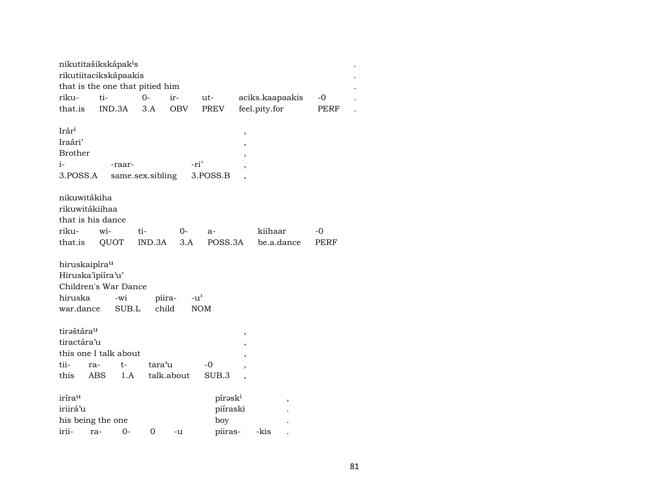| ti-                       |                                                                                                                                           | ir-                                                                                                                                       | ut-                                                                                                             |                                                                         |                                           | -0                                                                     |  |
|---------------------------|-------------------------------------------------------------------------------------------------------------------------------------------|-------------------------------------------------------------------------------------------------------------------------------------------|-----------------------------------------------------------------------------------------------------------------|-------------------------------------------------------------------------|-------------------------------------------|------------------------------------------------------------------------|--|
|                           |                                                                                                                                           | OBV                                                                                                                                       |                                                                                                                 |                                                                         |                                           | PERF                                                                   |  |
|                           |                                                                                                                                           |                                                                                                                                           |                                                                                                                 |                                                                         |                                           |                                                                        |  |
|                           |                                                                                                                                           |                                                                                                                                           |                                                                                                                 | ,                                                                       |                                           |                                                                        |  |
|                           |                                                                                                                                           |                                                                                                                                           |                                                                                                                 |                                                                         |                                           |                                                                        |  |
|                           |                                                                                                                                           |                                                                                                                                           |                                                                                                                 |                                                                         |                                           |                                                                        |  |
| -raar-                    |                                                                                                                                           |                                                                                                                                           |                                                                                                                 |                                                                         |                                           |                                                                        |  |
|                           |                                                                                                                                           |                                                                                                                                           |                                                                                                                 |                                                                         |                                           |                                                                        |  |
|                           |                                                                                                                                           |                                                                                                                                           |                                                                                                                 |                                                                         |                                           |                                                                        |  |
|                           |                                                                                                                                           |                                                                                                                                           |                                                                                                                 |                                                                         |                                           |                                                                        |  |
|                           |                                                                                                                                           |                                                                                                                                           |                                                                                                                 |                                                                         |                                           |                                                                        |  |
|                           |                                                                                                                                           |                                                                                                                                           |                                                                                                                 |                                                                         |                                           |                                                                        |  |
|                           | ti-                                                                                                                                       | 0-                                                                                                                                        | a-                                                                                                              |                                                                         |                                           | -0                                                                     |  |
|                           |                                                                                                                                           |                                                                                                                                           |                                                                                                                 |                                                                         |                                           | PERF                                                                   |  |
|                           |                                                                                                                                           |                                                                                                                                           |                                                                                                                 |                                                                         |                                           |                                                                        |  |
| hiruskaipíra <sup>u</sup> |                                                                                                                                           |                                                                                                                                           |                                                                                                                 |                                                                         |                                           |                                                                        |  |
|                           |                                                                                                                                           |                                                                                                                                           |                                                                                                                 |                                                                         |                                           |                                                                        |  |
|                           |                                                                                                                                           |                                                                                                                                           |                                                                                                                 |                                                                         |                                           |                                                                        |  |
| -wi                       |                                                                                                                                           |                                                                                                                                           |                                                                                                                 |                                                                         |                                           |                                                                        |  |
| war.dance                 |                                                                                                                                           |                                                                                                                                           |                                                                                                                 |                                                                         |                                           |                                                                        |  |
|                           |                                                                                                                                           |                                                                                                                                           |                                                                                                                 |                                                                         |                                           |                                                                        |  |
| tiraštára <sup>u</sup>    |                                                                                                                                           |                                                                                                                                           |                                                                                                                 | ,                                                                       |                                           |                                                                        |  |
| tiractára'u               |                                                                                                                                           |                                                                                                                                           |                                                                                                                 |                                                                         |                                           |                                                                        |  |
|                           |                                                                                                                                           |                                                                                                                                           |                                                                                                                 |                                                                         |                                           |                                                                        |  |
| $t-$<br>ra-               |                                                                                                                                           |                                                                                                                                           | -0                                                                                                              |                                                                         |                                           |                                                                        |  |
|                           |                                                                                                                                           |                                                                                                                                           |                                                                                                                 |                                                                         |                                           |                                                                        |  |
|                           |                                                                                                                                           |                                                                                                                                           |                                                                                                                 |                                                                         |                                           |                                                                        |  |
|                           |                                                                                                                                           |                                                                                                                                           |                                                                                                                 |                                                                         |                                           |                                                                        |  |
|                           |                                                                                                                                           |                                                                                                                                           |                                                                                                                 |                                                                         |                                           |                                                                        |  |
|                           |                                                                                                                                           |                                                                                                                                           |                                                                                                                 |                                                                         |                                           |                                                                        |  |
| 0-<br>ra-                 | 0                                                                                                                                         | -u                                                                                                                                        |                                                                                                                 |                                                                         |                                           |                                                                        |  |
|                           | IND.3A<br>3.POSS.A<br>nikuwitákiha<br>rikuwitákiihaa<br>that is his dance<br>wi-<br>QUOT<br>Hiruska'ipiíra'u'<br>ABS<br>his being the one | nikutitašikskápak <sup>i</sup> s<br>rikutiitacikskápaakis<br>$0-$<br>3.A<br>Children's War Dance<br>SUB.L<br>this one I talk about<br>1.A | that is the one that pitied him<br>same.sex.sibling<br>IND.3A<br>3.A<br>piira-<br>child<br>tara'u<br>talk.about | PREV<br>-ri'<br>3.POSS.B<br>$-u^{\prime}$<br><b>NOM</b><br>SUB.3<br>boy | POSS.3A<br>pírəski<br>piíraski<br>piiras- | aciks.kaapaakis<br>feel.pity.for<br>kiihaar<br>be.a.dance<br>,<br>-kis |  |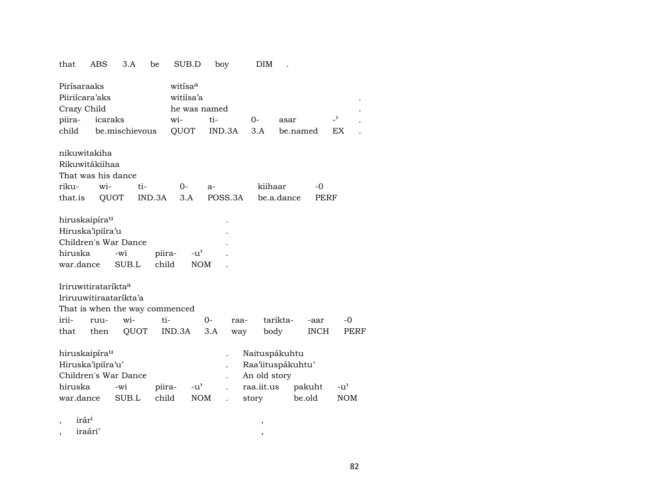| that                            | ABS     | 3.A            | be     | SUB.D               |               | boy          |        |              | <b>DIM</b>        |          |          |             |                          |            |
|---------------------------------|---------|----------------|--------|---------------------|---------------|--------------|--------|--------------|-------------------|----------|----------|-------------|--------------------------|------------|
| Pirísaraaks                     |         |                |        | witisa <sup>a</sup> |               |              |        |              |                   |          |          |             |                          |            |
| Piiriícara'aks                  |         |                |        | witiisa'a           |               |              |        |              |                   |          |          |             |                          |            |
| Crazy Child                     |         |                |        |                     |               | he was named |        |              |                   |          |          |             |                          |            |
| piira-                          | icaraks |                |        | wi-                 |               | ti-          |        | 0-           |                   | asar     |          |             | $\overline{\phantom{0}}$ |            |
| child                           |         | be.mischievous |        | QUOT                |               |              | IND.3A | 3.A          |                   |          | be.named |             | EX                       |            |
| nikuwitakiha                    |         |                |        |                     |               |              |        |              |                   |          |          |             |                          |            |
| Rikuwitákiihaa                  |         |                |        |                     |               |              |        |              |                   |          |          |             |                          |            |
| That was his dance              |         |                |        |                     |               |              |        |              |                   |          |          |             |                          |            |
| riku-                           | wi-     |                | ti-    | 0-                  |               | $a-$         |        |              | kiihaar           |          |          | -0          |                          |            |
| that.is                         | QUOT    |                | IND.3A | 3.A                 |               | POSS.3A      |        |              | be.a.dance        |          |          | PERF        |                          |            |
| hiruskaipíra <sup>u</sup>       |         |                |        |                     |               |              |        |              |                   |          |          |             |                          |            |
| Hiruska'ipiíra'u                |         |                |        |                     |               |              |        |              |                   |          |          |             |                          |            |
| Children's War Dance            |         |                |        |                     |               |              |        |              |                   |          |          |             |                          |            |
| hiruska                         |         | -wi            | piira- |                     | $-u^{\prime}$ |              |        |              |                   |          |          |             |                          |            |
| war.dance                       |         | SUB.L          | child  |                     | <b>NOM</b>    |              |        |              |                   |          |          |             |                          |            |
| Iriruwitirataríkta <sup>a</sup> |         |                |        |                     |               |              |        |              |                   |          |          |             |                          |            |
| Iriruuwitiraataríkta'a          |         |                |        |                     |               |              |        |              |                   |          |          |             |                          |            |
| That is when the way commenced  |         |                |        |                     |               |              |        |              |                   |          |          |             |                          |            |
| irii-                           | ruu-    | wi-            | ti-    |                     |               | 0-           | raa-   |              |                   | tarikta- |          | -aar        |                          | -0         |
| that                            | then    | QUOT           |        | IND.3A              |               | 3.A          | way    |              | body              |          |          | <b>INCH</b> |                          | PERF       |
| hiruskaipíra <sup>u</sup>       |         |                |        |                     |               |              |        |              | Naituspákuhtu     |          |          |             |                          |            |
| Hiruska'ipiíra'u'               |         |                |        |                     |               |              |        |              | Raa'iituspákuhtu' |          |          |             |                          |            |
| Children's War Dance            |         |                |        |                     |               |              |        | An old story |                   |          |          |             |                          |            |
| hiruska                         |         | -wi            | piira- |                     | $-u^{\prime}$ |              |        | raa.iit.us   |                   |          | pakuht   |             | $-u^{\prime}$            |            |
| war.dance                       |         | SUB.L          | child  |                     | <b>NOM</b>    |              |        | story        |                   |          | be.old   |             |                          | <b>NOM</b> |
| irár <sup>i</sup><br>,          |         |                |        |                     |               |              |        |              |                   |          |          |             |                          |            |

|           | iraári' |  |
|-----------|---------|--|
| $\bullet$ |         |  |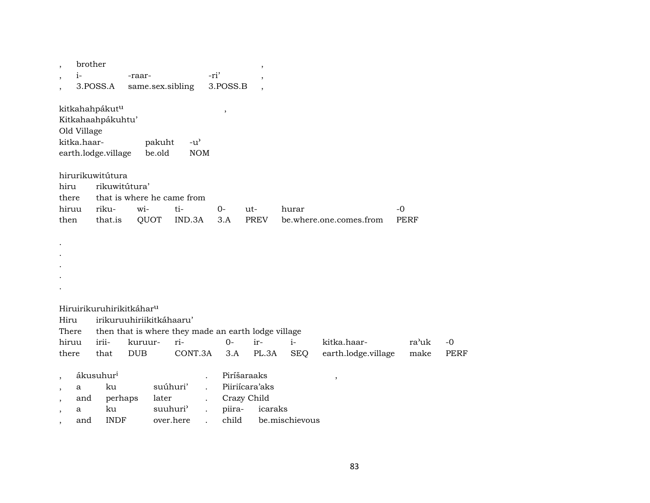| $\overline{\phantom{a}}$                                                                                          | brother<br>$i-$            |                                                                        |                                      |                                                            | -ri' |                 | ,                                                       |                |                          |             |             |
|-------------------------------------------------------------------------------------------------------------------|----------------------------|------------------------------------------------------------------------|--------------------------------------|------------------------------------------------------------|------|-----------------|---------------------------------------------------------|----------------|--------------------------|-------------|-------------|
| $\cdot$                                                                                                           |                            | 3.POSS.A                                                               | -raar-<br>same.sex.sibling           |                                                            |      | 3.POSS.B        | $\overline{\phantom{a}}$                                |                |                          |             |             |
|                                                                                                                   | Old Village<br>kitka.haar- | kitkahahpákut <sup>u</sup><br>Kitkahaahpákuhtu'<br>earth.lodge.village | pakuht<br>be.old                     | $-u^{\prime}$<br><b>NOM</b>                                |      | $\, ,$          |                                                         |                |                          |             |             |
| hiru<br>there<br>hiruu                                                                                            |                            | hirurikuwitútura<br>rikuwitútura'<br>riku-                             | wi-                                  | that is where he came from<br>ti-                          | $0-$ |                 | ut-                                                     | hurar          |                          | $-0$        |             |
| then                                                                                                              |                            | that.is                                                                | QUOT                                 | IND.3A                                                     | 3.A  |                 | <b>PREV</b>                                             |                | be.where.one.comes.from  | <b>PERF</b> |             |
|                                                                                                                   |                            |                                                                        |                                      |                                                            |      |                 |                                                         |                |                          |             |             |
|                                                                                                                   |                            |                                                                        | Hiruirikuruhirikitkáhar <sup>u</sup> |                                                            |      |                 |                                                         |                |                          |             |             |
| Hiru<br>There                                                                                                     |                            |                                                                        | irikuruuhiriikitkáhaaru'             |                                                            |      |                 |                                                         |                |                          |             |             |
| hiruu                                                                                                             |                            | irii-                                                                  | kuruur-                              | then that is where they made an earth lodge village<br>ri- |      | $0-$            | ir-                                                     | $i-$           | kitka.haar-              | ra'uk       | $-0$        |
| there                                                                                                             |                            | that                                                                   | <b>DUB</b>                           | CONT.3A                                                    |      | 3.A             | PL.3A                                                   | <b>SEQ</b>     | earth.lodge.village      | make        | <b>PERF</b> |
| $\overline{\phantom{a}}$<br>$\overline{\phantom{a}}$<br>$\overline{\phantom{a}}$<br>$\overline{\phantom{a}}$<br>, | a<br>and<br>a<br>and       | ákusuhur <sup>i</sup><br>ku<br>perhaps<br>ku<br><b>INDF</b>            |                                      | suúhuri'<br>later<br>suuhuri'<br>over.here                 |      | piira-<br>child | Piríšaraaks<br>Piiriícara'aks<br>Crazy Child<br>icaraks | be.mischievous | $\overline{\phantom{a}}$ |             |             |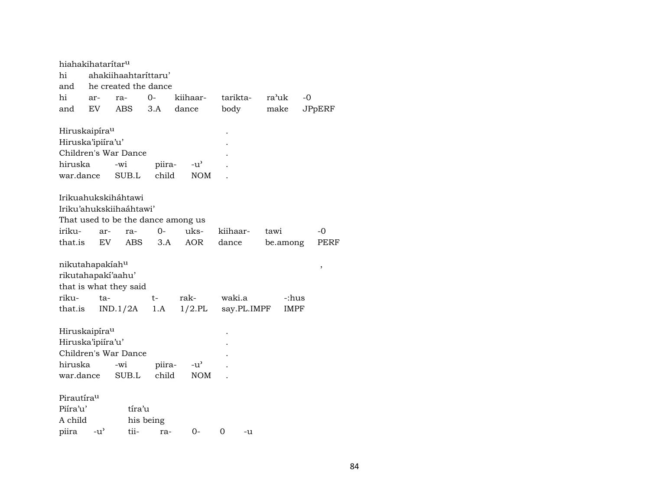| hiahakihatarítar <sup>u</sup> |               |                                    |           |               |             |       |          |               |
|-------------------------------|---------------|------------------------------------|-----------|---------------|-------------|-------|----------|---------------|
| hi                            |               | ahakiihaahtarittaru'               |           |               |             |       |          |               |
| and                           |               | he created the dance               |           |               |             |       |          |               |
| hi                            | ar-           | ra-                                | 0-        | kiihaar-      | tarikta-    | ra'uk | $-0$     |               |
| and                           | EV.           | ABS                                | 3.A       | dance         | body        |       | make     | <b>JPpERF</b> |
| Hiruskaipíra <sup>u</sup>     |               |                                    |           |               |             |       |          |               |
| Hiruska'ipiíra'u'             |               |                                    |           |               |             |       |          |               |
|                               |               | Children's War Dance               |           |               |             |       |          |               |
| hiruska                       |               | -wi                                | piira-    | $-u^{\prime}$ |             |       |          |               |
| war.dance                     |               | SUB.L                              | child     | <b>NOM</b>    |             |       |          |               |
|                               |               | Irikuahukskiháhtawi                |           |               |             |       |          |               |
|                               |               | Iriku'ahukskiihaáhtawi'            |           |               |             |       |          |               |
|                               |               | That used to be the dance among us |           |               |             |       |          |               |
| iriku-                        | ar-           | ra-                                | $O -$     | uks-          | kiihaar-    | tawi  |          | -0            |
| that.is                       | EV            | <b>ABS</b>                         | 3.A       | <b>AOR</b>    | dance       |       | be.among | PERF          |
| nikutahapakiah <sup>u</sup>   |               |                                    |           |               |             |       |          | ,             |
| rikutahapakí'aahu'            |               |                                    |           |               |             |       |          |               |
|                               |               | that is what they said             |           |               |             |       |          |               |
| riku-                         | ta-           |                                    | t-        | rak-          | waki.a      |       | -:hus    |               |
| that.is                       |               | IND.1/2A                           | 1.A       | $1/2$ .PL     | say.PL.IMPF |       | IMPF     |               |
| Hiruskaipíra <sup>u</sup>     |               |                                    |           |               |             |       |          |               |
| Hiruska'ipiíra'u'             |               |                                    |           |               |             |       |          |               |
|                               |               | Children's War Dance               |           |               |             |       |          |               |
| hiruska                       |               | -wi                                | piira-    | $-u^{\prime}$ |             |       |          |               |
| war.dance                     |               | SUB.L                              | child     | <b>NOM</b>    |             |       |          |               |
| Pirautírau                    |               |                                    |           |               |             |       |          |               |
| Piíra'u'                      |               | tíra'u                             |           |               |             |       |          |               |
| A child                       |               |                                    | his being |               |             |       |          |               |
| piira                         | $-u^{\prime}$ | tii-                               | ra-       | 0-            | 0<br>-u     |       |          |               |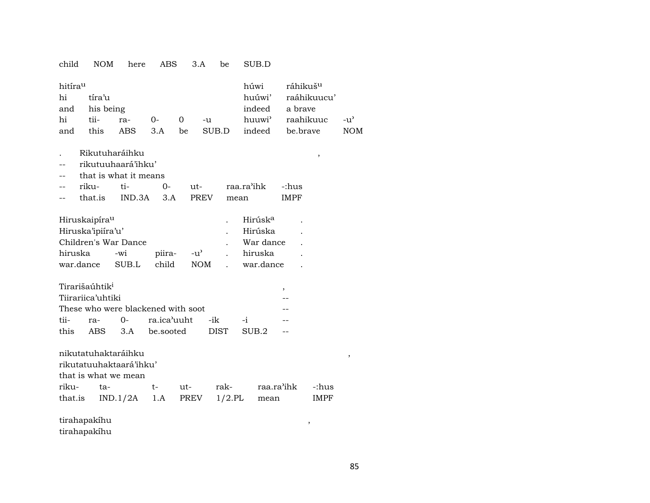## child NOM here ABS 3.A be SUB.D

| hitíra <sup>u</sup> |        |          |          | húwi    | ráhikuš <sup>u</sup> |                              |       |
|---------------------|--------|----------|----------|---------|----------------------|------------------------------|-------|
| hi                  | tíra'u |          |          |         |                      | huúwi' raáhikuucu'           |       |
| and his being       |        |          |          |         |                      | indeed a brave               |       |
| hi                  |        | tii- ra- | $\Omega$ | $0 - u$ |                      | huuwi <sup>)</sup> raahikuuc | $-11$ |
| and                 | this   | ABS 3.A  |          |         |                      | be SUB.D indeed be.brave     | NOM   |

- . Rikutuharáihku ,
- -- rikutuuhaará'ihku'
- -- that is what it means

| -- | riku-   |           |      | raa ra'ihk | -:hus |
|----|---------|-----------|------|------------|-------|
| -- | that is | IND 3A 3A | PREV | mean       | IMPF  |

| Hiruskaipíra <sup>u</sup> |         |       |              |  | Hirúsk <sup>a</sup> |        |
|---------------------------|---------|-------|--------------|--|---------------------|--------|
| Hiruska'ipiira'u'         | Hirúska |       |              |  |                     |        |
| Children's War Dance      |         |       |              |  | War dance           | $\sim$ |
| hiruska                   | -wi     |       | piira- -u' . |  | hiruska             |        |
| war.dance                 | SUB.L   | child | NOM .        |  | war.dance           |        |

|                   | Tirarišaúhtik <sup>1</sup> |  |                                    |  |      |  |  |  |  |  |  |
|-------------------|----------------------------|--|------------------------------------|--|------|--|--|--|--|--|--|
| Tiirariica'uhtiki |                            |  |                                    |  |      |  |  |  |  |  |  |
|                   |                            |  | These who were blackened with soot |  |      |  |  |  |  |  |  |
|                   |                            |  | tii- ra- 0- ra.ica'uuht -ik        |  | $-1$ |  |  |  |  |  |  |
|                   |                            |  | this ABS 3.A be.sooted DIST SUB.2  |  |      |  |  |  |  |  |  |

nikutatuhaktaráihku ,

rikutatuuhaktaará'ihku'

that is what we mean

| riku- ta- |  |  | t- ut- rak- raa.ra'ihk -:hus               |  |
|-----------|--|--|--------------------------------------------|--|
|           |  |  | that.is IND.1/2A 1.A PREV 1/2.PL mean IMPF |  |

tirahapakíhu , tirahapakíhu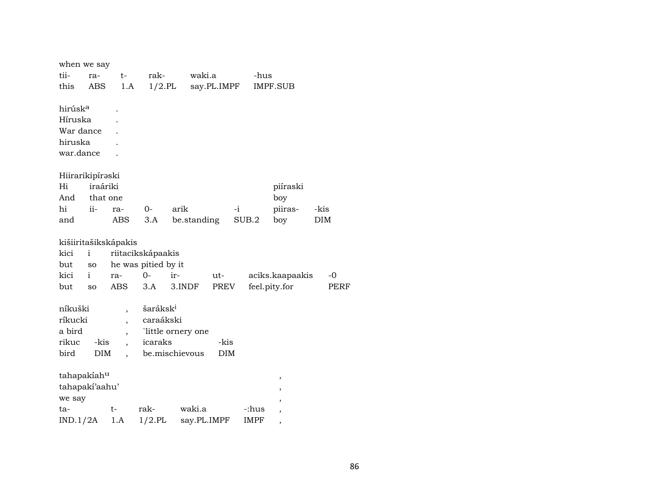| when we say         |              |                          |                      |                    |             |       |                          |             |
|---------------------|--------------|--------------------------|----------------------|--------------------|-------------|-------|--------------------------|-------------|
| tii-                | ra-          | $t-$                     | rak-                 | waki.a             |             | -hus  |                          |             |
| this                | ABS          | 1.A                      | $1/2$ .PL            |                    | say.PL.IMPF |       | <b>IMPF.SUB</b>          |             |
|                     |              |                          |                      |                    |             |       |                          |             |
| hirúsk <sup>a</sup> |              |                          |                      |                    |             |       |                          |             |
| Híruska             |              |                          |                      |                    |             |       |                          |             |
| War dance           |              |                          |                      |                    |             |       |                          |             |
| hiruska             |              |                          |                      |                    |             |       |                          |             |
| war.dance           |              |                          |                      |                    |             |       |                          |             |
|                     |              |                          |                      |                    |             |       |                          |             |
| Hiirarikipíraski    |              |                          |                      |                    |             |       |                          |             |
| Hi                  | iraáriki     |                          |                      |                    |             |       | piíraski                 |             |
| And                 | that one     |                          |                      |                    |             |       | boy                      |             |
| hi                  | $ii-$        | ra-                      | $0-$                 | arik               |             | $-i$  | piiras-                  | -kis        |
| and                 |              | <b>ABS</b>               | 3.A                  | be.standing        |             | SUB.2 | boy                      | DIM         |
|                     |              | kišiiritašikskápakis     |                      |                    |             |       |                          |             |
| kici                | $\mathbf{i}$ |                          | riitacikskápaakis    |                    |             |       |                          |             |
| but                 | SO           |                          | he was pitied by it  |                    |             |       |                          |             |
| kici                | $\mathbf{i}$ | ra-                      | $0 -$                | ir-                | ut-         |       | aciks.kaapaakis          | -0          |
| but                 | <b>SO</b>    | ABS                      | 3.A                  | 3.INDF             | PREV        |       | feel.pity.for            | <b>PERF</b> |
|                     |              |                          |                      |                    |             |       |                          |             |
| níkuški             |              | $\overline{\phantom{a}}$ | šaráksk <sup>i</sup> |                    |             |       |                          |             |
| ríkucki             |              | $\overline{\phantom{a}}$ | caraákski            |                    |             |       |                          |             |
| a bird              |              | ,                        |                      | `little ornery one |             |       |                          |             |
| rikuc               | -kis         |                          | icaraks              |                    | -kis        |       |                          |             |
| bird                | <b>DIM</b>   |                          |                      | be.mischievous     | <b>DIM</b>  |       |                          |             |
|                     |              |                          |                      |                    |             |       |                          |             |
| tahapakiahu         |              |                          |                      |                    |             |       | ,                        |             |
| tahapaki'aahu'      |              |                          |                      |                    |             |       | ,                        |             |
| we say              |              |                          |                      |                    |             |       | ,                        |             |
| ta-                 |              | t-                       | rak-                 | waki.a             |             | -:hus | $\overline{\phantom{a}}$ |             |
| IND.1/2A            |              | 1.A                      | $1/2$ .PL            | say.PL.IMPF        |             | IMPF  |                          |             |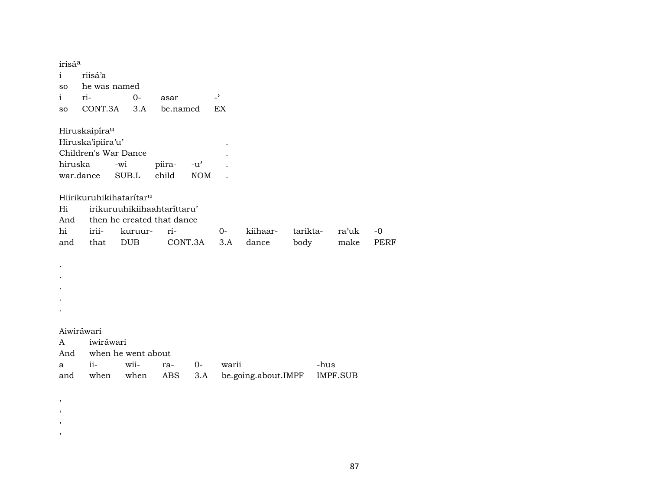irisá<sup>a</sup> riisá'a  $\mathbf{i}$ he was named  ${\bf SO}$ ri- $0 \overline{\phantom{0}}$  $\mathbf{i}$ asar CONT.3A 3.A be.named  $\mathop{\rm EX}\nolimits$  ${\bf SO}$ Hiruskaipíra<sup>u</sup> Hiruska'ipiíra'u'  $\ddot{\phantom{a}}$ Children's War Dance  $\overline{a}$ hiruska -wi piira- $-u^{\prime}$  $\overline{a}$ war.dance child SUB.L  $\texttt{NOM}{}$  $\mathbf{r}$  ${\it Hiirikuruhikihataritar^u}$ irikuruuhikiihaahtaríttaru'  $Hi$ And then he created that dance hi iriiri- $0$ kiihaartariktara'uk kuruurbody that **DUB** CONT.3A dance make and  $3.A$  $\bullet$  $\cdot$  $\cdot$ 

 $\cdot$  $\cdot$ 

## Aiwiráwari

 $\cdot$  $\,$  $\,$  $\cdot$ 

| A iwiráwari |                         |  |  |                                                    |      |  |  |  |  |  |  |
|-------------|-------------------------|--|--|----------------------------------------------------|------|--|--|--|--|--|--|
|             | And when he went about  |  |  |                                                    |      |  |  |  |  |  |  |
|             | a ii- wii- ra- 0- warii |  |  |                                                    | -hus |  |  |  |  |  |  |
|             |                         |  |  | and when when ABS 3.A be.going.about.IMPF IMPF.SUB |      |  |  |  |  |  |  |

87

 $-0$ 

**PERF**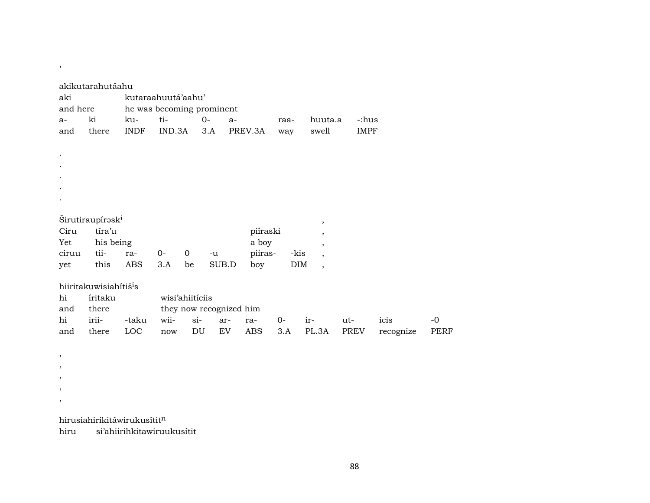| aki<br>and here<br>a-<br>and                                                     | akikutarahutáahu<br>ki<br>there                                          | ku-<br><b>INDF</b> | kutaraahuutá'aahu'<br>ti-<br>IND.3A | he was becoming prominent<br>$0-$<br>3.A | swell                                                     | huuta.a<br>-:hus<br><b>IMPF</b> |                                                                                                                      |             |                   |                     |
|----------------------------------------------------------------------------------|--------------------------------------------------------------------------|--------------------|-------------------------------------|------------------------------------------|-----------------------------------------------------------|---------------------------------|----------------------------------------------------------------------------------------------------------------------|-------------|-------------------|---------------------|
|                                                                                  |                                                                          |                    |                                     |                                          |                                                           |                                 |                                                                                                                      |             |                   |                     |
| Ciru<br>Yet<br>ciruu<br>yet                                                      | Širutiraupírask <sup>i</sup><br>tíra'u<br>his being<br>tii-<br>this      | ra-<br><b>ABS</b>  | $0-$<br>3.A                         | $\mathbf 0$<br>$-u$<br>be                | piíraski<br>a boy<br>piiras-<br>SUB.D<br>boy              | -kis<br>$\rm{DIM}$              | $\,$<br>$\overline{\phantom{a}}$<br>$\overline{\phantom{a}}$<br>$\overline{\phantom{a}}$<br>$\overline{\phantom{a}}$ |             |                   |                     |
| hi<br>and<br>hi<br>and                                                           | hiiritakuwisiahítiš <sup>i</sup> s<br>íritaku<br>there<br>irii-<br>there | -taku<br>LOC       | wii-<br>now                         | wisi'ahiitíciis<br>$si$ -<br>DU          | they now recognized him<br>ar-<br>ra-<br>EV<br><b>ABS</b> | $O -$<br>3.A                    | ir-<br>PL.3A                                                                                                         | ut-<br>PREV | icis<br>recognize | $-0$<br><b>PERF</b> |
| ,<br>$\overline{\phantom{a}}$<br>$\overline{\phantom{a}}$<br>$\overline{ }$<br>, |                                                                          |                    |                                     |                                          |                                                           |                                 |                                                                                                                      |             |                   |                     |

hirusiahirikitáwirukusítitn

 $\overline{\phantom{a}}$ 

hiru si'ahiirihkitawiruukusítit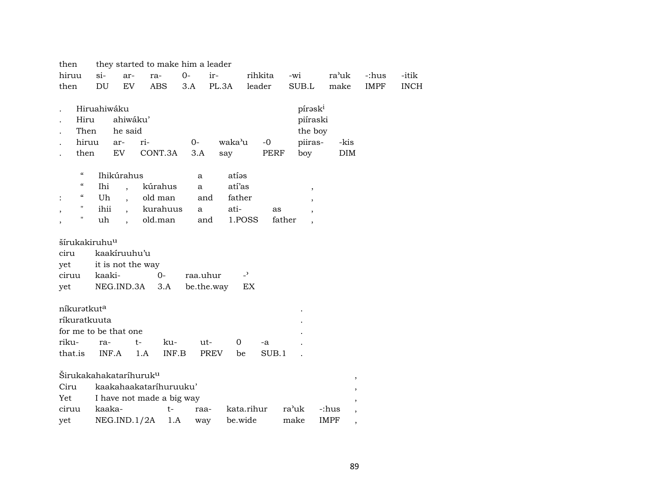| -itik       |
|-------------|
|             |
| <b>INCH</b> |
|             |
|             |
|             |
|             |
|             |
|             |
|             |
|             |
|             |
|             |
|             |
|             |
|             |
|             |
|             |
|             |
|             |
|             |
|             |
|             |
|             |
|             |
|             |
|             |
|             |
|             |
|             |
|             |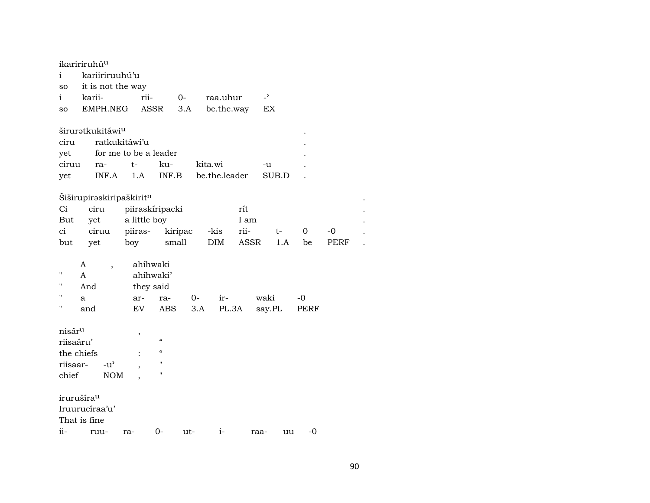| ikaririruhú <sup>u</sup> |     |                                      |                       |                    |         |               |            |                |      |      |
|--------------------------|-----|--------------------------------------|-----------------------|--------------------|---------|---------------|------------|----------------|------|------|
| i                        |     | kariiriruuhú'u                       |                       |                    |         |               |            |                |      |      |
| so                       |     | it is not the way                    |                       |                    |         |               |            |                |      |      |
| i                        |     | karii-                               | rii-                  |                    | $O-$    | raa.uhur      |            | $\overline{a}$ |      |      |
| <b>SO</b>                |     | EMPH.NEG                             |                       | ASSR               | 3.A     |               | be.the.way | EX             |      |      |
|                          |     |                                      |                       |                    |         |               |            |                |      |      |
|                          |     | širuratkukitáwi <sup>u</sup>         |                       |                    |         |               |            |                |      |      |
| ciru                     |     |                                      | ratkukitáwi'u         |                    |         |               |            |                |      |      |
| yet                      |     |                                      | for me to be a leader |                    |         |               |            |                |      |      |
| ciruu                    |     | ra-                                  | t-                    | ku-                |         | kita.wi       |            | -u             |      |      |
| yet                      |     | INF.A                                | 1.A                   | INF.B              |         | be.the.leader |            | SUB.D          |      |      |
|                          |     |                                      |                       |                    |         |               |            |                |      |      |
|                          |     | Šiširupirəskiripaškirit <sup>n</sup> |                       |                    |         |               |            |                |      |      |
| Ci                       |     | ciru                                 | piiraskíripacki       |                    |         |               | rít        |                |      |      |
| But                      |     | yet                                  | a little boy          |                    |         |               | I am       |                |      |      |
| ci                       |     | ciruu                                | piiras-               |                    | kiripac | -kis          | rii-       | t-             | 0    | -0   |
| but                      |     | yet                                  | boy                   | small              |         | DIM           | ASSR       | 1.A            | be   | PERF |
|                          | A   |                                      |                       | ahíhwaki           |         |               |            |                |      |      |
| п                        | A   | $\overline{\phantom{a}}$             |                       | ahíhwaki'          |         |               |            |                |      |      |
| п                        | And |                                      |                       | they said          |         |               |            |                |      |      |
| $\blacksquare$           | a   |                                      | ar-                   | ra-                |         | 0-<br>ir-     |            | waki           | -0   |      |
| П                        | and |                                      | EV                    | <b>ABS</b>         |         | 3.A           | PL.3A      | say.PL         | PERF |      |
|                          |     |                                      |                       |                    |         |               |            |                |      |      |
| nisár <sup>u</sup>       |     |                                      | ,                     |                    |         |               |            |                |      |      |
| riisaáru'                |     |                                      |                       | $\zeta\zeta$       |         |               |            |                |      |      |
| the chiefs               |     |                                      |                       | $\epsilon\epsilon$ |         |               |            |                |      |      |
| riisaar-                 |     | -u'                                  | ,                     | $\blacksquare$     |         |               |            |                |      |      |
| chief                    |     | <b>NOM</b>                           |                       | $\blacksquare$     |         |               |            |                |      |      |
|                          |     |                                      |                       |                    |         |               |            |                |      |      |
| irurušíra <sup>u</sup>   |     |                                      |                       |                    |         |               |            |                |      |      |
|                          |     | Iruurucíraa'u'                       |                       |                    |         |               |            |                |      |      |
| That is fine             |     |                                      |                       |                    |         |               |            |                |      |      |
| ii-                      |     | ruu-                                 | ra-                   | 0-                 | ut-     | $i-$          |            | raa-<br>uu     | $-0$ |      |

 $\blacksquare$  $\cdot$  $\,$  .  $\cdot$  $\bullet$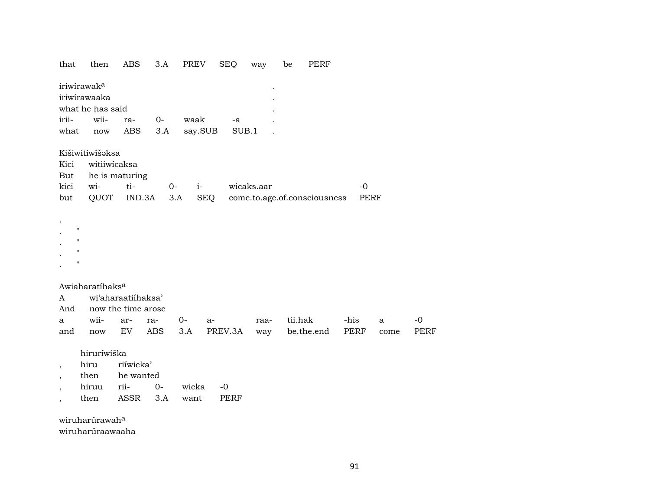| iriwirawak <sup>a</sup><br>iriwirawaaka<br>what he has said<br>wii-<br>irii-<br>waak<br>$0-$<br>ra-<br>-a<br>ABS<br>say.SUB<br>SUB.1<br>what<br>3.A<br>now<br>Kišiwitiwíšaksa<br>witiiwicaksa<br>Kici<br>he is maturing<br>But<br>ti-<br>wi-<br>kici<br>$i-$<br>wicaks.aar<br>$-0$<br>$0-$<br>QUOT<br>IND.3A<br>3.A<br>SEQ<br>come.to.age.of.consciousness<br>PERF<br>but<br>$\pmb{\mathsf{H}}$<br>$\pmb{\mathsf{H}}$<br>$\mathbf{H}$<br>$\pmb{\mathsf{H}}$<br>Awiaharatíhaks <sup>a</sup><br>wi'aharaatiihaksa'<br>A<br>now the time arose<br>And<br>wii-<br>tii.hak<br>$0-$<br>-his<br>$-0$<br>ar-<br>ra-<br>raa-<br>$\mathbf{a}$<br>$a-$<br>a<br>EV<br>ABS<br>PREV.3A<br>be.the.end<br>PERF<br><b>PERF</b><br>and<br>3.A<br>$\operatorname{now}$<br>way<br>come<br>hiruríwiška<br>riíwicka'<br>hiru<br>$\overline{\phantom{a}}$<br>he wanted<br>then<br>$\overline{\phantom{a}}$<br>hiruu<br>rii-<br>wicka<br>0-<br>$-0$<br><b>ASSR</b><br>3.A<br>then<br>want<br>PERF | that | then | <b>ABS</b> | 3.A | PREV | <b>SEQ</b> | way | be | <b>PERF</b> |  |  |
|---------------------------------------------------------------------------------------------------------------------------------------------------------------------------------------------------------------------------------------------------------------------------------------------------------------------------------------------------------------------------------------------------------------------------------------------------------------------------------------------------------------------------------------------------------------------------------------------------------------------------------------------------------------------------------------------------------------------------------------------------------------------------------------------------------------------------------------------------------------------------------------------------------------------------------------------------------------------------|------|------|------------|-----|------|------------|-----|----|-------------|--|--|
|                                                                                                                                                                                                                                                                                                                                                                                                                                                                                                                                                                                                                                                                                                                                                                                                                                                                                                                                                                           |      |      |            |     |      |            |     |    |             |  |  |
|                                                                                                                                                                                                                                                                                                                                                                                                                                                                                                                                                                                                                                                                                                                                                                                                                                                                                                                                                                           |      |      |            |     |      |            |     |    |             |  |  |
|                                                                                                                                                                                                                                                                                                                                                                                                                                                                                                                                                                                                                                                                                                                                                                                                                                                                                                                                                                           |      |      |            |     |      |            |     |    |             |  |  |
|                                                                                                                                                                                                                                                                                                                                                                                                                                                                                                                                                                                                                                                                                                                                                                                                                                                                                                                                                                           |      |      |            |     |      |            |     |    |             |  |  |
|                                                                                                                                                                                                                                                                                                                                                                                                                                                                                                                                                                                                                                                                                                                                                                                                                                                                                                                                                                           |      |      |            |     |      |            |     |    |             |  |  |
|                                                                                                                                                                                                                                                                                                                                                                                                                                                                                                                                                                                                                                                                                                                                                                                                                                                                                                                                                                           |      |      |            |     |      |            |     |    |             |  |  |
|                                                                                                                                                                                                                                                                                                                                                                                                                                                                                                                                                                                                                                                                                                                                                                                                                                                                                                                                                                           |      |      |            |     |      |            |     |    |             |  |  |
|                                                                                                                                                                                                                                                                                                                                                                                                                                                                                                                                                                                                                                                                                                                                                                                                                                                                                                                                                                           |      |      |            |     |      |            |     |    |             |  |  |
|                                                                                                                                                                                                                                                                                                                                                                                                                                                                                                                                                                                                                                                                                                                                                                                                                                                                                                                                                                           |      |      |            |     |      |            |     |    |             |  |  |
|                                                                                                                                                                                                                                                                                                                                                                                                                                                                                                                                                                                                                                                                                                                                                                                                                                                                                                                                                                           |      |      |            |     |      |            |     |    |             |  |  |
|                                                                                                                                                                                                                                                                                                                                                                                                                                                                                                                                                                                                                                                                                                                                                                                                                                                                                                                                                                           |      |      |            |     |      |            |     |    |             |  |  |
|                                                                                                                                                                                                                                                                                                                                                                                                                                                                                                                                                                                                                                                                                                                                                                                                                                                                                                                                                                           |      |      |            |     |      |            |     |    |             |  |  |
|                                                                                                                                                                                                                                                                                                                                                                                                                                                                                                                                                                                                                                                                                                                                                                                                                                                                                                                                                                           |      |      |            |     |      |            |     |    |             |  |  |

wiruharúrawah<sup>a</sup>

wiruharúraawaaha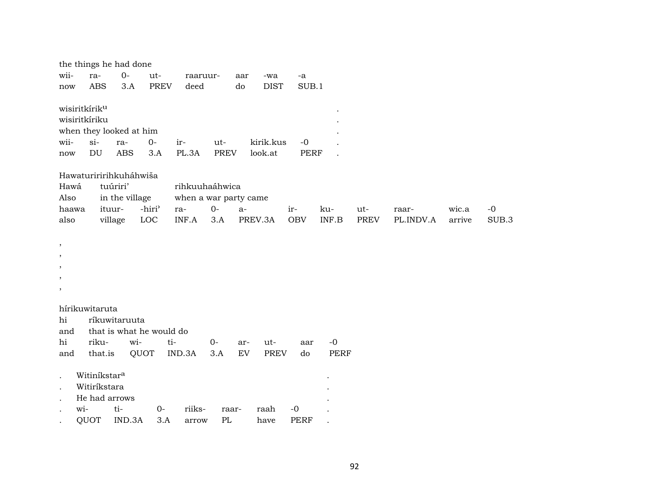|                              |                                                     | the things he had done                                |                   |                          |                       |                    |      |                      |              |             |      |           |        |       |
|------------------------------|-----------------------------------------------------|-------------------------------------------------------|-------------------|--------------------------|-----------------------|--------------------|------|----------------------|--------------|-------------|------|-----------|--------|-------|
| wii-                         | ra-                                                 |                                                       | $0-$              | ut-                      | raaruur-              |                    | aar  | -wa                  | -a           |             |      |           |        |       |
| $\operatorname{now}$         |                                                     | <b>ABS</b>                                            | 3.A               | <b>PREV</b>              | deed                  |                    | do   | <b>DIST</b>          | SUB.1        |             |      |           |        |       |
| wii-<br>$\operatorname{now}$ | wisiritkírik <sup>u</sup><br>wisiritkíriku<br>$si-$ | when they looked at him<br>$\mathop{\rm DU}\nolimits$ | ra-<br><b>ABS</b> | $0-$<br>3.A              | ir-<br>PL.3A          | ut-<br><b>PREV</b> |      | kirik.kus<br>look.at | $-0$<br>PERF |             |      |           |        |       |
|                              |                                                     | Hawaturiririhkuháhwiša                                |                   |                          |                       |                    |      |                      |              |             |      |           |        |       |
| Hawá                         |                                                     | tuúriri'                                              |                   |                          | rihkuuhaáhwica        |                    |      |                      |              |             |      |           |        |       |
| Also                         |                                                     |                                                       | in the village    |                          | when a war party came |                    |      |                      |              |             |      |           |        |       |
| haawa                        |                                                     | ituur-                                                |                   | -hiri <sup>3</sup>       | ra-                   | $0-$               | $a-$ |                      | ir-          | ku-         | ut-  | raar-     | wic.a  | $-0$  |
| also                         |                                                     | village                                               |                   | LOC                      | INF.A                 | 3.A                |      | PREV.3A              | <b>OBV</b>   | INF.B       | PREV | PL.INDV.A | arrive | SUB.3 |
|                              |                                                     |                                                       |                   |                          |                       |                    |      |                      |              |             |      |           |        |       |
| $^\mathrm{^\mathrm{o}}$      |                                                     |                                                       |                   |                          |                       |                    |      |                      |              |             |      |           |        |       |
| ,                            |                                                     |                                                       |                   |                          |                       |                    |      |                      |              |             |      |           |        |       |
|                              |                                                     |                                                       |                   |                          |                       |                    |      |                      |              |             |      |           |        |       |
| ,                            |                                                     |                                                       |                   |                          |                       |                    |      |                      |              |             |      |           |        |       |
| ,                            |                                                     |                                                       |                   |                          |                       |                    |      |                      |              |             |      |           |        |       |
|                              |                                                     |                                                       |                   |                          |                       |                    |      |                      |              |             |      |           |        |       |
|                              |                                                     | hírikuwitaruta                                        |                   |                          |                       |                    |      |                      |              |             |      |           |        |       |
| hi                           |                                                     | ríkuwitaruuta                                         |                   |                          |                       |                    |      |                      |              |             |      |           |        |       |
| and                          |                                                     |                                                       |                   | that is what he would do |                       |                    |      |                      |              |             |      |           |        |       |
| hi                           |                                                     | riku-                                                 | wi-               |                          | ti-                   | $0-$               | ar-  | ut-                  | aar          | $-0$        |      |           |        |       |
| and                          |                                                     | that.is                                               |                   | QUOT                     | IND.3A                | 3.A                | EV   | <b>PREV</b>          | do           | <b>PERF</b> |      |           |        |       |
|                              |                                                     | Witiníkstar <sup>a</sup>                              |                   |                          |                       |                    |      |                      |              |             |      |           |        |       |
|                              |                                                     | Witiríkstara                                          |                   |                          |                       |                    |      |                      |              |             |      |           |        |       |
|                              |                                                     | He had arrows                                         |                   |                          |                       |                    |      |                      |              |             |      |           |        |       |
|                              | wi-                                                 |                                                       | ti-               | $0-$                     | riiks-                | raar-              |      | raah                 | $-0$         |             |      |           |        |       |
|                              | QUOT                                                |                                                       | IND.3A            | 3.A                      | arrow                 | PL                 |      | have                 | <b>PERF</b>  |             |      |           |        |       |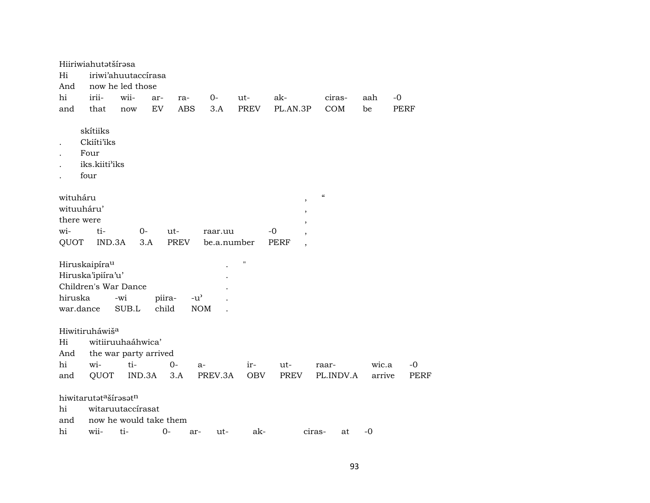|                      | Hiiriwiahutatšírasa                                                    |                                                    |                 |                             |             |             |                                         |                                        |        |             |
|----------------------|------------------------------------------------------------------------|----------------------------------------------------|-----------------|-----------------------------|-------------|-------------|-----------------------------------------|----------------------------------------|--------|-------------|
| Hi                   |                                                                        | iriwi'ahuutaccirasa                                |                 |                             |             |             |                                         |                                        |        |             |
| And                  |                                                                        | now he led those                                   |                 |                             |             |             |                                         |                                        |        |             |
| hi                   | irii-                                                                  | wii-                                               | ar-             | ra-                         | 0-          | ut-         | ak-                                     | ciras-                                 | aah    | $-0$        |
| and                  | that                                                                   | now                                                | EV              | <b>ABS</b>                  | 3.A         | <b>PREV</b> | PL.AN.3P                                | COM                                    | be     | <b>PERF</b> |
|                      | skítiiks<br>Ckiíti'iks<br>Four<br>iks.kiiti'iks<br>four                |                                                    |                 |                             |             |             |                                         |                                        |        |             |
| wituháru             |                                                                        |                                                    |                 |                             |             |             | $\,$                                    | $\boldsymbol{\zeta}\boldsymbol{\zeta}$ |        |             |
| wituuháru'           |                                                                        |                                                    |                 |                             |             |             | $\,$                                    |                                        |        |             |
| there were           |                                                                        |                                                    |                 |                             |             |             |                                         |                                        |        |             |
| wi-                  | ti-                                                                    | $0-$                                               |                 | ut-                         | raar.uu     |             | $-0$                                    |                                        |        |             |
| QUOT                 | IND.3A                                                                 |                                                    | 3.A             | <b>PREV</b>                 | be.a.number |             | <b>PERF</b><br>$\overline{\phantom{a}}$ |                                        |        |             |
| hiruska<br>war.dance | Hiruskaipíra <sup>u</sup><br>Hiruska'ipiíra'u'<br>Children's War Dance | -wi<br>SUB.L                                       | piira-<br>child | $-u^{\prime}$<br><b>NOM</b> |             | н           |                                         |                                        |        |             |
|                      | Hiwitiruháwiš <sup>a</sup>                                             |                                                    |                 |                             |             |             |                                         |                                        |        |             |
| Hi                   |                                                                        | witiiruuhaáhwica'                                  |                 |                             |             |             |                                         |                                        |        |             |
| And                  |                                                                        | the war party arrived                              |                 |                             |             |             |                                         |                                        |        |             |
| hi                   | wi-                                                                    | ti-                                                |                 | 0-<br>a-                    |             | $ir-$       | ut-                                     | raar-                                  | wic.a  | $-0$        |
| and                  | QUOT                                                                   | IND.3A                                             |                 | 3.A                         | PREV.3A     | <b>OBV</b>  | <b>PREV</b>                             | PL.INDV.A                              | arrive | <b>PERF</b> |
| hi<br>and<br>hi      | hiwitarutatašírasatn<br>wii-                                           | witaruutaccírasat<br>now he would take them<br>ti- | $0 -$           | ar-                         | ut-         | ak-         |                                         | ciras-<br>at                           | $-0$   |             |
|                      |                                                                        |                                                    |                 |                             |             |             |                                         |                                        |        |             |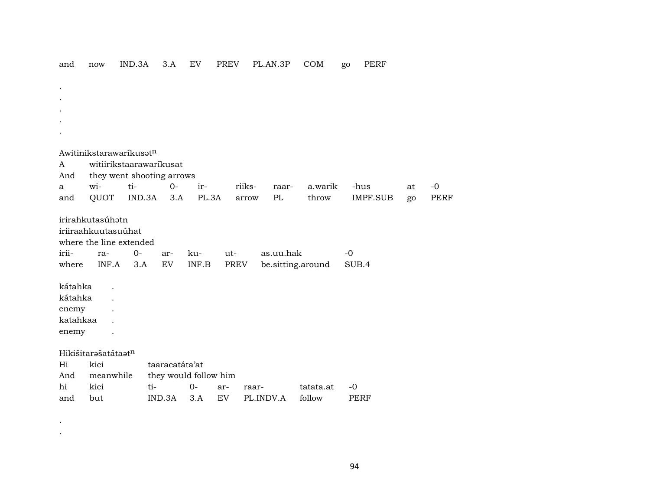| and            | 110 <sub>w</sub>        | IIVD.3A                   | o.A            | Ŀν                    | <b>FRLV</b>   | PL.AN.OP                       | <b>COM</b> | go.<br><b>LEVL</b> |    |             |
|----------------|-------------------------|---------------------------|----------------|-----------------------|---------------|--------------------------------|------------|--------------------|----|-------------|
|                |                         |                           |                |                       |               |                                |            |                    |    |             |
|                |                         |                           |                |                       |               |                                |            |                    |    |             |
|                |                         |                           |                |                       |               |                                |            |                    |    |             |
|                |                         |                           |                |                       |               |                                |            |                    |    |             |
|                |                         |                           |                |                       |               |                                |            |                    |    |             |
|                |                         |                           |                |                       |               |                                |            |                    |    |             |
|                | Awitinikstarawaríkusatn |                           |                |                       |               |                                |            |                    |    |             |
| A              |                         | witiirikstaarawaríkusat   |                |                       |               |                                |            |                    |    |             |
| And            |                         | they went shooting arrows |                |                       |               |                                |            |                    |    |             |
| a              | wi-                     | ti-                       | $O -$          | ir-                   | riiks-        | raar-                          | a.warik    | -hus               | at | $-0$        |
| and            | QUOT                    | IND.3A                    | 3.A            | PL.3A                 | arrow         | PL                             | throw      | <b>IMPF.SUB</b>    | go | <b>PERF</b> |
| irii-<br>where | ra-<br>INF.A            | $O -$<br>3.A              | ar-<br>EV      | ku-<br>INF.B          | $ut-$<br>PREV | as.uu.hak<br>be.sitting.around |            | $-0$<br>SUB.4      |    |             |
| kátahka        |                         |                           |                |                       |               |                                |            |                    |    |             |
| kátahka        |                         |                           |                |                       |               |                                |            |                    |    |             |
| enemy          |                         |                           |                |                       |               |                                |            |                    |    |             |
| katahkaa       |                         |                           |                |                       |               |                                |            |                    |    |             |
| enemy          |                         |                           |                |                       |               |                                |            |                    |    |             |
|                |                         |                           |                |                       |               |                                |            |                    |    |             |
|                | Hikišitarašatátaatn     |                           |                |                       |               |                                |            |                    |    |             |
| Hi             | kici                    |                           | taaracatáta'at |                       |               |                                |            |                    |    |             |
| And            | meanwhile               |                           |                | they would follow him |               |                                |            |                    |    |             |
| hi             | kici                    | ti-                       |                | $0 -$                 | ar-<br>raar-  |                                | tatata.at  | $-0$               |    |             |
| and            | but                     |                           | IND.3A         | 3.A                   | EV            | PL.INDV.A                      | follow     | <b>PERF</b>        |    |             |

and now IND.3A 3.A EV PREV PLAN.3P COM go PERF

. .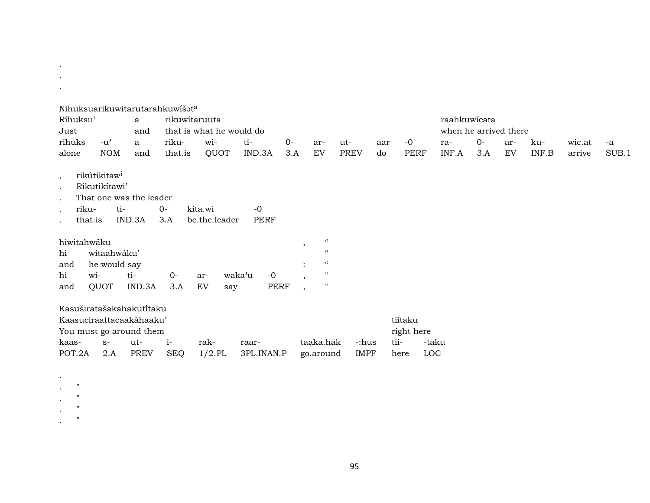| $\bullet$   |                          |                            |                                 |                          |                |      |                              |             |     |            |            |                       |     |       |        |       |
|-------------|--------------------------|----------------------------|---------------------------------|--------------------------|----------------|------|------------------------------|-------------|-----|------------|------------|-----------------------|-----|-------|--------|-------|
|             |                          |                            | Nihuksuarikuwitarutarahkuwišata |                          |                |      |                              |             |     |            |            |                       |     |       |        |       |
| Ríhuksu'    |                          | a                          | rikuwitaruuta                   |                          |                |      |                              |             |     |            |            | raahkuwicata          |     |       |        |       |
|             |                          |                            |                                 |                          |                |      |                              |             |     |            |            |                       |     |       |        |       |
| Just        |                          | and                        |                                 | that is what he would do |                |      |                              |             |     |            |            | when he arrived there |     |       |        |       |
| rihuks      | $-u^{\prime}$            | a                          | riku-                           | wi-                      | ti-            | $0-$ | ar-                          | ut-         | aar | $-0$       | ra-        | $0 -$                 | ar- | ku-   | wic.at | -a    |
| alone       | <b>NOM</b>               | and                        | that.is                         | QUOT                     | IND.3A         | 3.A  | EV                           | <b>PREV</b> | do  | PERF       | INF.A      | 3.A                   | EV  | INF.B | arrive | SUB.1 |
|             | rikútikitaw <sup>i</sup> |                            |                                 |                          |                |      |                              |             |     |            |            |                       |     |       |        |       |
| $\cdot$     | Rikutikítawi'            |                            |                                 |                          |                |      |                              |             |     |            |            |                       |     |       |        |       |
| $\bullet$   |                          | That one was the leader    |                                 |                          |                |      |                              |             |     |            |            |                       |     |       |        |       |
|             |                          |                            |                                 |                          |                |      |                              |             |     |            |            |                       |     |       |        |       |
| riku-       | ti-                      |                            | $0-$                            | kita.wi                  | $-0$           |      |                              |             |     |            |            |                       |     |       |        |       |
| that.is     |                          | IND.3A                     | 3.A                             | be.the.leader            | <b>PERF</b>    |      |                              |             |     |            |            |                       |     |       |        |       |
| hiwitahwáku |                          |                            |                                 |                          |                |      | $\epsilon\epsilon$           |             |     |            |            |                       |     |       |        |       |
| hi          | witaahwáku'              |                            |                                 |                          |                |      | $\cdot$<br>$\epsilon$        |             |     |            |            |                       |     |       |        |       |
| and         | he would say             |                            |                                 |                          |                |      | $\epsilon$<br>$\ddot{\cdot}$ |             |     |            |            |                       |     |       |        |       |
| hi          | wi-                      | ti-                        | $O -$                           | ar-                      | $-0$<br>waka'u |      | $\mathbf{H}$                 |             |     |            |            |                       |     |       |        |       |
|             |                          |                            |                                 |                          |                |      | $\cdot$<br>$\mathbf{H}$      |             |     |            |            |                       |     |       |        |       |
| and         | QUOT                     | IND.3A                     | 3.A                             | EV<br>say                | PERF           |      | $\overline{\phantom{a}}$     |             |     |            |            |                       |     |       |        |       |
|             |                          | Kasuširatašakahakuti̇̃taku |                                 |                          |                |      |                              |             |     |            |            |                       |     |       |        |       |
|             |                          | Kaasuciraattacaakáhaaku'   |                                 |                          |                |      |                              |             |     | tiítaku    |            |                       |     |       |        |       |
|             |                          | You must go around them    |                                 |                          |                |      |                              |             |     | right here |            |                       |     |       |        |       |
| kaas-       | $S-$                     | ut-                        | $i-$                            | rak-                     | raar-          |      | taaka.hak                    | -:hus       |     | tii-       | -taku      |                       |     |       |        |       |
| POT.2A      | 2.A                      | <b>PREV</b>                | <b>SEQ</b>                      | $1/2$ .PL                | 3PL.INAN.P     |      | go.around                    | <b>IMPF</b> |     | here       | <b>LOC</b> |                       |     |       |        |       |
|             |                          |                            |                                 |                          |                |      |                              |             |     |            |            |                       |     |       |        |       |

 $\label{eq:2.1} \frac{d\mathbf{r}}{d\mathbf{r}} = \frac{1}{2} \left( \frac{\partial \mathbf{r}}{\partial \mathbf{r}} \right)^2$ 

 $\sigma_{\rm{max}}$ 

 $\begin{array}{cc} \mathbb{Z}_2 & \mathbb{Z}_2^{\mathsf{H}} & \mathbb{Z}_2 \\ \mathbb{Z}_2 & \mathbb{Z}_2^{\mathsf{H}} & \mathbb{Z}_2 \\ \mathbb{Z}_2 & \mathbb{Z}_2^{\mathsf{H}} & \mathbb{Z}_2^{\mathsf{H}} \end{array}$ 

 $\mathcal{L}^{(n)}$  and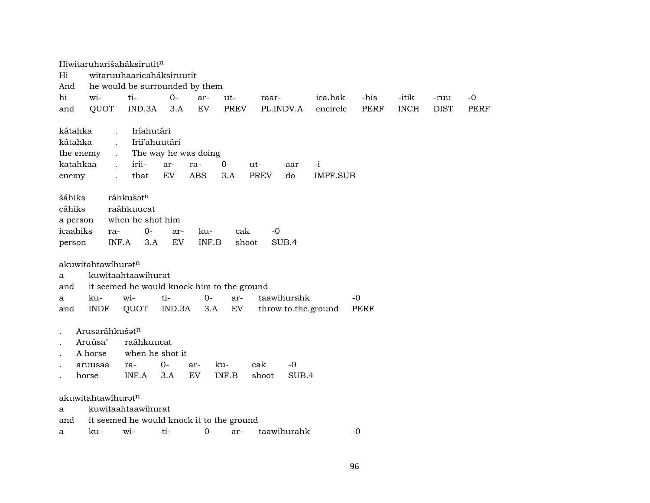Hiwitaruharišaháksirutit<sup>n</sup> Hi witaruuhaaricaháksiruutit And he would be surrounded by them hi wi- ti- 0- ar- ut- raar- ica.hak -his -itik -ruu -0 and QUOT IND.3A 3.A EV PREV PL.INDV.A encircle PERF INCH DIST PERF kátahka . Iríahutári kátahka . Irií'ahuutári the enemy . The way he was doing katahkaa . irii- ar- ra- 0- ut- aar -i enemy . that EV ABS 3.A PREV do IMPF.SUB šáhiks ráhkuš $\mathfrak{t}^n$ cáhiks raáhkuucat a person when he shot him icaahiks ra- 0- ar- ku- cak -0 person INF.A 3.A EV INF.B shoot SUB.4 akuwitahtawíhurat $n$ a kuwitaahtaawíhurat and it seemed he would knock him to the ground a ku- wi- ti- 0- ar- taawihurahk -0 and INDF QUOT IND.3A 3.A EV throw.to.the.ground PERF Arusaráhkuš $t^n$ . Aruúsa' raáhkuucat . A horse when he shot it . aruusaa ra- 0- ar- ku- cak -0 . horse INF.A 3.A EV INF.B shoot SUB.4 akuwitahtawíhuratn a kuwitaahtaawíhurat and it seemed he would knock it to the ground a ku- wi- ti- 0- ar- taawihurahk -0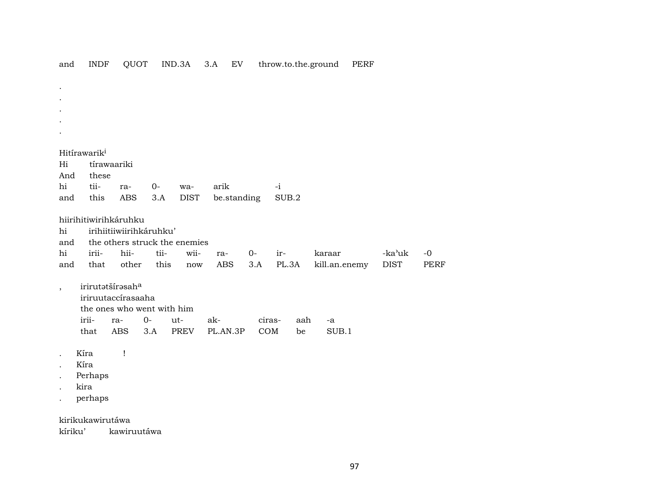|                                                    | Hitírawarik <sup>i</sup>            |                         |       |                               |             |        |             |               |             |             |
|----------------------------------------------------|-------------------------------------|-------------------------|-------|-------------------------------|-------------|--------|-------------|---------------|-------------|-------------|
| Hi                                                 | tírawaariki                         |                         |       |                               |             |        |             |               |             |             |
| And                                                | these                               |                         |       |                               |             |        |             |               |             |             |
| $\hbox{hi}$                                        | tii-                                | ra-                     | $O -$ | wa-                           | arik        |        | $-i$        |               |             |             |
| and                                                | this                                | <b>ABS</b>              | 3.A   | <b>DIST</b>                   | be.standing |        | $\rm SUB.2$ |               |             |             |
|                                                    | hiirihitiwirihkáruhku               |                         |       |                               |             |        |             |               |             |             |
|                                                    |                                     |                         |       |                               |             |        |             |               |             |             |
|                                                    |                                     |                         |       |                               |             |        |             |               |             |             |
|                                                    |                                     | irihiitiiwiirihkáruhku' |       | the others struck the enemies |             |        |             |               |             |             |
|                                                    | irii-                               | hii-                    | tii-  | wii-                          | ra-         | $0-$   | ir-         | karaar        | -ka'uk      | $-0$        |
|                                                    | that                                | other                   | this  | $\operatorname{now}$          | ABS         | 3.A    | PL.3A       | kill.an.enemy | <b>DIST</b> | <b>PERF</b> |
|                                                    |                                     |                         |       |                               |             |        |             |               |             |             |
|                                                    | irirutatšírasaha                    |                         |       |                               |             |        |             |               |             |             |
|                                                    | iriruutaccírasaaha                  |                         |       |                               |             |        |             |               |             |             |
|                                                    | the ones who went with him<br>irii- | ra-                     | $O -$ | ut-                           | ak-         | ciras- | aah         | -a            |             |             |
|                                                    | that                                | <b>ABS</b>              | 3.A   | <b>PREV</b>                   | PL.AN.3P    | COM    | be          | SUB.1         |             |             |
| hi<br>and<br>hi<br>and<br>$\overline{\phantom{a}}$ |                                     |                         |       |                               |             |        |             |               |             |             |
|                                                    | Kíra                                | Ţ                       |       |                               |             |        |             |               |             |             |
|                                                    | Kíra                                |                         |       |                               |             |        |             |               |             |             |
|                                                    | Perhaps<br>kira                     |                         |       |                               |             |        |             |               |             |             |

**INDF** 

and

QUOT IND.3A 3.A EV

throw.to.the.ground PERF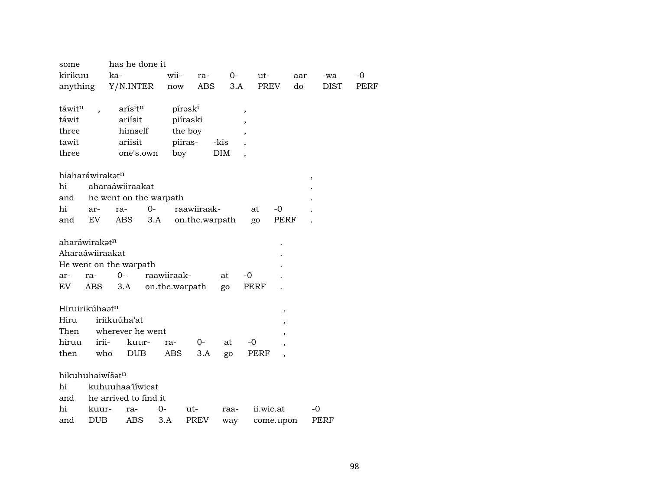| some               |                             | has he done it         |           |                     |                |      |                          |             |     |             |      |
|--------------------|-----------------------------|------------------------|-----------|---------------------|----------------|------|--------------------------|-------------|-----|-------------|------|
| kirikuu            |                             | ka-                    |           | wii-                | ra-            | $0-$ | ut-                      |             | aar | -wa         | $-0$ |
| anything           |                             | Y/N.INTER              |           | now                 | ABS            | 3.A  | PREV                     |             | do  | <b>DIST</b> | PERF |
|                    |                             |                        |           |                     |                |      |                          |             |     |             |      |
| táwit <sup>n</sup> |                             | aris <sup>itn</sup>    |           | pírask <sup>i</sup> |                |      | ,                        |             |     |             |      |
| táwit              |                             | ariísit                |           | piíraski            |                |      |                          |             |     |             |      |
| three              |                             | himself                |           | the boy             |                |      | $\overline{\phantom{a}}$ |             |     |             |      |
| tawit              |                             | ariisit                |           | piiras-             |                | -kis |                          |             |     |             |      |
| three              |                             |                        | one's.own | boy                 |                | DIM  | $\overline{\phantom{a}}$ |             |     |             |      |
|                    |                             |                        |           |                     |                |      |                          |             |     |             |      |
|                    | hiaharáwirakət <sup>n</sup> |                        |           |                     |                |      |                          |             | ,   |             |      |
| hi                 |                             | aharaáwiiraakat        |           |                     |                |      |                          |             |     |             |      |
| and                |                             | he went on the warpath |           |                     |                |      |                          |             |     |             |      |
| hi                 | ar-                         | ra-                    | $O -$     |                     | raawiiraak-    |      | at                       | -0          |     |             |      |
| and                | EV                          | ABS                    | 3.A       |                     | on.the.warpath |      | go                       | <b>PERF</b> |     |             |      |
|                    |                             |                        |           |                     |                |      |                          |             |     |             |      |
|                    | aharáwirakat <sup>n</sup>   |                        |           |                     |                |      |                          |             |     |             |      |
|                    | Aharaáwiiraakat             |                        |           |                     |                |      |                          |             |     |             |      |
|                    |                             | He went on the warpath |           |                     |                |      |                          |             |     |             |      |
| ar-                | ra-                         | $O -$                  |           | raawiiraak-         |                | at   | $-0$                     |             |     |             |      |
| EV                 | ABS                         | 3.A                    |           | on.the.warpath      |                | go   | <b>PERF</b>              |             |     |             |      |
|                    |                             |                        |           |                     |                |      |                          |             |     |             |      |
|                    | Hiruirikúhaatn              |                        |           |                     |                |      |                          | $\,$        |     |             |      |
| Hiru               |                             | iriikuúha'at           |           |                     |                |      |                          |             |     |             |      |
| Then               |                             | wherever he went       |           |                     |                |      |                          |             |     |             |      |
| hiruu              | irii-                       |                        | kuur-     | ra-                 | 0-             | at   | $-0$                     |             |     |             |      |
| then               | who                         | <b>DUB</b>             |           | ABS                 | 3.A            | go   | PERF                     |             |     |             |      |
|                    |                             |                        |           |                     |                |      |                          |             |     |             |      |
|                    | hikuhuhaiwišatn             |                        |           |                     |                |      |                          |             |     |             |      |
| hi                 |                             | kuhuuhaa'iiwicat       |           |                     |                |      |                          |             |     |             |      |
| and                |                             | he arrived to find it  |           |                     |                |      |                          |             |     |             |      |
| hi                 | kuur-                       | ra-                    | $0-$      |                     | ut-            | raa- | ii.wic.at                |             |     | -0          |      |
| and                | <b>DUB</b>                  | ABS                    | 3.A       |                     | <b>PREV</b>    | way  |                          | come.upon   |     | PERF        |      |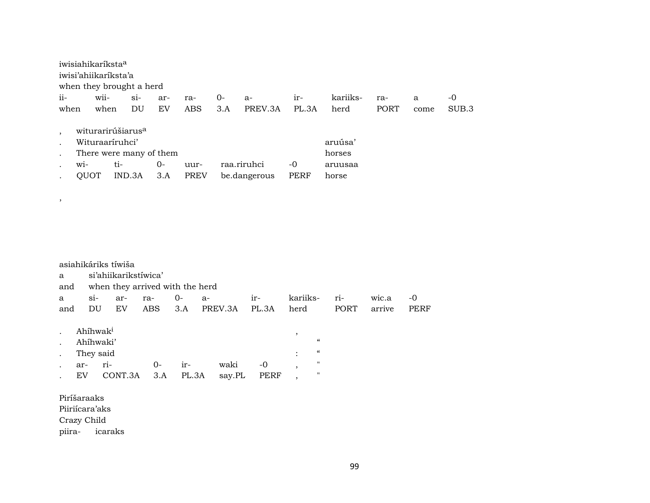|           |        | iwisiahikaríksta <sup>a</sup><br>iwisi'ahiikaríksta'a |                                    |     |             |     |              |       |          |      |      |       |
|-----------|--------|-------------------------------------------------------|------------------------------------|-----|-------------|-----|--------------|-------|----------|------|------|-------|
| ii-       |        | wii-                                                  | when they brought a herd<br>$\sin$ |     |             | 0-  |              |       | kariiks- |      |      | -0    |
|           |        |                                                       |                                    | ar- | ra-         |     | $a-$         | $ir-$ |          | ra-  | a    |       |
| when      |        | when                                                  | DU                                 | EV  | ABS         | 3.A | PREV.3A      | PL.3A | herd     | PORT | come | SUB.3 |
| $\cdot$   |        | witurarirúšiarus <sup>a</sup>                         |                                    |     |             |     |              |       |          |      |      |       |
|           |        | Wituraaríruhci'                                       |                                    |     |             |     |              |       | aruúsa'  |      |      |       |
| $\bullet$ |        |                                                       | There were many of them            |     |             |     |              |       | horses   |      |      |       |
|           | $W1 -$ | ti-                                                   |                                    | 0-  | uur-        |     | raa.riruhci  | -0    | aruusaa  |      |      |       |
|           | QUOT   |                                                       | IND.3A                             | 3.A | <b>PREV</b> |     | be.dangerous | PERF  | horse    |      |      |       |

asiahikáriks tíwiša a si'ahiikarikstíwica' and when they arrived with the herd a si- ar- ra- 0- a- ir- kariiks- ri- wic.a -0 and DU EV ABS 3.A PREV.3A PL.3A herd PORT arrive PERF  $A h f h w a k^i$ . Ahíhwaki' " - They said<br>- ar- ri- 0- ir- waki -0, . ar- ri- 0- ir- waki -0 , " . EV CONT.3A 3.A PL.3A say.PL PERF , " Piríšaraaks Piiriícara'aks Crazy Child

piira- icaraks

,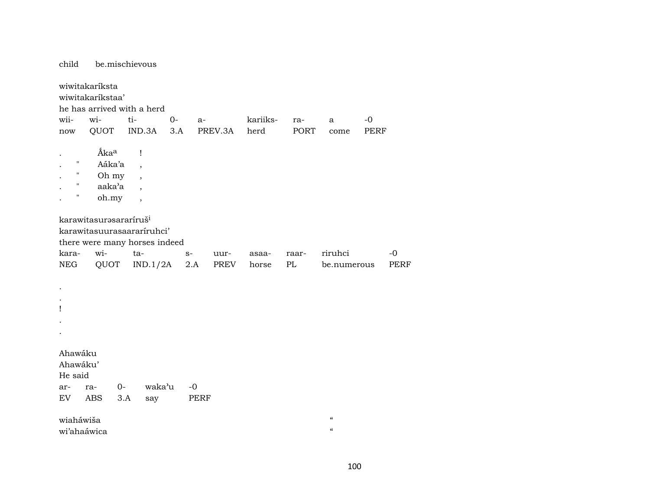be.mischievous child wiwitakaríksta wiwitakaríkstaa' he has arrived with a herd wiiwiti- $O -0$  $a$ kariiksra- $\mathbf{a}$ **QUOT** IND.3A  $3.A$ PREV.3A **PORT** herd **PERF** come now Áka<sup>a</sup>  $\mathbf{I}$  $\sim$  $\mathbf{u}$ Aáka'a  $\overline{\phantom{a}}$ Oh my  $\boldsymbol{\mathsf{H}}$  $\overline{\phantom{a}}$  $\mathbf{H}$ aaka'a  $\ddot{\phantom{a}}$  $\ddot{\phantom{a}}$  $\mathbf{u}$ oh.my  $\bullet$  $\overline{\phantom{a}}$ karawitasurəsararíruš<sup>i</sup> karawitasuurasaararíruhci' there were many horses indeed karawitariruhci  $-0$  $S$ uurasaaraar-**NEG** QUOT IND.1/2A  $2.A$ **PREV**  $\mathbf{P}\mathbf{L}$ **PERF** horse be.numerous  $\cdot$  $\mathbf{I}$  $\overline{a}$ Ahawáku Ahawáku' He said waka'u  $-0$ ra- $0$ ar-**ABS**  $3.A$ say PERF EV wiaháwiša  $\pmb{\mathcal{C}}$  $\alpha$ wi'ahaáwica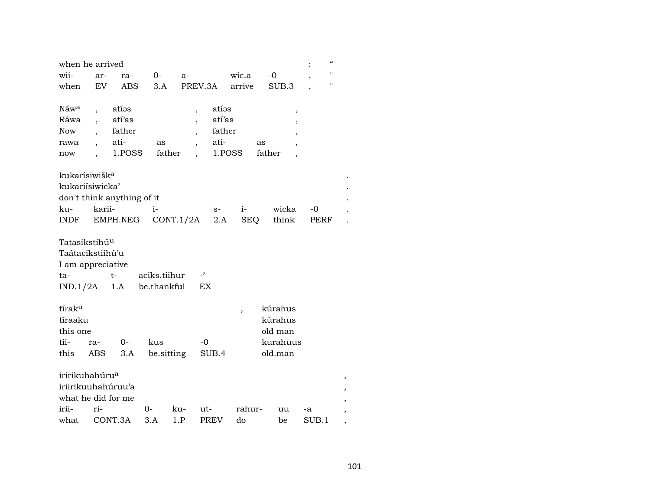| when he arrived                                                           |            |                                             |              |            |                                           |                            |                                                      |             |      | $\pmb{\zeta}\pmb{\zeta}$ |
|---------------------------------------------------------------------------|------------|---------------------------------------------|--------------|------------|-------------------------------------------|----------------------------|------------------------------------------------------|-------------|------|--------------------------|
| wii-                                                                      | ar-        | ra-                                         | 0-           | $a-$       |                                           | wic.a                      | $-0$                                                 |             |      | п                        |
| when                                                                      | EV         | ABS                                         | 3.A          |            | PREV.3A                                   | arrive                     | SUB.3                                                |             |      | п                        |
| Náw <sup>a</sup><br>Ráwa<br><b>Now</b><br>rawa<br>now                     |            | atías<br>atí'as<br>father<br>ati-<br>1.POSS | as           | father     | atíəs<br>$\overline{\phantom{a}}$<br>ati- | atí'as<br>father<br>1.POSS | as<br>father                                         | $\, ,$<br>, |      |                          |
| kukarísiwišk <sup>a</sup>                                                 |            |                                             |              |            |                                           |                            |                                                      |             |      |                          |
| kukariísiwicka'                                                           |            |                                             |              |            |                                           |                            |                                                      |             |      |                          |
| don't think anything of it                                                |            |                                             |              |            |                                           |                            |                                                      |             |      |                          |
| ku-                                                                       | karii-     |                                             | $i-$         |            | $S-$                                      | $i-$                       | wicka                                                |             | -0   |                          |
| INDF                                                                      |            | EMPH.NEG                                    |              | CONT.1/2A  |                                           | 2.A<br>SEQ                 |                                                      | think       | PERF |                          |
| Tatasikstihú <sup>u</sup><br>Taátacikstiihù'u<br>I am appreciative<br>ta- |            | $t-$                                        | aciks.tiihur |            | $\overline{\phantom{0}}$                  |                            |                                                      |             |      |                          |
| IND.1/2A                                                                  |            | 1.A                                         | be.thankful  |            | EX                                        |                            |                                                      |             |      |                          |
| tírak <sup>u</sup><br>tíraaku<br>this one<br>tii-<br>this                 | ra-<br>ABS | $0-$<br>3.A                                 | kus          | be sitting | $-0$<br>SUB.4                             | $\overline{\phantom{a}}$   | kúrahus<br>kúrahus<br>old man<br>kurahuus<br>old.man |             |      |                          |
| iririkuhahúru <sup>a</sup><br>iriirikuuhahúruu'a                          |            |                                             |              |            |                                           |                            |                                                      |             |      |                          |
| what he did for me                                                        |            |                                             |              |            |                                           |                            |                                                      |             |      |                          |
| irii-                                                                     | ri-        |                                             | 0-           | ku-        | ut-                                       | rahur-                     | uu                                                   |             | -a   |                          |
|                                                                           |            |                                             |              |            |                                           |                            |                                                      |             |      |                          |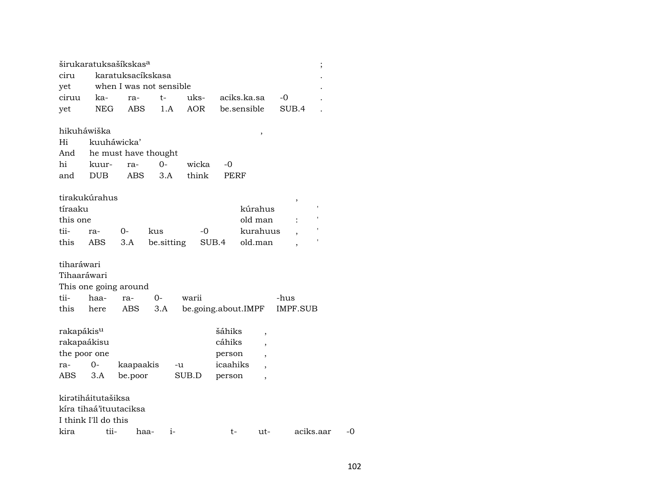|                        |                      | širukaratuksašíkskas <sup>a</sup> |            |            |                     |          |                 | $\vdots$  |    |
|------------------------|----------------------|-----------------------------------|------------|------------|---------------------|----------|-----------------|-----------|----|
| ciru                   |                      | karatuksacíkskasa                 |            |            |                     |          |                 |           |    |
| yet                    |                      | when I was not sensible           |            |            |                     |          |                 |           |    |
| ciruu                  | ka-                  | ra-                               | t-         | uks-       | aciks.ka.sa         |          | -0              |           |    |
| yet                    | <b>NEG</b>           | ABS                               | 1.A        | <b>AOR</b> | be.sensible         |          | SUB.4           |           |    |
|                        |                      |                                   |            |            |                     |          |                 |           |    |
|                        | hikuháwiška          |                                   |            |            |                     | $\,$     |                 |           |    |
| Hi                     | kuuháwicka'          |                                   |            |            |                     |          |                 |           |    |
| And                    |                      | he must have thought              |            |            |                     |          |                 |           |    |
| hi                     | kuur-                | ra-                               | $0-$       | wicka      | -0                  |          |                 |           |    |
| and                    | <b>DUB</b>           | <b>ABS</b>                        | 3.A        | think      | <b>PERF</b>         |          |                 |           |    |
|                        |                      |                                   |            |            |                     |          |                 |           |    |
|                        | tirakukúrahus        |                                   |            |            |                     |          | ,               |           |    |
| tíraaku                |                      |                                   |            |            |                     | kúrahus  |                 | ,         |    |
| this one               |                      |                                   |            |            |                     | old man  |                 | ,         |    |
| tii-                   | ra-                  | 0-                                | kus        | -0         |                     | kurahuus |                 |           |    |
| this                   | ABS                  | 3.A                               | be.sitting | SUB.4      |                     | old.man  |                 | ,         |    |
|                        |                      |                                   |            |            |                     |          |                 |           |    |
| tiharáwari             |                      |                                   |            |            |                     |          |                 |           |    |
| Tihaaráwari            |                      |                                   |            |            |                     |          |                 |           |    |
|                        |                      | This one going around             |            |            |                     |          |                 |           |    |
| tii-                   | haa-                 | ra-                               | 0-         | warii      |                     |          | -hus            |           |    |
| this                   | here                 | ABS                               | 3.A        |            | be.going.about.IMPF |          | <b>IMPF.SUB</b> |           |    |
|                        |                      |                                   |            |            |                     |          |                 |           |    |
| rakapákis <sup>u</sup> |                      |                                   |            |            | šáhiks              | ,        |                 |           |    |
| rakapaákisu            |                      |                                   |            |            | cáhiks              |          |                 |           |    |
| the poor one           |                      |                                   |            |            | person              |          |                 |           |    |
| ra-                    | $0 -$                | kaapaakis                         |            | -u         | icaahiks            |          |                 |           |    |
| ABS                    | 3.A                  | be.poor                           |            | SUB.D      | person              | ,        |                 |           |    |
|                        |                      |                                   |            |            |                     |          |                 |           |    |
|                        | kirətiháitutašiksa   |                                   |            |            |                     |          |                 |           |    |
|                        |                      | kíra tihaá'ituutaciksa            |            |            |                     |          |                 |           |    |
|                        | I think I'll do this |                                   |            |            |                     |          |                 |           |    |
| kira                   | tii-                 | haa-                              | $i-$       |            | $t-$                | ut-      |                 | aciks.aar | -0 |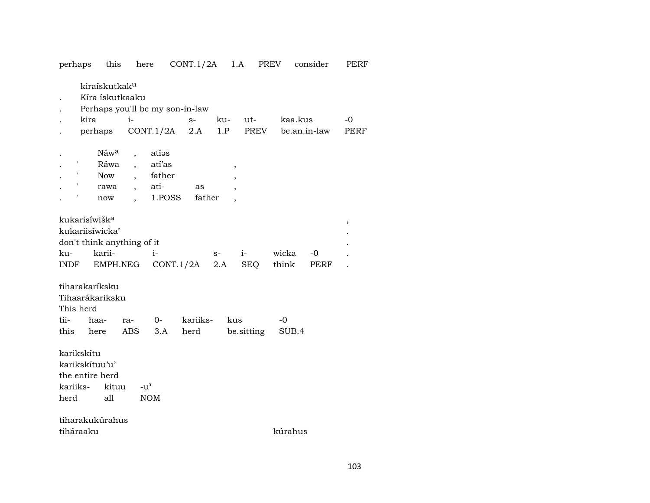| perhaps                                                                                          | this                                                  | here                                                                              | CONT.1/2A                               |                               | 1.A         | PREV           | consider     | PERF        |
|--------------------------------------------------------------------------------------------------|-------------------------------------------------------|-----------------------------------------------------------------------------------|-----------------------------------------|-------------------------------|-------------|----------------|--------------|-------------|
| kira                                                                                             | kiraískutkak <sup>u</sup><br>Kíra ískutkaaku          | $i-$                                                                              | Perhaps you'll be my son-in-law<br>$S-$ | ku-                           | ut-         | kaa.kus        |              | -0          |
| perhaps                                                                                          |                                                       | CONT.1/2A                                                                         | 2.A                                     | 1.P                           | PREV        |                | be.an.in-law | <b>PERF</b> |
| ,<br>$\pmb{\mathsf{r}}$                                                                          | Náw <sup>a</sup><br>Ráwa<br><b>Now</b><br>rawa<br>now | atías<br>$\overline{\phantom{a}}$<br>atí'as<br>father<br>ati-<br>$\overline{ }$ , | as<br>1.POSS<br>father                  | $\, ,$<br>$\overline{ }$<br>, |             |                |              |             |
| kukarisíwišk <sup>a</sup><br>kukariisíwicka'<br>don't think anything of it<br>ku-<br><b>INDF</b> | karii-<br>EMPH.NEG                                    | $i-$                                                                              | CONT.1/2A                               | $S-$<br>2.A                   | $i-$<br>SEQ | wicka<br>think | -0<br>PERF   | ,           |
| tiharakaríksku<br>Tihaarákariksku<br>This herd<br>tii-<br>this                                   | haa-<br>here                                          | 0-<br>ra-<br><b>ABS</b><br>3.A                                                    | kariiks-<br>herd                        | kus                           | be.sitting  | -0<br>SUB.4    |              |             |
| karikskítu<br>karikskítuu'u'<br>the entire herd<br>kariiks-<br>herd                              | kituu<br>all                                          | $-u^{\prime}$<br><b>NOM</b>                                                       |                                         |                               |             |                |              |             |
| tiharakukúrahus<br>tiháraaku                                                                     |                                                       |                                                                                   |                                         |                               |             | kúrahus        |              |             |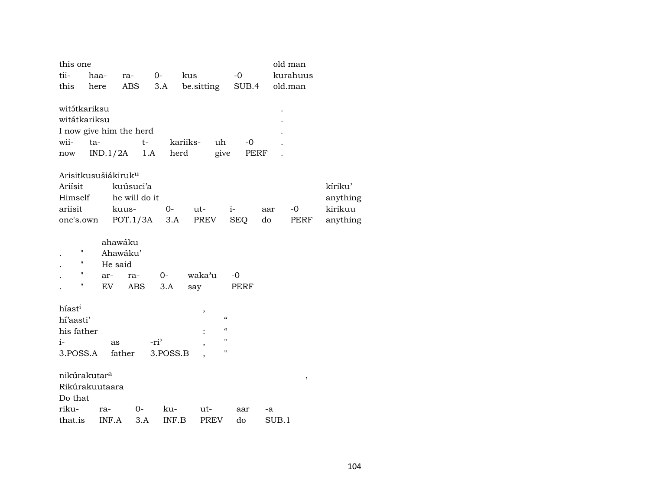| this one                                                     |                                 |                                        |                  |                                        |                    |           | old man      |                     |  |
|--------------------------------------------------------------|---------------------------------|----------------------------------------|------------------|----------------------------------------|--------------------|-----------|--------------|---------------------|--|
| tii-                                                         | haa-                            | ra-                                    | kus<br>$0-$      |                                        | $-0$               |           | kurahuus     |                     |  |
| this                                                         | here                            | ABS                                    | 3.A              | be sitting                             | SUB.4              |           | old.man      |                     |  |
| witátkariksu<br>witátkariksu<br>wii-<br>$\operatorname{now}$ | ta-<br>IND.1/2A                 | I now give him the herd<br>$t-$<br>1.A | kariiks-<br>herd | uh<br>give                             | $-0$<br>PERF       |           |              |                     |  |
|                                                              | Arisitkusušiákiruk <sup>u</sup> |                                        |                  |                                        |                    |           |              |                     |  |
| Ariísit                                                      |                                 | kuúsuci'a                              |                  |                                        |                    |           |              | kíriku'             |  |
| Himself                                                      |                                 | he will do it                          |                  |                                        |                    |           |              | anything            |  |
| ariisit<br>one's.own                                         |                                 | kuus-<br>POT.1/3A                      | $O -$<br>3.A     | ut-<br>PREV                            | $i-$<br><b>SEQ</b> | aar<br>do | $-0$<br>PERF | kirikuu<br>anything |  |
|                                                              |                                 |                                        |                  |                                        |                    |           |              |                     |  |
|                                                              |                                 | ahawáku                                |                  |                                        |                    |           |              |                     |  |
| н                                                            |                                 | Ahawáku'                               |                  |                                        |                    |           |              |                     |  |
| 11                                                           | He said                         |                                        |                  |                                        |                    |           |              |                     |  |
| "<br>Ħ                                                       | ar-                             | ra-                                    | $0-$             | waka'u                                 | $-0$               |           |              |                     |  |
|                                                              | EV                              | <b>ABS</b>                             | 3.A              | say                                    | PERF               |           |              |                     |  |
| híast <sup>i</sup>                                           |                                 |                                        |                  | $\,$                                   |                    |           |              |                     |  |
| hí'aasti'                                                    |                                 |                                        |                  | $\boldsymbol{\zeta}\boldsymbol{\zeta}$ |                    |           |              |                     |  |
| his father                                                   |                                 |                                        |                  | $\mathcal{C}\mathcal{C}$               |                    |           |              |                     |  |
| $i-$                                                         | as                              |                                        | -ri <sup>3</sup> | н<br>п                                 |                    |           |              |                     |  |
| 3.POSS.A                                                     |                                 | father                                 | 3.POSS.B         |                                        |                    |           |              |                     |  |
|                                                              | nikúrakutar <sup>a</sup>        |                                        |                  |                                        |                    |           | ,            |                     |  |
|                                                              | Rikúrakuutaara                  |                                        |                  |                                        |                    |           |              |                     |  |
| Do that                                                      |                                 |                                        |                  |                                        |                    |           |              |                     |  |
| riku-                                                        | ra-                             | 0-                                     | ku-              | ut-                                    | aar                | -a        |              |                     |  |
| that.is                                                      | INF.A                           | 3.A                                    | INF.B            | <b>PREV</b>                            | do                 | SUB.1     |              |                     |  |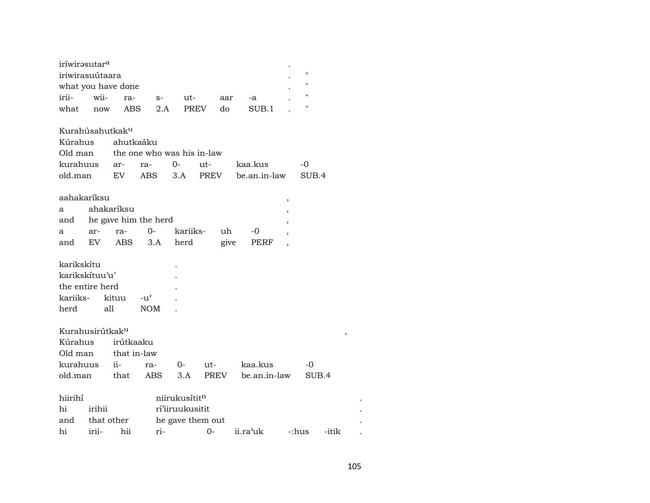| iríwirasutar <sup>a</sup>   |            |                    |                            |                           |                  |      |              |   |                    |       |
|-----------------------------|------------|--------------------|----------------------------|---------------------------|------------------|------|--------------|---|--------------------|-------|
| iriwirasuútaara             |            |                    |                            |                           |                  |      |              |   | $\pmb{\mathsf{H}}$ |       |
|                             |            | what you have done |                            |                           |                  |      |              |   | $\mathbf{H}$       |       |
| irii-                       | wii-       | ra-                | $S-$                       | ut-                       |                  | aar  | -a           |   | $\pmb{\mathsf{H}}$ |       |
| what                        | now        | ABS                | 2.A                        |                           | <b>PREV</b>      | do   | SUB.1        |   |                    |       |
| Kurahúsahutkak <sup>u</sup> |            |                    |                            |                           |                  |      |              |   |                    |       |
| Kúrahus                     |            | ahutkaáku          |                            |                           |                  |      |              |   |                    |       |
| Old man                     |            |                    | the one who was his in-law |                           |                  |      |              |   |                    |       |
| kurahuus                    |            | ar-                | ra-                        | $0-$                      | ut-              |      | kaa.kus      |   | $-0$               |       |
| old.man                     |            | EV.                | <b>ABS</b>                 | 3.A                       | PREV             |      | be.an.in-law |   | SUB.4              |       |
| aahakaríksu                 |            |                    |                            |                           |                  |      |              | , |                    |       |
| a                           |            | ahakaríksu         |                            |                           |                  |      |              |   |                    |       |
| and                         |            |                    | he gave him the herd       |                           |                  |      |              |   |                    |       |
| a                           | ar-        | ra-                | $0-$                       | kariiks-                  |                  | uh   | -0           |   |                    |       |
| and                         | EV         | ABS                | 3.A                        | herd                      |                  | give | PERF         |   |                    |       |
| karikskítu                  |            |                    |                            |                           |                  |      |              |   |                    |       |
| karikskítuu'u'              |            |                    |                            |                           |                  |      |              |   |                    |       |
| the entire herd             |            |                    |                            |                           |                  |      |              |   |                    |       |
| kariiks-                    |            | kituu              | $-u^{\prime}$              |                           |                  |      |              |   |                    |       |
| herd                        |            | all                | <b>NOM</b>                 |                           |                  |      |              |   |                    |       |
| Kurahusirútkak <sup>u</sup> |            |                    |                            |                           |                  |      |              |   |                    |       |
| Kúrahus                     |            | irútkaaku          |                            |                           |                  |      |              |   |                    | ,     |
| Old man                     |            | that in-law        |                            |                           |                  |      |              |   |                    |       |
| kurahuus                    |            | $ii-$              | ra-                        | 0-                        | ut-              |      | kaa.kus      |   | -0                 |       |
| old.man                     |            | that               | <b>ABS</b>                 | 3.A                       | PREV             |      | be.an.in-law |   | SUB.4              |       |
| hiirihí                     |            |                    |                            | niirukusítit <sup>n</sup> |                  |      |              |   |                    |       |
| hi                          | irihii     |                    |                            | rí'iiruukusitit           |                  |      |              |   |                    |       |
|                             | that other |                    |                            |                           |                  |      |              |   |                    |       |
| and                         |            |                    |                            |                           | he gave them out |      |              |   |                    |       |
| hi                          | irii-      | hii                | ri-                        |                           | 0-               |      | ii.ra'uk     |   | -:hus              | -itik |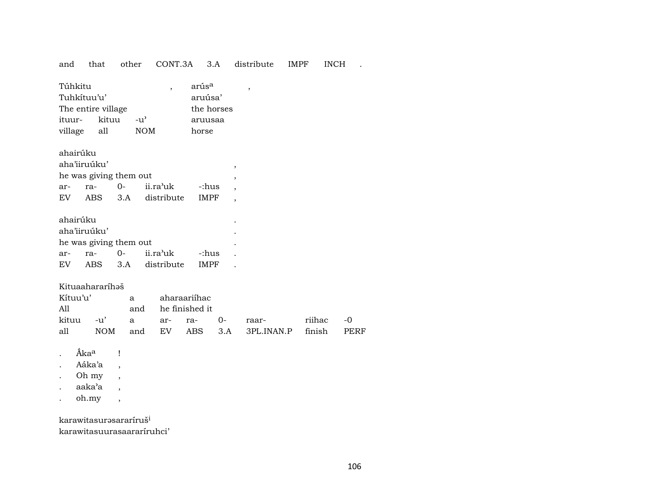and that other CONT.3A 3.A distribute IMPF INCH .

| Túhkitu            |     |                    | arús <sup>a</sup> |  |
|--------------------|-----|--------------------|-------------------|--|
| Tuhkítuu'u'        |     | aruúsa'            |                   |  |
| The entire village |     | the horses         |                   |  |
| ituur- kituu       |     | $-11$ <sup>2</sup> | aruusaa           |  |
| village            | all | <b>NOM</b>         | horse             |  |

| ahairúku               |              |  |                                |             |  |  |  |  |
|------------------------|--------------|--|--------------------------------|-------------|--|--|--|--|
|                        | aha'iiruúku' |  |                                |             |  |  |  |  |
| he was giving them out |              |  |                                |             |  |  |  |  |
| ar-                    | ra-          |  | 0- ii.ra <sup>,</sup> uk -:hus |             |  |  |  |  |
| EV                     |              |  | ABS 3.A distribute             | <b>IMPF</b> |  |  |  |  |
|                        |              |  |                                |             |  |  |  |  |

| ahairúku               |              |  |                           |             |  |  |  |
|------------------------|--------------|--|---------------------------|-------------|--|--|--|
|                        | aha'iiruúku' |  |                           |             |  |  |  |
| he was giving them out |              |  |                           |             |  |  |  |
|                        |              |  | ar- ra- 0- ii.ra'uk -:hus |             |  |  |  |
| EV                     |              |  | ABS 3.A distribute        | <b>IMPF</b> |  |  |  |

## Kituaahararíhaš

| Kítuu'u' | a aharaariihac |                    |                                               |  |
|----------|----------------|--------------------|-----------------------------------------------|--|
| All      |                | and he finished it |                                               |  |
|          |                |                    | kituu -u' a ar- ra- 0- raar-  riihac -0       |  |
|          |                |                    | all NOM and EV ABS 3.A 3PL.INAN.P finish PERF |  |

- .  $\hat{\mathbf{A}}$ ka<sup>a</sup> !
- . Aáka'a ,
- . Oh my ,
- . aaka'a ,
- . oh.my ,

karawitasurəsararíruš<sup>i</sup> karawitasuurasaararíruhci'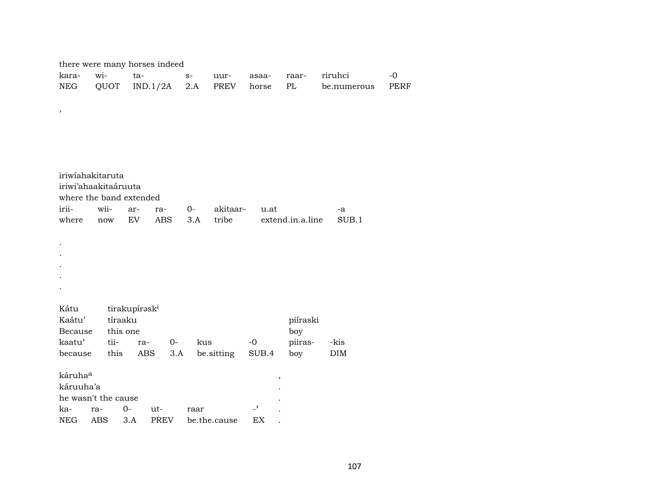|             | there were many horses indeed |                           |             |                |              |                            |                  |             |      |
|-------------|-------------------------------|---------------------------|-------------|----------------|--------------|----------------------------|------------------|-------------|------|
| kara-       | $\overline{\text{wi}}$ -      | ta-                       |             | $\mathbf{S}^-$ | uur-         | asaa-                      | raar-            | riruhci     | $-0$ |
| <b>NEG</b>  | QUOT                          |                           | IND.1/2A    | 2.A            | PREV         | horse                      | $\rm PL$         | be.numerous | PERF |
| $\,$        |                               |                           |             |                |              |                            |                  |             |      |
|             |                               |                           |             |                |              |                            |                  |             |      |
|             |                               |                           |             |                |              |                            |                  |             |      |
|             |                               |                           |             |                |              |                            |                  |             |      |
|             |                               |                           |             |                |              |                            |                  |             |      |
|             | iriwiahakitaruta              |                           |             |                |              |                            |                  |             |      |
|             | iriwi'ahaakitaáruuta          |                           |             |                |              |                            |                  |             |      |
|             | where the band extended       |                           |             |                |              |                            |                  |             |      |
| irii-       | wii-                          | ar-                       | ra-         | $0-$           | akitaar-     | u.at                       |                  | $-a$        |      |
| where       | now                           | ${\rm EV}$                | ABS         | 3.A            | tribe        |                            | extend.in.a.line | SUB.1       |      |
|             |                               |                           |             |                |              |                            |                  |             |      |
|             |                               |                           |             |                |              |                            |                  |             |      |
|             |                               |                           |             |                |              |                            |                  |             |      |
|             |                               |                           |             |                |              |                            |                  |             |      |
|             |                               |                           |             |                |              |                            |                  |             |      |
| Kátu        |                               |                           |             |                |              |                            |                  |             |      |
| Kaátu'      | tíraaku                       | tirakupírask <sup>i</sup> |             |                |              |                            | piíraski         |             |      |
| Because     | this one                      |                           |             |                |              |                            | boy              |             |      |
| kaatu'      | tii-                          | ra-                       | $0-$        | kus            |              | $\mbox{-}0$                | piiras-          | -kis        |      |
| because     | this                          | ABS                       | 3.A         |                | be.sitting   | SUB.4                      | boy              | DIM         |      |
| káruhaa     |                               |                           |             |                |              |                            |                  |             |      |
| káruuha'a   |                               |                           |             |                |              | $\, ,$                     |                  |             |      |
|             | he wasn't the cause           |                           |             |                |              |                            |                  |             |      |
| ka-         | ra-                           | $0 -$                     | ut-         | raar           |              | $\overline{\phantom{a}}$   |                  |             |      |
| ${\rm NEG}$ | $\operatorname{ABS}$          | 3.A                       | <b>PREV</b> |                | be.the.cause | $\mathop{\rm EX}\nolimits$ |                  |             |      |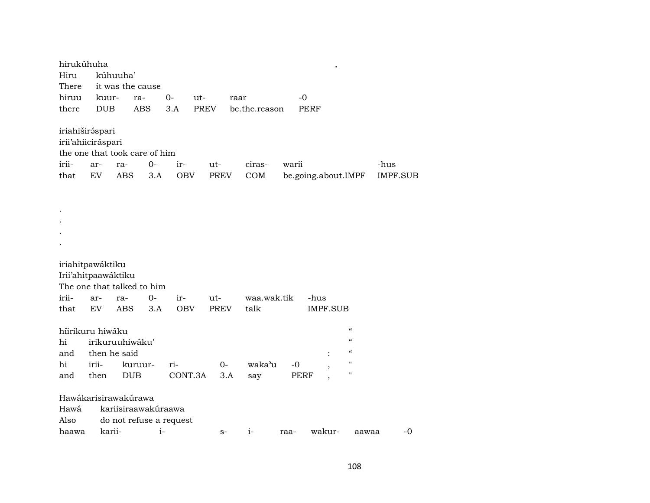| hirukúhuha<br>Hiru<br>There<br>hiruu<br>there            | kuur-<br><b>DUB</b>                              | kúhuuha'          | it was the cause<br>ra-<br><b>ABS</b>                  | $0-$<br>3.A       | ut-<br><b>PREV</b> | raar        | be.the.reason       |       | -0<br>PERF          | ,               |                                                                                                             |                         |      |
|----------------------------------------------------------|--------------------------------------------------|-------------------|--------------------------------------------------------|-------------------|--------------------|-------------|---------------------|-------|---------------------|-----------------|-------------------------------------------------------------------------------------------------------------|-------------------------|------|
| iriahiširáspari<br>irii'ahiiciráspari<br>irii-<br>that   | ar-<br>EV.                                       | ra-<br>ABS        | the one that took care of him<br>$0-$<br>3.A           | ir-<br>OBV        | ut-<br>PREV        |             | ciras-<br>COM       | warii | be.going.about.IMPF |                 |                                                                                                             | -hus<br><b>IMPF.SUB</b> |      |
|                                                          |                                                  |                   |                                                        |                   |                    |             |                     |       |                     |                 |                                                                                                             |                         |      |
| iriahitpawáktiku<br>Irii'ahitpaawáktiku<br>irii-<br>that | ar-<br>EV                                        | ra-<br><b>ABS</b> | The one that talked to him<br>$0-$<br>3.A              | ir-<br><b>OBV</b> | ut-<br><b>PREV</b> |             | waa.wak.tik<br>talk |       | -hus                | <b>IMPF.SUB</b> |                                                                                                             |                         |      |
| híirikuru hiwáku<br>hi<br>and<br>hi<br>and               | irikuruuhiwáku'<br>then he said<br>irii-<br>then |                   | kuruur-<br><b>DUB</b>                                  | ri-<br>CONT.3A    |                    | $0-$<br>3.A | waka'u<br>say       | $-0$  | PERF                |                 | $\boldsymbol{\zeta}\boldsymbol{\zeta}$<br>$\epsilon$<br>$\pmb{\zeta}\pmb{\zeta}$<br>"<br>$\pmb{\mathsf{H}}$ |                         |      |
| Hawákarisirawakúrawa<br>Hawá<br>Also<br>haawa            | karii-                                           |                   | kariisiraawakúraawa<br>do not refuse a request<br>$i-$ |                   |                    | $S-$        | $i-$                | raa-  |                     | wakur-          | aawaa                                                                                                       |                         | $-0$ |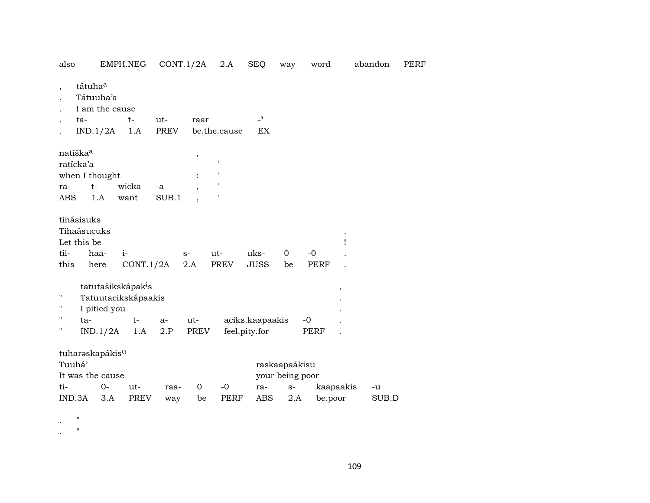| also                                            |                                                             | EMPH.NEG                                              |             | CONT.1/2A                | 2.A          | <b>SEQ</b>                       | way                              | word        |                          | abandon | PERF |
|-------------------------------------------------|-------------------------------------------------------------|-------------------------------------------------------|-------------|--------------------------|--------------|----------------------------------|----------------------------------|-------------|--------------------------|---------|------|
| $\overline{ }$                                  | tátuhaa<br>Tátuuha'a<br>I am the cause<br>ta-               | $t-$                                                  | ut-         | raar                     |              | $\overline{a}$                   |                                  |             |                          |         |      |
|                                                 | IND.1/2A                                                    | 1.A                                                   | <b>PREV</b> |                          | be.the.cause | EX                               |                                  |             |                          |         |      |
| natíška <sup>a</sup><br>ratícka'a<br>ra-<br>ABS | when I thought<br>$t-$<br>1.A                               | wicka<br>want                                         | -a<br>SUB.1 | $\, ,$<br>$\overline{ }$ | 1            |                                  |                                  |             |                          |         |      |
|                                                 | tihásisuks<br>Tihaásucuks<br>Let this be                    |                                                       |             |                          |              |                                  |                                  |             | Ţ                        |         |      |
| tii-                                            | haa-                                                        | $i-$                                                  |             | $S-$                     | ut-          | uks-                             | 0                                | $-0$        |                          |         |      |
| this                                            | here                                                        | CONT.1/2A                                             |             | 2.A                      | <b>PREV</b>  | <b>JUSS</b>                      | be                               | <b>PERF</b> |                          |         |      |
| н<br>П<br>п                                     | I pitied you                                                | tatutašikskápak <sup>i</sup> s<br>Tatuutacikskápaakis |             |                          |              |                                  |                                  |             | $\overline{\phantom{a}}$ |         |      |
|                                                 | ta-                                                         | $t-$                                                  | a-<br>2.P   | ut-                      |              | aciks.kaapaakis<br>feel.pity.for |                                  | $-0$        |                          |         |      |
| Tuuhá'                                          | IND.1/2A<br>tuharaskapákis <sup>u</sup><br>It was the cause | 1.A                                                   |             | PREV                     |              |                                  | raskaapaákisu<br>your being poor | PERF        |                          |         |      |
| ti-                                             | $0-$                                                        | ut-                                                   | raa-        | $\Omega$                 | $-0$         | ra-                              | $S-$                             |             | kaapaakis                | -u      |      |
| IND.3A                                          | 3.A                                                         | <b>PREV</b>                                           | way         | be                       | <b>PERF</b>  | ABS                              | 2.A                              | be.poor     |                          | SUB.D   |      |

. "

. "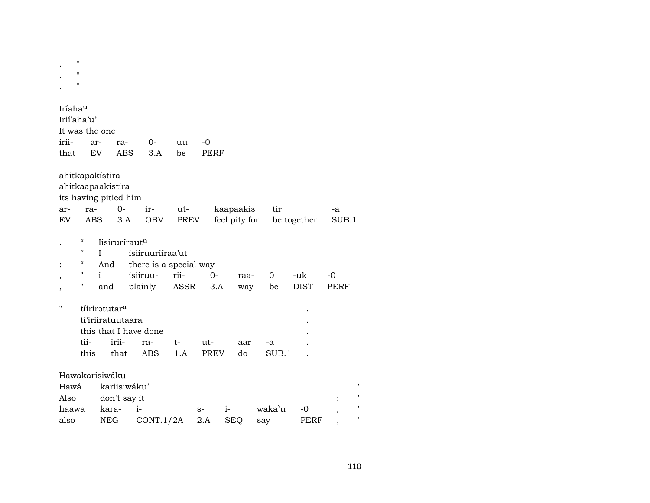|                                      | $\pmb{\mathsf{H}}$<br>$\pmb{\mathsf{H}}$<br>11                             |               |                                    |                                            |           |                     |               |               |             |       |  |
|--------------------------------------|----------------------------------------------------------------------------|---------------|------------------------------------|--------------------------------------------|-----------|---------------------|---------------|---------------|-------------|-------|--|
| Iríaha <sup>u</sup><br>irii-<br>that | Irii'aha'u'<br>It was the one                                              | ar-<br>EV     | ra-<br><b>ABS</b>                  | 0-<br>3.A                                  | uu<br>be  | $-0$<br><b>PERF</b> |               |               |             |       |  |
|                                      | ahitkapakístira<br>ahitkaapaakistira                                       |               | its having pitied him              |                                            |           |                     |               |               |             |       |  |
| ar-                                  | ra-                                                                        |               | $0-$                               | ir-                                        | ut-       |                     | kaapaakis     | tir           |             | -a    |  |
| EV                                   | <b>ABS</b>                                                                 |               | 3.A                                | <b>OBV</b>                                 | PREV      |                     | feel.pity.for |               | be.together | SUB.1 |  |
|                                      | $\epsilon$<br>$\boldsymbol{\zeta}\boldsymbol{\zeta}$<br>$\epsilon\epsilon$ | T<br>And      | lisirurírautn                      | isiiruuriíraa'ut<br>there is a special way |           |                     |               |               |             |       |  |
|                                      | 11                                                                         | i             |                                    | isiiruu-                                   | rii-      | $0-$                | raa-          | 0             | -uk         | $-0$  |  |
|                                      | П                                                                          | and           |                                    | plainly                                    | ASSR      | 3.A                 | way           | be            | <b>DIST</b> | PERF  |  |
| н                                    | tii-<br>this                                                               | tíiriratutara | tí'iriiratuutaara<br>irii-<br>that | this that I have done<br>ra-<br><b>ABS</b> | t-<br>1.A | ut-<br><b>PREV</b>  | aar<br>do     | $-a$<br>SUB.1 |             |       |  |
|                                      | Hawakarisiwáku                                                             |               |                                    |                                            |           |                     |               |               |             |       |  |
| Hawá                                 |                                                                            |               | kariisiwáku'                       |                                            |           |                     |               |               |             |       |  |
| Also                                 |                                                                            |               | don't say it                       |                                            |           |                     |               |               |             |       |  |
| haawa                                |                                                                            | kara-         |                                    | $i-$                                       |           | $S-$                | $i-$          | waka'u        | $-0$        |       |  |
| also                                 |                                                                            | <b>NEG</b>    |                                    | CONT.1/2A                                  |           | $2.A$               | <b>SEQ</b>    | say           | PERF        |       |  |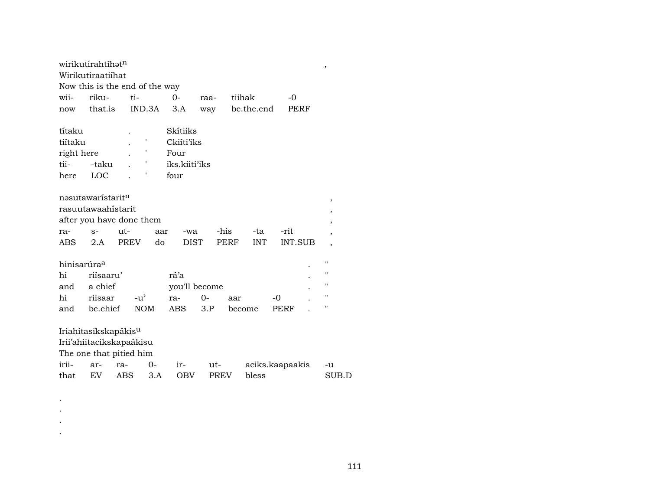| wirikutirahtíhat <sup>n</sup>    |           |               |        |               |             |      |            |                 | $\,$  |
|----------------------------------|-----------|---------------|--------|---------------|-------------|------|------------|-----------------|-------|
| Wirikutiraatiíhat                |           |               |        |               |             |      |            |                 |       |
| Now this is the end of the way   |           |               |        |               |             |      |            |                 |       |
| wii-                             | riku-     | ti-           |        | $0-$          | raa-        |      | tiihak     | $-0$            |       |
| now                              | that.is   |               | IND.3A | 3.A           | way         |      | be.the.end | PERF            |       |
|                                  |           |               |        |               |             |      |            |                 |       |
| títaku                           |           |               |        | Skítiiks      |             |      |            |                 |       |
| tiítaku                          |           |               | ,      | Ckiíti'iks    |             |      |            |                 |       |
| right here                       |           |               | ,      | Four          |             |      |            |                 |       |
| tii-                             | -taku     |               |        | iks.kiiti'iks |             |      |            |                 |       |
| here                             | LOC       |               |        | four          |             |      |            |                 |       |
|                                  |           |               |        |               |             |      |            |                 |       |
| nəsutawaristarit <sup>n</sup>    |           |               |        |               |             |      |            |                 | ,     |
| rasuutawaahistarit               |           |               |        |               |             |      |            |                 | ,     |
| after you have done them         |           |               |        |               |             |      |            |                 | ,     |
| ra-                              | $S-$      | ut-           | aar    | -wa           |             | -his | -ta        | -rit            | ,     |
| ABS                              | 2.A       | PREV          | do     | DIST          |             | PERF | <b>INT</b> | <b>INT.SUB</b>  | ,     |
|                                  |           |               |        |               |             |      |            |                 |       |
| hinisarúra <sup>a</sup>          |           |               |        |               |             |      |            |                 | п     |
| hi                               | riísaaru' |               |        | rá'a          |             |      |            |                 | п     |
| and                              | a chief   |               |        | you'll become |             |      |            |                 | п     |
| hi                               | riisaar   | $-u^{\prime}$ |        | ra-           | 0-          | aar  |            | -0              | п     |
| and                              | be.chief  | <b>NOM</b>    |        | ABS           | 3.P         |      | become     | PERF            | 11    |
|                                  |           |               |        |               |             |      |            |                 |       |
| Iriahitasikskapákis <sup>u</sup> |           |               |        |               |             |      |            |                 |       |
| Irii'ahiitacikskapaákisu         |           |               |        |               |             |      |            |                 |       |
| The one that pitied him          |           |               |        |               |             |      |            |                 |       |
| irii-                            | ar-       | ra-           | $O -$  | $ir-$         | ut-         |      |            | aciks.kaapaakis | -u    |
| that                             | EV        | ABS           | 3.A    | <b>OBV</b>    | <b>PREV</b> |      | bless      |                 | SUB.D |
|                                  |           |               |        |               |             |      |            |                 |       |

 $\langle \cdot \rangle$  $\langle \cdot \rangle$  $\sim$  $\mathcal{A}^{\pm}$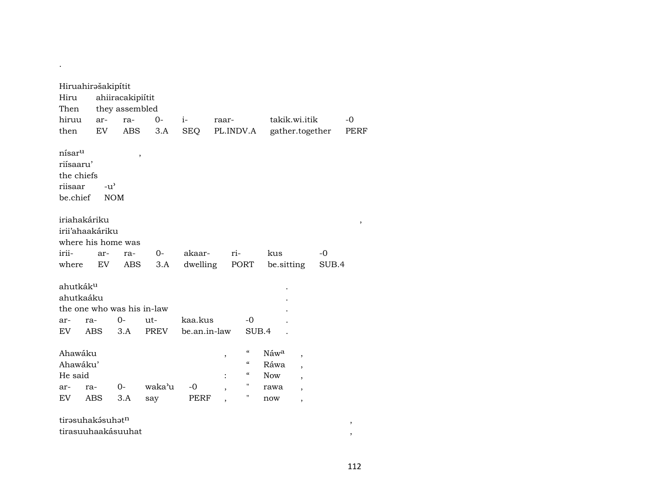| Hiru<br>Then<br>hiruu<br>then                                        | Hiruahirašakipítit<br>ar-<br>EV                       | ahiiracakipiítit<br>they assembled<br>ra-<br><b>ABS</b> | $0-$<br>3.A | $i-$<br><b>SEQ</b> | raar-<br>PL.INDV.A  |                                                                       | takik.wi.itik<br>gather.together                                                                               |       | $-0$<br>PERF |  |  |  |  |
|----------------------------------------------------------------------|-------------------------------------------------------|---------------------------------------------------------|-------------|--------------------|---------------------|-----------------------------------------------------------------------|----------------------------------------------------------------------------------------------------------------|-------|--------------|--|--|--|--|
| nísar <sup>u</sup><br>riísaaru'<br>the chiefs<br>riisaar<br>be.chief | $-u^{\prime}$                                         | $\overline{\phantom{a}}$<br><b>NOM</b>                  |             |                    |                     |                                                                       |                                                                                                                |       |              |  |  |  |  |
|                                                                      | iriahakáriku<br>irii'ahaakáriku<br>where his home was |                                                         |             |                    |                     |                                                                       |                                                                                                                |       | $\, ,$       |  |  |  |  |
| irii-                                                                | ri-<br>$0-$<br>akaar-<br>kus<br>-0<br>ar-<br>ra-      |                                                         |             |                    |                     |                                                                       |                                                                                                                |       |              |  |  |  |  |
| where                                                                | EV                                                    | ABS                                                     | 3.A         | dwelling           |                     | PORT                                                                  | be.sitting                                                                                                     | SUB.4 |              |  |  |  |  |
| ahutkák <sup>u</sup><br>ahutkaáku                                    | the one who was his in-law                            |                                                         |             |                    |                     |                                                                       |                                                                                                                |       |              |  |  |  |  |
| ar-                                                                  | ra-                                                   | $0-$                                                    | ut-         | kaa.kus            |                     | $-0$                                                                  |                                                                                                                |       |              |  |  |  |  |
| <b>EV</b>                                                            | <b>ABS</b>                                            | 3.A                                                     | <b>PREV</b> | be.an.in-law       |                     | SUB.4                                                                 |                                                                                                                |       |              |  |  |  |  |
| Ahawáku<br>Ahawáku'<br>He said                                       |                                                       |                                                         |             |                    | ,<br>$\ddot{\cdot}$ | $\mathcal{C}\mathcal{C}$<br>$\mathcal{C}\mathcal{C}$<br>$\mathcal{C}$ | Náwa<br>$\overline{\phantom{a}}$<br>Ráwa<br>$\overline{\phantom{a}}$<br><b>Now</b><br>$\overline{\phantom{a}}$ |       |              |  |  |  |  |
| ar-                                                                  | ra-                                                   | $0 -$                                                   | waka'u      | -0                 | ,                   | п                                                                     | rawa<br>$\overline{\phantom{a}}$                                                                               |       |              |  |  |  |  |
| EV                                                                   | <b>ABS</b>                                            | 3.A                                                     | say         | PERF               |                     | П                                                                     | now<br>$\overline{\phantom{a}}$                                                                                |       |              |  |  |  |  |
|                                                                      | tirəsuhakəsuhətn<br>tirasuuhaakásuuhat                |                                                         |             |                    |                     |                                                                       |                                                                                                                |       | $\,$<br>,    |  |  |  |  |

.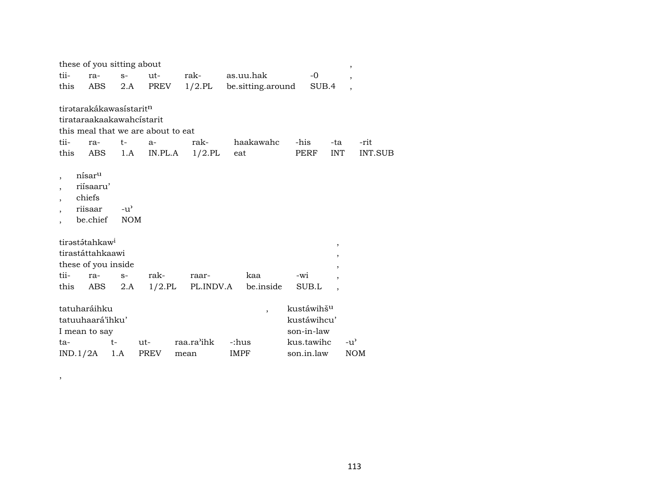|      |                    |                                     |               | these of you sitting about         |      |            |             |                          |      |                        |                          | $^\circ$                 |                |
|------|--------------------|-------------------------------------|---------------|------------------------------------|------|------------|-------------|--------------------------|------|------------------------|--------------------------|--------------------------|----------------|
| tii- |                    | ra-                                 | $S-$          | $ut-$                              |      | rak-       |             | as.uu.hak                |      | -0                     |                          | $\overline{ }$           |                |
| this |                    | ABS                                 | 2.A           | PREV                               |      | $1/2$ .PL  |             | be.sitting.around        |      | SUB.4                  |                          | $\overline{\phantom{a}}$ |                |
|      |                    | tirətarakákawasistarit <sup>n</sup> |               |                                    |      |            |             |                          |      |                        |                          |                          |                |
|      |                    |                                     |               |                                    |      |            |             |                          |      |                        |                          |                          |                |
|      |                    |                                     |               | tirataraakaakawahcistarit          |      |            |             |                          |      |                        |                          |                          |                |
|      |                    |                                     |               | this meal that we are about to eat |      |            |             |                          |      |                        |                          |                          |                |
| tii- |                    | ra-                                 | t-            | $a-$                               |      | rak-       |             | haakawahc                | -his |                        | -ta                      |                          | -rit           |
| this |                    | ABS                                 | 1.A           | IN.PL.A                            |      | $1/2$ .PL  | eat         |                          |      | PERF                   | <b>INT</b>               |                          | <b>INT.SUB</b> |
|      |                    |                                     |               |                                    |      |            |             |                          |      |                        |                          |                          |                |
|      | nísar <sup>u</sup> |                                     |               |                                    |      |            |             |                          |      |                        |                          |                          |                |
|      |                    | riísaaru'                           |               |                                    |      |            |             |                          |      |                        |                          |                          |                |
|      | chiefs             |                                     |               |                                    |      |            |             |                          |      |                        |                          |                          |                |
|      | riisaar            |                                     | $-u^{\prime}$ |                                    |      |            |             |                          |      |                        |                          |                          |                |
|      |                    | be.chief                            | <b>NOM</b>    |                                    |      |            |             |                          |      |                        |                          |                          |                |
|      |                    | tirastátahkaw <sup>i</sup>          |               |                                    |      |            |             |                          |      |                        |                          |                          |                |
|      |                    | tirastáttahkaawi                    |               |                                    |      |            |             |                          |      |                        | $\, ,$                   |                          |                |
|      |                    | these of you inside                 |               |                                    |      |            |             |                          |      |                        | ,                        |                          |                |
| tii- |                    | ra-                                 | $S-$          | rak-                               |      | raar-      |             | kaa                      | -wi  |                        |                          |                          |                |
| this |                    | ABS                                 | 2.A           | $1/2$ .PL                          |      | PL.INDV.A  |             | be.inside                |      | SUB.L                  | $\overline{\phantom{a}}$ |                          |                |
|      |                    |                                     |               |                                    |      |            |             |                          |      |                        |                          |                          |                |
|      |                    | tatuharáihku                        |               |                                    |      |            |             | $\overline{\phantom{a}}$ |      | kustáwihš <sup>u</sup> |                          |                          |                |
|      |                    | tatuuhaará'ihku'                    |               |                                    |      |            |             |                          |      | kustáwihcu'            |                          |                          |                |
|      |                    | I mean to say                       |               |                                    |      |            |             |                          |      | son-in-law             |                          |                          |                |
| ta-  |                    | $t-$                                |               | ut-                                |      | raa.ra'ihk | -:hus       |                          |      | kus.tawihc             |                          | -u'                      |                |
|      |                    | IND.1/2A                            | 1.A           | PREV                               | mean |            | <b>IMPF</b> |                          |      | son.in.law             |                          | <b>NOM</b>               |                |

,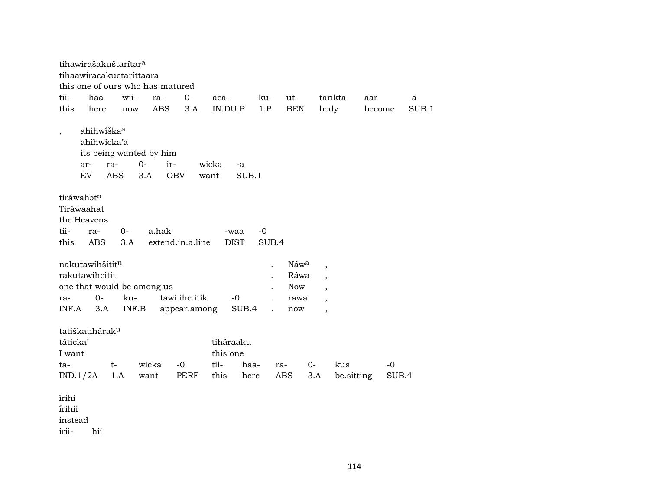tihawirašakuštarítar<sup>a</sup> tihaawiracakuctaríttaara this one of ours who has matured tii- haa- wii- ra- 0- aca- ku- ut- tarikta- aar -a this here now ABS 3.A IN.DU.P 1.P BEN body become SUB.1 , ahihwíška<sup>a</sup> ahihwícka'a its being wanted by him ar- ra- 0- ir- wicka -a EV ABS 3.A OBV want SUB.1 tiráwahatn Tiráwaahat the Heavens tii- ra- 0- a.hak -waa -0 this ABS 3.A extend.in.a.line DIST SUB.4 nakutawíhšitit¶ . Náw° , rakutawíhcitit . Ráwa , Ráwa , Ráwa , Ráwa , Ráwa , Ráwa , Ráwa , Ráwa , Ráwa , Ráwa , Ráwa , Ráwa , Ráwa , Ráwa , Ráwa , Ráwa , Ráwa , Ráwa , Ráwa , Ráwa , Ráwa , Ráwa , Ráwa , Ráwa , Ráwa , Ráwa , Ráwa , Ráwa , Ráwa , Rá one that would be among us and the set of the set of the set of the set of the set of the set of the set of the set of the set of the set of the set of the set of the set of the set of the set of the set of the set of the ra- 0- ku- tawi.ihc.itik -0 . rawa , INF.A 3.A INF.B appear.among SUB.4 . now , tatiškatihárak<sup>u</sup> táticka' tiháraaku I want this one ta- t- wicka -0 tii- haa- ra- 0- kus -0 IND.1/2A 1.A want PERF this here ABS 3.A be.sitting SUB.4 írihi írihii instead irii- hii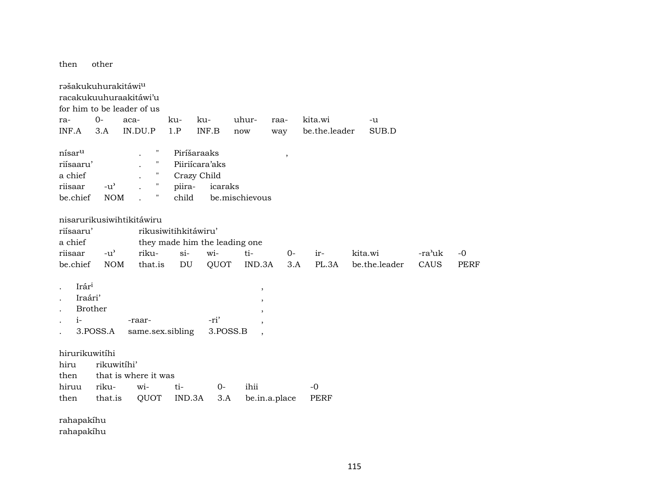then other

| $0-$           | aca-          |                                                                                       |                                                                                                                                           |                                                       | uhur-                                                                                                 | raa-                                                                | kita.wi                                   | -u           |               |                                          |
|----------------|---------------|---------------------------------------------------------------------------------------|-------------------------------------------------------------------------------------------------------------------------------------------|-------------------------------------------------------|-------------------------------------------------------------------------------------------------------|---------------------------------------------------------------------|-------------------------------------------|--------------|---------------|------------------------------------------|
| 3.A            |               |                                                                                       | 1.P                                                                                                                                       |                                                       | now                                                                                                   | way                                                                 |                                           |              |               |                                          |
|                |               | Π                                                                                     |                                                                                                                                           |                                                       |                                                                                                       | $\, ,$                                                              |                                           |              |               |                                          |
| riísaaru'      |               | н                                                                                     |                                                                                                                                           |                                                       |                                                                                                       |                                                                     |                                           |              |               |                                          |
|                |               | Ħ                                                                                     |                                                                                                                                           |                                                       |                                                                                                       |                                                                     |                                           |              |               |                                          |
| $-u^{\prime}$  |               | $\pmb{\mathsf{H}}$                                                                    | piira-                                                                                                                                    |                                                       |                                                                                                       |                                                                     |                                           |              |               |                                          |
| be.chief       |               | Ħ                                                                                     | child                                                                                                                                     |                                                       |                                                                                                       |                                                                     |                                           |              |               |                                          |
|                |               |                                                                                       |                                                                                                                                           |                                                       |                                                                                                       |                                                                     |                                           |              |               |                                          |
| riísaaru'      |               |                                                                                       |                                                                                                                                           |                                                       |                                                                                                       |                                                                     |                                           |              |               |                                          |
|                |               |                                                                                       |                                                                                                                                           |                                                       |                                                                                                       |                                                                     |                                           |              |               |                                          |
|                |               |                                                                                       | $si-$                                                                                                                                     |                                                       | ti-                                                                                                   | $0-$                                                                | ir-                                       | kita.wi      |               | $-0$                                     |
|                |               |                                                                                       |                                                                                                                                           |                                                       |                                                                                                       |                                                                     |                                           |              |               | <b>PERF</b>                              |
| Irári          |               |                                                                                       |                                                                                                                                           |                                                       | $\, ,$                                                                                                |                                                                     |                                           |              |               |                                          |
| Iraári'        |               |                                                                                       |                                                                                                                                           |                                                       |                                                                                                       |                                                                     |                                           |              |               |                                          |
| <b>Brother</b> |               |                                                                                       |                                                                                                                                           |                                                       |                                                                                                       |                                                                     |                                           |              |               |                                          |
|                |               |                                                                                       |                                                                                                                                           | -ri'                                                  |                                                                                                       |                                                                     |                                           |              |               |                                          |
| 3.POSS.A       |               |                                                                                       |                                                                                                                                           |                                                       |                                                                                                       |                                                                     |                                           |              |               |                                          |
| hirurikuwitíhi |               |                                                                                       |                                                                                                                                           |                                                       |                                                                                                       |                                                                     |                                           |              |               |                                          |
|                |               |                                                                                       |                                                                                                                                           |                                                       |                                                                                                       |                                                                     |                                           |              |               |                                          |
|                |               |                                                                                       |                                                                                                                                           |                                                       |                                                                                                       |                                                                     |                                           |              |               |                                          |
| riku-          |               |                                                                                       | ti-                                                                                                                                       | $O-$                                                  | ihii                                                                                                  |                                                                     | $-0$                                      |              |               |                                          |
|                |               |                                                                                       |                                                                                                                                           |                                                       |                                                                                                       |                                                                     | <b>PERF</b>                               |              |               |                                          |
| rahapakíhu     |               |                                                                                       |                                                                                                                                           |                                                       |                                                                                                       |                                                                     |                                           |              |               |                                          |
|                | $-u^{\prime}$ | rəšakukuhurakitáwi <sup>u</sup><br><b>NOM</b><br><b>NOM</b><br>rikuwitíhi'<br>that.is | racakukuuhuraakitáwi'u<br>for him to be leader of us<br>IN.DU.P<br>nisarurikusiwihtikitáwiru<br>riku-<br>that.is<br>-raar-<br>wi-<br>QUOT | ku-<br>DU<br>same.sex.sibling<br>that is where it was | ku-<br>INF.B<br>Piríšaraaks<br>Piiriícara'aks<br>Crazy Child<br>rikusiwitihkitáwiru'<br>wi-<br>IND.3A | icaraks<br>they made him the leading one<br>QUOT<br>3.POSS.B<br>3.A | be.mischievous<br>IND.3A<br>be.in.a.place | PL.3A<br>3.A | be.the.leader | SUB.D<br>-ra'uk<br>be.the.leader<br>CAUS |

rahapakíhu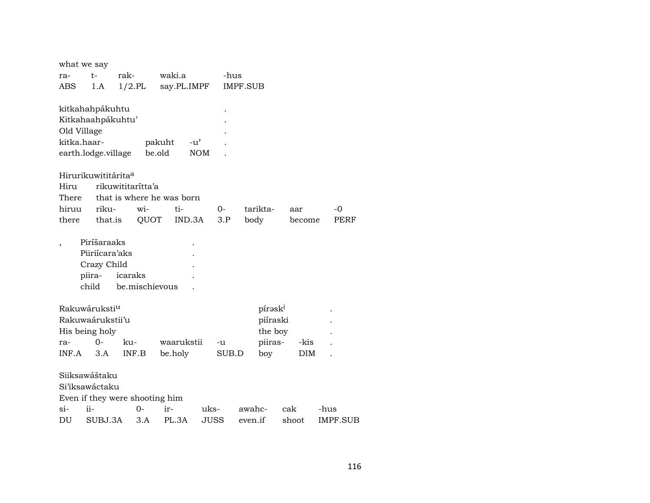| what we say |                                 |                                |             |      |       |                 |                     |        |                 |
|-------------|---------------------------------|--------------------------------|-------------|------|-------|-----------------|---------------------|--------|-----------------|
| ra-         | t-                              | rak-                           | waki.a      |      | -hus  |                 |                     |        |                 |
| <b>ABS</b>  | 1.A                             | $1/2.$ PL                      | say.PL.IMPF |      |       | <b>IMPF.SUB</b> |                     |        |                 |
|             |                                 |                                |             |      |       |                 |                     |        |                 |
|             | kitkahahpákuhtu                 |                                |             |      |       |                 |                     |        |                 |
|             | Kitkahaahpákuhtu'               |                                |             |      |       |                 |                     |        |                 |
| Old Village |                                 |                                |             |      |       |                 |                     |        |                 |
| kitka.haar- |                                 |                                | pakuht      | -u'  |       |                 |                     |        |                 |
|             | earth.lodge.village             |                                | be.old      | NOM  |       |                 |                     |        |                 |
|             |                                 |                                |             |      |       |                 |                     |        |                 |
|             | Hirurikuwititárita <sup>a</sup> |                                |             |      |       |                 |                     |        |                 |
| Hiru        |                                 | rikuwititaritta'a              |             |      |       |                 |                     |        |                 |
| There       |                                 | that is where he was born      |             |      |       |                 |                     |        |                 |
| hiruu       | riku-                           | $\overline{w}$ <i>i</i> -      | ti-         |      | 0-    | tarikta-        | aar                 |        | -0              |
| there       | that.is                         | QUOT                           | IND.3A      |      | 3.P   | body            |                     | become | PERF            |
|             |                                 |                                |             |      |       |                 |                     |        |                 |
|             | Piríšaraaks                     |                                |             |      |       |                 |                     |        |                 |
|             | Piiriícara'aks                  |                                |             |      |       |                 |                     |        |                 |
|             | Crazy Child                     |                                |             |      |       |                 |                     |        |                 |
|             | piira-                          | icaraks                        |             |      |       |                 |                     |        |                 |
|             | child                           | be.mischievous                 |             |      |       |                 |                     |        |                 |
|             | Rakuwáruksti <sup>u</sup>       |                                |             |      |       |                 | pírask <sup>i</sup> |        |                 |
|             | Rakuwaárukstii'u                |                                |             |      |       |                 | piíraski            |        |                 |
|             | His being holy                  |                                |             |      |       |                 | the boy             |        |                 |
| ra-         | $O -$                           | ku-                            | waarukstii  |      | -u    |                 | piiras-             | -kis   |                 |
| INF.A       | 3.A                             | INF.B                          | be.holy     |      | SUB.D | boy             |                     | DIM    |                 |
|             |                                 |                                |             |      |       |                 |                     |        |                 |
|             | Siiksawáštaku                   |                                |             |      |       |                 |                     |        |                 |
|             | Si'iksawáctaku                  |                                |             |      |       |                 |                     |        |                 |
|             |                                 | Even if they were shooting him |             |      |       |                 |                     |        |                 |
| $\sin$      | ii-                             | 0-                             | ir-         | uks- |       | awahc-          | cak                 |        | -hus            |
| DU          | SUBJ.3A                         | 3.A                            | PL.3A       | JUSS |       | even.if         | shoot               |        | <b>IMPF.SUB</b> |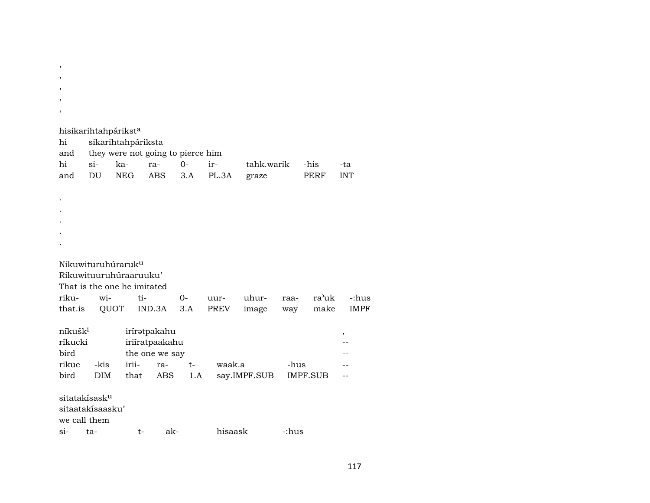$\,$ ,  $\,$ ,  $\overline{\phantom{a}}$  $\cdot$ 

|                     |                           | hisikarihtahpárikst <sup>a</sup>  |                |       |         |              |       |             |             |
|---------------------|---------------------------|-----------------------------------|----------------|-------|---------|--------------|-------|-------------|-------------|
| hi                  |                           | sikarihtahpáriksta                |                |       |         |              |       |             |             |
| and                 |                           | they were not going to pierce him |                |       |         |              |       |             |             |
| hi                  | $\sin$                    | ka-                               | ra-            | $0 -$ | ir-     | tahk.warik   |       | -his        | -ta         |
| and                 | DU                        | NEG                               | <b>ABS</b>     | 3.A   | PL.3A   | graze        |       | <b>PERF</b> | <b>INT</b>  |
|                     |                           |                                   |                |       |         |              |       |             |             |
|                     |                           |                                   |                |       |         |              |       |             |             |
|                     |                           |                                   |                |       |         |              |       |             |             |
|                     |                           |                                   |                |       |         |              |       |             |             |
|                     |                           |                                   |                |       |         |              |       |             |             |
|                     |                           |                                   |                |       |         |              |       |             |             |
|                     |                           |                                   |                |       |         |              |       |             |             |
|                     |                           | Nikuwituruhúraruk <sup>u</sup>    |                |       |         |              |       |             |             |
|                     |                           | Rikuwituuruhuraaruuku'            |                |       |         |              |       |             |             |
|                     |                           | That is the one he imitated       |                |       |         |              |       |             |             |
| riku-               | wi-                       | ti-                               |                | $0-$  | uur-    | uhur-        | raa-  | ra'uk       | -:hus       |
| that.is             |                           | QUOT                              | IND.3A         | 3.A   | PREV    | image        | way   | make        | <b>IMPF</b> |
|                     |                           |                                   |                |       |         |              |       |             |             |
| níkušk <sup>i</sup> |                           |                                   | iríratpakahu   |       |         |              |       |             | ,           |
| ríkucki             |                           |                                   | iriiratpaakahu |       |         |              |       |             |             |
| bird                |                           |                                   | the one we say |       |         |              |       |             |             |
| rikuc               | -kis                      | irii-                             | ra-            | $t-$  | waak.a  |              | -hus  |             |             |
| bird                | DIM                       | that                              | ABS            | 1.A   |         | say.IMPF.SUB |       | IMPF.SUB    |             |
|                     |                           |                                   |                |       |         |              |       |             |             |
|                     | sitatakísask <sup>u</sup> |                                   |                |       |         |              |       |             |             |
|                     | sitaatakisaasku'          |                                   |                |       |         |              |       |             |             |
|                     | we call them              |                                   |                |       |         |              |       |             |             |
| $Si-$               | ta-                       | t-                                | ak-            |       | hisaask |              | -:hus |             |             |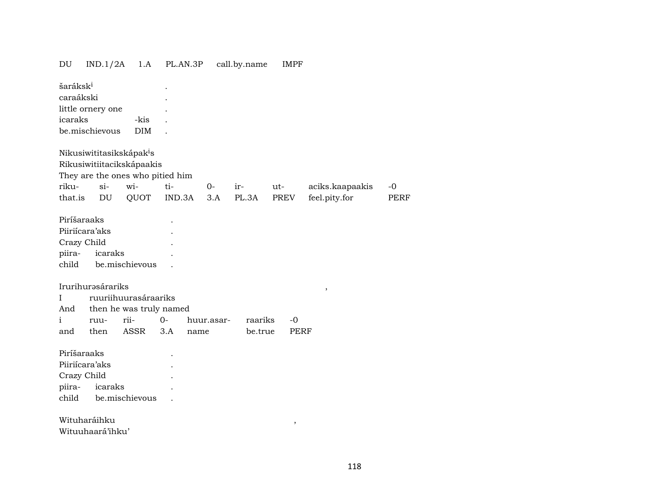| DU                                | IND.1/2A          | 1.A                                  | PL.AN.3P |            | call.by.name | IMPF        |                 |             |
|-----------------------------------|-------------------|--------------------------------------|----------|------------|--------------|-------------|-----------------|-------------|
| šaráksk <sup>i</sup><br>caraákski |                   |                                      |          |            |              |             |                 |             |
|                                   | little ornery one |                                      |          |            |              |             |                 |             |
| icaraks                           |                   | -kis                                 |          |            |              |             |                 |             |
|                                   | be.mischievous    | <b>DIM</b>                           |          |            |              |             |                 |             |
|                                   |                   | Nikusiwititasikskápak <sup>i</sup> s |          |            |              |             |                 |             |
|                                   |                   | Rikusiwitiitacikskápaakis            |          |            |              |             |                 |             |
|                                   |                   | They are the ones who pitied him     |          |            |              |             |                 |             |
| riku-                             | $si-$             | wi-                                  | ti-      | 0-         | ir-          | ut-         | aciks.kaapaakis | $-0$        |
| that.is                           | DU                | QUOT                                 | IND.3A   | 3.A        | PL.3A        | PREV        | feel.pity.for   | <b>PERF</b> |
| Piríšaraaks                       |                   |                                      |          |            |              |             |                 |             |
| Piiriícara'aks                    |                   |                                      |          |            |              |             |                 |             |
| Crazy Child                       |                   |                                      |          |            |              |             |                 |             |
| piira-                            | icaraks           |                                      |          |            |              |             |                 |             |
| child                             |                   | be.mischievous                       |          |            |              |             |                 |             |
|                                   | Irurihurəsárariks |                                      |          |            |              |             |                 |             |
| L                                 |                   | ruuriihuurasáraariks                 |          |            |              |             | $\, ,$          |             |
| And                               |                   | then he was truly named              |          |            |              |             |                 |             |
| $\mathbf{i}$                      | ruu-              | rii-                                 | $0-$     | huur.asar- | raariks      | $-0$        |                 |             |
| and                               | then              | ASSR                                 | 3.A      | name       | be.true      | <b>PERF</b> |                 |             |
|                                   |                   |                                      |          |            |              |             |                 |             |
| Piríšaraaks                       |                   |                                      |          |            |              |             |                 |             |
| Piiriícara'aks                    |                   |                                      |          |            |              |             |                 |             |
| Crazy Child                       |                   |                                      |          |            |              |             |                 |             |
| piira-                            | icaraks           |                                      |          |            |              |             |                 |             |
| child                             |                   | be.mischievous                       |          |            |              |             |                 |             |
| Wituharáihku                      |                   |                                      |          |            |              |             |                 |             |
|                                   | Wituuhaará'ihku'  |                                      |          |            |              | $\, ,$      |                 |             |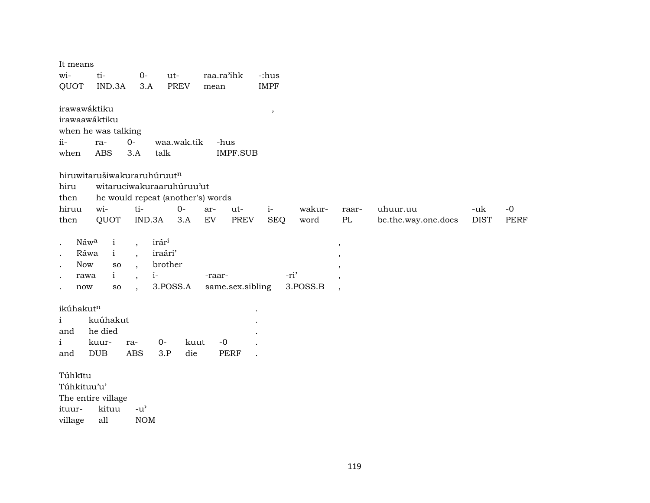| It means<br>wi-   | ti-<br>IND.3A                     | $O-$                     | ut-         | <b>PREV</b> | raa.ra'ihk                 |                  | -:hus<br><b>IMPF</b>     |          |         |                     |             |             |
|-------------------|-----------------------------------|--------------------------|-------------|-------------|----------------------------|------------------|--------------------------|----------|---------|---------------------|-------------|-------------|
| QUOT              |                                   | 3.A                      |             |             | mean                       |                  |                          |          |         |                     |             |             |
| irawawáktiku      |                                   |                          |             |             |                            |                  | $\overline{\phantom{a}}$ |          |         |                     |             |             |
| irawaawáktiku     |                                   |                          |             |             |                            |                  |                          |          |         |                     |             |             |
|                   | when he was talking               |                          |             |             |                            |                  |                          |          |         |                     |             |             |
| $ii-$             | ra-                               | $O -$                    | waa.wak.tik |             | -hus                       |                  |                          |          |         |                     |             |             |
| when              | <b>ABS</b>                        | 3.A                      | talk        |             |                            | <b>IMPF.SUB</b>  |                          |          |         |                     |             |             |
|                   | hiruwitarušiwakuraruhúruutn       |                          |             |             |                            |                  |                          |          |         |                     |             |             |
| hiru              | witaruciwakuraaruhúruu'ut         |                          |             |             |                            |                  |                          |          |         |                     |             |             |
| then              | he would repeat (another's) words |                          |             |             |                            |                  |                          |          |         |                     |             |             |
| hiruu             | wi-                               | ti-                      |             | $0-$        | ar-                        | ut-              | $i-$                     | wakur-   | raar-   | uhuur.uu            | -uk         | $-0$        |
| then              | QUOT                              |                          | IND.3A      | 3.A         | $\mathop{\rm EV}\nolimits$ | <b>PREV</b>      | <b>SEQ</b>               | word     | PL      | be.the.way.one.does | <b>DIST</b> | <b>PERF</b> |
|                   |                                   |                          |             |             |                            |                  |                          |          |         |                     |             |             |
| Náwa              | $\mathbf{i}$                      | $\overline{\phantom{a}}$ | irári       |             |                            |                  |                          |          | $\,$    |                     |             |             |
| Ráwa<br>$\bullet$ | $\mathbf{i}$                      | $\ddot{\phantom{0}}$     | iraári'     |             |                            |                  |                          |          | ,       |                     |             |             |
| Now<br>$\bullet$  | SO                                | $\overline{\phantom{a}}$ | brother     |             |                            |                  |                          |          |         |                     |             |             |
| rawa              | $\mathbf{i}$                      | $\overline{\phantom{a}}$ | $i-$        |             | -raar-                     |                  |                          | -ri'     | $\cdot$ |                     |             |             |
| now               | SO                                | $\overline{\phantom{a}}$ | 3.POSS.A    |             |                            | same.sex.sibling |                          | 3.POSS.B | $\cdot$ |                     |             |             |
|                   |                                   |                          |             |             |                            |                  |                          |          |         |                     |             |             |
| ikúhakutn         |                                   |                          |             |             |                            |                  |                          |          |         |                     |             |             |
| $\mathbf{i}$      | kuúhakut                          |                          |             |             |                            |                  |                          |          |         |                     |             |             |
| and               | he died                           |                          |             |             |                            |                  |                          |          |         |                     |             |             |
| i                 | kuur-                             | ra-                      | $0-$        | kuut        | $-0$                       |                  |                          |          |         |                     |             |             |
| and               | <b>DUB</b>                        | <b>ABS</b>               | 3.P         | die         |                            | <b>PERF</b>      |                          |          |         |                     |             |             |
|                   |                                   |                          |             |             |                            |                  |                          |          |         |                     |             |             |
| Túhkĩtu           |                                   |                          |             |             |                            |                  |                          |          |         |                     |             |             |
| Túhkituu'u'       |                                   |                          |             |             |                            |                  |                          |          |         |                     |             |             |
|                   | The entire village                |                          |             |             |                            |                  |                          |          |         |                     |             |             |
| ituur-            | kituu                             | $-u^{\prime}$            |             |             |                            |                  |                          |          |         |                     |             |             |

village  $\mathop{\mathrm{all}}$  $\rm{NOM}$